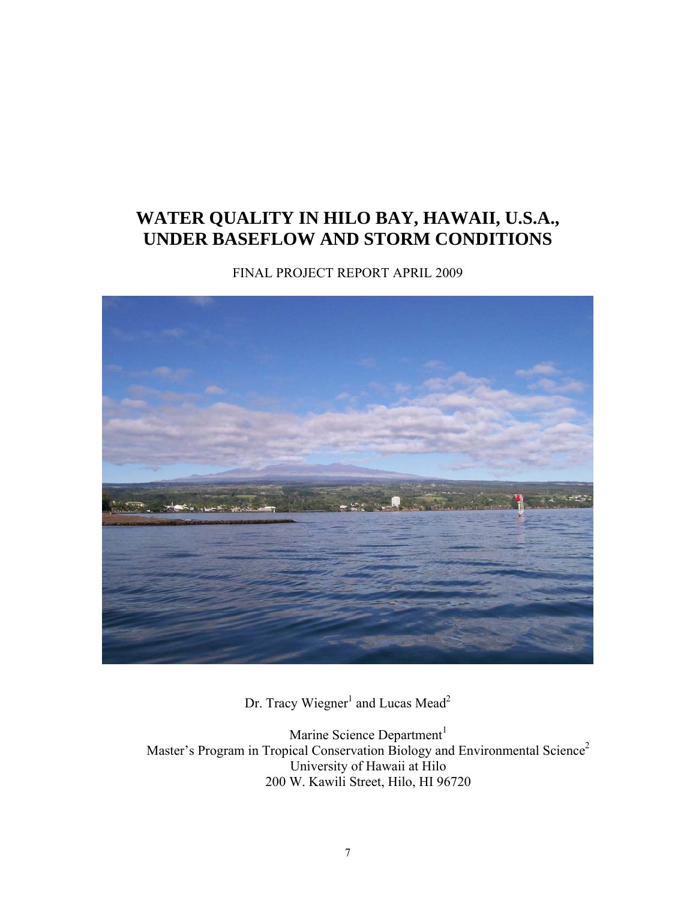# **WATER QUALITY IN HILO BAY, HAWAII, U.S.A., UNDER BASEFLOW AND STORM CONDITIONS**

FINAL PROJECT REPORT APRIL 2009



Dr. Tracy Wiegner<sup>1</sup> and Lucas Mead<sup>2</sup>

Marine Science Department $1$ Master's Program in Tropical Conservation Biology and Environmental Science<sup>2</sup> University of Hawaii at Hilo 200 W. Kawili Street, Hilo, HI 96720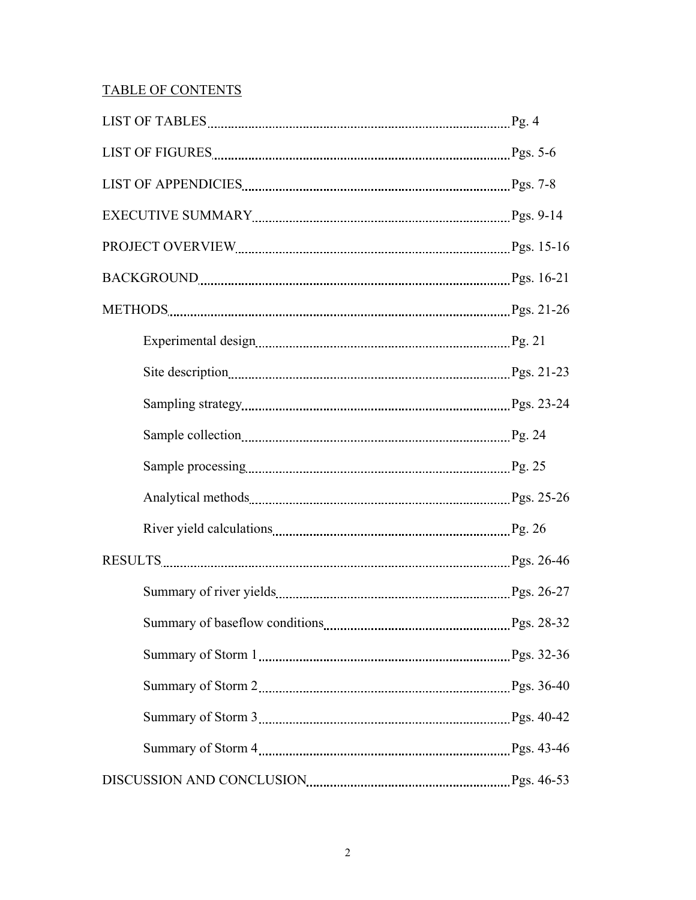## TABLE OF CONTENTS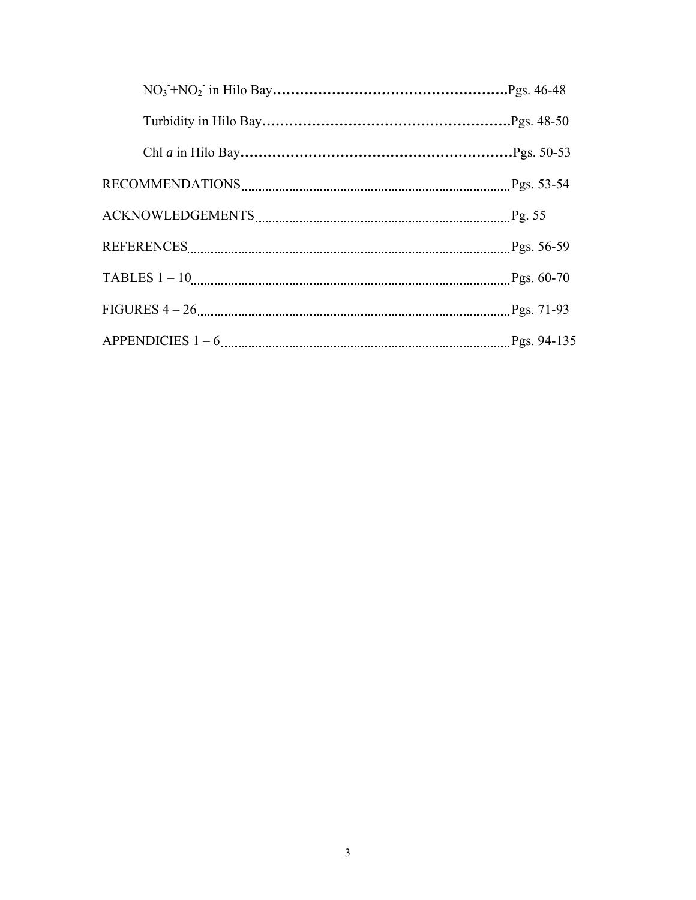| Pgs. 56-59    |
|---------------|
|               |
|               |
| Pgs. $94-135$ |
|               |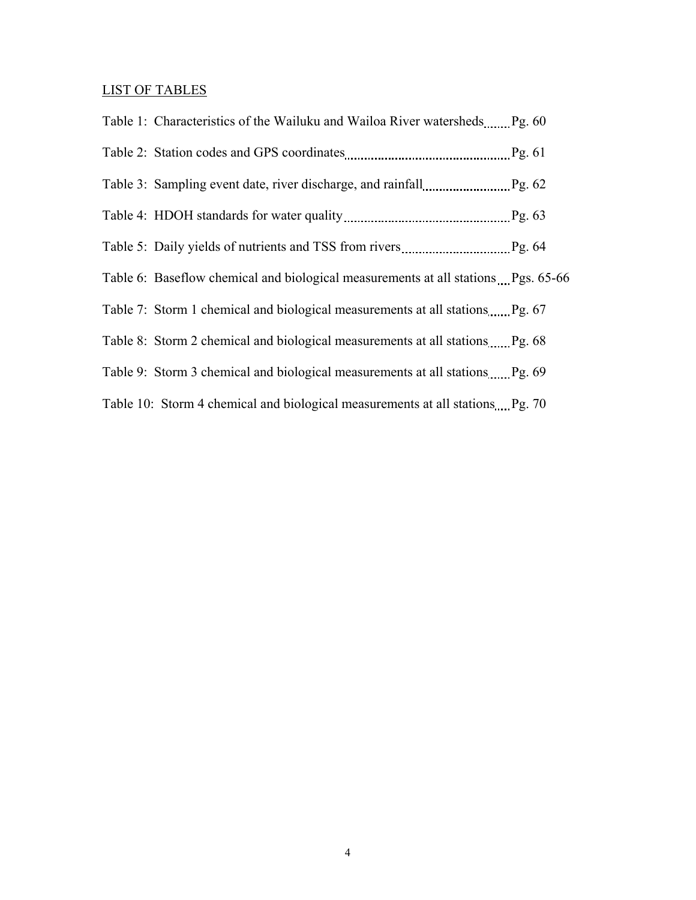## LIST OF TABLES

| Table 1: Characteristics of the Wailuku and Wailoa River watersheds Pg. 60        |  |
|-----------------------------------------------------------------------------------|--|
|                                                                                   |  |
|                                                                                   |  |
|                                                                                   |  |
|                                                                                   |  |
| Table 6: Baseflow chemical and biological measurements at all stations Pgs. 65-66 |  |
|                                                                                   |  |
| Table 8: Storm 2 chemical and biological measurements at all stations Pg. 68      |  |
| Table 9: Storm 3 chemical and biological measurements at all stations Pg. 69      |  |
| Table 10: Storm 4 chemical and biological measurements at all stations Pg. 70     |  |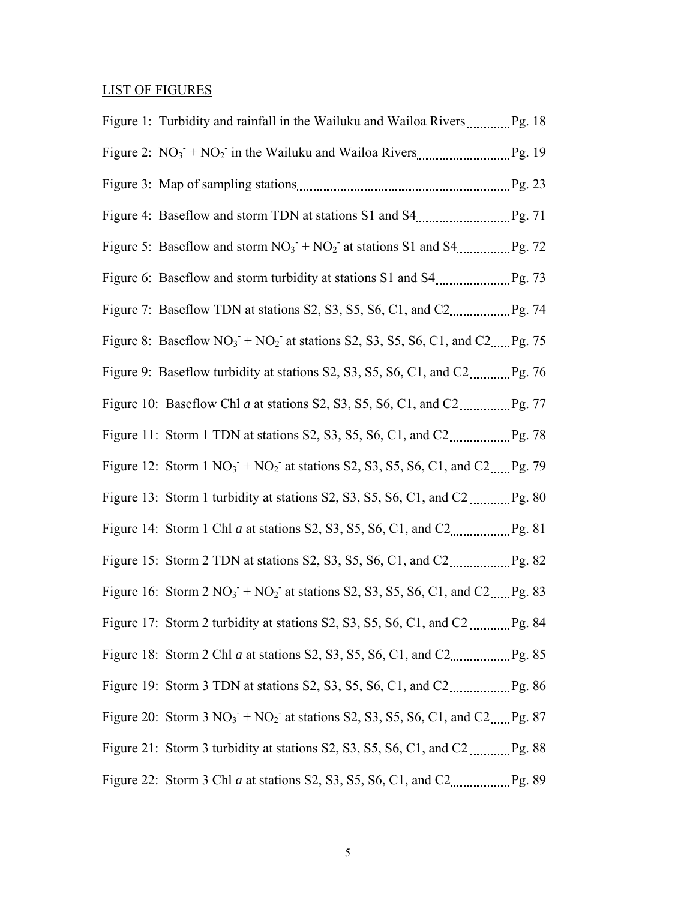## LIST OF FIGURES

| Figure 8: Baseflow $NO_3$ + $NO_2$ at stations S2, S3, S5, S6, C1, and C2, Pg. 75               |  |
|-------------------------------------------------------------------------------------------------|--|
|                                                                                                 |  |
|                                                                                                 |  |
|                                                                                                 |  |
| Figure 12: Storm $1 \text{ NO}_3 + \text{NO}_2$ at stations S2, S3, S5, S6, C1, and C2 Pg. 79   |  |
|                                                                                                 |  |
|                                                                                                 |  |
|                                                                                                 |  |
| Figure 16: Storm $2 \text{ NO}_3 + \text{ NO}_2$ at stations S2, S3, S5, S6, C1, and C2, Pg. 83 |  |
|                                                                                                 |  |
|                                                                                                 |  |
|                                                                                                 |  |
| Figure 20: Storm 3 $NO_3$ + $NO_2$ at stations S2, S3, S5, S6, C1, and C2 Pg. 87                |  |
|                                                                                                 |  |
|                                                                                                 |  |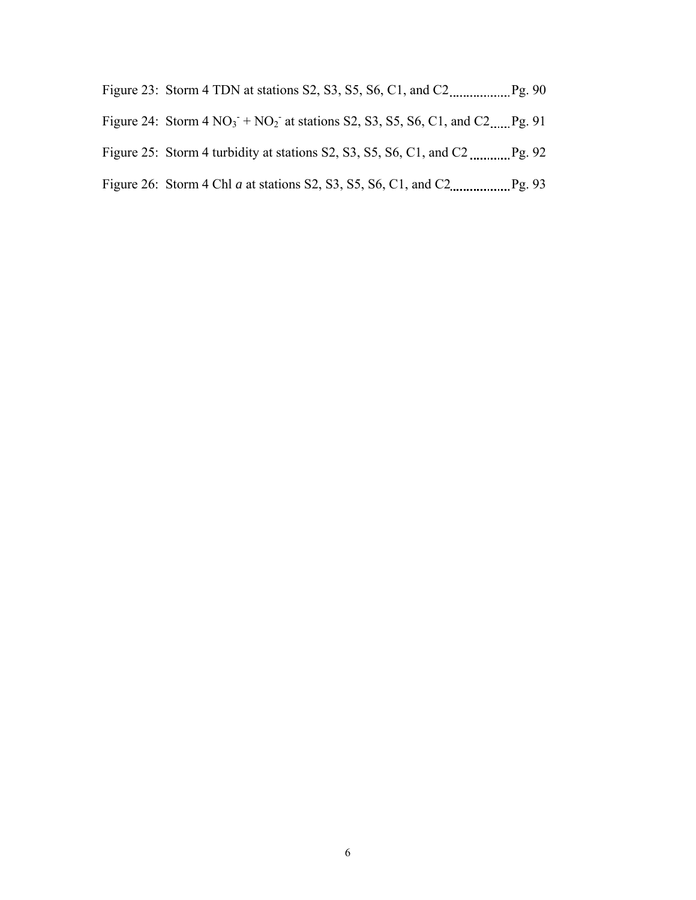| Figure 23: Storm 4 TDN at stations S2, S3, S5, S6, C1, and C2 |  |  | $P_{g.}$ 9 <sup>o</sup> |  |
|---------------------------------------------------------------|--|--|-------------------------|--|
|                                                               |  |  |                         |  |

- Figure 24: Storm  $4 \text{ NO}_3 + \text{NO}_2$  at stations S2, S3, S5, S6, C1, and C2...... Pg. 91
- Figure 25: Storm 4 turbidity at stations S2, S3, S5, S6, C1, and C2  $\ldots$  Pg. 92
- Figure 26: Storm 4 Chl *a* at stations S2, S3, S5, S6, C1, and C2 Pg. 93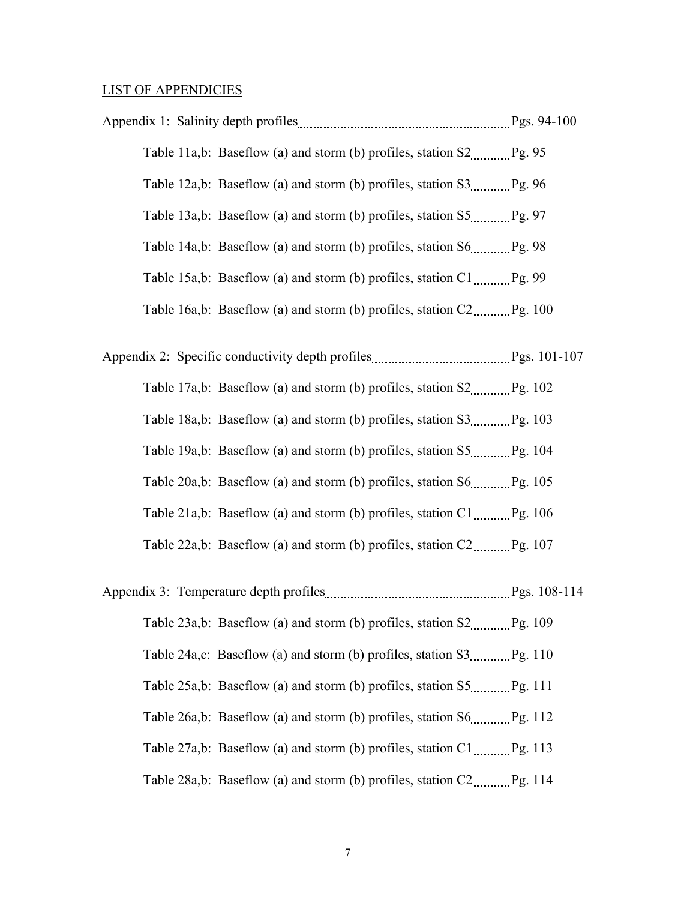#### LIST OF APPENDICIES

Appendix 1: Salinity depth profiles manual entertainment pays. 94-100 Table 11a,b: Baseflow (a) and storm (b) profiles, station  $S2$  *Pg.* 95 Table 12a,b: Baseflow (a) and storm (b) profiles, station  $S3$   $Pg. 96$ Table 13a,b: Baseflow (a) and storm (b) profiles, station  $S_5$  Pg. 97 Table 14a,b: Baseflow (a) and storm (b) profiles, station  $S_6$  Pg. 98 Table 15a,b: Baseflow (a) and storm (b) profiles, station  $C1$  <u>mass</u> 99 Table 16a,b: Baseflow (a) and storm (b) profiles, station  $C2$ ,  $Pg. 100$ 

Appendix 2: Specific conductivity depth profiles **Equilibrium** Pgs. 101-107 Table 17a,b: Baseflow (a) and storm (b) profiles, station  $S2$ ,  $Pg. 102$  Table 18a,b: Baseflow (a) and storm (b) profiles, station S3 Pg. 103 Table 19a,b: Baseflow (a) and storm (b) profiles, station  $S_5$  Pg. 104 Table 20a,b: Baseflow (a) and storm (b) profiles, station  $S_6$  Pg. 105 Table 21a,b: Baseflow (a) and storm (b) profiles, station  $C1$  ..., Pg. 106 Table 22a,b: Baseflow (a) and storm (b) profiles, station  $C2$  *m.m.* Pg. 107

Appendix 3: Temperature depth profiles manual measurement pgs. 108-114 Table  $23a,b$ : Baseflow (a) and storm (b) profiles, station  $S2$  *Pg.* 109 Table 24a,c: Baseflow (a) and storm (b) profiles, station  $S3$  *Pg.* 110 Table  $25a,b$ : Baseflow (a) and storm (b) profiles, station  $S5$   $Pg. 111$ Table 26a,b: Baseflow (a) and storm (b) profiles, station S6 \_\_\_\_\_\_\_\_\_ Pg. 112 Table 27a,b: Baseflow (a) and storm (b) profiles, station  $C1$  <u>mass</u> Pg. 113 Table 28a,b: Baseflow (a) and storm (b) profiles, station  $C2$  *Pg.* 114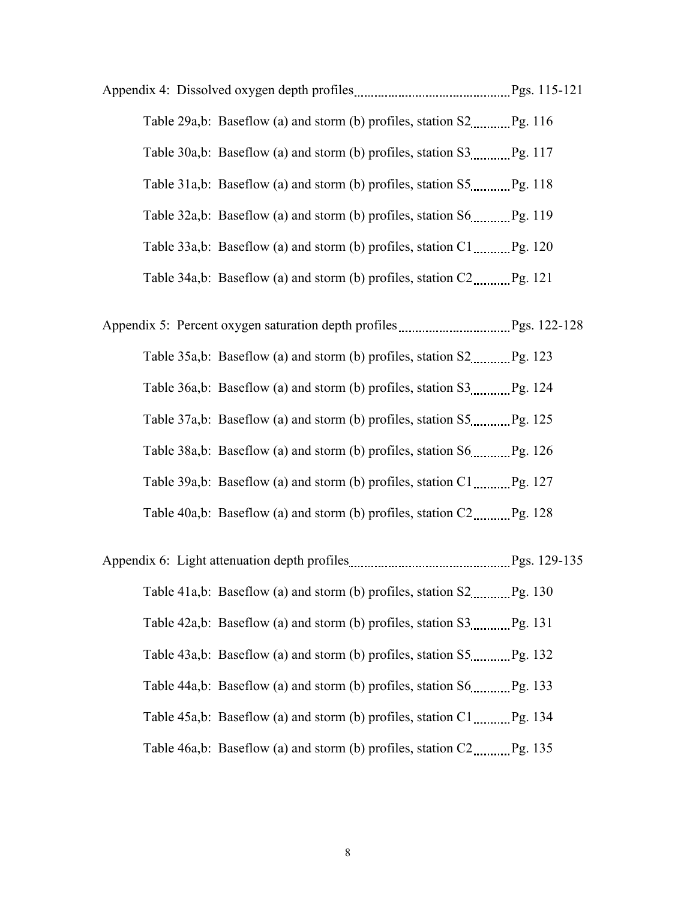- Appendix 4: Dissolved oxygen depth profiles Pgs. 115-121 Table 29a,b: Baseflow (a) and storm (b) profiles, station  $S2$  Pg. 116 Table  $30a,b$ : Baseflow (a) and storm (b) profiles, station  $S3$  *m.m.m.* Pg. 117 Table  $31a,b$ : Baseflow (a) and storm (b) profiles, station  $S5$  *m.m.m.* Pg. 118 Table  $32a,b$ : Baseflow (a) and storm (b) profiles, station  $S_0$  Pg. 119 Table 33a,b: Baseflow (a) and storm (b) profiles, station C1 Pg. 120 Table 34a,b: Baseflow (a) and storm (b) profiles, station  $C2$  Pg. 121
- Appendix 5: Percent oxygen saturation depth profiles Pgs. 122-128 Table  $35a,b$ : Baseflow (a) and storm (b) profiles, station  $S2$  Pg. 123 Table  $36a,b$ : Baseflow (a) and storm (b) profiles, station  $S3$  *minimal* Pg. 124 Table 37a,b: Baseflow (a) and storm (b) profiles, station S5 Pg. 125 Table 38a,b: Baseflow (a) and storm (b) profiles, station  $S_0$  Pg. 126 Table 39a,b: Baseflow (a) and storm (b) profiles, station  $C1$  Pg. 127 Table  $40a,b$ : Baseflow (a) and storm (b) profiles, station  $C2$ ,  $Pg. 128$
- Appendix 6: Light attenuation depth profiles manual enterintently Pgs. 129-135 Table 41a,b: Baseflow (a) and storm (b) profiles, station  $S2$  *Pg.* 130 Table  $42a,b$ : Baseflow (a) and storm (b) profiles, station  $S3$  *Pg.* 131 Table  $43a,b$ : Baseflow (a) and storm (b) profiles, station  $S_1$  Pg. 132 Table  $44a,b$ : Baseflow (a) and storm (b) profiles, station  $S6$  mass  $Pg$ . 133 Table  $45a,b$ : Baseflow (a) and storm (b) profiles, station  $C1$  ............ Pg. 134 Table 46a,b: Baseflow (a) and storm (b) profiles, station  $C2$  *Pg.* 135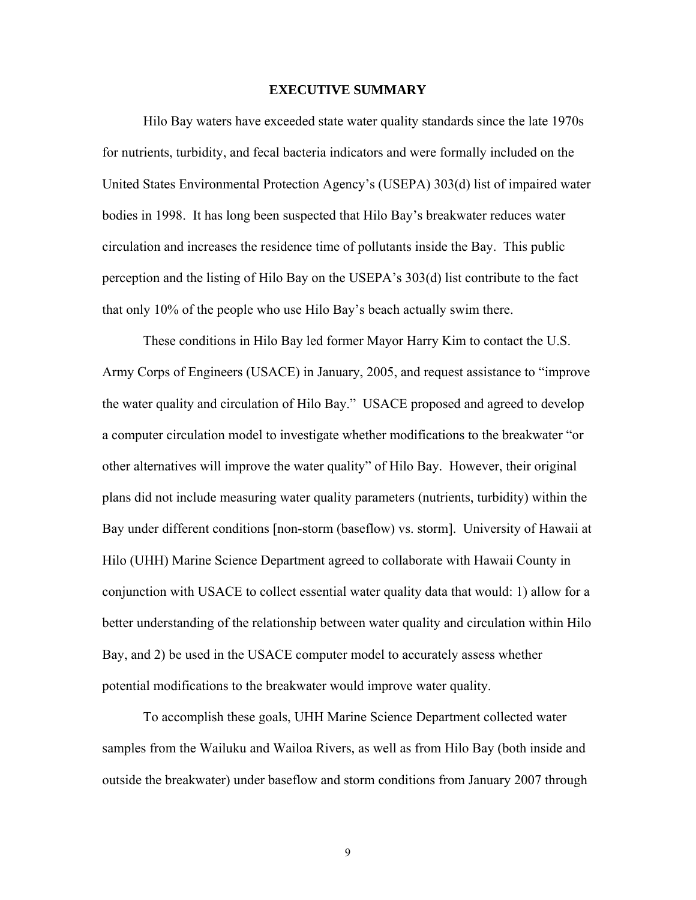### **EXECUTIVE SUMMARY**

Hilo Bay waters have exceeded state water quality standards since the late 1970s for nutrients, turbidity, and fecal bacteria indicators and were formally included on the United States Environmental Protection Agency's (USEPA) 303(d) list of impaired water bodies in 1998. It has long been suspected that Hilo Bay's breakwater reduces water circulation and increases the residence time of pollutants inside the Bay. This public perception and the listing of Hilo Bay on the USEPA's 303(d) list contribute to the fact that only 10% of the people who use Hilo Bay's beach actually swim there.

These conditions in Hilo Bay led former Mayor Harry Kim to contact the U.S. Army Corps of Engineers (USACE) in January, 2005, and request assistance to "improve the water quality and circulation of Hilo Bay." USACE proposed and agreed to develop a computer circulation model to investigate whether modifications to the breakwater "or other alternatives will improve the water quality" of Hilo Bay. However, their original plans did not include measuring water quality parameters (nutrients, turbidity) within the Bay under different conditions [non-storm (baseflow) vs. storm]. University of Hawaii at Hilo (UHH) Marine Science Department agreed to collaborate with Hawaii County in conjunction with USACE to collect essential water quality data that would: 1) allow for a better understanding of the relationship between water quality and circulation within Hilo Bay, and 2) be used in the USACE computer model to accurately assess whether potential modifications to the breakwater would improve water quality.

To accomplish these goals, UHH Marine Science Department collected water samples from the Wailuku and Wailoa Rivers, as well as from Hilo Bay (both inside and outside the breakwater) under baseflow and storm conditions from January 2007 through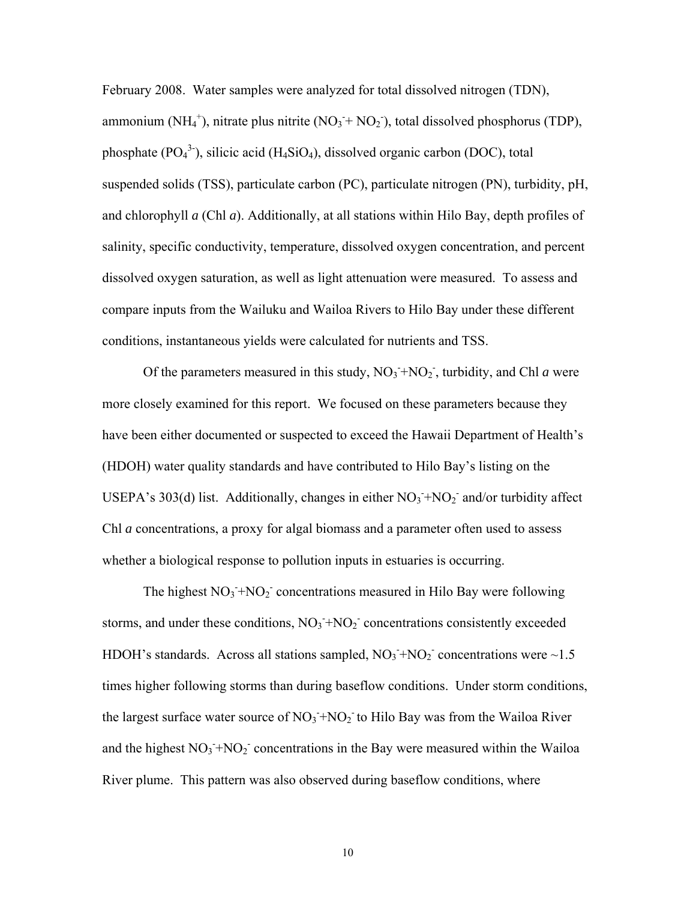February 2008. Water samples were analyzed for total dissolved nitrogen (TDN), ammonium (NH<sub>4</sub><sup>+</sup>), nitrate plus nitrite (NO<sub>3</sub><sup>+</sup> NO<sub>2</sub><sup>\*</sup>), total dissolved phosphorus (TDP), phosphate  $(PO<sub>4</sub><sup>3</sup>)$ , silicic acid (H<sub>4</sub>SiO<sub>4</sub>), dissolved organic carbon (DOC), total suspended solids (TSS), particulate carbon (PC), particulate nitrogen (PN), turbidity, pH, and chlorophyll *a* (Chl *a*). Additionally, at all stations within Hilo Bay, depth profiles of salinity, specific conductivity, temperature, dissolved oxygen concentration, and percent dissolved oxygen saturation, as well as light attenuation were measured. To assess and compare inputs from the Wailuku and Wailoa Rivers to Hilo Bay under these different conditions, instantaneous yields were calculated for nutrients and TSS.

Of the parameters measured in this study,  $NO_3 + NO_2$ , turbidity, and Chl *a* were more closely examined for this report. We focused on these parameters because they have been either documented or suspected to exceed the Hawaii Department of Health's (HDOH) water quality standards and have contributed to Hilo Bay's listing on the USEPA's 303(d) list. Additionally, changes in either  $NO<sub>3</sub> + NO<sub>2</sub>$  and/or turbidity affect Chl *a* concentrations, a proxy for algal biomass and a parameter often used to assess whether a biological response to pollution inputs in estuaries is occurring.

The highest  $NO_3$ <sup>+</sup> $NO_2$ <sup>-</sup> concentrations measured in Hilo Bay were following storms, and under these conditions,  $NO<sub>3</sub> + NO<sub>2</sub>$  concentrations consistently exceeded HDOH's standards. Across all stations sampled,  $NO_3 + NO_2$  concentrations were  $\sim 1.5$ times higher following storms than during baseflow conditions. Under storm conditions, the largest surface water source of  $NO<sub>3</sub> + NO<sub>2</sub>$  to Hilo Bay was from the Wailoa River and the highest  $NO_3 + NO_2$  concentrations in the Bay were measured within the Wailoa River plume. This pattern was also observed during baseflow conditions, where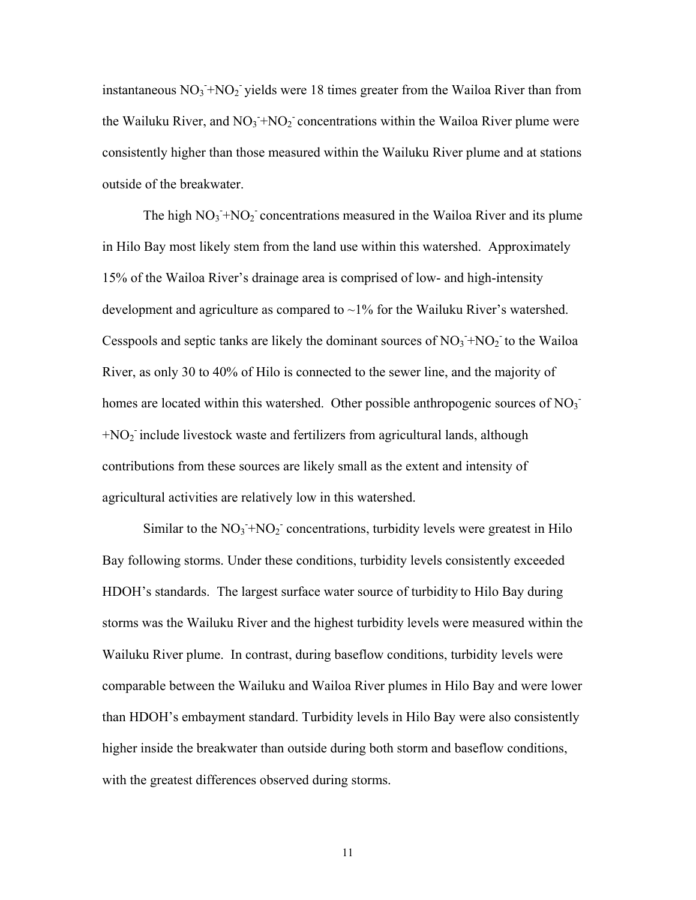instantaneous  $NO_3$ <sup>+</sup> $NO_2$ <sup>-</sup> yields were 18 times greater from the Wailoa River than from the Wailuku River, and  $NO_3 + NO_2$  concentrations within the Wailoa River plume were consistently higher than those measured within the Wailuku River plume and at stations outside of the breakwater.

The high  $NO_3 + NO_2$  concentrations measured in the Wailoa River and its plume in Hilo Bay most likely stem from the land use within this watershed. Approximately 15% of the Wailoa River's drainage area is comprised of low- and high-intensity development and agriculture as compared to  $\sim$ 1% for the Wailuku River's watershed. Cesspools and septic tanks are likely the dominant sources of  $NO<sub>3</sub> + NO<sub>2</sub>$  to the Wailoa River, as only 30 to 40% of Hilo is connected to the sewer line, and the majority of homes are located within this watershed. Other possible anthropogenic sources of  $NO<sub>3</sub>$  $+NO<sub>2</sub>$  include livestock waste and fertilizers from agricultural lands, although contributions from these sources are likely small as the extent and intensity of agricultural activities are relatively low in this watershed.

Similar to the  $NO_3$ <sup>+</sup> $NO_2$ <sup>-</sup> concentrations, turbidity levels were greatest in Hilo Bay following storms. Under these conditions, turbidity levels consistently exceeded HDOH's standards. The largest surface water source of turbidity to Hilo Bay during storms was the Wailuku River and the highest turbidity levels were measured within the Wailuku River plume. In contrast, during baseflow conditions, turbidity levels were comparable between the Wailuku and Wailoa River plumes in Hilo Bay and were lower than HDOH's embayment standard. Turbidity levels in Hilo Bay were also consistently higher inside the breakwater than outside during both storm and baseflow conditions, with the greatest differences observed during storms.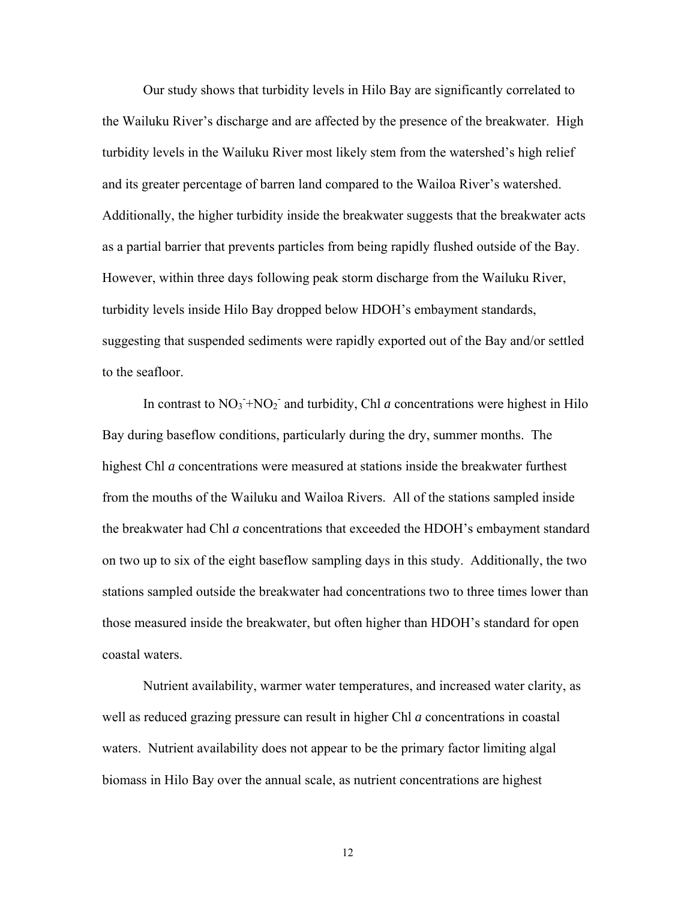Our study shows that turbidity levels in Hilo Bay are significantly correlated to the Wailuku River's discharge and are affected by the presence of the breakwater. High turbidity levels in the Wailuku River most likely stem from the watershed's high relief and its greater percentage of barren land compared to the Wailoa River's watershed. Additionally, the higher turbidity inside the breakwater suggests that the breakwater acts as a partial barrier that prevents particles from being rapidly flushed outside of the Bay. However, within three days following peak storm discharge from the Wailuku River, turbidity levels inside Hilo Bay dropped below HDOH's embayment standards, suggesting that suspended sediments were rapidly exported out of the Bay and/or settled to the seafloor.

In contrast to  $NO_3 + NO_2$  and turbidity, Chl *a* concentrations were highest in Hilo Bay during baseflow conditions, particularly during the dry, summer months. The highest Chl *a* concentrations were measured at stations inside the breakwater furthest from the mouths of the Wailuku and Wailoa Rivers. All of the stations sampled inside the breakwater had Chl *a* concentrations that exceeded the HDOH's embayment standard on two up to six of the eight baseflow sampling days in this study. Additionally, the two stations sampled outside the breakwater had concentrations two to three times lower than those measured inside the breakwater, but often higher than HDOH's standard for open coastal waters.

Nutrient availability, warmer water temperatures, and increased water clarity, as well as reduced grazing pressure can result in higher Chl *a* concentrations in coastal waters. Nutrient availability does not appear to be the primary factor limiting algal biomass in Hilo Bay over the annual scale, as nutrient concentrations are highest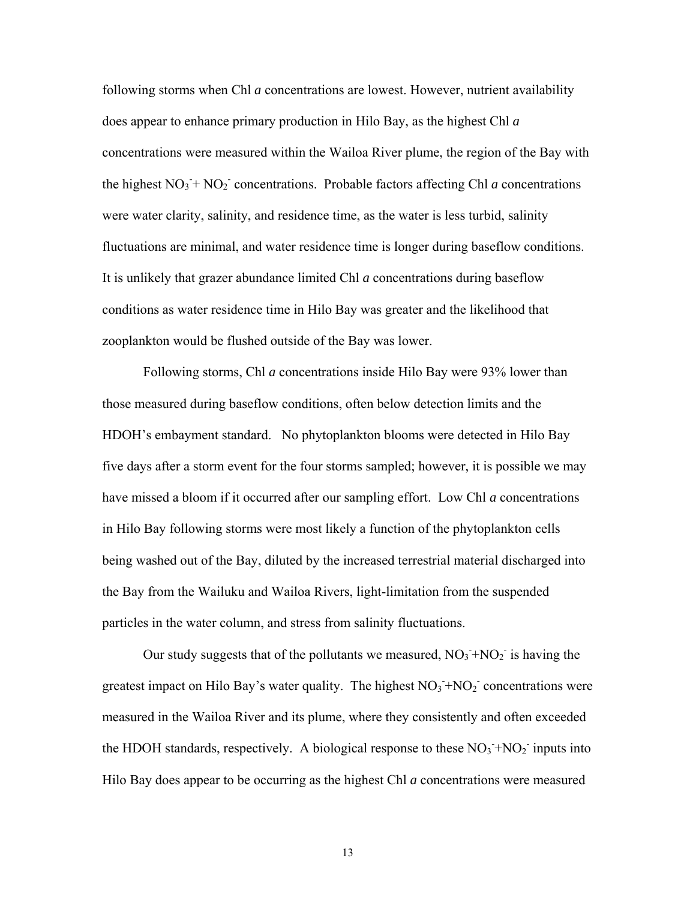following storms when Chl *a* concentrations are lowest. However, nutrient availability does appear to enhance primary production in Hilo Bay, as the highest Chl *a* concentrations were measured within the Wailoa River plume, the region of the Bay with the highest  $NO_3 + NO_2$ <sup>-</sup> concentrations. Probable factors affecting Chl *a* concentrations were water clarity, salinity, and residence time, as the water is less turbid, salinity fluctuations are minimal, and water residence time is longer during baseflow conditions. It is unlikely that grazer abundance limited Chl *a* concentrations during baseflow conditions as water residence time in Hilo Bay was greater and the likelihood that zooplankton would be flushed outside of the Bay was lower.

Following storms, Chl *a* concentrations inside Hilo Bay were 93% lower than those measured during baseflow conditions, often below detection limits and the HDOH's embayment standard. No phytoplankton blooms were detected in Hilo Bay five days after a storm event for the four storms sampled; however, it is possible we may have missed a bloom if it occurred after our sampling effort. Low Chl *a* concentrations in Hilo Bay following storms were most likely a function of the phytoplankton cells being washed out of the Bay, diluted by the increased terrestrial material discharged into the Bay from the Wailuku and Wailoa Rivers, light-limitation from the suspended particles in the water column, and stress from salinity fluctuations.

Our study suggests that of the pollutants we measured,  $NO_3 + NO_2$  is having the greatest impact on Hilo Bay's water quality. The highest  $NO<sub>3</sub> + NO<sub>2</sub>$  concentrations were measured in the Wailoa River and its plume, where they consistently and often exceeded the HDOH standards, respectively. A biological response to these  $NO<sub>3</sub> + NO<sub>2</sub>$  inputs into Hilo Bay does appear to be occurring as the highest Chl *a* concentrations were measured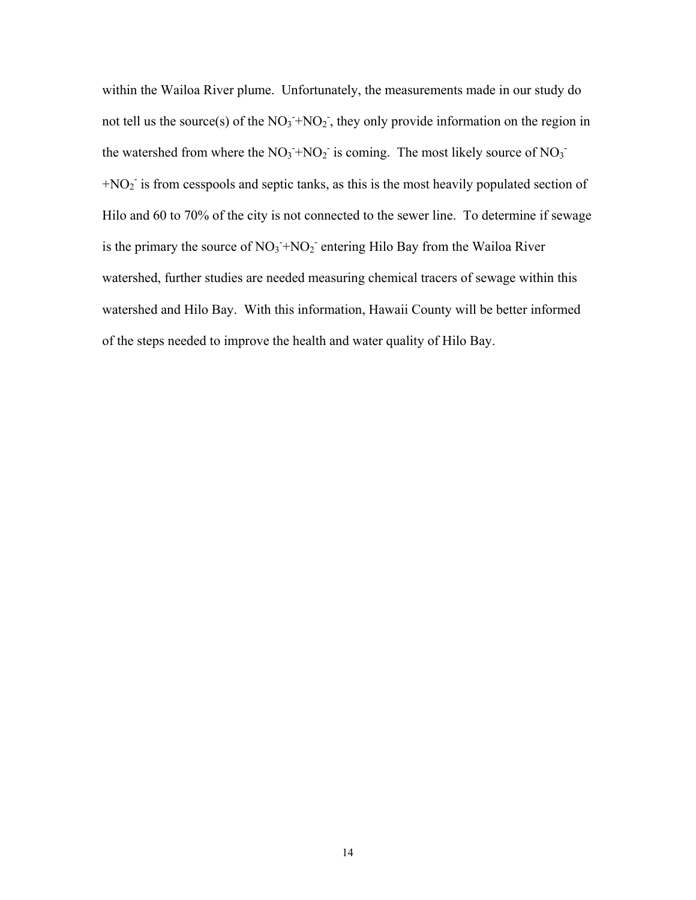within the Wailoa River plume. Unfortunately, the measurements made in our study do not tell us the source(s) of the  $NO_3 + NO_2$ , they only provide information on the region in the watershed from where the  $NO_3$ <sup> $+ NO_2$ </sup> is coming. The most likely source of  $NO_3$ <sup>-</sup>  $+NO<sub>2</sub>$  is from cesspools and septic tanks, as this is the most heavily populated section of Hilo and 60 to 70% of the city is not connected to the sewer line. To determine if sewage is the primary the source of  $NO_3 + NO_2$  entering Hilo Bay from the Wailoa River watershed, further studies are needed measuring chemical tracers of sewage within this watershed and Hilo Bay. With this information, Hawaii County will be better informed of the steps needed to improve the health and water quality of Hilo Bay.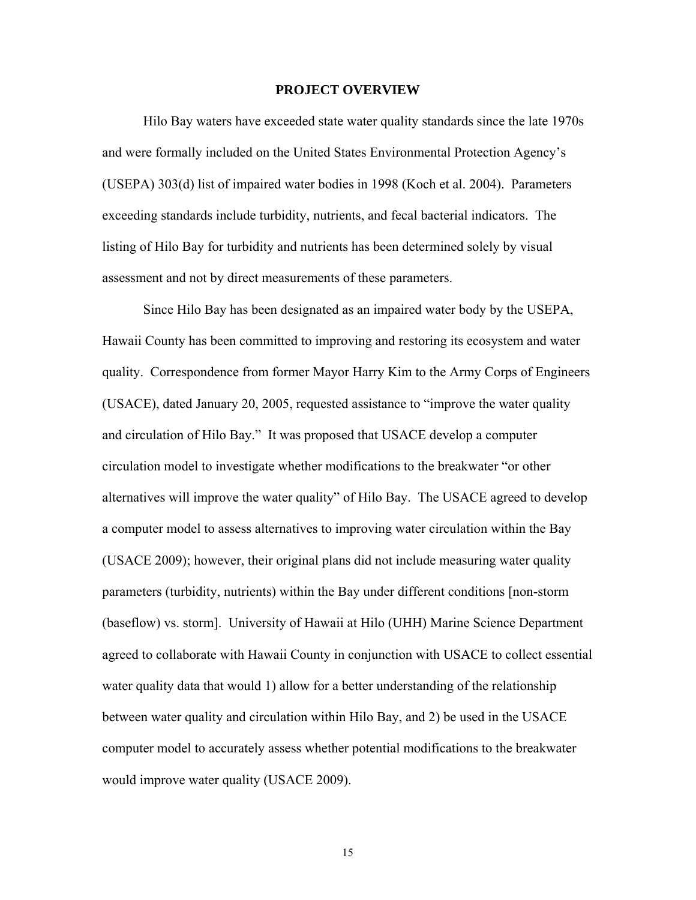#### **PROJECT OVERVIEW**

Hilo Bay waters have exceeded state water quality standards since the late 1970s and were formally included on the United States Environmental Protection Agency's (USEPA) 303(d) list of impaired water bodies in 1998 (Koch et al. 2004). Parameters exceeding standards include turbidity, nutrients, and fecal bacterial indicators. The listing of Hilo Bay for turbidity and nutrients has been determined solely by visual assessment and not by direct measurements of these parameters.

Since Hilo Bay has been designated as an impaired water body by the USEPA, Hawaii County has been committed to improving and restoring its ecosystem and water quality. Correspondence from former Mayor Harry Kim to the Army Corps of Engineers (USACE), dated January 20, 2005, requested assistance to "improve the water quality and circulation of Hilo Bay." It was proposed that USACE develop a computer circulation model to investigate whether modifications to the breakwater "or other alternatives will improve the water quality" of Hilo Bay. The USACE agreed to develop a computer model to assess alternatives to improving water circulation within the Bay (USACE 2009); however, their original plans did not include measuring water quality parameters (turbidity, nutrients) within the Bay under different conditions [non-storm (baseflow) vs. storm]. University of Hawaii at Hilo (UHH) Marine Science Department agreed to collaborate with Hawaii County in conjunction with USACE to collect essential water quality data that would 1) allow for a better understanding of the relationship between water quality and circulation within Hilo Bay, and 2) be used in the USACE computer model to accurately assess whether potential modifications to the breakwater would improve water quality (USACE 2009).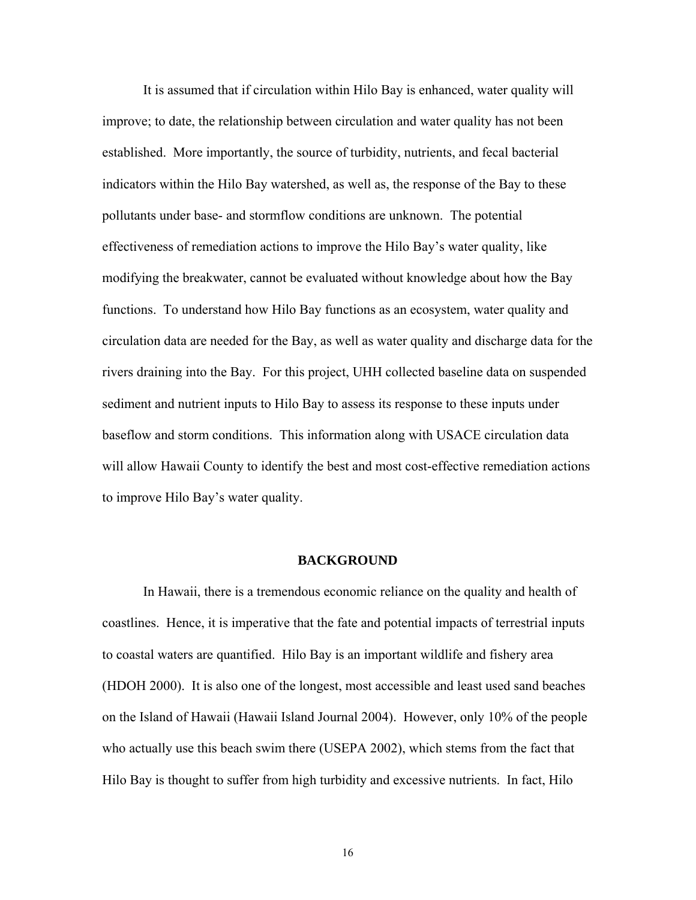It is assumed that if circulation within Hilo Bay is enhanced, water quality will improve; to date, the relationship between circulation and water quality has not been established. More importantly, the source of turbidity, nutrients, and fecal bacterial indicators within the Hilo Bay watershed, as well as, the response of the Bay to these pollutants under base- and stormflow conditions are unknown. The potential effectiveness of remediation actions to improve the Hilo Bay's water quality, like modifying the breakwater, cannot be evaluated without knowledge about how the Bay functions. To understand how Hilo Bay functions as an ecosystem, water quality and circulation data are needed for the Bay, as well as water quality and discharge data for the rivers draining into the Bay. For this project, UHH collected baseline data on suspended sediment and nutrient inputs to Hilo Bay to assess its response to these inputs under baseflow and storm conditions. This information along with USACE circulation data will allow Hawaii County to identify the best and most cost-effective remediation actions to improve Hilo Bay's water quality.

#### **BACKGROUND**

In Hawaii, there is a tremendous economic reliance on the quality and health of coastlines. Hence, it is imperative that the fate and potential impacts of terrestrial inputs to coastal waters are quantified. Hilo Bay is an important wildlife and fishery area (HDOH 2000). It is also one of the longest, most accessible and least used sand beaches on the Island of Hawaii (Hawaii Island Journal 2004). However, only 10% of the people who actually use this beach swim there (USEPA 2002), which stems from the fact that Hilo Bay is thought to suffer from high turbidity and excessive nutrients. In fact, Hilo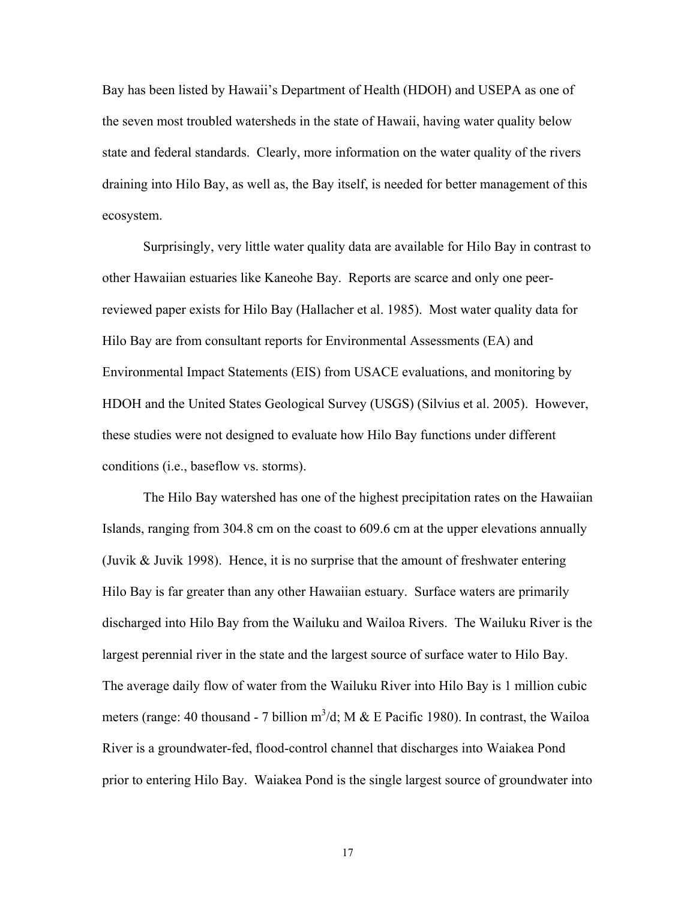Bay has been listed by Hawaii's Department of Health (HDOH) and USEPA as one of the seven most troubled watersheds in the state of Hawaii, having water quality below state and federal standards. Clearly, more information on the water quality of the rivers draining into Hilo Bay, as well as, the Bay itself, is needed for better management of this ecosystem.

Surprisingly, very little water quality data are available for Hilo Bay in contrast to other Hawaiian estuaries like Kaneohe Bay. Reports are scarce and only one peerreviewed paper exists for Hilo Bay (Hallacher et al. 1985). Most water quality data for Hilo Bay are from consultant reports for Environmental Assessments (EA) and Environmental Impact Statements (EIS) from USACE evaluations, and monitoring by HDOH and the United States Geological Survey (USGS) (Silvius et al. 2005). However, these studies were not designed to evaluate how Hilo Bay functions under different conditions (i.e., baseflow vs. storms).

The Hilo Bay watershed has one of the highest precipitation rates on the Hawaiian Islands, ranging from 304.8 cm on the coast to 609.6 cm at the upper elevations annually (Juvik  $\&$  Juvik 1998). Hence, it is no surprise that the amount of freshwater entering Hilo Bay is far greater than any other Hawaiian estuary. Surface waters are primarily discharged into Hilo Bay from the Wailuku and Wailoa Rivers. The Wailuku River is the largest perennial river in the state and the largest source of surface water to Hilo Bay. The average daily flow of water from the Wailuku River into Hilo Bay is 1 million cubic meters (range: 40 thousand - 7 billion  $m^3/d$ ; M & E Pacific 1980). In contrast, the Wailoa River is a groundwater-fed, flood-control channel that discharges into Waiakea Pond prior to entering Hilo Bay. Waiakea Pond is the single largest source of groundwater into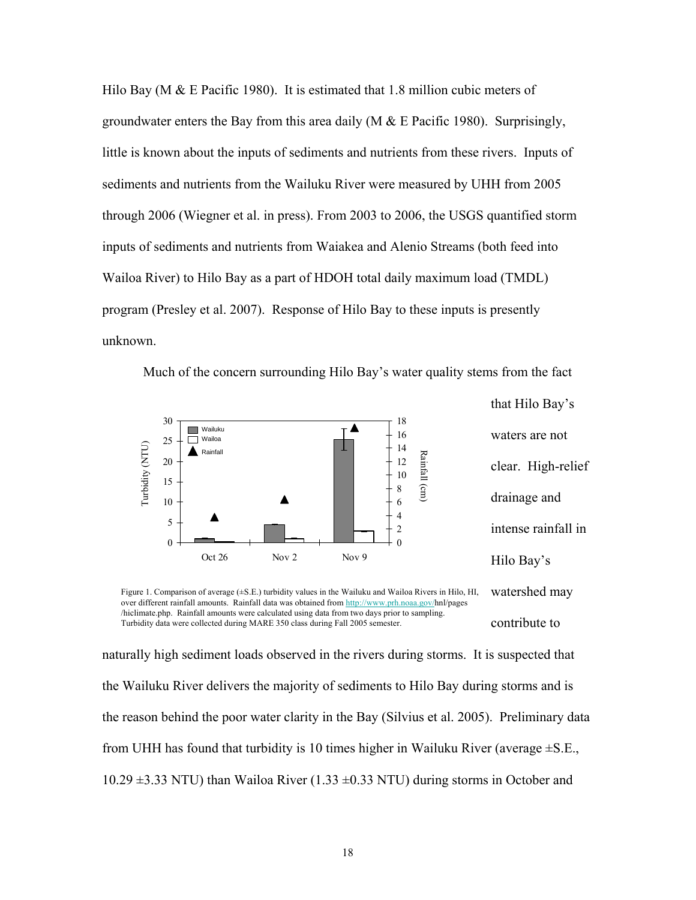Hilo Bay (M  $&$  E Pacific 1980). It is estimated that 1.8 million cubic meters of groundwater enters the Bay from this area daily (M  $\&$  E Pacific 1980). Surprisingly, little is known about the inputs of sediments and nutrients from these rivers. Inputs of sediments and nutrients from the Wailuku River were measured by UHH from 2005 through 2006 (Wiegner et al. in press). From 2003 to 2006, the USGS quantified storm inputs of sediments and nutrients from Waiakea and Alenio Streams (both feed into Wailoa River) to Hilo Bay as a part of HDOH total daily maximum load (TMDL) program (Presley et al. 2007). Response of Hilo Bay to these inputs is presently unknown.



Much of the concern surrounding Hilo Bay's water quality stems from the fact

that Hilo Bay's waters are not clear. High-relief drainage and intense rainfall in Hilo Bay's watershed may

contribute to Figure 1. Comparison of average ( $\pm$ S.E.) turbidity values in the Wailuku and Wailoa Rivers in Hilo, HI, over different rainfall amounts. Rainfall data was obtained from http://www.prh.noaa.gov/hnl/pages /hiclimate.php. Rainfall amounts were calculated using data from two days prior to sampling.

naturally high sediment loads observed in the rivers during storms. It is suspected that the Wailuku River delivers the majority of sediments to Hilo Bay during storms and is the reason behind the poor water clarity in the Bay (Silvius et al. 2005). Preliminary data from UHH has found that turbidity is 10 times higher in Wailuku River (average  $\pm$ S.E., 10.29  $\pm$ 3.33 NTU) than Wailoa River (1.33  $\pm$ 0.33 NTU) during storms in October and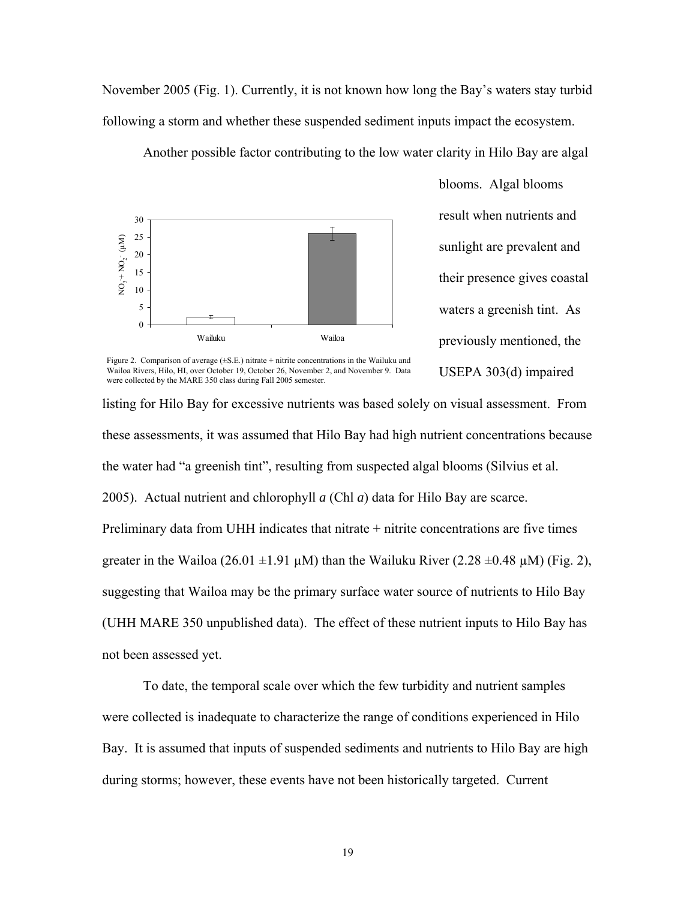November 2005 (Fig. 1). Currently, it is not known how long the Bay's waters stay turbid following a storm and whether these suspended sediment inputs impact the ecosystem.

Another possible factor contributing to the low water clarity in Hilo Bay are algal



blooms. Algal blooms result when nutrients and sunlight are prevalent and their presence gives coastal waters a greenish tint. As previously mentioned, the USEPA 303(d) impaired

Figure 2. Comparison of average  $(\pm S.E.)$  nitrate + nitrite concentrations in the Wailuku and Wailoa Rivers, Hilo, HI, over October 19, October 26, November 2, and November 9. Data were collected by the MARE 350 class during Fall 2005 semester.

listing for Hilo Bay for excessive nutrients was based solely on visual assessment. From these assessments, it was assumed that Hilo Bay had high nutrient concentrations because the water had "a greenish tint", resulting from suspected algal blooms (Silvius et al. 2005). Actual nutrient and chlorophyll *a* (Chl *a*) data for Hilo Bay are scarce. Preliminary data from UHH indicates that nitrate + nitrite concentrations are five times greater in the Wailoa (26.01  $\pm$ 1.91 µM) than the Wailuku River (2.28  $\pm$ 0.48 µM) (Fig. 2), suggesting that Wailoa may be the primary surface water source of nutrients to Hilo Bay (UHH MARE 350 unpublished data). The effect of these nutrient inputs to Hilo Bay has not been assessed yet.  $\frac{2}{3}$  10<br>  $\frac{1}{3}$  wakes<br>  $\frac{1}{3}$  wakes<br>
Figure 2. Compution of works, the store Usober 16, October 26, October 26, October 26, October 26, October 26, October 26, October 26, October 26, October 26, October 26, Oc

To date, the temporal scale over which the few turbidity and nutrient samples were collected is inadequate to characterize the range of conditions experienced in Hilo Bay. It is assumed that inputs of suspended sediments and nutrients to Hilo Bay are high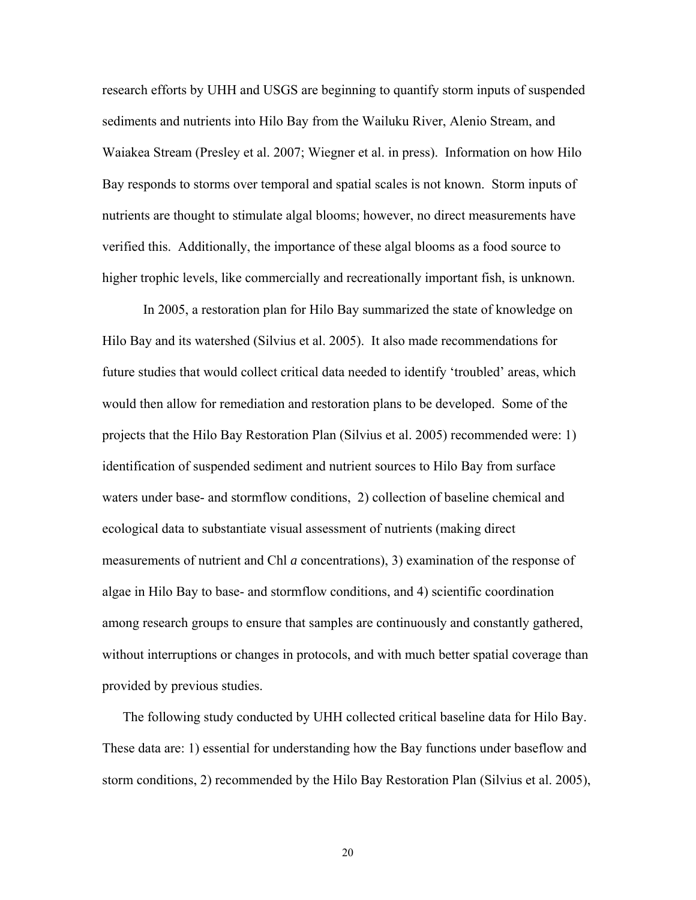research efforts by UHH and USGS are beginning to quantify storm inputs of suspended sediments and nutrients into Hilo Bay from the Wailuku River, Alenio Stream, and Waiakea Stream (Presley et al. 2007; Wiegner et al. in press). Information on how Hilo Bay responds to storms over temporal and spatial scales is not known. Storm inputs of nutrients are thought to stimulate algal blooms; however, no direct measurements have verified this. Additionally, the importance of these algal blooms as a food source to higher trophic levels, like commercially and recreationally important fish, is unknown.

In 2005, a restoration plan for Hilo Bay summarized the state of knowledge on Hilo Bay and its watershed (Silvius et al. 2005). It also made recommendations for future studies that would collect critical data needed to identify 'troubled' areas, which would then allow for remediation and restoration plans to be developed. Some of the projects that the Hilo Bay Restoration Plan (Silvius et al. 2005) recommended were: 1) identification of suspended sediment and nutrient sources to Hilo Bay from surface waters under base- and stormflow conditions, 2) collection of baseline chemical and ecological data to substantiate visual assessment of nutrients (making direct measurements of nutrient and Chl *a* concentrations), 3) examination of the response of algae in Hilo Bay to base- and stormflow conditions, and 4) scientific coordination among research groups to ensure that samples are continuously and constantly gathered, without interruptions or changes in protocols, and with much better spatial coverage than provided by previous studies.

The following study conducted by UHH collected critical baseline data for Hilo Bay. These data are: 1) essential for understanding how the Bay functions under baseflow and storm conditions, 2) recommended by the Hilo Bay Restoration Plan (Silvius et al. 2005),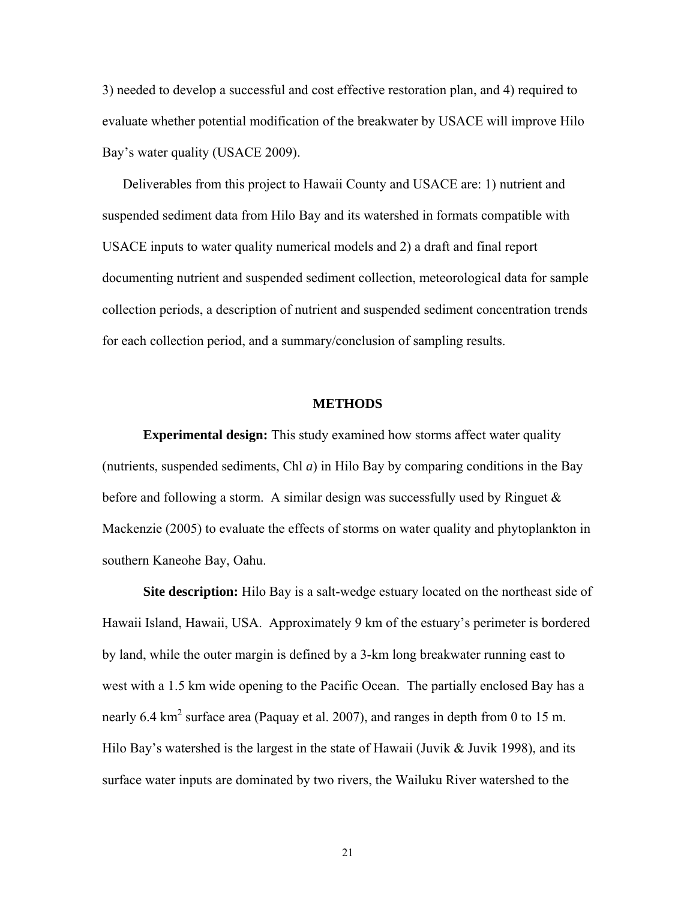3) needed to develop a successful and cost effective restoration plan, and 4) required to evaluate whether potential modification of the breakwater by USACE will improve Hilo Bay's water quality (USACE 2009).

Deliverables from this project to Hawaii County and USACE are: 1) nutrient and suspended sediment data from Hilo Bay and its watershed in formats compatible with USACE inputs to water quality numerical models and 2) a draft and final report documenting nutrient and suspended sediment collection, meteorological data for sample collection periods, a description of nutrient and suspended sediment concentration trends for each collection period, and a summary/conclusion of sampling results.

### **METHODS**

**Experimental design:** This study examined how storms affect water quality (nutrients, suspended sediments, Chl *a*) in Hilo Bay by comparing conditions in the Bay before and following a storm. A similar design was successfully used by Ringuet  $\&$ Mackenzie (2005) to evaluate the effects of storms on water quality and phytoplankton in southern Kaneohe Bay, Oahu.

**Site description:** Hilo Bay is a salt-wedge estuary located on the northeast side of Hawaii Island, Hawaii, USA. Approximately 9 km of the estuary's perimeter is bordered by land, while the outer margin is defined by a 3-km long breakwater running east to west with a 1.5 km wide opening to the Pacific Ocean. The partially enclosed Bay has a nearly 6.4 km<sup>2</sup> surface area (Paquay et al. 2007), and ranges in depth from 0 to 15 m. Hilo Bay's watershed is the largest in the state of Hawaii (Juvik  $&$  Juvik 1998), and its surface water inputs are dominated by two rivers, the Wailuku River watershed to the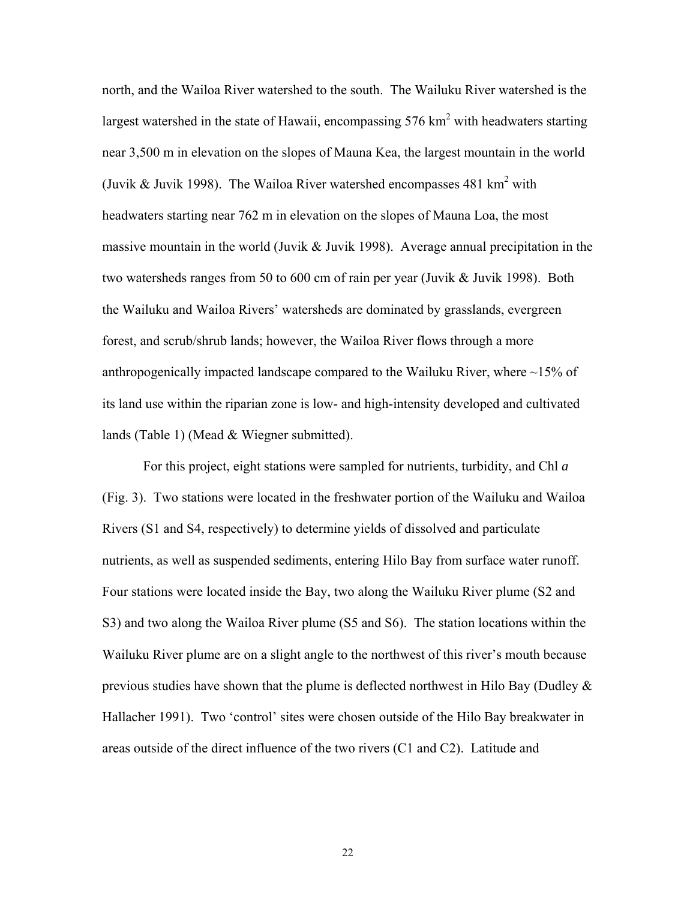north, and the Wailoa River watershed to the south. The Wailuku River watershed is the largest watershed in the state of Hawaii, encompassing  $576 \text{ km}^2$  with headwaters starting near 3,500 m in elevation on the slopes of Mauna Kea, the largest mountain in the world (Juvik & Juvik 1998). The Wailoa River watershed encompasses  $481 \text{ km}^2$  with headwaters starting near 762 m in elevation on the slopes of Mauna Loa, the most massive mountain in the world (Juvik  $\&$  Juvik 1998). Average annual precipitation in the two watersheds ranges from 50 to 600 cm of rain per year (Juvik & Juvik 1998). Both the Wailuku and Wailoa Rivers' watersheds are dominated by grasslands, evergreen forest, and scrub/shrub lands; however, the Wailoa River flows through a more anthropogenically impacted landscape compared to the Wailuku River, where ~15% of its land use within the riparian zone is low- and high-intensity developed and cultivated lands (Table 1) (Mead & Wiegner submitted).

For this project, eight stations were sampled for nutrients, turbidity, and Chl *a* (Fig. 3). Two stations were located in the freshwater portion of the Wailuku and Wailoa Rivers (S1 and S4, respectively) to determine yields of dissolved and particulate nutrients, as well as suspended sediments, entering Hilo Bay from surface water runoff. Four stations were located inside the Bay, two along the Wailuku River plume (S2 and S3) and two along the Wailoa River plume (S5 and S6). The station locations within the Wailuku River plume are on a slight angle to the northwest of this river's mouth because previous studies have shown that the plume is deflected northwest in Hilo Bay (Dudley  $\&$ Hallacher 1991). Two 'control' sites were chosen outside of the Hilo Bay breakwater in areas outside of the direct influence of the two rivers (C1 and C2). Latitude and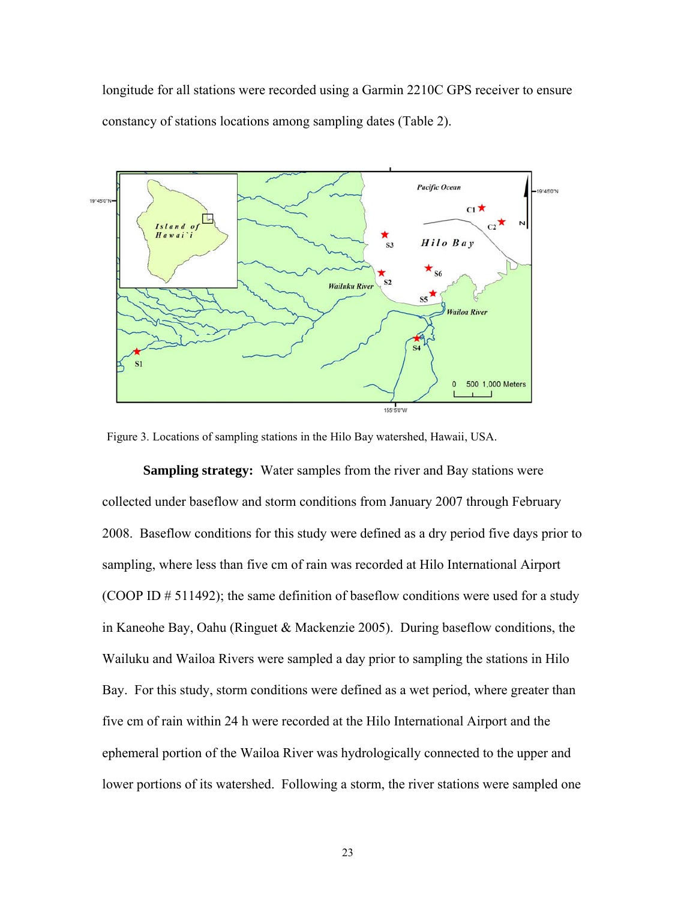longitude for all stations were recorded using a Garmin 2210C GPS receiver to ensure constancy of stations locations among sampling dates (Table 2).



Figure 3. Locations of sampling stations in the Hilo Bay watershed, Hawaii, USA.

**Sampling strategy:** Water samples from the river and Bay stations were collected under baseflow and storm conditions from January 2007 through February 2008. Baseflow conditions for this study were defined as a dry period five days prior to sampling, where less than five cm of rain was recorded at Hilo International Airport (COOP ID # 511492); the same definition of baseflow conditions were used for a study in Kaneohe Bay, Oahu (Ringuet & Mackenzie 2005). During baseflow conditions, the Wailuku and Wailoa Rivers were sampled a day prior to sampling the stations in Hilo Bay. For this study, storm conditions were defined as a wet period, where greater than five cm of rain within 24 h were recorded at the Hilo International Airport and the ephemeral portion of the Wailoa River was hydrologically connected to the upper and lower portions of its watershed. Following a storm, the river stations were sampled one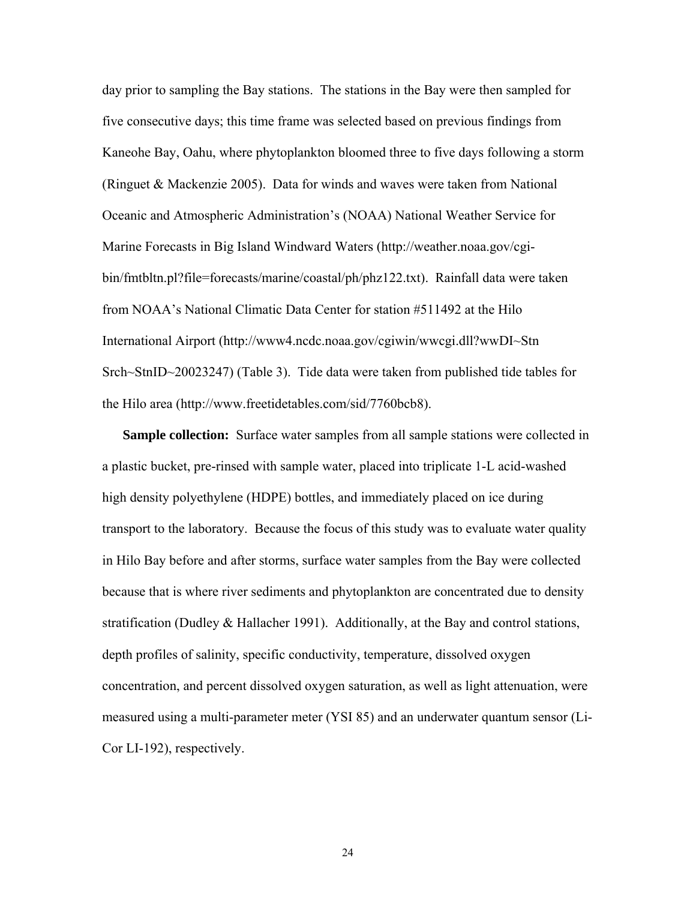day prior to sampling the Bay stations. The stations in the Bay were then sampled for five consecutive days; this time frame was selected based on previous findings from Kaneohe Bay, Oahu, where phytoplankton bloomed three to five days following a storm (Ringuet & Mackenzie 2005). Data for winds and waves were taken from National Oceanic and Atmospheric Administration's (NOAA) National Weather Service for Marine Forecasts in Big Island Windward Waters (http://weather.noaa.gov/cgibin/fmtbltn.pl?file=forecasts/marine/coastal/ph/phz122.txt). Rainfall data were taken from NOAA's National Climatic Data Center for station #511492 at the Hilo International Airport (http://www4.ncdc.noaa.gov/cgiwin/wwcgi.dll?wwDI~Stn Srch~StnID~20023247) (Table 3). Tide data were taken from published tide tables for the Hilo area (http://www.freetidetables.com/sid/7760bcb8).

**Sample collection:** Surface water samples from all sample stations were collected in a plastic bucket, pre-rinsed with sample water, placed into triplicate 1-L acid-washed high density polyethylene (HDPE) bottles, and immediately placed on ice during transport to the laboratory. Because the focus of this study was to evaluate water quality in Hilo Bay before and after storms, surface water samples from the Bay were collected because that is where river sediments and phytoplankton are concentrated due to density stratification (Dudley & Hallacher 1991). Additionally, at the Bay and control stations, depth profiles of salinity, specific conductivity, temperature, dissolved oxygen concentration, and percent dissolved oxygen saturation, as well as light attenuation, were measured using a multi-parameter meter (YSI 85) and an underwater quantum sensor (Li-Cor LI-192), respectively.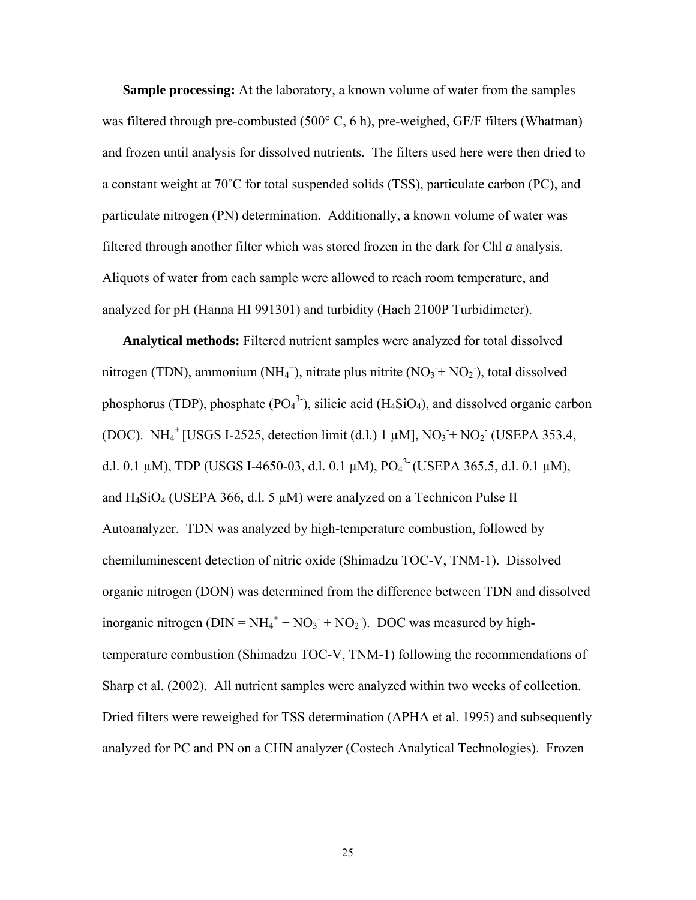**Sample processing:** At the laboratory, a known volume of water from the samples was filtered through pre-combusted (500°C, 6 h), pre-weighed, GF/F filters (Whatman) and frozen until analysis for dissolved nutrients. The filters used here were then dried to a constant weight at 70˚C for total suspended solids (TSS), particulate carbon (PC), and particulate nitrogen (PN) determination. Additionally, a known volume of water was filtered through another filter which was stored frozen in the dark for Chl *a* analysis. Aliquots of water from each sample were allowed to reach room temperature, and analyzed for pH (Hanna HI 991301) and turbidity (Hach 2100P Turbidimeter).

**Analytical methods:** Filtered nutrient samples were analyzed for total dissolved nitrogen (TDN), ammonium (NH<sub>4</sub><sup>+</sup>), nitrate plus nitrite (NO<sub>3</sub> + NO<sub>2</sub>), total dissolved phosphorus (TDP), phosphate  $(PO<sub>4</sub><sup>3</sup>)$ , silicic acid (H<sub>4</sub>SiO<sub>4</sub>), and dissolved organic carbon (DOC). NH<sub>4</sub><sup>+</sup> [USGS I-2525, detection limit (d.l.) 1  $\mu$ M], NO<sub>3</sub>+ NO<sub>2</sub><sup>-</sup> (USEPA 353.4, d.l. 0.1  $\mu$ M), TDP (USGS I-4650-03, d.l. 0.1  $\mu$ M), PO<sub>4</sub><sup>3</sup><sup>-</sup> (USEPA 365.5, d.l. 0.1  $\mu$ M), and  $H_4SiO_4$  (USEPA 366, d.l. 5  $\mu$ M) were analyzed on a Technicon Pulse II Autoanalyzer. TDN was analyzed by high-temperature combustion, followed by chemiluminescent detection of nitric oxide (Shimadzu TOC-V, TNM-1). Dissolved organic nitrogen (DON) was determined from the difference between TDN and dissolved inorganic nitrogen ( $DIN = NH_4^+ + NO_3^- + NO_2$ ). DOC was measured by hightemperature combustion (Shimadzu TOC-V, TNM-1) following the recommendations of Sharp et al. (2002). All nutrient samples were analyzed within two weeks of collection. Dried filters were reweighed for TSS determination (APHA et al. 1995) and subsequently analyzed for PC and PN on a CHN analyzer (Costech Analytical Technologies). Frozen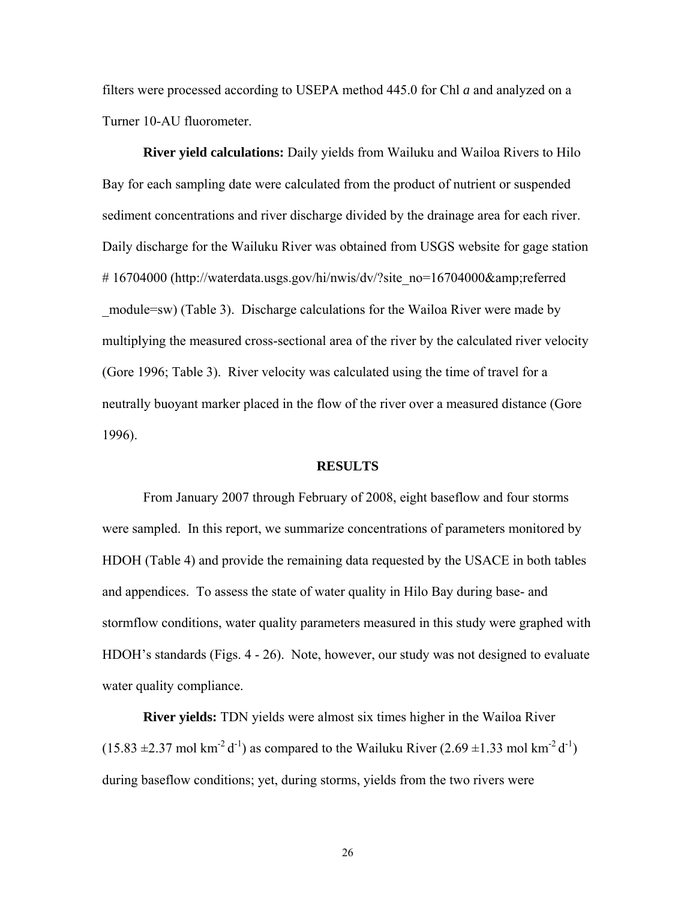filters were processed according to USEPA method 445.0 for Chl *a* and analyzed on a Turner 10-AU fluorometer.

**River yield calculations:** Daily yields from Wailuku and Wailoa Rivers to Hilo Bay for each sampling date were calculated from the product of nutrient or suspended sediment concentrations and river discharge divided by the drainage area for each river. Daily discharge for the Wailuku River was obtained from USGS website for gage station #16704000 (http://waterdata.usgs.gov/hi/nwis/dv/?site\_no=16704000&referred \_module=sw) (Table 3). Discharge calculations for the Wailoa River were made by multiplying the measured cross-sectional area of the river by the calculated river velocity (Gore 1996; Table 3). River velocity was calculated using the time of travel for a neutrally buoyant marker placed in the flow of the river over a measured distance (Gore 1996).

### **RESULTS**

From January 2007 through February of 2008, eight baseflow and four storms were sampled. In this report, we summarize concentrations of parameters monitored by HDOH (Table 4) and provide the remaining data requested by the USACE in both tables and appendices. To assess the state of water quality in Hilo Bay during base- and stormflow conditions, water quality parameters measured in this study were graphed with HDOH's standards (Figs. 4 - 26). Note, however, our study was not designed to evaluate water quality compliance.

**River yields:** TDN yields were almost six times higher in the Wailoa River  $(15.83 \pm 2.37 \text{ mol km}^{-2} \text{d}^{-1})$  as compared to the Wailuku River  $(2.69 \pm 1.33 \text{ mol km}^{-2} \text{d}^{-1})$ during baseflow conditions; yet, during storms, yields from the two rivers were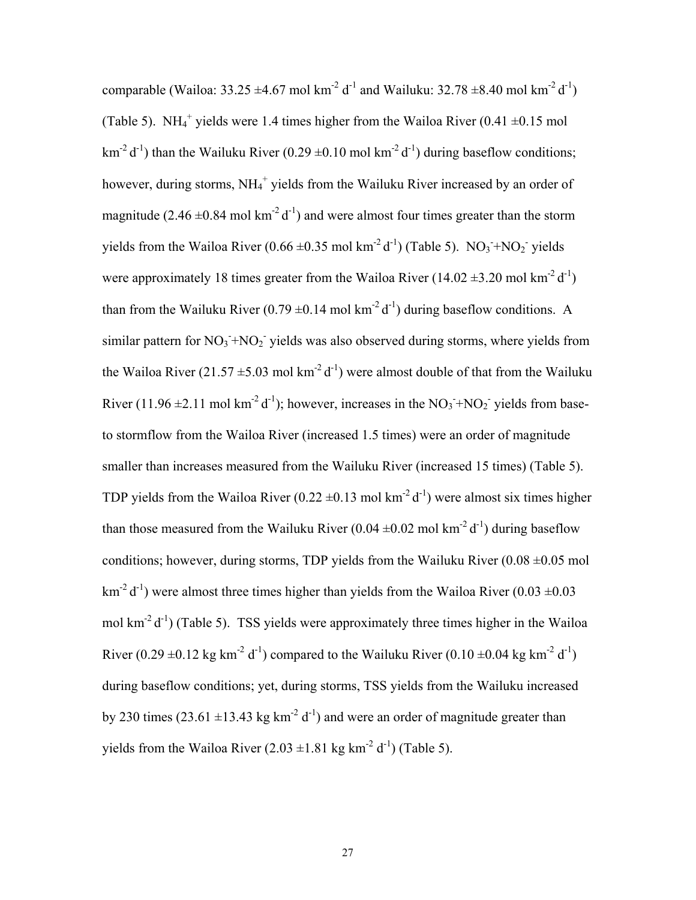comparable (Wailoa:  $33.25 \pm 4.67$  mol km<sup>-2</sup> d<sup>-1</sup> and Wailuku:  $32.78 \pm 8.40$  mol km<sup>-2</sup> d<sup>-1</sup>) (Table 5). NH<sub>4</sub><sup>+</sup> yields were 1.4 times higher from the Wailoa River (0.41  $\pm$ 0.15 mol  $km^{-2} d^{-1}$ ) than the Wailuku River (0.29  $\pm$ 0.10 mol km<sup>-2</sup> d<sup>-1</sup>) during baseflow conditions; however, during storms, NH<sub>4</sub><sup>+</sup> yields from the Wailuku River increased by an order of magnitude (2.46  $\pm$ 0.84 mol km<sup>-2</sup> d<sup>-1</sup>) and were almost four times greater than the storm yields from the Wailoa River (0.66  $\pm$ 0.35 mol km<sup>-2</sup> d<sup>-1</sup>) (Table 5). NO<sub>3</sub>+NO<sub>2</sub> yields were approximately 18 times greater from the Wailoa River (14.02  $\pm$ 3.20 mol km<sup>-2</sup> d<sup>-1</sup>) than from the Wailuku River (0.79  $\pm$ 0.14 mol km<sup>-2</sup> d<sup>-1</sup>) during baseflow conditions. A similar pattern for  $NO_3$ <sup>+</sup> $NO_2$ <sup>-</sup> yields was also observed during storms, where yields from the Wailoa River (21.57  $\pm$ 5.03 mol km<sup>-2</sup> d<sup>-1</sup>) were almost double of that from the Wailuku River (11.96  $\pm$ 2.11 mol km<sup>-2</sup> d<sup>-1</sup>); however, increases in the NO<sub>3</sub>+NO<sub>2</sub> yields from baseto stormflow from the Wailoa River (increased 1.5 times) were an order of magnitude smaller than increases measured from the Wailuku River (increased 15 times) (Table 5). TDP yields from the Wailoa River (0.22  $\pm$ 0.13 mol km<sup>-2</sup> d<sup>-1</sup>) were almost six times higher than those measured from the Wailuku River (0.04  $\pm$ 0.02 mol km<sup>-2</sup> d<sup>-1</sup>) during baseflow conditions; however, during storms, TDP yields from the Wailuku River  $(0.08 \pm 0.05 \text{ mol})$  $km^{-2} d^{-1}$ ) were almost three times higher than yields from the Wailoa River (0.03  $\pm$ 0.03 mol  $km^{-2} d^{-1}$ ) (Table 5). TSS yields were approximately three times higher in the Wailoa River (0.29  $\pm$ 0.12 kg km<sup>-2</sup> d<sup>-1</sup>) compared to the Wailuku River (0.10  $\pm$ 0.04 kg km<sup>-2</sup> d<sup>-1</sup>) during baseflow conditions; yet, during storms, TSS yields from the Wailuku increased by 230 times (23.61  $\pm$ 13.43 kg km<sup>-2</sup> d<sup>-1</sup>) and were an order of magnitude greater than yields from the Wailoa River  $(2.03 \pm 1.81 \text{ kg km}^2 \text{ d}^1)$  (Table 5).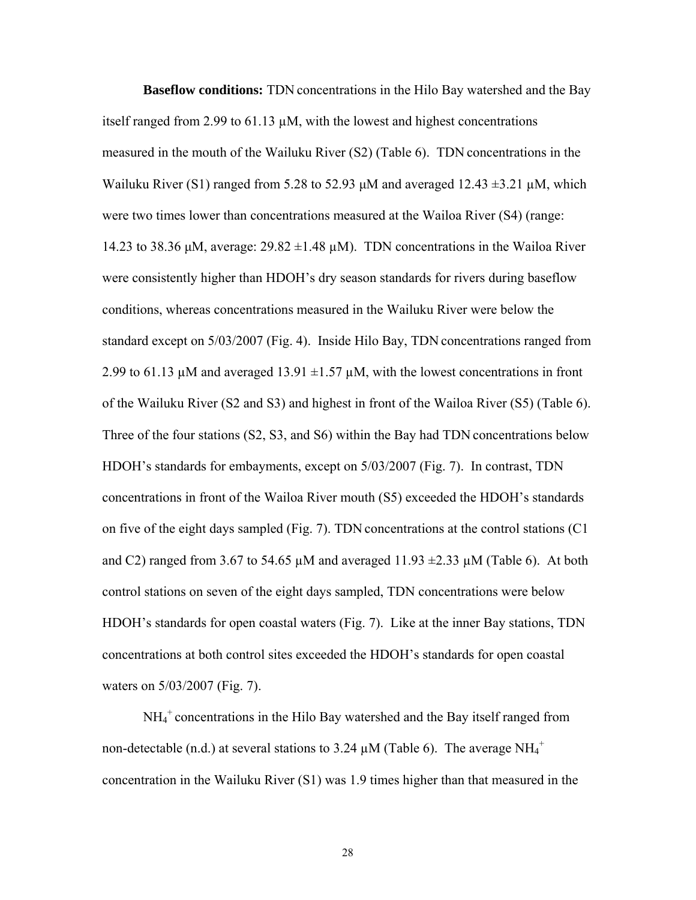**Baseflow conditions:** TDN concentrations in the Hilo Bay watershed and the Bay itself ranged from 2.99 to 61.13 µM, with the lowest and highest concentrations measured in the mouth of the Wailuku River (S2) (Table 6). TDN concentrations in the Wailuku River (S1) ranged from 5.28 to 52.93  $\mu$ M and averaged 12.43  $\pm$ 3.21  $\mu$ M, which were two times lower than concentrations measured at the Wailoa River (S4) (range: 14.23 to 38.36 μM, average:  $29.82 \pm 1.48 \mu$ M). TDN concentrations in the Wailoa River were consistently higher than HDOH's dry season standards for rivers during baseflow conditions, whereas concentrations measured in the Wailuku River were below the standard except on 5/03/2007 (Fig. 4). Inside Hilo Bay, TDN concentrations ranged from 2.99 to 61.13  $\mu$ M and averaged 13.91  $\pm$ 1.57  $\mu$ M, with the lowest concentrations in front of the Wailuku River (S2 and S3) and highest in front of the Wailoa River (S5) (Table 6). Three of the four stations (S2, S3, and S6) within the Bay had TDN concentrations below HDOH's standards for embayments, except on 5/03/2007 (Fig. 7). In contrast, TDN concentrations in front of the Wailoa River mouth (S5) exceeded the HDOH's standards on five of the eight days sampled (Fig. 7). TDN concentrations at the control stations (C1 and C2) ranged from 3.67 to 54.65  $\mu$ M and averaged 11.93  $\pm$ 2.33  $\mu$ M (Table 6). At both control stations on seven of the eight days sampled, TDN concentrations were below HDOH's standards for open coastal waters (Fig. 7). Like at the inner Bay stations, TDN concentrations at both control sites exceeded the HDOH's standards for open coastal waters on 5/03/2007 (Fig. 7).

NH<sub>4</sub><sup>+</sup> concentrations in the Hilo Bay watershed and the Bay itself ranged from non-detectable (n.d.) at several stations to 3.24  $\mu$ M (Table 6). The average NH<sub>4</sub><sup>+</sup> concentration in the Wailuku River (S1) was 1.9 times higher than that measured in the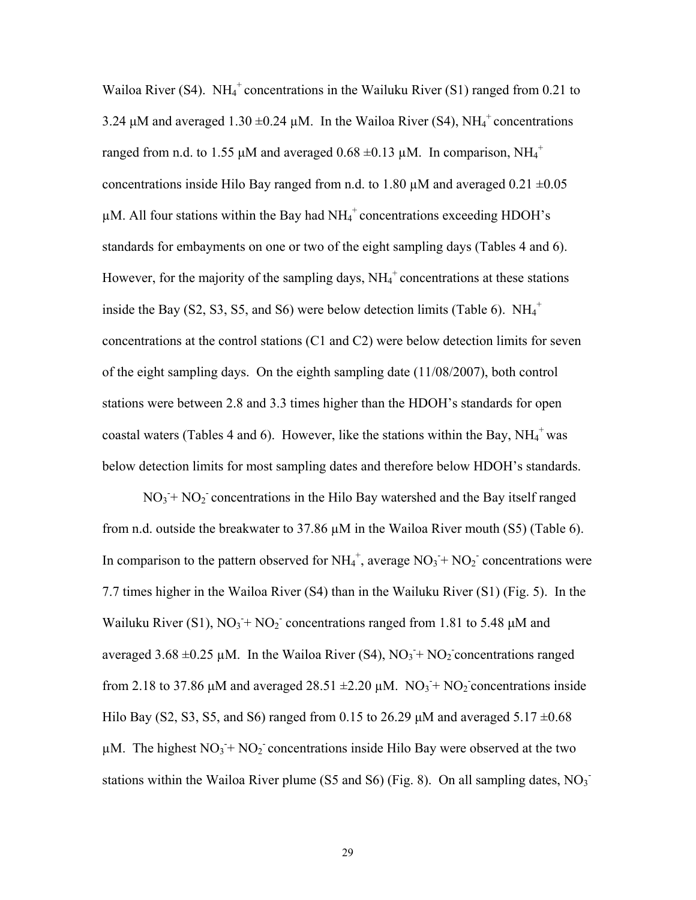Wailoa River (S4). NH<sub>4</sub><sup>+</sup> concentrations in the Wailuku River (S1) ranged from 0.21 to 3.24  $\mu$ M and averaged 1.30  $\pm$ 0.24  $\mu$ M. In the Wailoa River (S4), NH<sub>4</sub><sup>+</sup> concentrations ranged from n.d. to 1.55  $\mu$ M and averaged 0.68  $\pm$ 0.13  $\mu$ M. In comparison, NH<sub>4</sub><sup>+</sup> concentrations inside Hilo Bay ranged from n.d. to 1.80  $\mu$ M and averaged 0.21  $\pm$ 0.05  $\mu$ M. All four stations within the Bay had NH<sub>4</sub><sup>+</sup> concentrations exceeding HDOH's standards for embayments on one or two of the eight sampling days (Tables 4 and 6). However, for the majority of the sampling days,  $NH<sub>4</sub><sup>+</sup>$  concentrations at these stations inside the Bay  $(S2, S3, S5, and S6)$  were below detection limits (Table 6).  $NH_4^+$ concentrations at the control stations (C1 and C2) were below detection limits for seven of the eight sampling days. On the eighth sampling date (11/08/2007), both control stations were between 2.8 and 3.3 times higher than the HDOH's standards for open coastal waters (Tables 4 and 6). However, like the stations within the Bay,  $NH_4^+$  was below detection limits for most sampling dates and therefore below HDOH's standards.

 $NO<sub>3</sub> + NO<sub>2</sub>$  concentrations in the Hilo Bay watershed and the Bay itself ranged from n.d. outside the breakwater to 37.86 µM in the Wailoa River mouth (S5) (Table 6). In comparison to the pattern observed for  $NH_4^+$ , average  $NO_3 + NO_2$ <sup>-</sup> concentrations were 7.7 times higher in the Wailoa River (S4) than in the Wailuku River (S1) (Fig. 5). In the Wailuku River (S1),  $NO_3 + NO_2$  concentrations ranged from 1.81 to 5.48  $\mu$ M and averaged  $3.68 \pm 0.25 \mu M$ . In the Wailoa River (S4), NO<sub>3</sub>+NO<sub>2</sub> concentrations ranged from 2.18 to 37.86  $\mu$ M and averaged 28.51  $\pm$ 2.20  $\mu$ M. NO<sub>3</sub> + NO<sub>2</sub> concentrations inside Hilo Bay (S2, S3, S5, and S6) ranged from 0.15 to 26.29  $\mu$ M and averaged 5.17  $\pm$ 0.68  $\mu$ M. The highest NO<sub>3</sub>+ NO<sub>2</sub> concentrations inside Hilo Bay were observed at the two stations within the Wailoa River plume (S5 and S6) (Fig. 8). On all sampling dates,  $NO<sub>3</sub>$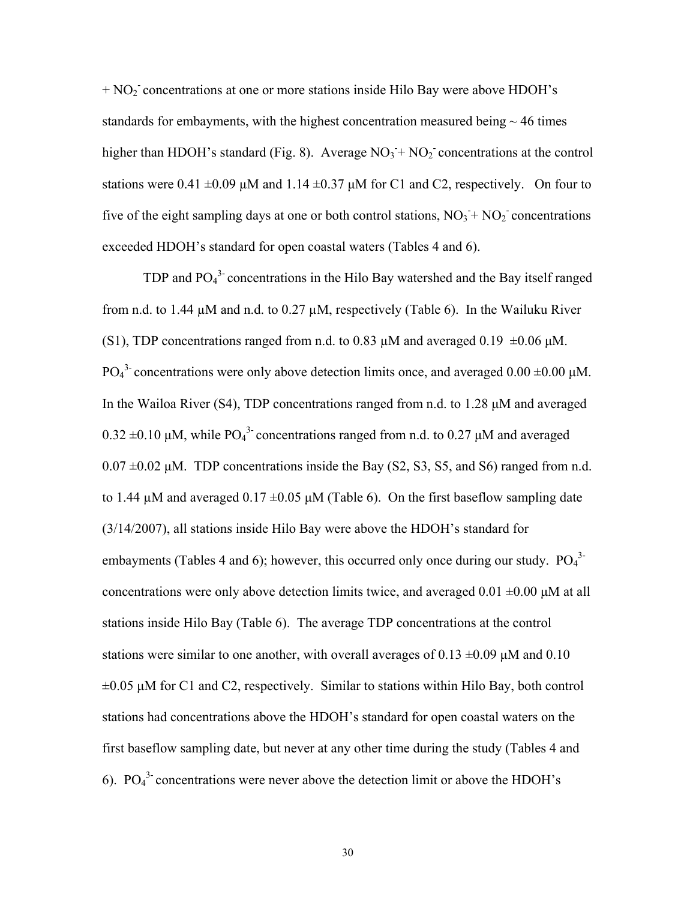+ NO<sub>2</sub> concentrations at one or more stations inside Hilo Bay were above HDOH's standards for embayments, with the highest concentration measured being  $\sim$  46 times higher than HDOH's standard (Fig. 8). Average  $NO<sub>3</sub> + NO<sub>2</sub>$  concentrations at the control stations were 0.41  $\pm$ 0.09  $\mu$ M and 1.14  $\pm$ 0.37  $\mu$ M for C1 and C2, respectively. On four to five of the eight sampling days at one or both control stations,  $NO_3 + NO_2$  concentrations exceeded HDOH's standard for open coastal waters (Tables 4 and 6).

TDP and  $PO<sub>4</sub><sup>3</sup>$  concentrations in the Hilo Bay watershed and the Bay itself ranged from n.d. to 1.44  $\mu$ M and n.d. to 0.27  $\mu$ M, respectively (Table 6). In the Wailuku River (S1), TDP concentrations ranged from n.d. to 0.83  $\mu$ M and averaged 0.19  $\pm$ 0.06  $\mu$ M. PO<sub>4</sub><sup>3</sup> concentrations were only above detection limits once, and averaged 0.00 ±0.00 μM. In the Wailoa River (S4), TDP concentrations ranged from n.d. to 1.28 μM and averaged  $0.32 \pm 0.10 \mu M$ , while PO<sub>4</sub><sup>3</sup> concentrations ranged from n.d. to 0.27  $\mu$ M and averaged  $0.07 \pm 0.02$  μM. TDP concentrations inside the Bay (S2, S3, S5, and S6) ranged from n.d. to 1.44  $\mu$ M and averaged 0.17  $\pm$ 0.05  $\mu$ M (Table 6). On the first baseflow sampling date (3/14/2007), all stations inside Hilo Bay were above the HDOH's standard for embayments (Tables 4 and 6); however, this occurred only once during our study.  $PO<sub>4</sub><sup>3</sup>$ concentrations were only above detection limits twice, and averaged  $0.01 \pm 0.00 \mu M$  at all stations inside Hilo Bay (Table 6). The average TDP concentrations at the control stations were similar to one another, with overall averages of 0.13  $\pm$ 0.09 μM and 0.10  $\pm 0.05$   $\mu$ M for C1 and C2, respectively. Similar to stations within Hilo Bay, both control stations had concentrations above the HDOH's standard for open coastal waters on the first baseflow sampling date, but never at any other time during the study (Tables 4 and 6).  $PO<sub>4</sub><sup>3</sup>$  concentrations were never above the detection limit or above the HDOH's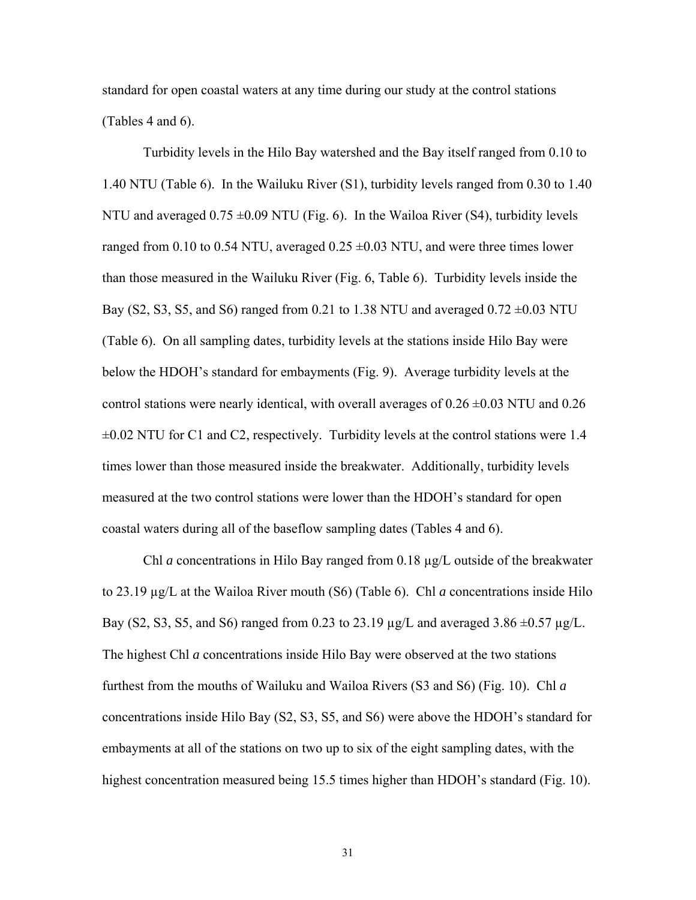standard for open coastal waters at any time during our study at the control stations (Tables 4 and 6).

Turbidity levels in the Hilo Bay watershed and the Bay itself ranged from 0.10 to 1.40 NTU (Table 6). In the Wailuku River (S1), turbidity levels ranged from 0.30 to 1.40 NTU and averaged  $0.75 \pm 0.09$  NTU (Fig. 6). In the Wailoa River (S4), turbidity levels ranged from 0.10 to 0.54 NTU, averaged  $0.25 \pm 0.03$  NTU, and were three times lower than those measured in the Wailuku River (Fig. 6, Table 6). Turbidity levels inside the Bay (S2, S3, S5, and S6) ranged from 0.21 to 1.38 NTU and averaged  $0.72 \pm 0.03$  NTU (Table 6). On all sampling dates, turbidity levels at the stations inside Hilo Bay were below the HDOH's standard for embayments (Fig. 9). Average turbidity levels at the control stations were nearly identical, with overall averages of  $0.26 \pm 0.03$  NTU and  $0.26$  $\pm 0.02$  NTU for C1 and C2, respectively. Turbidity levels at the control stations were 1.4 times lower than those measured inside the breakwater. Additionally, turbidity levels measured at the two control stations were lower than the HDOH's standard for open coastal waters during all of the baseflow sampling dates (Tables 4 and 6).

Chl *a* concentrations in Hilo Bay ranged from 0.18 µg/L outside of the breakwater to 23.19 µg/L at the Wailoa River mouth (S6) (Table 6). Chl *a* concentrations inside Hilo Bay (S2, S3, S5, and S6) ranged from 0.23 to 23.19  $\mu$ g/L and averaged 3.86  $\pm$ 0.57  $\mu$ g/L. The highest Chl *a* concentrations inside Hilo Bay were observed at the two stations furthest from the mouths of Wailuku and Wailoa Rivers (S3 and S6) (Fig. 10). Chl *a* concentrations inside Hilo Bay (S2, S3, S5, and S6) were above the HDOH's standard for embayments at all of the stations on two up to six of the eight sampling dates, with the highest concentration measured being 15.5 times higher than HDOH's standard (Fig. 10).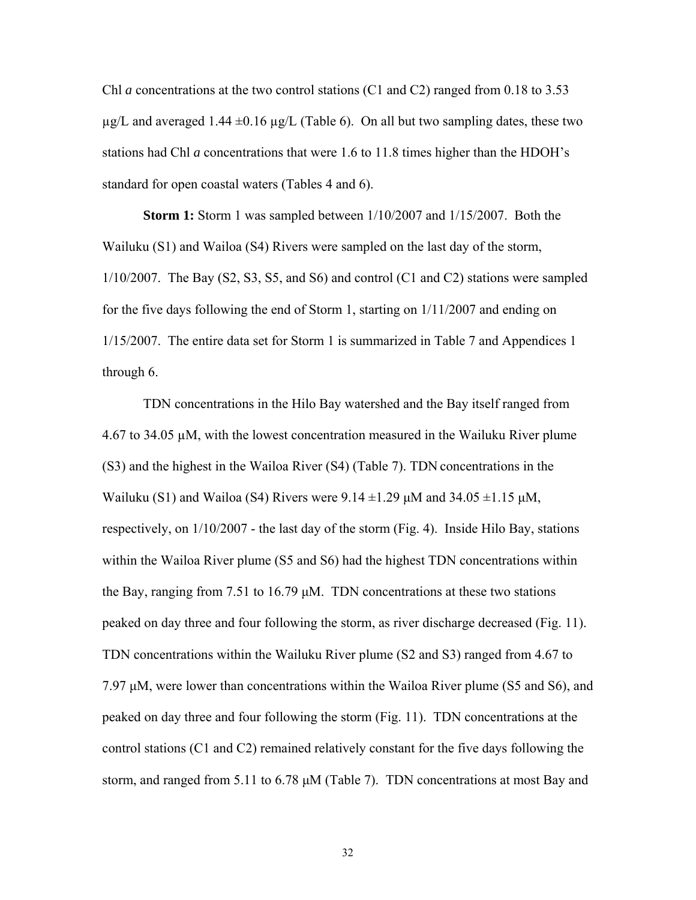Chl *a* concentrations at the two control stations (C1 and C2) ranged from 0.18 to 3.53  $\mu$ g/L and averaged 1.44  $\pm$ 0.16  $\mu$ g/L (Table 6). On all but two sampling dates, these two stations had Chl *a* concentrations that were 1.6 to 11.8 times higher than the HDOH's standard for open coastal waters (Tables 4 and 6).

**Storm 1:** Storm 1 was sampled between 1/10/2007 and 1/15/2007. Both the Wailuku (S1) and Wailoa (S4) Rivers were sampled on the last day of the storm,  $1/10/2007$ . The Bay (S2, S3, S5, and S6) and control (C1 and C2) stations were sampled for the five days following the end of Storm 1, starting on 1/11/2007 and ending on 1/15/2007. The entire data set for Storm 1 is summarized in Table 7 and Appendices 1 through 6.

TDN concentrations in the Hilo Bay watershed and the Bay itself ranged from 4.67 to 34.05  $\mu$ M, with the lowest concentration measured in the Wailuku River plume (S3) and the highest in the Wailoa River (S4) (Table 7). TDN concentrations in the Wailuku (S1) and Wailoa (S4) Rivers were 9.14  $\pm$ 1.29 μM and 34.05  $\pm$ 1.15 μM, respectively, on 1/10/2007 - the last day of the storm (Fig. 4). Inside Hilo Bay, stations within the Wailoa River plume (S5 and S6) had the highest TDN concentrations within the Bay, ranging from 7.51 to 16.79 μM. TDN concentrations at these two stations peaked on day three and four following the storm, as river discharge decreased (Fig. 11). TDN concentrations within the Wailuku River plume (S2 and S3) ranged from 4.67 to 7.97 μM, were lower than concentrations within the Wailoa River plume (S5 and S6), and peaked on day three and four following the storm (Fig. 11). TDN concentrations at the control stations (C1 and C2) remained relatively constant for the five days following the storm, and ranged from 5.11 to 6.78 μM (Table 7). TDN concentrations at most Bay and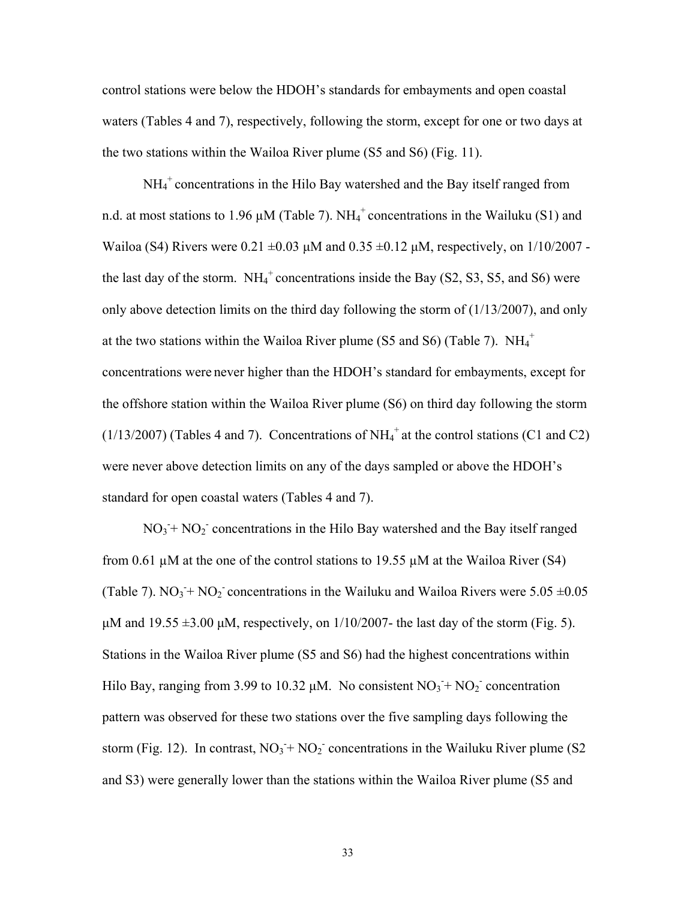control stations were below the HDOH's standards for embayments and open coastal waters (Tables 4 and 7), respectively, following the storm, except for one or two days at the two stations within the Wailoa River plume (S5 and S6) (Fig. 11).

NH<sub>4</sub><sup>+</sup> concentrations in the Hilo Bay watershed and the Bay itself ranged from n.d. at most stations to 1.96  $\mu$ M (Table 7). NH<sub>4</sub><sup>+</sup> concentrations in the Wailuku (S1) and Wailoa (S4) Rivers were  $0.21 \pm 0.03$   $\mu$ M and  $0.35 \pm 0.12$   $\mu$ M, respectively, on  $1/10/2007$  the last day of the storm.  $NH_4^+$  concentrations inside the Bay (S2, S3, S5, and S6) were only above detection limits on the third day following the storm of (1/13/2007), and only at the two stations within the Wailoa River plume (S5 and S6) (Table 7).  $NH_4^+$ concentrations were never higher than the HDOH's standard for embayments, except for the offshore station within the Wailoa River plume (S6) on third day following the storm  $(1/13/2007)$  (Tables 4 and 7). Concentrations of NH<sub>4</sub><sup>+</sup> at the control stations (C1 and C2) were never above detection limits on any of the days sampled or above the HDOH's standard for open coastal waters (Tables 4 and 7).

 $NO<sub>3</sub> + NO<sub>2</sub>$  concentrations in the Hilo Bay watershed and the Bay itself ranged from 0.61  $\mu$ M at the one of the control stations to 19.55  $\mu$ M at the Wailoa River (S4) (Table 7).  $NO_3 + NO_2$  concentrations in the Wailuku and Wailoa Rivers were 5.05  $\pm 0.05$ μM and 19.55  $\pm$ 3.00 μM, respectively, on 1/10/2007- the last day of the storm (Fig. 5). Stations in the Wailoa River plume (S5 and S6) had the highest concentrations within Hilo Bay, ranging from 3.99 to 10.32  $\mu$ M. No consistent NO<sub>3</sub> + NO<sub>2</sub> concentration pattern was observed for these two stations over the five sampling days following the storm (Fig. 12). In contrast,  $NO_3 + NO_2$  concentrations in the Wailuku River plume (S2) and S3) were generally lower than the stations within the Wailoa River plume (S5 and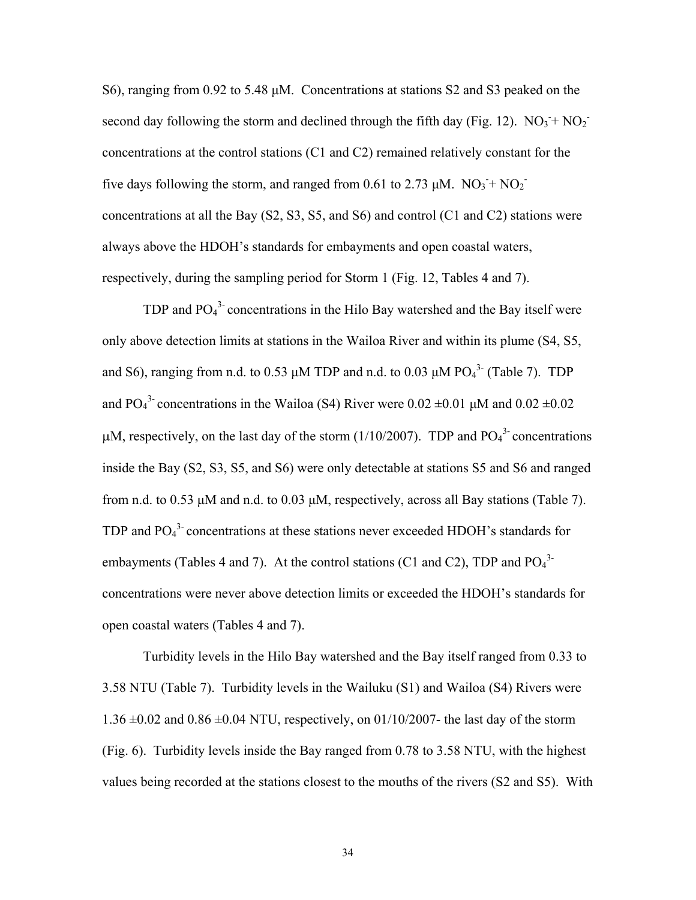S6), ranging from 0.92 to 5.48 μM. Concentrations at stations S2 and S3 peaked on the second day following the storm and declined through the fifth day (Fig. 12).  $NO_3 + NO_2$ concentrations at the control stations (C1 and C2) remained relatively constant for the five days following the storm, and ranged from 0.61 to 2.73  $\mu$ M. NO<sub>3</sub> + NO<sub>2</sub><sup>-</sup> concentrations at all the Bay (S2, S3, S5, and S6) and control (C1 and C2) stations were always above the HDOH's standards for embayments and open coastal waters, respectively, during the sampling period for Storm 1 (Fig. 12, Tables 4 and 7).

TDP and  $PO<sub>4</sub><sup>3</sup>$  concentrations in the Hilo Bay watershed and the Bay itself were only above detection limits at stations in the Wailoa River and within its plume (S4, S5, and S6), ranging from n.d. to 0.53  $\mu$ M TDP and n.d. to 0.03  $\mu$ M PO<sub>4</sub><sup>3-</sup> (Table 7). TDP and PO<sub>4</sub><sup>3</sup> concentrations in the Wailoa (S4) River were  $0.02 \pm 0.01$   $\mu$ M and  $0.02 \pm 0.02$  $\mu$ M, respectively, on the last day of the storm (1/10/2007). TDP and PO<sub>4</sub><sup>3</sup> concentrations inside the Bay (S2, S3, S5, and S6) were only detectable at stations S5 and S6 and ranged from n.d. to 0.53 μM and n.d. to 0.03 μM, respectively, across all Bay stations (Table 7). TDP and  $PO<sub>4</sub><sup>3</sup>$  concentrations at these stations never exceeded HDOH's standards for embayments (Tables 4 and 7). At the control stations (C1 and C2), TDP and  $PO<sub>4</sub><sup>3</sup>$ concentrations were never above detection limits or exceeded the HDOH's standards for open coastal waters (Tables 4 and 7).

Turbidity levels in the Hilo Bay watershed and the Bay itself ranged from 0.33 to 3.58 NTU (Table 7). Turbidity levels in the Wailuku (S1) and Wailoa (S4) Rivers were  $1.36 \pm 0.02$  and  $0.86 \pm 0.04$  NTU, respectively, on 01/10/2007- the last day of the storm (Fig. 6). Turbidity levels inside the Bay ranged from 0.78 to 3.58 NTU, with the highest values being recorded at the stations closest to the mouths of the rivers (S2 and S5). With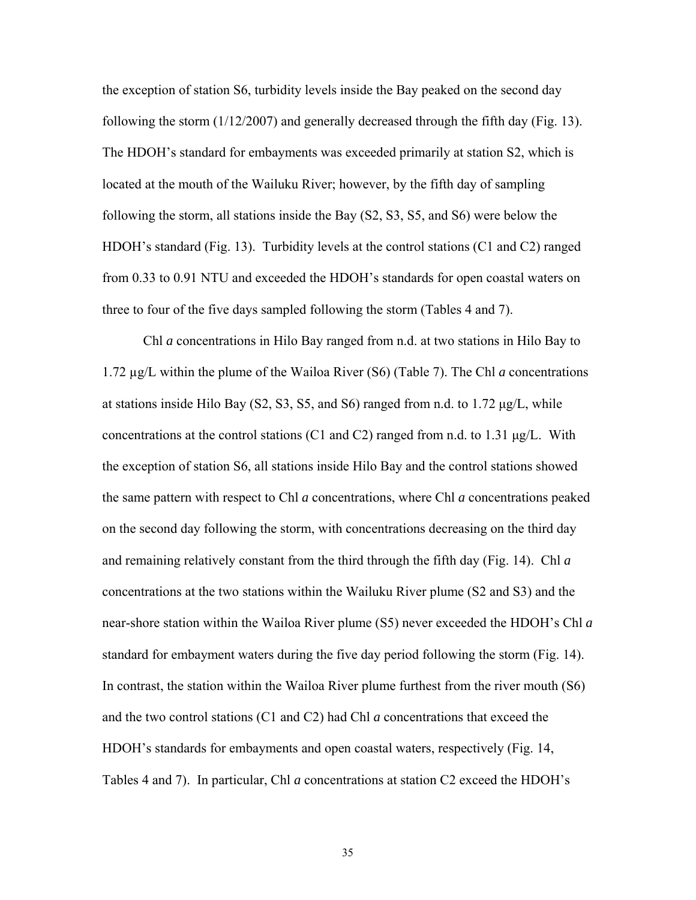the exception of station S6, turbidity levels inside the Bay peaked on the second day following the storm (1/12/2007) and generally decreased through the fifth day (Fig. 13). The HDOH's standard for embayments was exceeded primarily at station S2, which is located at the mouth of the Wailuku River; however, by the fifth day of sampling following the storm, all stations inside the Bay (S2, S3, S5, and S6) were below the HDOH's standard (Fig. 13). Turbidity levels at the control stations (C1 and C2) ranged from 0.33 to 0.91 NTU and exceeded the HDOH's standards for open coastal waters on three to four of the five days sampled following the storm (Tables 4 and 7).

Chl *a* concentrations in Hilo Bay ranged from n.d. at two stations in Hilo Bay to 1.72 µg/L within the plume of the Wailoa River (S6) (Table 7). The Chl *a* concentrations at stations inside Hilo Bay  $(S2, S3, S5, \text{ and } S6)$  ranged from n.d. to 1.72  $\mu g/L$ , while concentrations at the control stations (C1 and C2) ranged from n.d. to 1.31  $\mu$ g/L. With the exception of station S6, all stations inside Hilo Bay and the control stations showed the same pattern with respect to Chl *a* concentrations, where Chl *a* concentrations peaked on the second day following the storm, with concentrations decreasing on the third day and remaining relatively constant from the third through the fifth day (Fig. 14). Chl *a* concentrations at the two stations within the Wailuku River plume (S2 and S3) and the near-shore station within the Wailoa River plume (S5) never exceeded the HDOH's Chl *a* standard for embayment waters during the five day period following the storm (Fig. 14). In contrast, the station within the Wailoa River plume furthest from the river mouth (S6) and the two control stations (C1 and C2) had Chl *a* concentrations that exceed the HDOH's standards for embayments and open coastal waters, respectively (Fig. 14, Tables 4 and 7). In particular, Chl *a* concentrations at station C2 exceed the HDOH's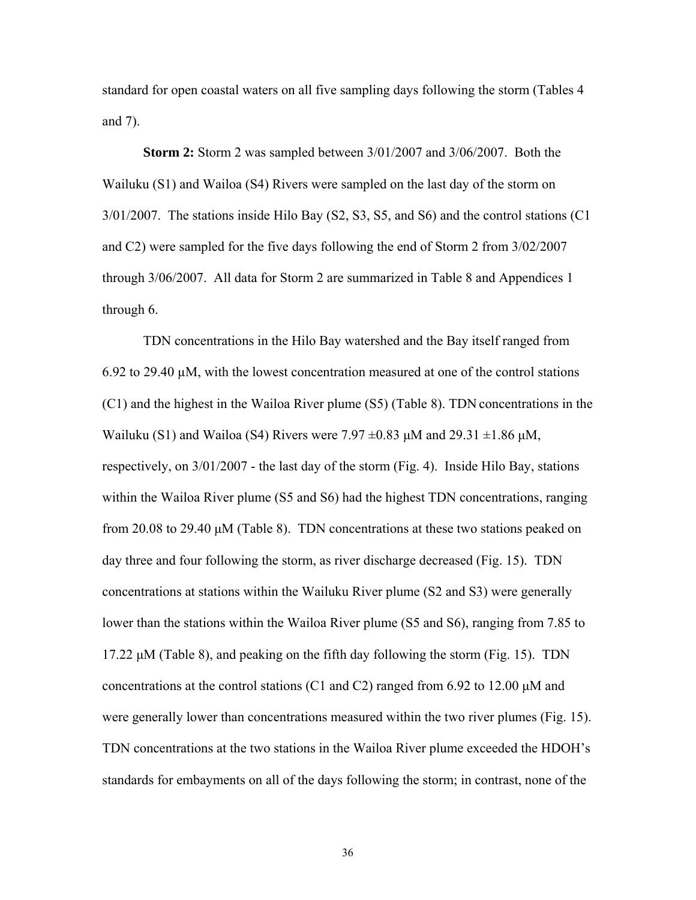standard for open coastal waters on all five sampling days following the storm (Tables 4 and 7).

**Storm 2:** Storm 2 was sampled between 3/01/2007 and 3/06/2007. Both the Wailuku (S1) and Wailoa (S4) Rivers were sampled on the last day of the storm on 3/01/2007. The stations inside Hilo Bay (S2, S3, S5, and S6) and the control stations (C1 and C2) were sampled for the five days following the end of Storm 2 from 3/02/2007 through 3/06/2007. All data for Storm 2 are summarized in Table 8 and Appendices 1 through 6.

TDN concentrations in the Hilo Bay watershed and the Bay itself ranged from 6.92 to 29.40  $\mu$ M, with the lowest concentration measured at one of the control stations (C1) and the highest in the Wailoa River plume (S5) (Table 8). TDN concentrations in the Wailuku (S1) and Wailoa (S4) Rivers were 7.97  $\pm$ 0.83  $\mu$ M and 29.31  $\pm$ 1.86  $\mu$ M, respectively, on 3/01/2007 - the last day of the storm (Fig. 4). Inside Hilo Bay, stations within the Wailoa River plume (S5 and S6) had the highest TDN concentrations, ranging from 20.08 to 29.40 μM (Table 8). TDN concentrations at these two stations peaked on day three and four following the storm, as river discharge decreased (Fig. 15). TDN concentrations at stations within the Wailuku River plume (S2 and S3) were generally lower than the stations within the Wailoa River plume (S5 and S6), ranging from 7.85 to 17.22 μM (Table 8), and peaking on the fifth day following the storm (Fig. 15). TDN concentrations at the control stations (C1 and C2) ranged from 6.92 to 12.00 μM and were generally lower than concentrations measured within the two river plumes (Fig. 15). TDN concentrations at the two stations in the Wailoa River plume exceeded the HDOH's standards for embayments on all of the days following the storm; in contrast, none of the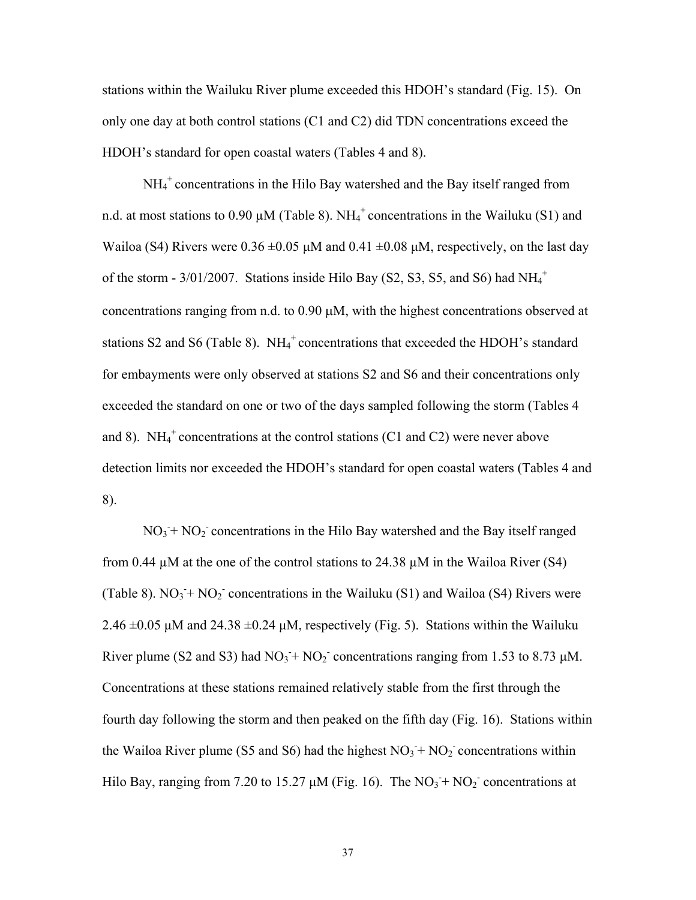stations within the Wailuku River plume exceeded this HDOH's standard (Fig. 15). On only one day at both control stations (C1 and C2) did TDN concentrations exceed the HDOH's standard for open coastal waters (Tables 4 and 8).

NH<sub>4</sub><sup>+</sup> concentrations in the Hilo Bay watershed and the Bay itself ranged from n.d. at most stations to 0.90  $\mu$ M (Table 8). NH<sub>4</sub><sup>+</sup> concentrations in the Wailuku (S1) and Wailoa (S4) Rivers were  $0.36 \pm 0.05 \mu M$  and  $0.41 \pm 0.08 \mu M$ , respectively, on the last day of the storm -  $3/01/2007$ . Stations inside Hilo Bay (S2, S3, S5, and S6) had  $NH_4^+$ concentrations ranging from n.d. to 0.90 μM, with the highest concentrations observed at stations S2 and S6 (Table 8).  $NH_4^+$  concentrations that exceeded the HDOH's standard for embayments were only observed at stations S2 and S6 and their concentrations only exceeded the standard on one or two of the days sampled following the storm (Tables 4 and 8). NH<sub>4</sub><sup>+</sup> concentrations at the control stations (C1 and C2) were never above detection limits nor exceeded the HDOH's standard for open coastal waters (Tables 4 and 8).

 $NO<sub>3</sub> + NO<sub>2</sub>$  concentrations in the Hilo Bay watershed and the Bay itself ranged from 0.44  $\mu$ M at the one of the control stations to 24.38  $\mu$ M in the Wailoa River (S4) (Table 8).  $NO_3 + NO_2$  concentrations in the Wailuku (S1) and Wailoa (S4) Rivers were 2.46  $\pm$ 0.05 μM and 24.38  $\pm$ 0.24 μM, respectively (Fig. 5). Stations within the Wailuku River plume (S2 and S3) had  $NO_3 + NO_2$  concentrations ranging from 1.53 to 8.73  $\mu$ M. Concentrations at these stations remained relatively stable from the first through the fourth day following the storm and then peaked on the fifth day (Fig. 16). Stations within the Wailoa River plume (S5 and S6) had the highest  $NO<sub>3</sub> + NO<sub>2</sub>$  concentrations within Hilo Bay, ranging from 7.20 to 15.27  $\mu$ M (Fig. 16). The NO<sub>3</sub>+ NO<sub>2</sub> concentrations at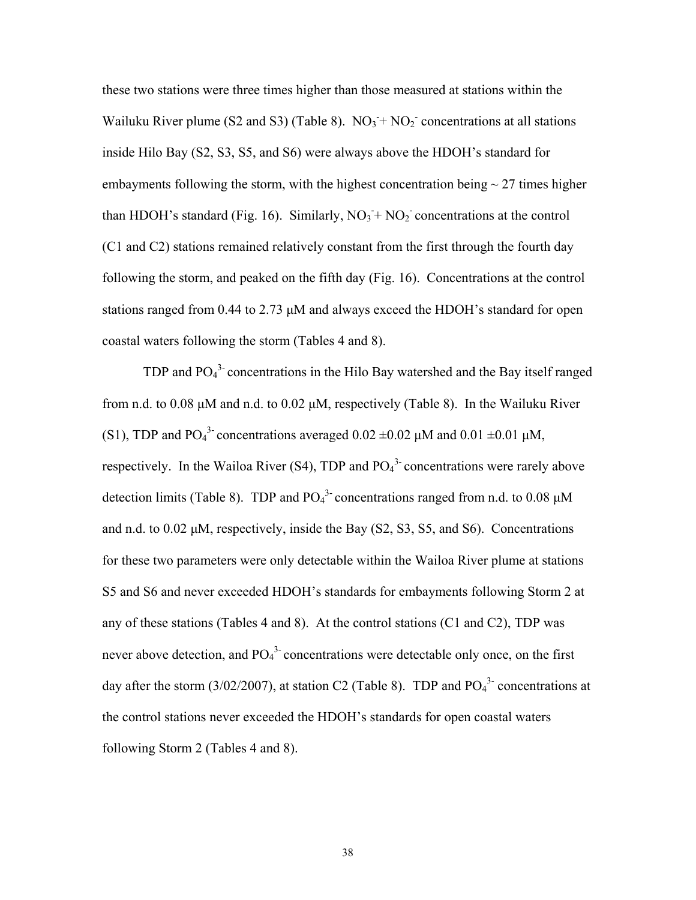these two stations were three times higher than those measured at stations within the Wailuku River plume (S2 and S3) (Table 8).  $NO_3 + NO_2$  concentrations at all stations inside Hilo Bay (S2, S3, S5, and S6) were always above the HDOH's standard for embayments following the storm, with the highest concentration being  $\sim$  27 times higher than HDOH's standard (Fig. 16). Similarly,  $NO_3 + NO_2$  concentrations at the control (C1 and C2) stations remained relatively constant from the first through the fourth day following the storm, and peaked on the fifth day (Fig. 16). Concentrations at the control stations ranged from 0.44 to 2.73 μM and always exceed the HDOH's standard for open coastal waters following the storm (Tables 4 and 8).

TDP and  $PO<sub>4</sub><sup>3</sup>$  concentrations in the Hilo Bay watershed and the Bay itself ranged from n.d. to 0.08  $\mu$ M and n.d. to 0.02  $\mu$ M, respectively (Table 8). In the Wailuku River (S1), TDP and PO<sub>4</sub><sup>3</sup> concentrations averaged  $0.02 \pm 0.02$   $\mu$ M and  $0.01 \pm 0.01$   $\mu$ M, respectively. In the Wailoa River (S4), TDP and  $PO<sub>4</sub><sup>3</sup>$  concentrations were rarely above detection limits (Table 8). TDP and  $PO<sub>4</sub><sup>3</sup>$  concentrations ranged from n.d. to 0.08  $\mu$ M and n.d. to 0.02 μM, respectively, inside the Bay (S2, S3, S5, and S6). Concentrations for these two parameters were only detectable within the Wailoa River plume at stations S5 and S6 and never exceeded HDOH's standards for embayments following Storm 2 at any of these stations (Tables 4 and 8). At the control stations (C1 and C2), TDP was never above detection, and  $PO_4^3$  concentrations were detectable only once, on the first day after the storm (3/02/2007), at station C2 (Table 8). TDP and  $PO<sub>4</sub><sup>3</sup>$  concentrations at the control stations never exceeded the HDOH's standards for open coastal waters following Storm 2 (Tables 4 and 8).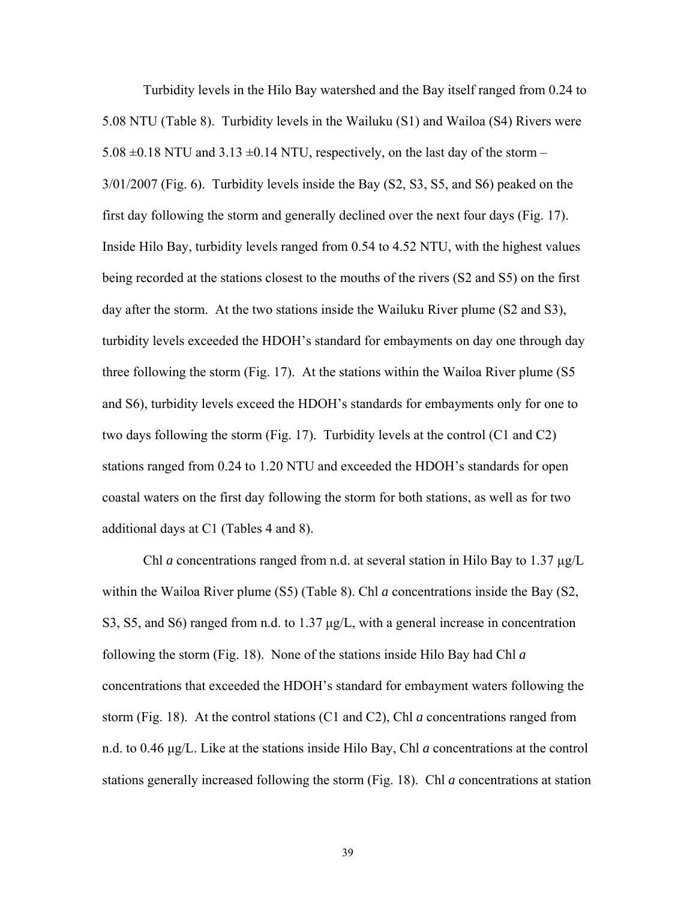Turbidity levels in the Hilo Bay watershed and the Bay itself ranged from 0.24 to 5.08 NTU (Table 8). Turbidity levels in the Wailuku (S1) and Wailoa (S4) Rivers were 5.08  $\pm$ 0.18 NTU and 3.13  $\pm$ 0.14 NTU, respectively, on the last day of the storm – 3/01/2007 (Fig. 6). Turbidity levels inside the Bay (S2, S3, S5, and S6) peaked on the first day following the storm and generally declined over the next four days (Fig. 17). Inside Hilo Bay, turbidity levels ranged from 0.54 to 4.52 NTU, with the highest values being recorded at the stations closest to the mouths of the rivers (S2 and S5) on the first day after the storm. At the two stations inside the Wailuku River plume (S2 and S3), turbidity levels exceeded the HDOH's standard for embayments on day one through day three following the storm (Fig. 17). At the stations within the Wailoa River plume (S5 and S6), turbidity levels exceed the HDOH's standards for embayments only for one to two days following the storm (Fig. 17). Turbidity levels at the control (C1 and C2) stations ranged from 0.24 to 1.20 NTU and exceeded the HDOH's standards for open coastal waters on the first day following the storm for both stations, as well as for two additional days at C1 (Tables 4 and 8).

Chl *a* concentrations ranged from n.d. at several station in Hilo Bay to 1.37  $\mu$ g/L within the Wailoa River plume (S5) (Table 8). Chl *a* concentrations inside the Bay (S2, S3, S5, and S6) ranged from n.d. to 1.37 μg/L, with a general increase in concentration following the storm (Fig. 18). None of the stations inside Hilo Bay had Chl *a* concentrations that exceeded the HDOH's standard for embayment waters following the storm (Fig. 18). At the control stations (C1 and C2), Chl *a* concentrations ranged from n.d. to 0.46 μg/L. Like at the stations inside Hilo Bay, Chl *a* concentrations at the control stations generally increased following the storm (Fig. 18). Chl *a* concentrations at station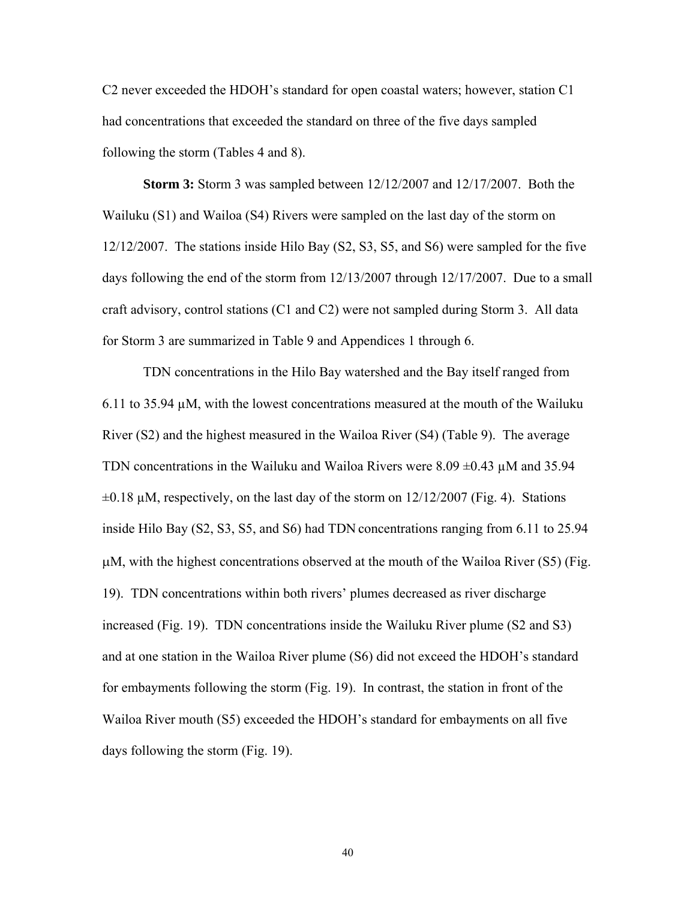C2 never exceeded the HDOH's standard for open coastal waters; however, station C1 had concentrations that exceeded the standard on three of the five days sampled following the storm (Tables 4 and 8).

**Storm 3:** Storm 3 was sampled between 12/12/2007 and 12/17/2007. Both the Wailuku (S1) and Wailoa (S4) Rivers were sampled on the last day of the storm on 12/12/2007. The stations inside Hilo Bay (S2, S3, S5, and S6) were sampled for the five days following the end of the storm from 12/13/2007 through 12/17/2007. Due to a small craft advisory, control stations (C1 and C2) were not sampled during Storm 3. All data for Storm 3 are summarized in Table 9 and Appendices 1 through 6.

TDN concentrations in the Hilo Bay watershed and the Bay itself ranged from 6.11 to 35.94  $\mu$ M, with the lowest concentrations measured at the mouth of the Wailuku River (S2) and the highest measured in the Wailoa River (S4) (Table 9). The average TDN concentrations in the Wailuku and Wailoa Rivers were  $8.09 \pm 0.43 \mu$ M and 35.94  $\pm 0.18$   $\mu$ M, respectively, on the last day of the storm on 12/12/2007 (Fig. 4). Stations inside Hilo Bay (S2, S3, S5, and S6) had TDN concentrations ranging from 6.11 to 25.94 μM, with the highest concentrations observed at the mouth of the Wailoa River (S5) (Fig. 19). TDN concentrations within both rivers' plumes decreased as river discharge increased (Fig. 19). TDN concentrations inside the Wailuku River plume (S2 and S3) and at one station in the Wailoa River plume (S6) did not exceed the HDOH's standard for embayments following the storm (Fig. 19). In contrast, the station in front of the Wailoa River mouth (S5) exceeded the HDOH's standard for embayments on all five days following the storm (Fig. 19).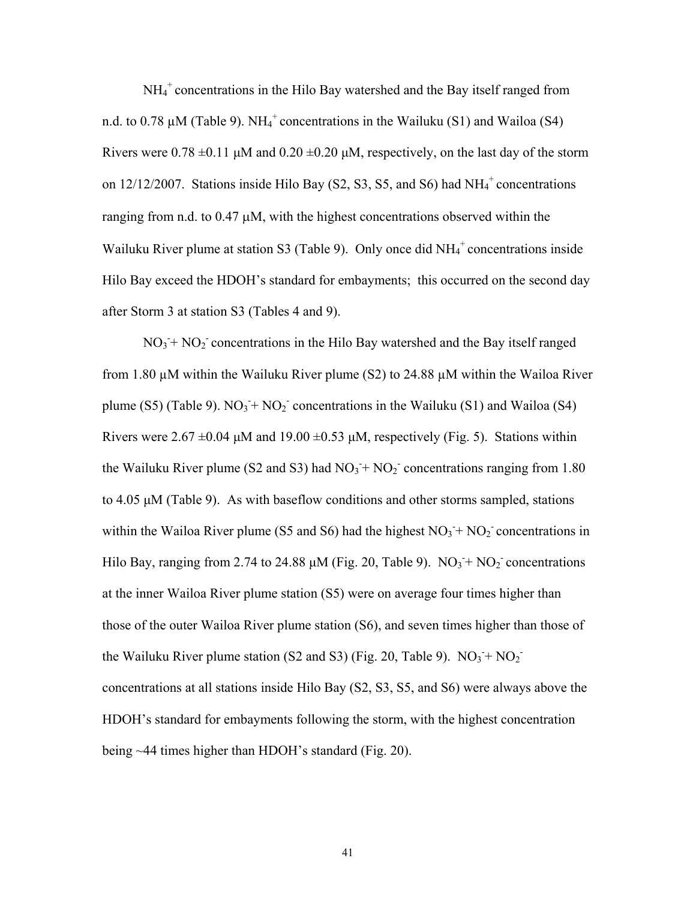NH<sub>4</sub><sup>+</sup> concentrations in the Hilo Bay watershed and the Bay itself ranged from n.d. to 0.78  $\mu$ M (Table 9). NH<sub>4</sub><sup>+</sup> concentrations in the Wailuku (S1) and Wailoa (S4) Rivers were  $0.78 \pm 0.11$   $\mu$ M and  $0.20 \pm 0.20$   $\mu$ M, respectively, on the last day of the storm on  $12/12/2007$ . Stations inside Hilo Bay (S2, S3, S5, and S6) had  $NH_4^+$  concentrations ranging from n.d. to 0.47 μM, with the highest concentrations observed within the Wailuku River plume at station S3 (Table 9). Only once did  $NH_4^+$  concentrations inside Hilo Bay exceed the HDOH's standard for embayments; this occurred on the second day after Storm 3 at station S3 (Tables 4 and 9).

 $NO<sub>3</sub> + NO<sub>2</sub>$  concentrations in the Hilo Bay watershed and the Bay itself ranged from 1.80  $\mu$ M within the Wailuku River plume (S2) to 24.88  $\mu$ M within the Wailoa River plume (S5) (Table 9).  $NO_3 + NO_2$  concentrations in the Wailuku (S1) and Wailoa (S4) Rivers were  $2.67 \pm 0.04$  μM and  $19.00 \pm 0.53$  μM, respectively (Fig. 5). Stations within the Wailuku River plume (S2 and S3) had  $NO<sub>3</sub> + NO<sub>2</sub>$  concentrations ranging from 1.80 to 4.05 μM (Table 9). As with baseflow conditions and other storms sampled, stations within the Wailoa River plume (S5 and S6) had the highest  $NO_3 + NO_2$  concentrations in Hilo Bay, ranging from 2.74 to 24.88  $\mu$ M (Fig. 20, Table 9).  $NO_3 + NO_2$  concentrations at the inner Wailoa River plume station (S5) were on average four times higher than those of the outer Wailoa River plume station (S6), and seven times higher than those of the Wailuku River plume station (S2 and S3) (Fig. 20, Table 9).  $NO_3 + NO_2$ <sup>-</sup> concentrations at all stations inside Hilo Bay (S2, S3, S5, and S6) were always above the HDOH's standard for embayments following the storm, with the highest concentration being ~44 times higher than HDOH's standard (Fig. 20).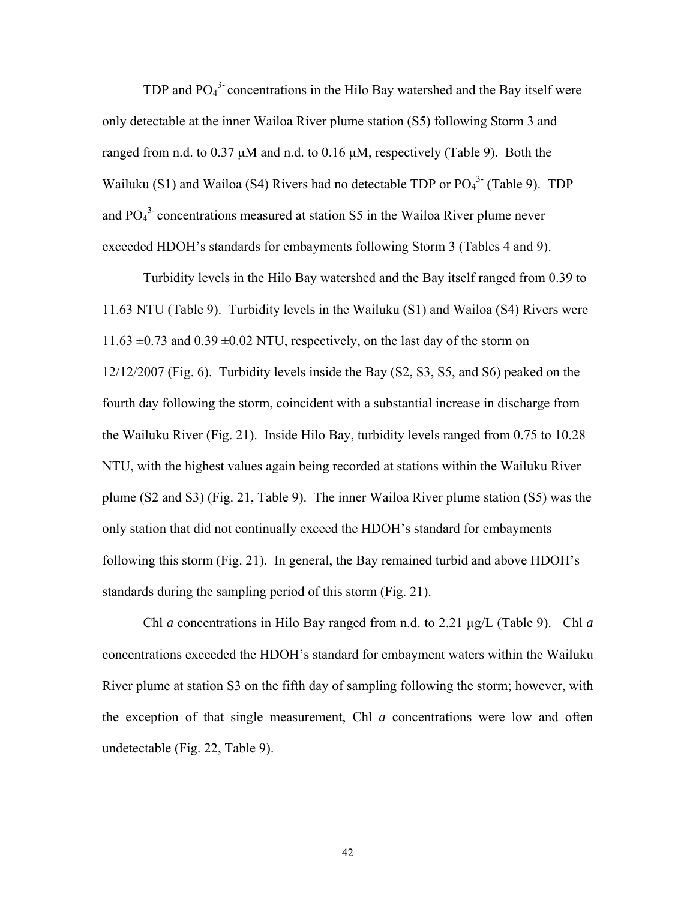TDP and  $PO<sub>4</sub><sup>3</sup>$  concentrations in the Hilo Bay watershed and the Bay itself were only detectable at the inner Wailoa River plume station (S5) following Storm 3 and ranged from n.d. to  $0.37 \mu M$  and n.d. to  $0.16 \mu M$ , respectively (Table 9). Both the Wailuku (S1) and Wailoa (S4) Rivers had no detectable TDP or  $PO_4^3$  (Table 9). TDP and  $PO<sub>4</sub><sup>3</sup>$  concentrations measured at station S5 in the Wailoa River plume never exceeded HDOH's standards for embayments following Storm 3 (Tables 4 and 9).

Turbidity levels in the Hilo Bay watershed and the Bay itself ranged from 0.39 to 11.63 NTU (Table 9). Turbidity levels in the Wailuku (S1) and Wailoa (S4) Rivers were 11.63  $\pm$ 0.73 and 0.39  $\pm$ 0.02 NTU, respectively, on the last day of the storm on 12/12/2007 (Fig. 6). Turbidity levels inside the Bay (S2, S3, S5, and S6) peaked on the fourth day following the storm, coincident with a substantial increase in discharge from the Wailuku River (Fig. 21). Inside Hilo Bay, turbidity levels ranged from 0.75 to 10.28 NTU, with the highest values again being recorded at stations within the Wailuku River plume (S2 and S3) (Fig. 21, Table 9). The inner Wailoa River plume station (S5) was the only station that did not continually exceed the HDOH's standard for embayments following this storm (Fig. 21). In general, the Bay remained turbid and above HDOH's standards during the sampling period of this storm (Fig. 21).

Chl *a* concentrations in Hilo Bay ranged from n.d. to 2.21 µg/L (Table 9). Chl *a* concentrations exceeded the HDOH's standard for embayment waters within the Wailuku River plume at station S3 on the fifth day of sampling following the storm; however, with the exception of that single measurement, Chl *a* concentrations were low and often undetectable (Fig. 22, Table 9).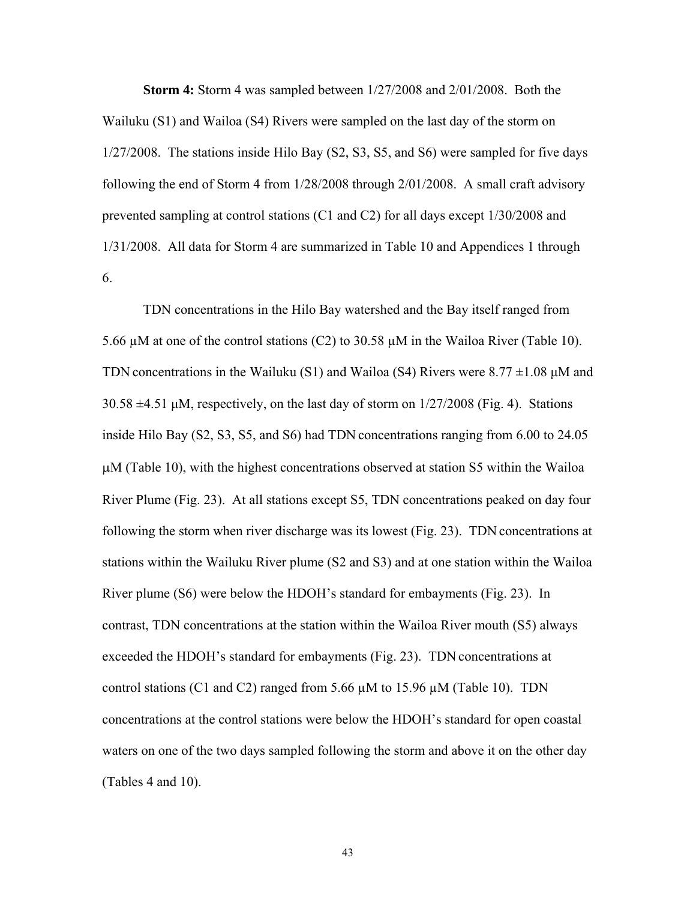**Storm 4:** Storm 4 was sampled between 1/27/2008 and 2/01/2008. Both the Wailuku (S1) and Wailoa (S4) Rivers were sampled on the last day of the storm on 1/27/2008. The stations inside Hilo Bay (S2, S3, S5, and S6) were sampled for five days following the end of Storm 4 from 1/28/2008 through 2/01/2008. A small craft advisory prevented sampling at control stations (C1 and C2) for all days except 1/30/2008 and 1/31/2008. All data for Storm 4 are summarized in Table 10 and Appendices 1 through 6.

TDN concentrations in the Hilo Bay watershed and the Bay itself ranged from 5.66 µM at one of the control stations (C2) to 30.58 µM in the Wailoa River (Table 10). TDN concentrations in the Wailuku (S1) and Wailoa (S4) Rivers were  $8.77 \pm 1.08 \mu M$  and 30.58 ±4.51 μM, respectively, on the last day of storm on 1/27/2008 (Fig. 4). Stations inside Hilo Bay (S2, S3, S5, and S6) had TDN concentrations ranging from 6.00 to 24.05 μM (Table 10), with the highest concentrations observed at station S5 within the Wailoa River Plume (Fig. 23). At all stations except S5, TDN concentrations peaked on day four following the storm when river discharge was its lowest (Fig. 23). TDN concentrations at stations within the Wailuku River plume (S2 and S3) and at one station within the Wailoa River plume (S6) were below the HDOH's standard for embayments (Fig. 23). In contrast, TDN concentrations at the station within the Wailoa River mouth (S5) always exceeded the HDOH's standard for embayments (Fig. 23). TDN concentrations at control stations (C1 and C2) ranged from 5.66  $\mu$ M to 15.96  $\mu$ M (Table 10). TDN concentrations at the control stations were below the HDOH's standard for open coastal waters on one of the two days sampled following the storm and above it on the other day (Tables 4 and 10).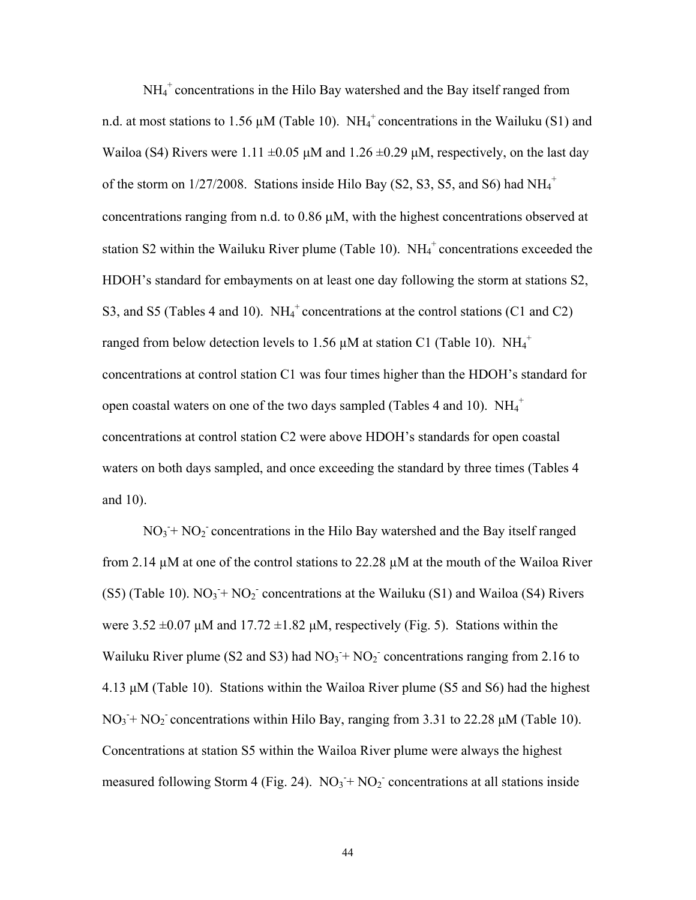NH<sub>4</sub><sup>+</sup> concentrations in the Hilo Bay watershed and the Bay itself ranged from n.d. at most stations to 1.56  $\mu$ M (Table 10). NH<sub>4</sub><sup>+</sup> concentrations in the Wailuku (S1) and Wailoa (S4) Rivers were 1.11  $\pm 0.05$   $\mu$ M and 1.26  $\pm 0.29$   $\mu$ M, respectively, on the last day of the storm on  $1/27/2008$ . Stations inside Hilo Bay (S2, S3, S5, and S6) had  $NH_4^+$ concentrations ranging from n.d. to 0.86 μM, with the highest concentrations observed at station S2 within the Wailuku River plume (Table 10).  $NH_4^+$  concentrations exceeded the HDOH's standard for embayments on at least one day following the storm at stations S2, S3, and S5 (Tables 4 and 10).  $NH_4^+$  concentrations at the control stations (C1 and C2) ranged from below detection levels to 1.56  $\mu$ M at station C1 (Table 10). NH<sub>4</sub><sup>+</sup> concentrations at control station C1 was four times higher than the HDOH's standard for open coastal waters on one of the two days sampled (Tables 4 and 10).  $NH_4^+$ concentrations at control station C2 were above HDOH's standards for open coastal waters on both days sampled, and once exceeding the standard by three times (Tables 4 and 10).

 $NO<sub>3</sub> + NO<sub>2</sub>$  concentrations in the Hilo Bay watershed and the Bay itself ranged from 2.14 µM at one of the control stations to 22.28 µM at the mouth of the Wailoa River  $(S5)$  (Table 10).  $NO<sub>3</sub> + NO<sub>2</sub>$  concentrations at the Wailuku  $(S1)$  and Wailoa  $(S4)$  Rivers were  $3.52 \pm 0.07$  μM and  $17.72 \pm 1.82$  μM, respectively (Fig. 5). Stations within the Wailuku River plume (S2 and S3) had  $NO<sub>3</sub><sup>+</sup> NO<sub>2</sub><sup>-</sup> concentrations ranging from 2.16 to$ 4.13 μM (Table 10). Stations within the Wailoa River plume (S5 and S6) had the highest  $NO_3 + NO_2$  concentrations within Hilo Bay, ranging from 3.31 to 22.28  $\mu$ M (Table 10). Concentrations at station S5 within the Wailoa River plume were always the highest measured following Storm 4 (Fig. 24).  $NO_3 + NO_2$  concentrations at all stations inside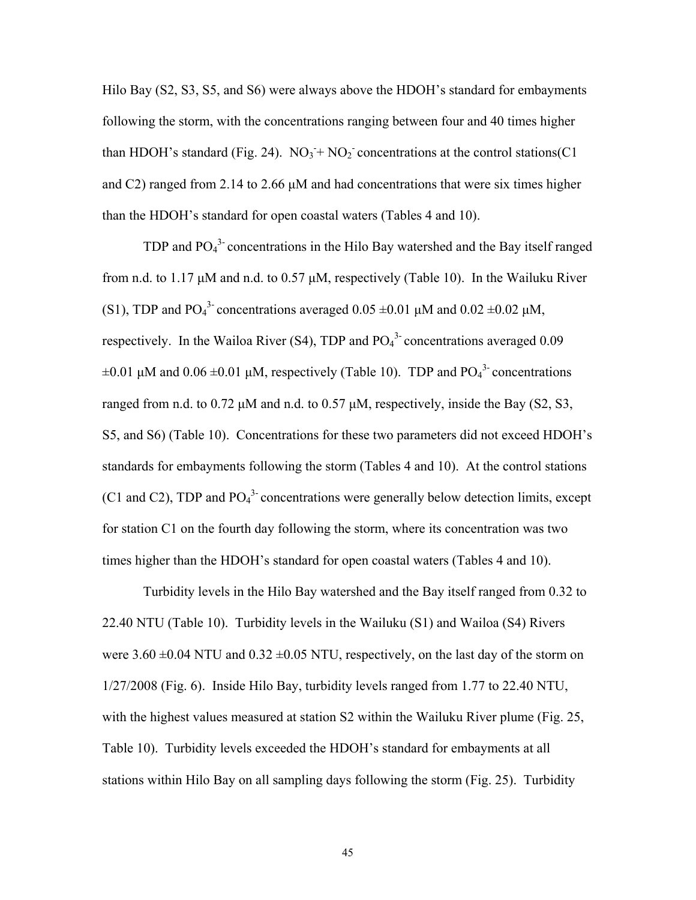Hilo Bay (S2, S3, S5, and S6) were always above the HDOH's standard for embayments following the storm, with the concentrations ranging between four and 40 times higher than HDOH's standard (Fig. 24).  $NO_3 + NO_2$  concentrations at the control stations (C1) and C2) ranged from 2.14 to 2.66 μM and had concentrations that were six times higher than the HDOH's standard for open coastal waters (Tables 4 and 10).

TDP and  $PO_4^3$  concentrations in the Hilo Bay watershed and the Bay itself ranged from n.d. to 1.17 μM and n.d. to 0.57 μM, respectively (Table 10). In the Wailuku River (S1), TDP and PO<sub>4</sub><sup>3</sup> concentrations averaged  $0.05 \pm 0.01 \mu M$  and  $0.02 \pm 0.02 \mu M$ , respectively. In the Wailoa River (S4), TDP and  $PO<sub>4</sub><sup>3</sup>$  concentrations averaged 0.09  $\pm 0.01 \mu$ M and  $0.06 \pm 0.01 \mu$ M, respectively (Table 10). TDP and PO<sub>4</sub><sup>3</sup> concentrations ranged from n.d. to 0.72 μM and n.d. to 0.57 μM, respectively, inside the Bay (S2, S3, S5, and S6) (Table 10). Concentrations for these two parameters did not exceed HDOH's standards for embayments following the storm (Tables 4 and 10). At the control stations (C1 and C2), TDP and  $PO<sub>4</sub><sup>3</sup>$  concentrations were generally below detection limits, except for station C1 on the fourth day following the storm, where its concentration was two times higher than the HDOH's standard for open coastal waters (Tables 4 and 10).

Turbidity levels in the Hilo Bay watershed and the Bay itself ranged from 0.32 to 22.40 NTU (Table 10). Turbidity levels in the Wailuku (S1) and Wailoa (S4) Rivers were  $3.60 \pm 0.04$  NTU and  $0.32 \pm 0.05$  NTU, respectively, on the last day of the storm on 1/27/2008 (Fig. 6). Inside Hilo Bay, turbidity levels ranged from 1.77 to 22.40 NTU, with the highest values measured at station S2 within the Wailuku River plume (Fig. 25, Table 10). Turbidity levels exceeded the HDOH's standard for embayments at all stations within Hilo Bay on all sampling days following the storm (Fig. 25). Turbidity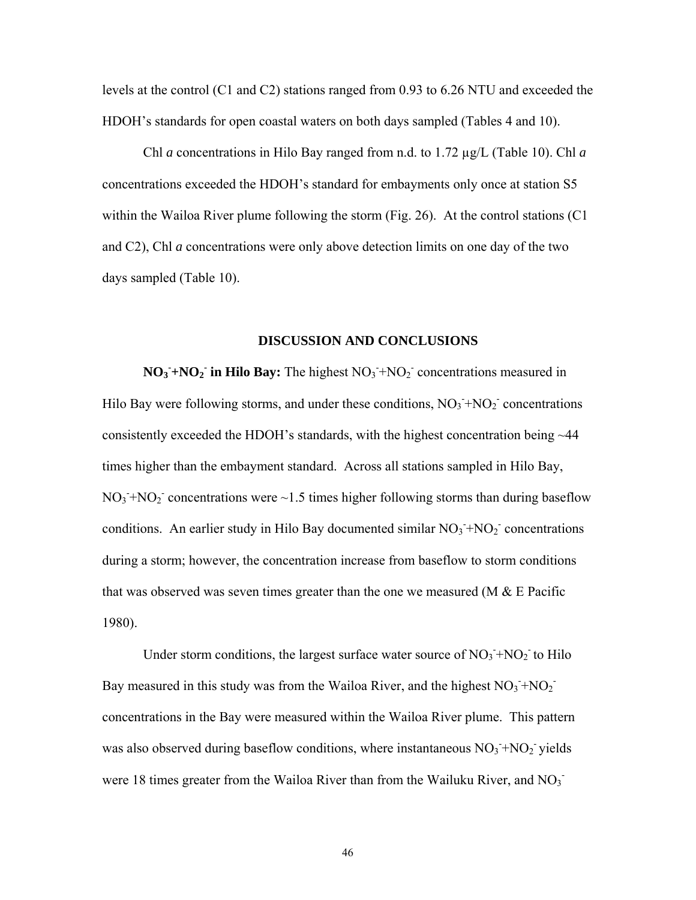levels at the control (C1 and C2) stations ranged from 0.93 to 6.26 NTU and exceeded the HDOH's standards for open coastal waters on both days sampled (Tables 4 and 10).

Chl *a* concentrations in Hilo Bay ranged from n.d. to 1.72 µg/L (Table 10). Chl *a* concentrations exceeded the HDOH's standard for embayments only once at station S5 within the Wailoa River plume following the storm (Fig. 26). At the control stations (C1 and C2), Chl *a* concentrations were only above detection limits on one day of the two days sampled (Table 10).

## **DISCUSSION AND CONCLUSIONS**

 $NO_3 + NO_2$  in Hilo Bay: The highest  $NO_3 + NO_2$  concentrations measured in Hilo Bay were following storms, and under these conditions,  $NO_3 + NO_2$ <sup>-</sup> concentrations consistently exceeded the HDOH's standards, with the highest concentration being ~44 times higher than the embayment standard. Across all stations sampled in Hilo Bay,  $NO<sub>3</sub> + NO<sub>2</sub>$  concentrations were ~1.5 times higher following storms than during baseflow conditions. An earlier study in Hilo Bay documented similar  $NO<sub>3</sub> + NO<sub>2</sub>$  concentrations during a storm; however, the concentration increase from baseflow to storm conditions that was observed was seven times greater than the one we measured (M  $\&$  E Pacific 1980).

Under storm conditions, the largest surface water source of  $NO<sub>3</sub> + NO<sub>2</sub>$  to Hilo Bay measured in this study was from the Wailoa River, and the highest  $NO_3$ <sup>+</sup> $NO_2$ <sup>-</sup> concentrations in the Bay were measured within the Wailoa River plume. This pattern was also observed during baseflow conditions, where instantaneous  $NO<sub>3</sub> + NO<sub>2</sub>$  yields were 18 times greater from the Wailoa River than from the Wailuku River, and  $NO<sub>3</sub>$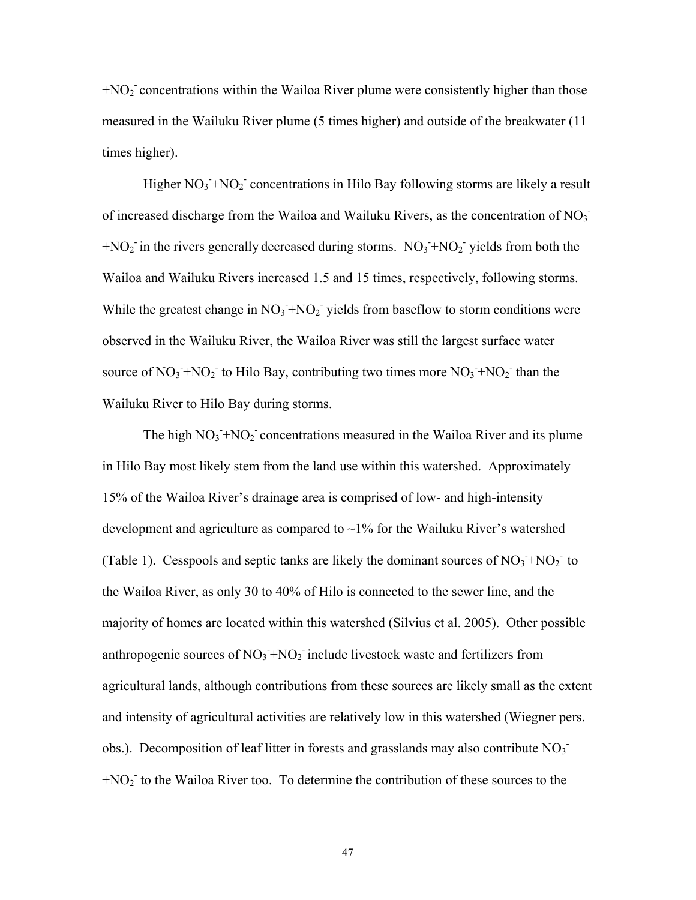$+NO<sub>2</sub>$  concentrations within the Wailoa River plume were consistently higher than those measured in the Wailuku River plume (5 times higher) and outside of the breakwater (11 times higher).

Higher  $NO_3 + NO_2$ <sup>-</sup> concentrations in Hilo Bay following storms are likely a result of increased discharge from the Wailoa and Wailuku Rivers, as the concentration of  $NO<sub>3</sub>$  $+NO<sub>2</sub>$  in the rivers generally decreased during storms.  $NO<sub>3</sub><sup>+</sup>NO<sub>2</sub>$  yields from both the Wailoa and Wailuku Rivers increased 1.5 and 15 times, respectively, following storms. While the greatest change in  $NO_3 + NO_2$  yields from baseflow to storm conditions were observed in the Wailuku River, the Wailoa River was still the largest surface water source of  $NO_3 + NO_2$  to Hilo Bay, contributing two times more  $NO_3 + NO_2$  than the Wailuku River to Hilo Bay during storms.

The high  $NO_3 + NO_2$  concentrations measured in the Wailoa River and its plume in Hilo Bay most likely stem from the land use within this watershed. Approximately 15% of the Wailoa River's drainage area is comprised of low- and high-intensity development and agriculture as compared to  $\sim$ 1% for the Wailuku River's watershed (Table 1). Cesspools and septic tanks are likely the dominant sources of  $NO<sub>3</sub> + NO<sub>2</sub>$  to the Wailoa River, as only 30 to 40% of Hilo is connected to the sewer line, and the majority of homes are located within this watershed (Silvius et al. 2005). Other possible anthropogenic sources of  $NO_3 + NO_2$  include livestock waste and fertilizers from agricultural lands, although contributions from these sources are likely small as the extent and intensity of agricultural activities are relatively low in this watershed (Wiegner pers. obs.). Decomposition of leaf litter in forests and grasslands may also contribute  $NO<sub>3</sub>$  $+NO<sub>2</sub>$  to the Wailoa River too. To determine the contribution of these sources to the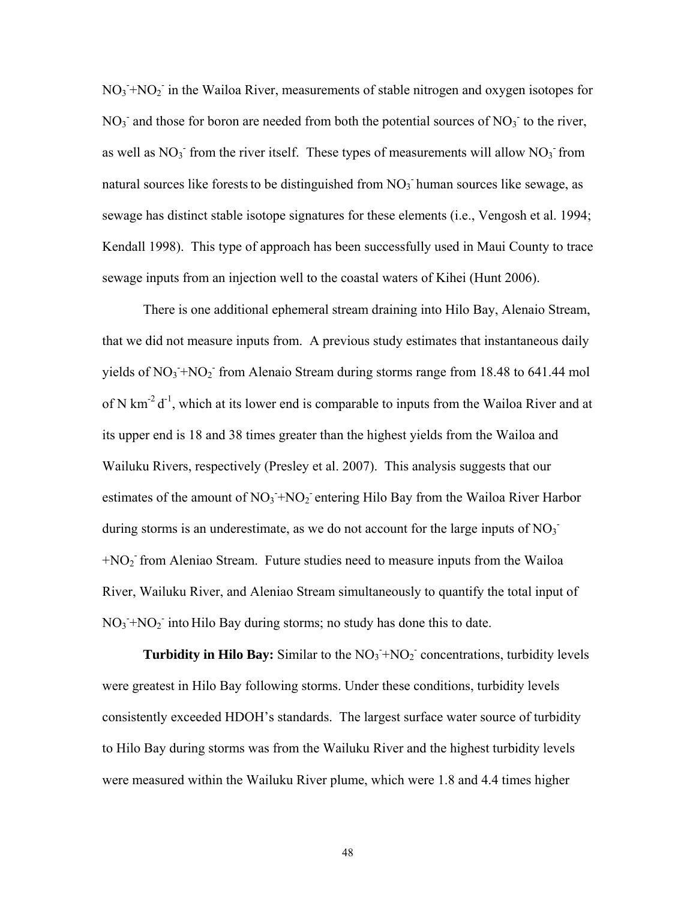$NO<sub>3</sub> + NO<sub>2</sub>$  in the Wailoa River, measurements of stable nitrogen and oxygen isotopes for  $NO<sub>3</sub>$  and those for boron are needed from both the potential sources of  $NO<sub>3</sub>$  to the river, as well as  $NO_3$ <sup>-</sup> from the river itself. These types of measurements will allow  $NO_3$ <sup>-</sup> from natural sources like forests to be distinguished from  $NO<sub>3</sub>$  human sources like sewage, as sewage has distinct stable isotope signatures for these elements (i.e., Vengosh et al. 1994; Kendall 1998). This type of approach has been successfully used in Maui County to trace sewage inputs from an injection well to the coastal waters of Kihei (Hunt 2006).

There is one additional ephemeral stream draining into Hilo Bay, Alenaio Stream, that we did not measure inputs from. A previous study estimates that instantaneous daily yields of  $NO_3$ + $NO_2$ <sup>-</sup> from Alenaio Stream during storms range from 18.48 to 641.44 mol of N km<sup>-2</sup> d<sup>-1</sup>, which at its lower end is comparable to inputs from the Wailoa River and at its upper end is 18 and 38 times greater than the highest yields from the Wailoa and Wailuku Rivers, respectively (Presley et al. 2007). This analysis suggests that our estimates of the amount of  $NO_3 + NO_2$  entering Hilo Bay from the Wailoa River Harbor during storms is an underestimate, as we do not account for the large inputs of  $NO<sub>3</sub>$ <sup>-</sup> +NO2 - from Aleniao Stream. Future studies need to measure inputs from the Wailoa River, Wailuku River, and Aleniao Stream simultaneously to quantify the total input of  $NO<sub>3</sub> + NO<sub>2</sub>$  into Hilo Bay during storms; no study has done this to date.

**Turbidity in Hilo Bay:** Similar to the  $NO<sub>3</sub> + NO<sub>2</sub>$  concentrations, turbidity levels were greatest in Hilo Bay following storms. Under these conditions, turbidity levels consistently exceeded HDOH's standards. The largest surface water source of turbidity to Hilo Bay during storms was from the Wailuku River and the highest turbidity levels were measured within the Wailuku River plume, which were 1.8 and 4.4 times higher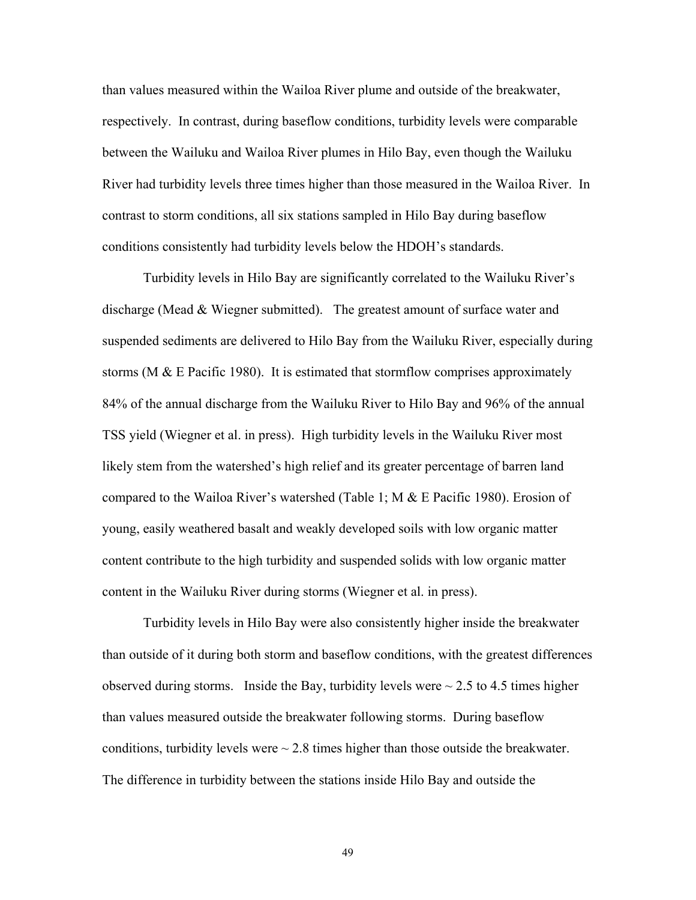than values measured within the Wailoa River plume and outside of the breakwater, respectively. In contrast, during baseflow conditions, turbidity levels were comparable between the Wailuku and Wailoa River plumes in Hilo Bay, even though the Wailuku River had turbidity levels three times higher than those measured in the Wailoa River. In contrast to storm conditions, all six stations sampled in Hilo Bay during baseflow conditions consistently had turbidity levels below the HDOH's standards.

Turbidity levels in Hilo Bay are significantly correlated to the Wailuku River's discharge (Mead & Wiegner submitted). The greatest amount of surface water and suspended sediments are delivered to Hilo Bay from the Wailuku River, especially during storms (M  $\&$  E Pacific 1980). It is estimated that stormflow comprises approximately 84% of the annual discharge from the Wailuku River to Hilo Bay and 96% of the annual TSS yield (Wiegner et al. in press). High turbidity levels in the Wailuku River most likely stem from the watershed's high relief and its greater percentage of barren land compared to the Wailoa River's watershed (Table 1; M  $\&$  E Pacific 1980). Erosion of young, easily weathered basalt and weakly developed soils with low organic matter content contribute to the high turbidity and suspended solids with low organic matter content in the Wailuku River during storms (Wiegner et al. in press).

Turbidity levels in Hilo Bay were also consistently higher inside the breakwater than outside of it during both storm and baseflow conditions, with the greatest differences observed during storms. Inside the Bay, turbidity levels were  $\sim$  2.5 to 4.5 times higher than values measured outside the breakwater following storms. During baseflow conditions, turbidity levels were  $\sim$  2.8 times higher than those outside the breakwater. The difference in turbidity between the stations inside Hilo Bay and outside the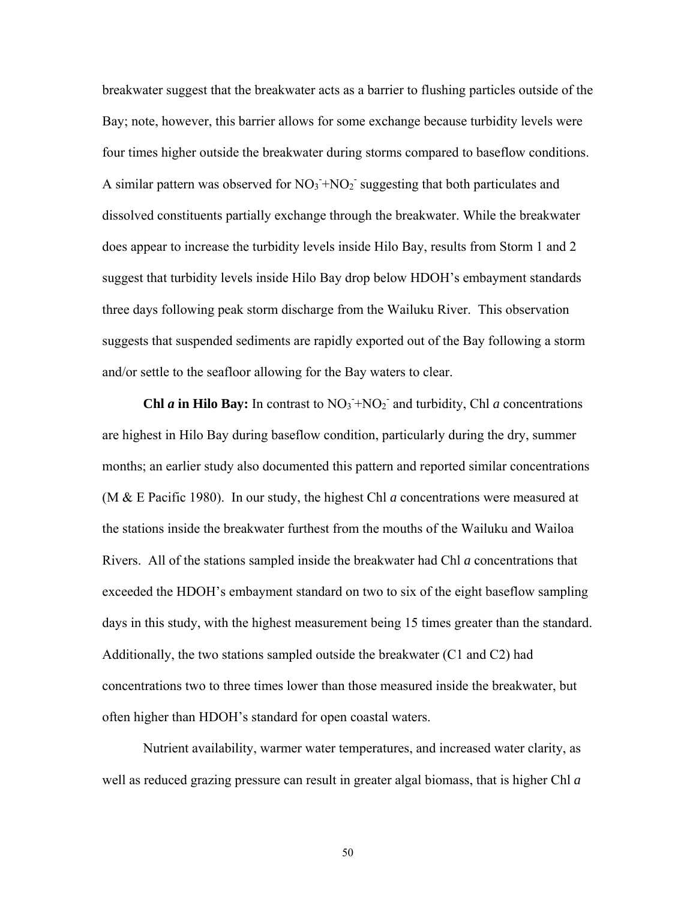breakwater suggest that the breakwater acts as a barrier to flushing particles outside of the Bay; note, however, this barrier allows for some exchange because turbidity levels were four times higher outside the breakwater during storms compared to baseflow conditions. A similar pattern was observed for  $NO_3 + NO_2$  suggesting that both particulates and dissolved constituents partially exchange through the breakwater. While the breakwater does appear to increase the turbidity levels inside Hilo Bay, results from Storm 1 and 2 suggest that turbidity levels inside Hilo Bay drop below HDOH's embayment standards three days following peak storm discharge from the Wailuku River. This observation suggests that suspended sediments are rapidly exported out of the Bay following a storm and/or settle to the seafloor allowing for the Bay waters to clear.

**Chl** *a* in Hilo Bay: In contrast to  $NO_3 + NO_2$  and turbidity, Chl *a* concentrations are highest in Hilo Bay during baseflow condition, particularly during the dry, summer months; an earlier study also documented this pattern and reported similar concentrations (M & E Pacific 1980). In our study, the highest Chl *a* concentrations were measured at the stations inside the breakwater furthest from the mouths of the Wailuku and Wailoa Rivers. All of the stations sampled inside the breakwater had Chl *a* concentrations that exceeded the HDOH's embayment standard on two to six of the eight baseflow sampling days in this study, with the highest measurement being 15 times greater than the standard. Additionally, the two stations sampled outside the breakwater (C1 and C2) had concentrations two to three times lower than those measured inside the breakwater, but often higher than HDOH's standard for open coastal waters.

Nutrient availability, warmer water temperatures, and increased water clarity, as well as reduced grazing pressure can result in greater algal biomass, that is higher Chl *a*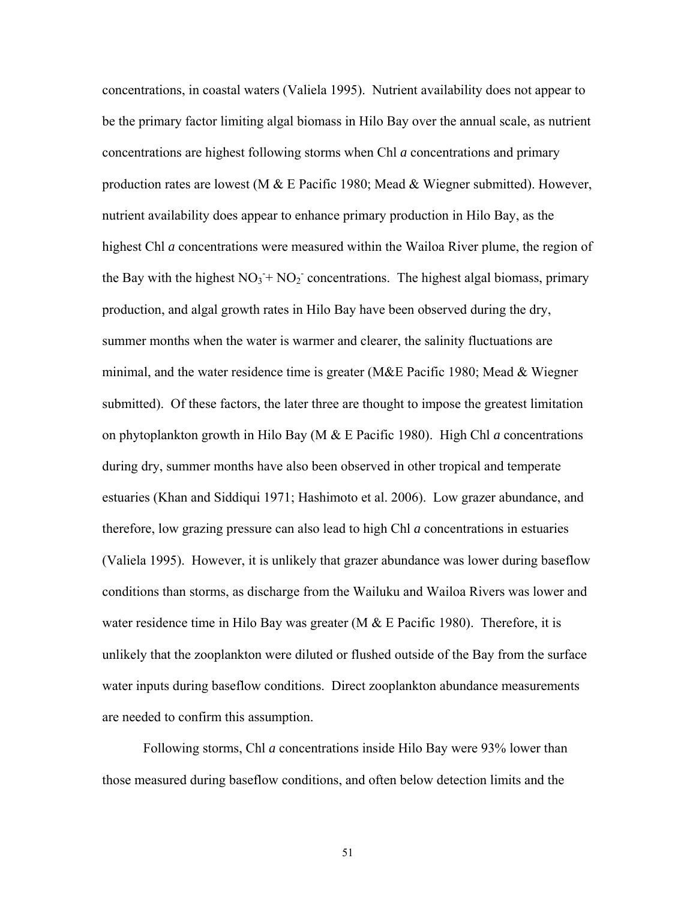concentrations, in coastal waters (Valiela 1995). Nutrient availability does not appear to be the primary factor limiting algal biomass in Hilo Bay over the annual scale, as nutrient concentrations are highest following storms when Chl *a* concentrations and primary production rates are lowest (M  $&$  E Pacific 1980; Mead  $&$  Wiegner submitted). However, nutrient availability does appear to enhance primary production in Hilo Bay, as the highest Chl *a* concentrations were measured within the Wailoa River plume, the region of the Bay with the highest  $NO_3 + NO_2$  concentrations. The highest algal biomass, primary production, and algal growth rates in Hilo Bay have been observed during the dry, summer months when the water is warmer and clearer, the salinity fluctuations are minimal, and the water residence time is greater (M&E Pacific 1980; Mead & Wiegner submitted). Of these factors, the later three are thought to impose the greatest limitation on phytoplankton growth in Hilo Bay (M & E Pacific 1980). High Chl *a* concentrations during dry, summer months have also been observed in other tropical and temperate estuaries (Khan and Siddiqui 1971; Hashimoto et al. 2006). Low grazer abundance, and therefore, low grazing pressure can also lead to high Chl *a* concentrations in estuaries (Valiela 1995). However, it is unlikely that grazer abundance was lower during baseflow conditions than storms, as discharge from the Wailuku and Wailoa Rivers was lower and water residence time in Hilo Bay was greater (M  $&$  E Pacific 1980). Therefore, it is unlikely that the zooplankton were diluted or flushed outside of the Bay from the surface water inputs during baseflow conditions. Direct zooplankton abundance measurements are needed to confirm this assumption.

Following storms, Chl *a* concentrations inside Hilo Bay were 93% lower than those measured during baseflow conditions, and often below detection limits and the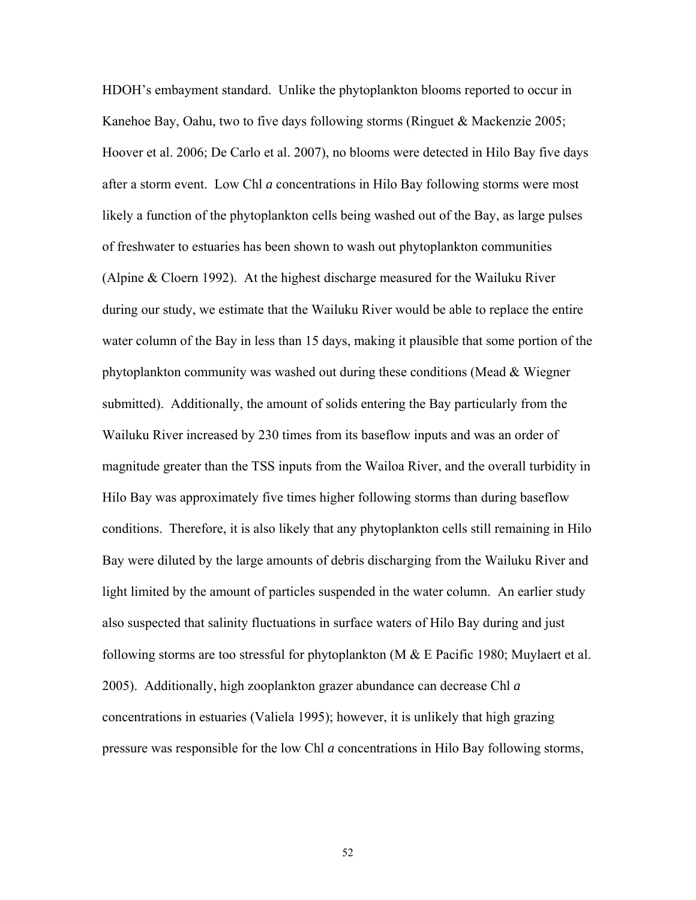HDOH's embayment standard. Unlike the phytoplankton blooms reported to occur in Kanehoe Bay, Oahu, two to five days following storms (Ringuet & Mackenzie 2005; Hoover et al. 2006; De Carlo et al. 2007), no blooms were detected in Hilo Bay five days after a storm event. Low Chl *a* concentrations in Hilo Bay following storms were most likely a function of the phytoplankton cells being washed out of the Bay, as large pulses of freshwater to estuaries has been shown to wash out phytoplankton communities (Alpine & Cloern 1992). At the highest discharge measured for the Wailuku River during our study, we estimate that the Wailuku River would be able to replace the entire water column of the Bay in less than 15 days, making it plausible that some portion of the phytoplankton community was washed out during these conditions (Mead & Wiegner submitted). Additionally, the amount of solids entering the Bay particularly from the Wailuku River increased by 230 times from its baseflow inputs and was an order of magnitude greater than the TSS inputs from the Wailoa River, and the overall turbidity in Hilo Bay was approximately five times higher following storms than during baseflow conditions. Therefore, it is also likely that any phytoplankton cells still remaining in Hilo Bay were diluted by the large amounts of debris discharging from the Wailuku River and light limited by the amount of particles suspended in the water column. An earlier study also suspected that salinity fluctuations in surface waters of Hilo Bay during and just following storms are too stressful for phytoplankton (M  $\&$  E Pacific 1980; Muylaert et al. 2005). Additionally, high zooplankton grazer abundance can decrease Chl *a* concentrations in estuaries (Valiela 1995); however, it is unlikely that high grazing pressure was responsible for the low Chl *a* concentrations in Hilo Bay following storms,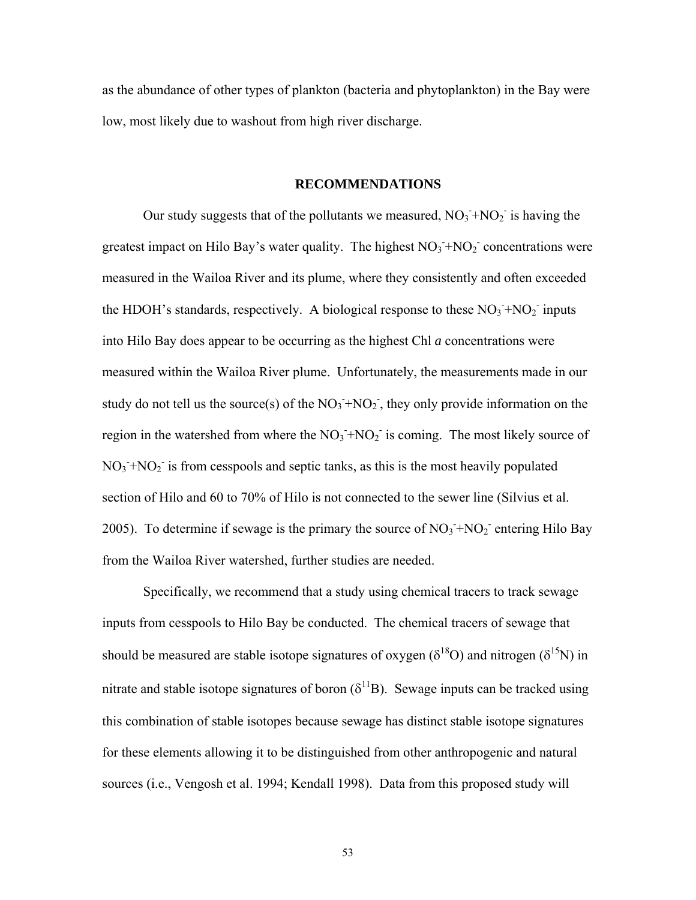as the abundance of other types of plankton (bacteria and phytoplankton) in the Bay were low, most likely due to washout from high river discharge.

#### **RECOMMENDATIONS**

Our study suggests that of the pollutants we measured,  $NO_3 + NO_2$  is having the greatest impact on Hilo Bay's water quality. The highest  $NO<sub>3</sub> + NO<sub>2</sub>$  concentrations were measured in the Wailoa River and its plume, where they consistently and often exceeded the HDOH's standards, respectively. A biological response to these  $NO<sub>3</sub> + NO<sub>2</sub>$  inputs into Hilo Bay does appear to be occurring as the highest Chl *a* concentrations were measured within the Wailoa River plume. Unfortunately, the measurements made in our study do not tell us the source(s) of the  $NO<sub>3</sub> + NO<sub>2</sub>$ , they only provide information on the region in the watershed from where the  $NO_3 + NO_2$  is coming. The most likely source of  $NO<sub>3</sub> + NO<sub>2</sub>$  is from cesspools and septic tanks, as this is the most heavily populated section of Hilo and 60 to 70% of Hilo is not connected to the sewer line (Silvius et al. 2005). To determine if sewage is the primary the source of  $NO<sub>3</sub> + NO<sub>2</sub>$  entering Hilo Bay from the Wailoa River watershed, further studies are needed.

Specifically, we recommend that a study using chemical tracers to track sewage inputs from cesspools to Hilo Bay be conducted. The chemical tracers of sewage that should be measured are stable isotope signatures of oxygen ( $\delta^{18}O$ ) and nitrogen ( $\delta^{15}N$ ) in nitrate and stable isotope signatures of boron  $(\delta^{11}B)$ . Sewage inputs can be tracked using this combination of stable isotopes because sewage has distinct stable isotope signatures for these elements allowing it to be distinguished from other anthropogenic and natural sources (i.e., Vengosh et al. 1994; Kendall 1998). Data from this proposed study will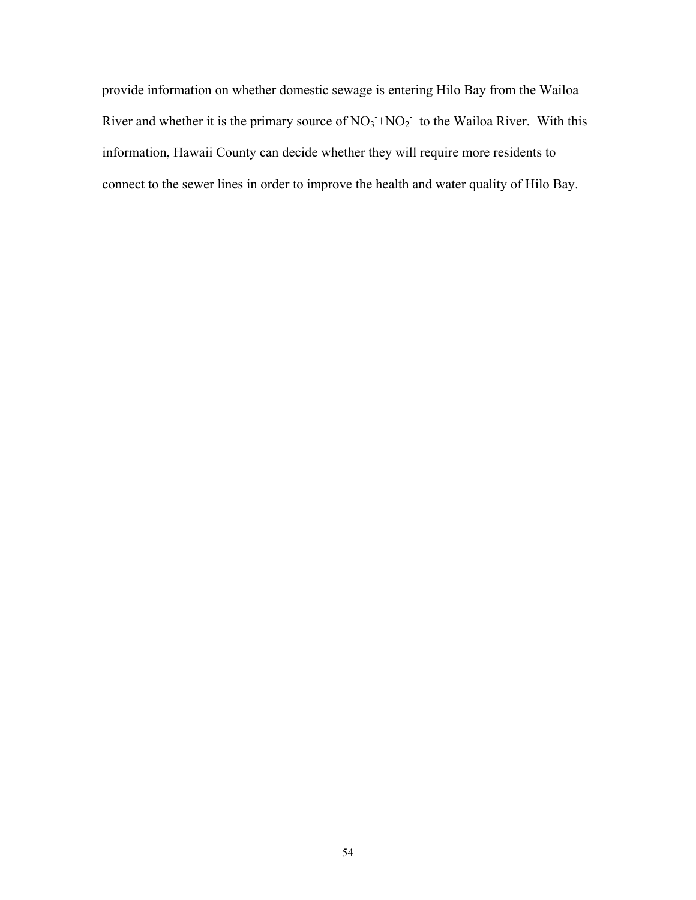provide information on whether domestic sewage is entering Hilo Bay from the Wailoa River and whether it is the primary source of  $NO<sub>3</sub> + NO<sub>2</sub>$  to the Wailoa River. With this information, Hawaii County can decide whether they will require more residents to connect to the sewer lines in order to improve the health and water quality of Hilo Bay.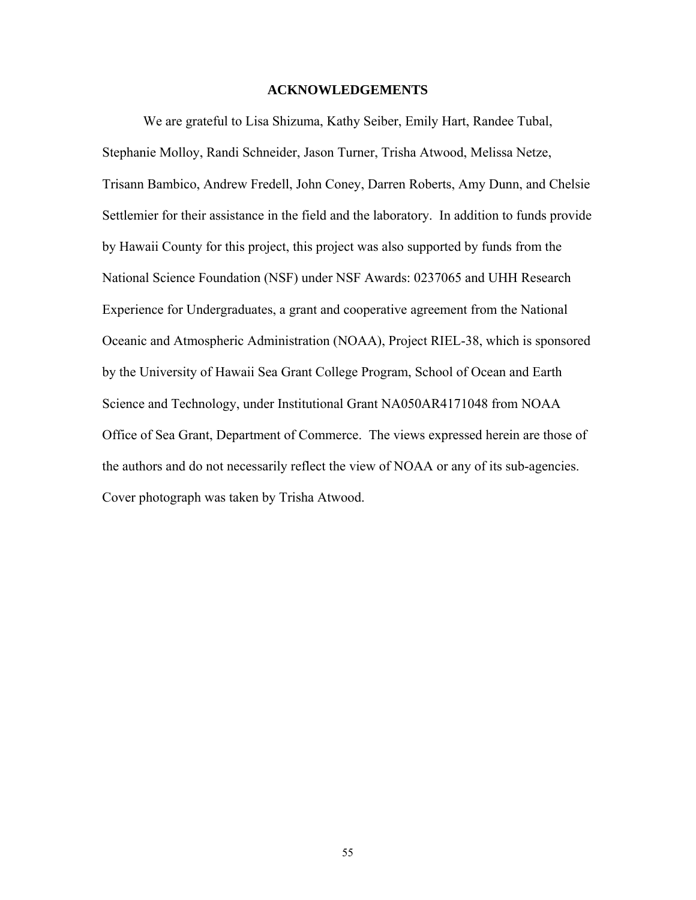## **ACKNOWLEDGEMENTS**

We are grateful to Lisa Shizuma, Kathy Seiber, Emily Hart, Randee Tubal, Stephanie Molloy, Randi Schneider, Jason Turner, Trisha Atwood, Melissa Netze, Trisann Bambico, Andrew Fredell, John Coney, Darren Roberts, Amy Dunn, and Chelsie Settlemier for their assistance in the field and the laboratory. In addition to funds provide by Hawaii County for this project, this project was also supported by funds from the National Science Foundation (NSF) under NSF Awards: 0237065 and UHH Research Experience for Undergraduates, a grant and cooperative agreement from the National Oceanic and Atmospheric Administration (NOAA), Project RIEL-38, which is sponsored by the University of Hawaii Sea Grant College Program, School of Ocean and Earth Science and Technology, under Institutional Grant NA050AR4171048 from NOAA Office of Sea Grant, Department of Commerce. The views expressed herein are those of the authors and do not necessarily reflect the view of NOAA or any of its sub-agencies. Cover photograph was taken by Trisha Atwood.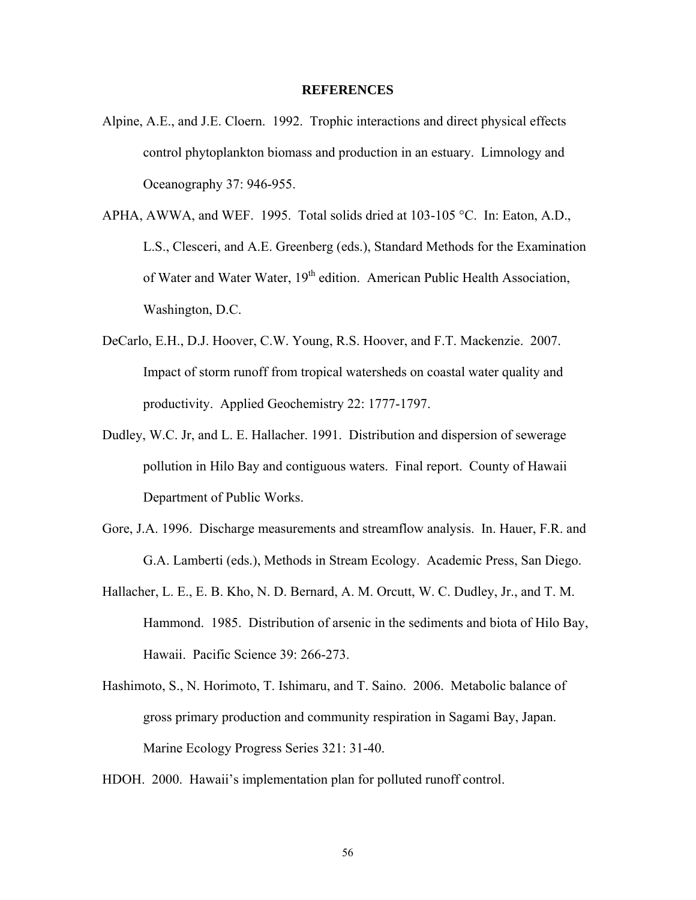## **REFERENCES**

- Alpine, A.E., and J.E. Cloern. 1992. Trophic interactions and direct physical effects control phytoplankton biomass and production in an estuary. Limnology and Oceanography 37: 946-955.
- APHA, AWWA, and WEF. 1995. Total solids dried at 103-105 °C. In: Eaton, A.D., L.S., Clesceri, and A.E. Greenberg (eds.), Standard Methods for the Examination of Water and Water Water, 19<sup>th</sup> edition. American Public Health Association, Washington, D.C.
- DeCarlo, E.H., D.J. Hoover, C.W. Young, R.S. Hoover, and F.T. Mackenzie. 2007. Impact of storm runoff from tropical watersheds on coastal water quality and productivity. Applied Geochemistry 22: 1777-1797.
- Dudley, W.C. Jr, and L. E. Hallacher. 1991. Distribution and dispersion of sewerage pollution in Hilo Bay and contiguous waters. Final report. County of Hawaii Department of Public Works.
- Gore, J.A. 1996. Discharge measurements and streamflow analysis. In. Hauer, F.R. and G.A. Lamberti (eds.), Methods in Stream Ecology. Academic Press, San Diego.
- Hallacher, L. E., E. B. Kho, N. D. Bernard, A. M. Orcutt, W. C. Dudley, Jr., and T. M. Hammond. 1985.Distribution of arsenic in the sediments and biota of Hilo Bay, Hawaii. Pacific Science 39: 266-273.
- Hashimoto, S., N. Horimoto, T. Ishimaru, and T. Saino. 2006. Metabolic balance of gross primary production and community respiration in Sagami Bay, Japan. Marine Ecology Progress Series 321: 31-40.
- HDOH. 2000. Hawaii's implementation plan for polluted runoff control.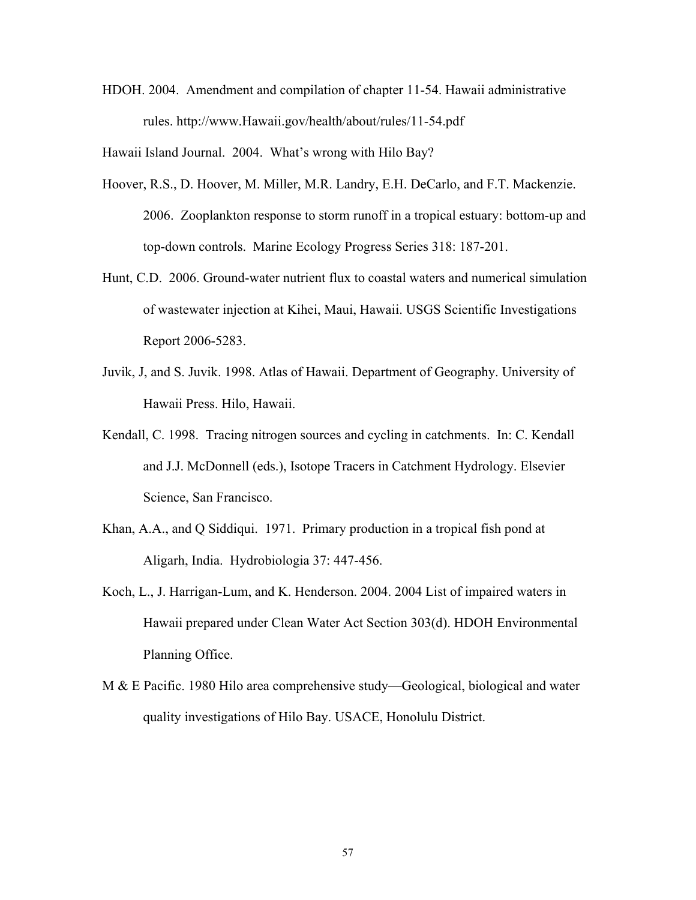HDOH. 2004. Amendment and compilation of chapter 11-54. Hawaii administrative rules. http://www.Hawaii.gov/health/about/rules/11-54.pdf

Hawaii Island Journal. 2004. What's wrong with Hilo Bay?

- Hoover, R.S., D. Hoover, M. Miller, M.R. Landry, E.H. DeCarlo, and F.T. Mackenzie. 2006. Zooplankton response to storm runoff in a tropical estuary: bottom-up and top-down controls. Marine Ecology Progress Series 318: 187-201.
- Hunt, C.D. 2006. Ground-water nutrient flux to coastal waters and numerical simulation of wastewater injection at Kihei, Maui, Hawaii. USGS Scientific Investigations Report 2006-5283.
- Juvik, J, and S. Juvik. 1998. Atlas of Hawaii. Department of Geography. University of Hawaii Press. Hilo, Hawaii.
- Kendall, C. 1998. Tracing nitrogen sources and cycling in catchments. In: C. Kendall and J.J. McDonnell (eds.), Isotope Tracers in Catchment Hydrology. Elsevier Science, San Francisco.
- Khan, A.A., and Q Siddiqui. 1971. Primary production in a tropical fish pond at Aligarh, India. Hydrobiologia 37: 447-456.
- Koch, L., J. Harrigan-Lum, and K. Henderson. 2004. 2004 List of impaired waters in Hawaii prepared under Clean Water Act Section 303(d). HDOH Environmental Planning Office.
- M & E Pacific. 1980 Hilo area comprehensive study—Geological, biological and water quality investigations of Hilo Bay. USACE, Honolulu District.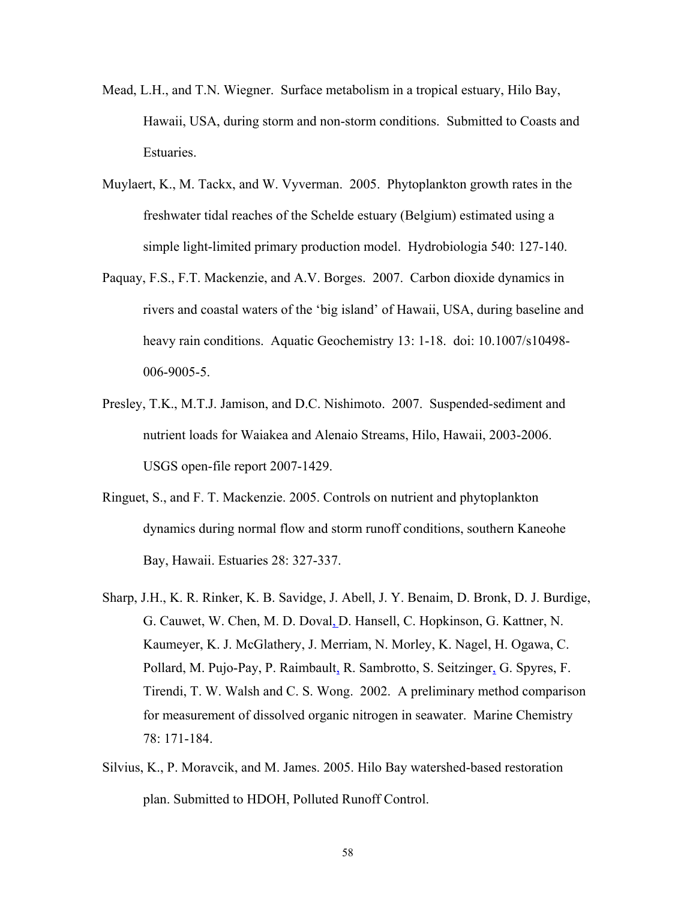- Mead, L.H., and T.N. Wiegner. Surface metabolism in a tropical estuary, Hilo Bay, Hawaii, USA, during storm and non-storm conditions. Submitted to Coasts and Estuaries.
- Muylaert, K., M. Tackx, and W. Vyverman. 2005. Phytoplankton growth rates in the freshwater tidal reaches of the Schelde estuary (Belgium) estimated using a simple light-limited primary production model. Hydrobiologia 540: 127-140.
- Paquay, F.S., F.T. Mackenzie, and A.V. Borges. 2007. Carbon dioxide dynamics in rivers and coastal waters of the 'big island' of Hawaii, USA, during baseline and heavy rain conditions. Aquatic Geochemistry 13: 1-18. doi: 10.1007/s10498-006-9005-5.
- Presley, T.K., M.T.J. Jamison, and D.C. Nishimoto. 2007. Suspended-sediment and nutrient loads for Waiakea and Alenaio Streams, Hilo, Hawaii, 2003-2006. USGS open-file report 2007-1429.
- Ringuet, S., and F. T. Mackenzie. 2005. Controls on nutrient and phytoplankton dynamics during normal flow and storm runoff conditions, southern Kaneohe Bay, Hawaii. Estuaries 28: 327-337.
- Sharp, J.H., K. R. Rinker, K. B. Savidge, J. Abell, J. Y. Benaim, D. Bronk, D. J. Burdige, G. Cauwet, W. Chen, M. D. Doval, D. Hansell, C. Hopkinson, G. Kattner, N. Kaumeyer, K. J. McGlathery, J. Merriam, N. Morley, K. Nagel, H. Ogawa, C. Pollard, M. Pujo-Pay, P. Raimbault, R. Sambrotto, S. Seitzinger, G. Spyres, F. Tirendi, T. W. Walsh and C. S. Wong. 2002. A preliminary method comparison for measurement of dissolved organic nitrogen in seawater. Marine Chemistry 78: 171-184.
- Silvius, K., P. Moravcik, and M. James. 2005. Hilo Bay watershed-based restoration plan. Submitted to HDOH, Polluted Runoff Control.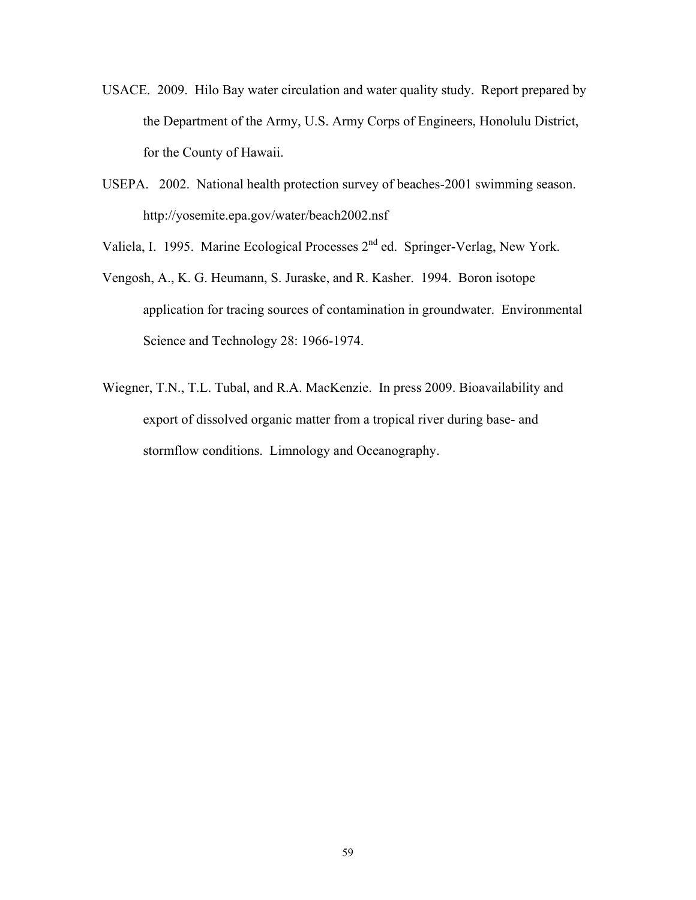- USACE. 2009. Hilo Bay water circulation and water quality study. Report prepared by the Department of the Army, U.S. Army Corps of Engineers, Honolulu District, for the County of Hawaii.
- USEPA. 2002. National health protection survey of beaches-2001 swimming season. http://yosemite.epa.gov/water/beach2002.nsf
- Valiela, I. 1995. Marine Ecological Processes 2nd ed. Springer-Verlag, New York.
- Vengosh, A., K. G. Heumann, S. Juraske, and R. Kasher. 1994. Boron isotope application for tracing sources of contamination in groundwater. Environmental Science and Technology 28: 1966-1974.
- Wiegner, T.N., T.L. Tubal, and R.A. MacKenzie. In press 2009. Bioavailability and export of dissolved organic matter from a tropical river during base- and stormflow conditions. Limnology and Oceanography.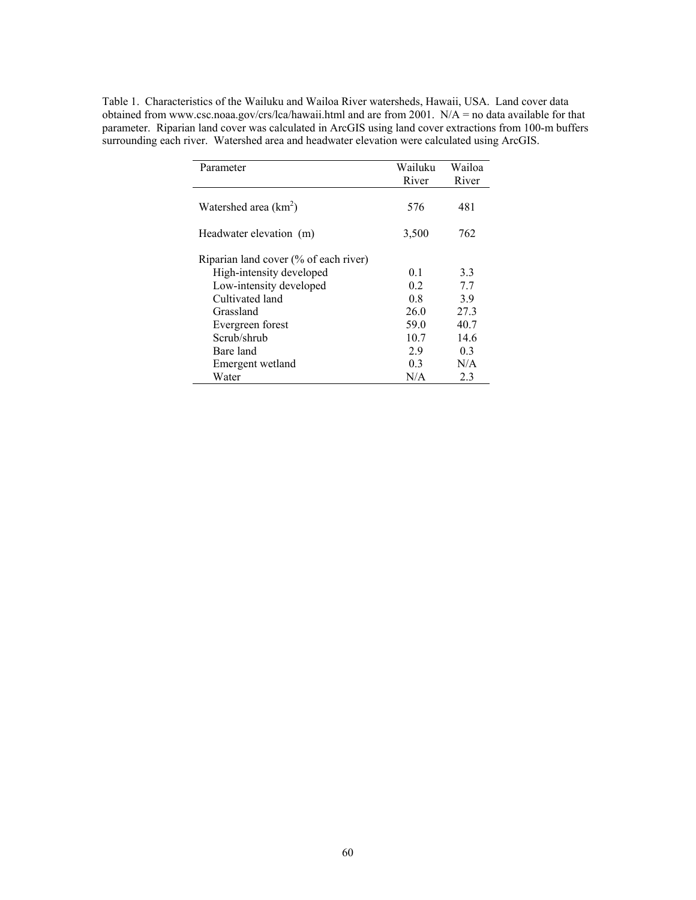| Table 1. Characteristics of the Wailuku and Wailoa River watersheds, Hawaii, USA. Land cover data        |
|----------------------------------------------------------------------------------------------------------|
| obtained from www.csc.noaa.gov/crs/lca/hawaii.html and are from 2001. $N/A =$ no data available for that |
| parameter. Riparian land cover was calculated in ArcGIS using land cover extractions from 100-m buffers  |
| surrounding each river. Watershed area and headwater elevation were calculated using ArcGIS.             |

| Parameter                             | Wailuku<br>River | Wailoa<br>River |
|---------------------------------------|------------------|-----------------|
| Watershed area $(km^2)$               | 576              | 481             |
| Headwater elevation (m)               | 3,500            | 762             |
| Riparian land cover (% of each river) |                  |                 |
| High-intensity developed              | 0 <sub>1</sub>   | 3.3             |
| Low-intensity developed               | 02               | 77              |
| Cultivated land                       | 08               | 39              |
| Grassland                             | 26.0             | 27.3            |
| Evergreen forest                      | 59.0             | 40.7            |
| Scrub/shrub                           | 10.7             | 14.6            |
| Bare land                             | 2.9              | 0.3             |
| Emergent wetland                      | 0 <sub>3</sub>   | N/A             |
| Water                                 | N/A              | 2.3             |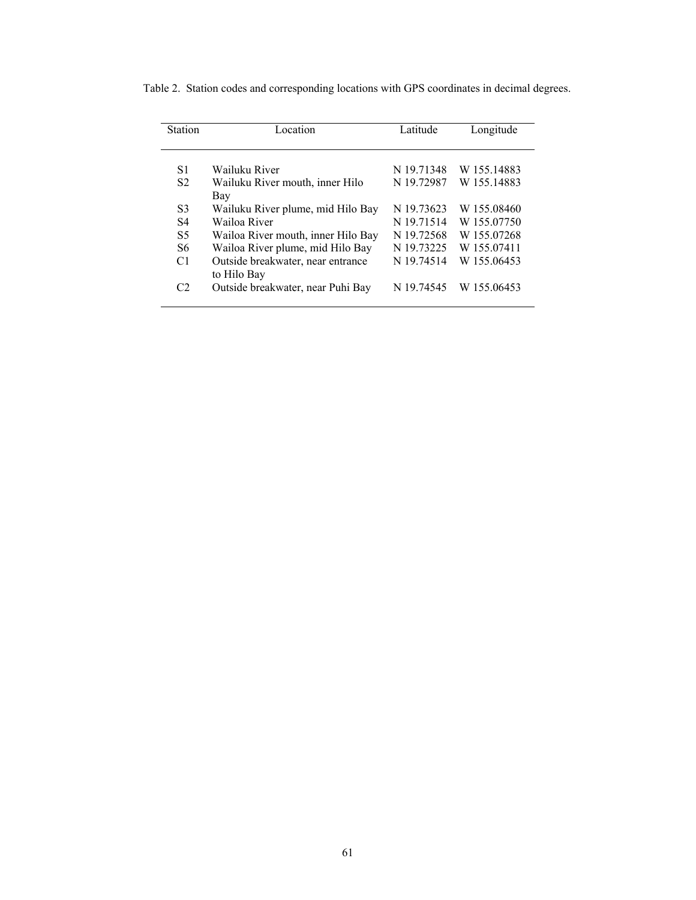| <b>Station</b> | Location                                         | Latitude   | Longitude   |
|----------------|--------------------------------------------------|------------|-------------|
|                |                                                  |            |             |
| S1             | Wailuku River                                    | N 19.71348 | W 155.14883 |
| S <sub>2</sub> | Wailuku River mouth, inner Hilo<br>Bay           | N 19.72987 | W 155.14883 |
| S <sub>3</sub> | Wailuku River plume, mid Hilo Bay                | N 19.73623 | W 155,08460 |
| S <sub>4</sub> | Wailoa River                                     | N 19.71514 | W 155.07750 |
| S <sub>5</sub> | Wailoa River mouth, inner Hilo Bay               | N 19.72568 | W 155.07268 |
| S <sub>6</sub> | Wailoa River plume, mid Hilo Bay                 | N 19.73225 | W 155,07411 |
| C1             | Outside breakwater, near entrance<br>to Hilo Bay | N 19.74514 | W 155,06453 |
| C <sub>2</sub> | Outside breakwater, near Puhi Bay                | N 19.74545 | W 155,06453 |

Table 2. Station codes and corresponding locations with GPS coordinates in decimal degrees.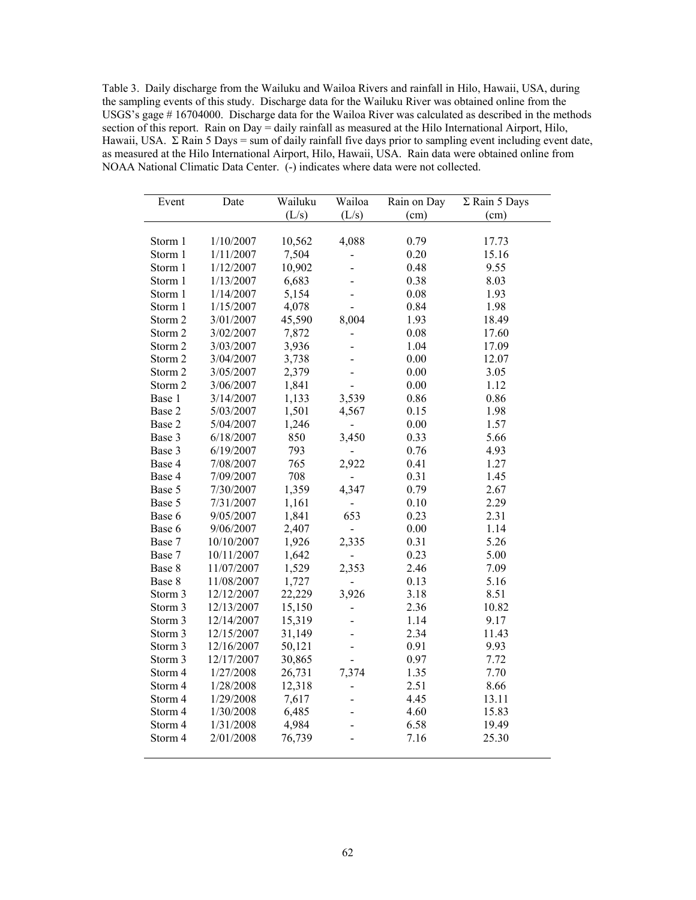Table 3. Daily discharge from the Wailuku and Wailoa Rivers and rainfall in Hilo, Hawaii, USA, during the sampling events of this study. Discharge data for the Wailuku River was obtained online from the USGS's gage # 16704000. Discharge data for the Wailoa River was calculated as described in the methods section of this report. Rain on Day = daily rainfall as measured at the Hilo International Airport, Hilo, Hawaii, USA.  $\Sigma$  Rain 5 Days = sum of daily rainfall five days prior to sampling event including event date, as measured at the Hilo International Airport, Hilo, Hawaii, USA. Rain data were obtained online from NOAA National Climatic Data Center. (-) indicates where data were not collected.

| Event   | Date       | Wailuku | Wailoa         | Rain on Day | $\Sigma$ Rain 5 Days |
|---------|------------|---------|----------------|-------------|----------------------|
|         |            | (L/s)   | (L/s)          | (cm)        | (cm)                 |
|         |            |         |                |             |                      |
| Storm 1 | 1/10/2007  | 10,562  | 4,088          | 0.79        | 17.73                |
| Storm 1 | 1/11/2007  | 7,504   |                | 0.20        | 15.16                |
| Storm 1 | 1/12/2007  | 10,902  |                | 0.48        | 9.55                 |
| Storm 1 | 1/13/2007  | 6,683   |                | 0.38        | 8.03                 |
| Storm 1 | 1/14/2007  | 5,154   |                | 0.08        | 1.93                 |
| Storm 1 | 1/15/2007  | 4,078   |                | 0.84        | 1.98                 |
| Storm 2 | 3/01/2007  | 45,590  | 8,004          | 1.93        | 18.49                |
| Storm 2 | 3/02/2007  | 7,872   |                | 0.08        | 17.60                |
| Storm 2 | 3/03/2007  | 3,936   |                | 1.04        | 17.09                |
| Storm 2 | 3/04/2007  | 3,738   |                | 0.00        | 12.07                |
| Storm 2 | 3/05/2007  | 2,379   |                | 0.00        | 3.05                 |
| Storm 2 | 3/06/2007  | 1,841   |                | 0.00        | 1.12                 |
| Base 1  | 3/14/2007  | 1,133   | 3,539          | 0.86        | 0.86                 |
| Base 2  | 5/03/2007  | 1,501   | 4,567          | 0.15        | 1.98                 |
| Base 2  | 5/04/2007  | 1,246   |                | 0.00        | 1.57                 |
| Base 3  | 6/18/2007  | 850     | 3,450          | 0.33        | 5.66                 |
| Base 3  | 6/19/2007  | 793     |                | 0.76        | 4.93                 |
| Base 4  | 7/08/2007  | 765     | 2,922          | 0.41        | 1.27                 |
| Base 4  | 7/09/2007  | 708     |                | 0.31        | 1.45                 |
| Base 5  | 7/30/2007  | 1,359   | 4,347          | 0.79        | 2.67                 |
| Base 5  | 7/31/2007  | 1,161   |                | 0.10        | 2.29                 |
| Base 6  | 9/05/2007  | 1,841   | 653            | 0.23        | 2.31                 |
| Base 6  | 9/06/2007  | 2,407   |                | 0.00        | 1.14                 |
| Base 7  | 10/10/2007 | 1,926   | 2,335          | 0.31        | 5.26                 |
| Base 7  | 10/11/2007 | 1,642   |                | 0.23        | 5.00                 |
| Base 8  | 11/07/2007 | 1,529   | 2,353          | 2.46        | 7.09                 |
| Base 8  | 11/08/2007 | 1,727   |                | 0.13        | 5.16                 |
| Storm 3 | 12/12/2007 | 22,229  | 3,926          | 3.18        | 8.51                 |
| Storm 3 | 12/13/2007 | 15,150  |                | 2.36        | 10.82                |
| Storm 3 | 12/14/2007 | 15,319  |                | 1.14        | 9.17                 |
| Storm 3 | 12/15/2007 | 31,149  |                | 2.34        | 11.43                |
| Storm 3 | 12/16/2007 | 50,121  |                | 0.91        | 9.93                 |
| Storm 3 | 12/17/2007 | 30,865  | $\overline{a}$ | 0.97        | 7.72                 |
| Storm 4 | 1/27/2008  | 26,731  | 7,374          | 1.35        | 7.70                 |
| Storm 4 | 1/28/2008  | 12,318  |                | 2.51        | 8.66                 |
| Storm 4 | 1/29/2008  | 7,617   |                | 4.45        | 13.11                |
| Storm 4 | 1/30/2008  | 6,485   |                | 4.60        | 15.83                |
| Storm 4 | 1/31/2008  | 4,984   |                | 6.58        | 19.49                |
| Storm 4 | 2/01/2008  | 76,739  |                | 7.16        | 25.30                |
|         |            |         |                |             |                      |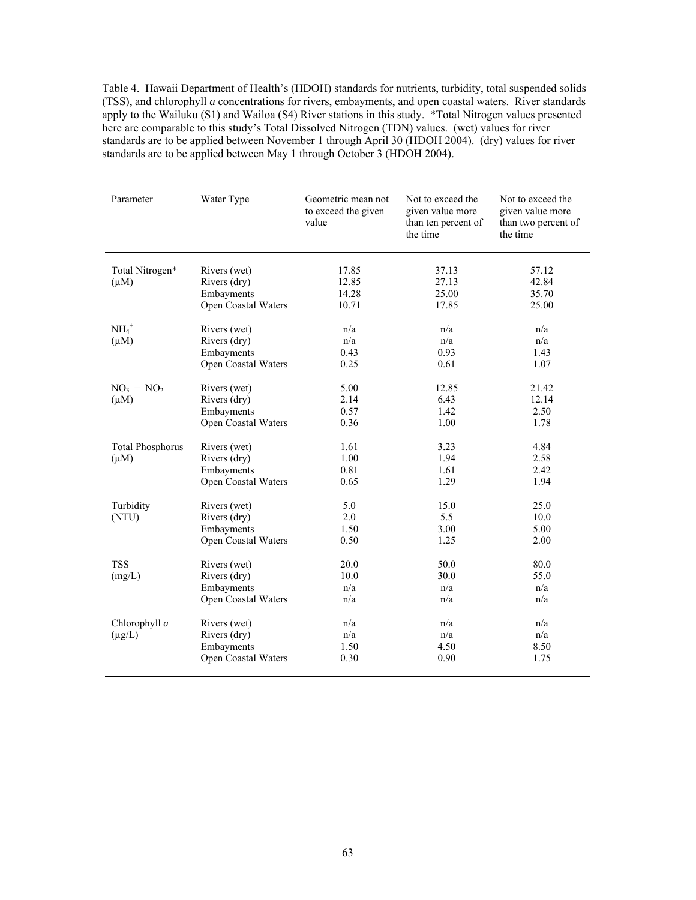Table 4. Hawaii Department of Health's (HDOH) standards for nutrients, turbidity, total suspended solids (TSS), and chlorophyll *a* concentrations for rivers, embayments, and open coastal waters. River standards apply to the Wailuku (S1) and Wailoa (S4) River stations in this study. \*Total Nitrogen values presented here are comparable to this study's Total Dissolved Nitrogen (TDN) values. (wet) values for river standards are to be applied between November 1 through April 30 (HDOH 2004). (dry) values for river standards are to be applied between May 1 through October 3 (HDOH 2004).

| Parameter                                            | Water Type                                                        | Geometric mean not<br>to exceed the given<br>value | Not to exceed the<br>given value more<br>than ten percent of<br>the time | Not to exceed the<br>given value more<br>than two percent of<br>the time |
|------------------------------------------------------|-------------------------------------------------------------------|----------------------------------------------------|--------------------------------------------------------------------------|--------------------------------------------------------------------------|
| Total Nitrogen*<br>$(\mu M)$                         | Rivers (wet)<br>Rivers (dry)<br>Embayments                        | 17.85<br>12.85<br>14.28                            | 37.13<br>27.13<br>25.00                                                  | 57.12<br>42.84<br>35.70                                                  |
|                                                      | Open Coastal Waters                                               | 10.71                                              | 17.85                                                                    | 25.00                                                                    |
| $NH4+$<br>$(\mu M)$                                  | Rivers (wet)<br>Rivers (dry)<br>Embayments<br>Open Coastal Waters | n/a<br>n/a<br>0.43<br>0.25                         | n/a<br>n/a<br>0.93<br>0.61                                               | n/a<br>n/a<br>1.43<br>1.07                                               |
| $NO_3$ <sup>+</sup> $NO_2$ <sup>-</sup><br>$(\mu M)$ | Rivers (wet)<br>Rivers (dry)<br>Embayments<br>Open Coastal Waters | 5.00<br>2.14<br>0.57<br>0.36                       | 12.85<br>6.43<br>1.42<br>1.00                                            | 21.42<br>12.14<br>2.50<br>1.78                                           |
| <b>Total Phosphorus</b><br>$(\mu M)$                 | Rivers (wet)<br>Rivers (dry)<br>Embayments<br>Open Coastal Waters | 1.61<br>1.00<br>0.81<br>0.65                       | 3.23<br>1.94<br>1.61<br>1.29                                             | 4.84<br>2.58<br>2.42<br>1.94                                             |
| Turbidity<br>(NTU)                                   | Rivers (wet)<br>Rivers (dry)<br>Embayments<br>Open Coastal Waters | 5.0<br>2.0<br>1.50<br>0.50                         | 15.0<br>5.5<br>3.00<br>1.25                                              | 25.0<br>10.0<br>5.00<br>2.00                                             |
| <b>TSS</b><br>(mg/L)                                 | Rivers (wet)<br>Rivers (dry)<br>Embayments<br>Open Coastal Waters | 20.0<br>10.0<br>n/a<br>n/a                         | 50.0<br>30.0<br>n/a<br>n/a                                               | 80.0<br>55.0<br>n/a<br>n/a                                               |
| Chlorophyll a<br>$(\mu g/L)$                         | Rivers (wet)<br>Rivers (dry)<br>Embayments<br>Open Coastal Waters | n/a<br>n/a<br>1.50<br>0.30                         | n/a<br>n/a<br>4.50<br>0.90                                               | n/a<br>n/a<br>8.50<br>1.75                                               |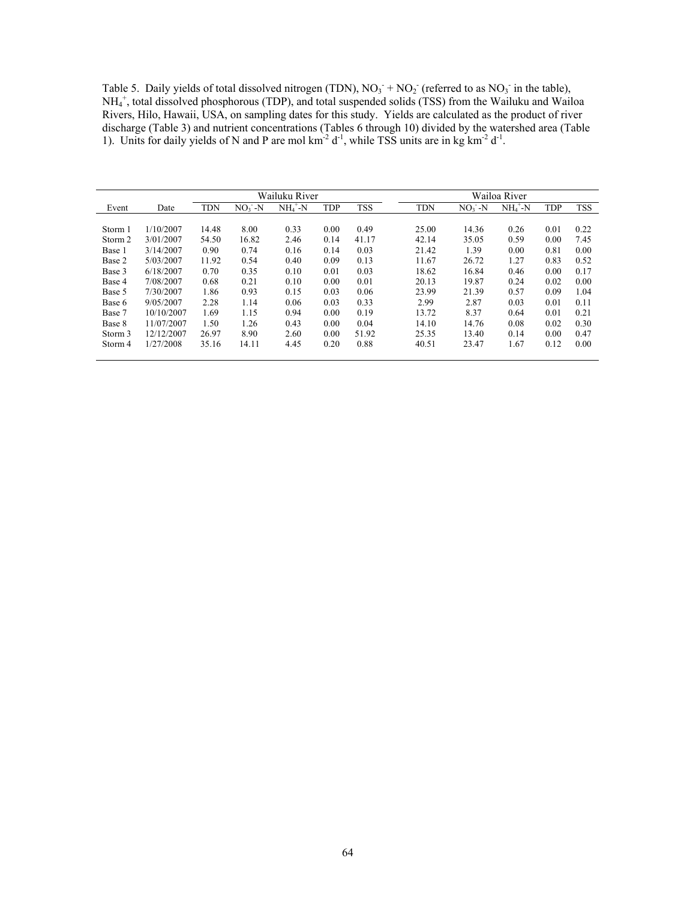Table 5. Daily yields of total dissolved nitrogen (TDN),  $NO_3^- + NO_2^-$  (referred to as  $NO_3^-$  in the table), NH4 + , total dissolved phosphorous (TDP), and total suspended solids (TSS) from the Wailuku and Wailoa Rivers, Hilo, Hawaii, USA, on sampling dates for this study. Yields are calculated as the product of river discharge (Table 3) and nutrient concentrations (Tables 6 through 10) divided by the watershed area (Table 1). Units for daily yields of N and P are mol  $km^{-2} d^{-1}$ , while TSS units are in kg  $km^{-2} d^{-1}$ .

|         |            |            |           | Wailuku River |            |            |            |           | Wailoa River |            |            |
|---------|------------|------------|-----------|---------------|------------|------------|------------|-----------|--------------|------------|------------|
| Event   | Date       | <b>TDN</b> | $NO3 - N$ | $NH4+-N$      | <b>TDP</b> | <b>TSS</b> | <b>TDN</b> | $NO3 - N$ | $NH4+-N$     | <b>TDP</b> | <b>TSS</b> |
|         |            |            |           |               |            |            |            |           |              |            |            |
| Storm 1 | 1/10/2007  | 14.48      | 8.00      | 0.33          | 0.00       | 0.49       | 25.00      | 14.36     | 0.26         | 0.01       | 0.22       |
| Storm 2 | 3/01/2007  | 54.50      | 16.82     | 2.46          | 0.14       | 41.17      | 42.14      | 35.05     | 0.59         | 0.00       | 7.45       |
| Base 1  | 3/14/2007  | 0.90       | 0.74      | 0.16          | 0.14       | 0.03       | 21.42      | 1.39      | 0.00         | 0.81       | 0.00       |
| Base 2  | 5/03/2007  | 11.92      | 0.54      | 0.40          | 0.09       | 0.13       | 11.67      | 26.72     | 1.27         | 0.83       | 0.52       |
| Base 3  | 6/18/2007  | 0.70       | 0.35      | 0.10          | 0.01       | 0.03       | 18.62      | 16.84     | 0.46         | 0.00       | 0.17       |
| Base 4  | 7/08/2007  | 0.68       | 0.21      | 0.10          | 0.00       | 0.01       | 20.13      | 19.87     | 0.24         | 0.02       | 0.00       |
| Base 5  | 7/30/2007  | 1.86       | 0.93      | 0.15          | 0.03       | 0.06       | 23.99      | 21.39     | 0.57         | 0.09       | 1.04       |
| Base 6  | 9/05/2007  | 2.28       | 1.14      | 0.06          | 0.03       | 0.33       | 2.99       | 2.87      | 0.03         | 0.01       | 0.11       |
| Base 7  | 10/10/2007 | 1.69       | 1.15      | 0.94          | 0.00       | 0.19       | 13.72      | 8.37      | 0.64         | 0.01       | 0.21       |
| Base 8  | 11/07/2007 | 1.50       | 1.26      | 0.43          | 0.00       | 0.04       | 14.10      | 14.76     | 0.08         | 0.02       | 0.30       |
| Storm 3 | 12/12/2007 | 26.97      | 8.90      | 2.60          | 0.00       | 51.92      | 25.35      | 13.40     | 0.14         | 0.00       | 0.47       |
| Storm 4 | 1/27/2008  | 35.16      | 14.11     | 4.45          | 0.20       | 0.88       | 40.51      | 23.47     | 1.67         | 0.12       | 0.00       |
|         |            |            |           |               |            |            |            |           |              |            |            |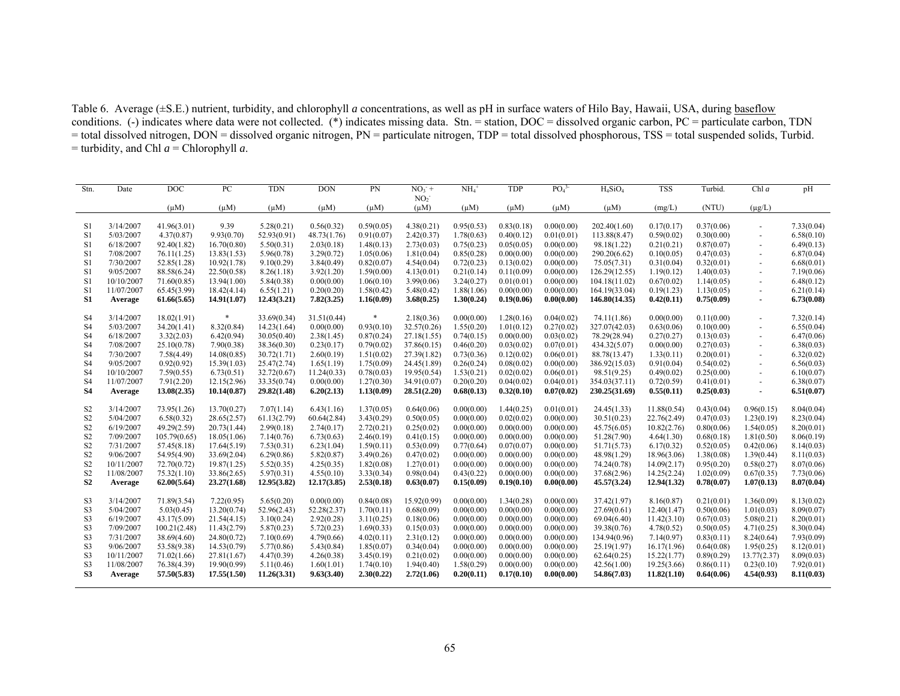Table 6. Average (±S.E.) nutrient, turbidity, and chlorophyll *a* concentrations, as well as pH in surface waters of Hilo Bay, Hawaii, USA, during baseflow conditions. (-) indicates where data were not collected. (\*) indicates missing data. Stn. = station, DOC = dissolved organic carbon, PC = particulate carbon, TDN = total dissolved nitrogen, DON = dissolved organic nitrogen, PN = particulate nitrogen, TDP = total dissolved phosphorous, TSS = total suspended solids, Turbid.  $=$  turbidity, and Chl  $a =$  Chlorophyll  $a$ .

| Stn.           | Date       | DOC          | PC          | <b>TDN</b>  | DON         | PN         | $NO_3$ <sup>+</sup>          | NH <sub>4</sub> | <b>TDP</b> | PO <sub>4</sub> <sup>3</sup> | $H_4SiO_4$    | <b>TSS</b>  | Turbid.    | Chl $a$              | pH         |
|----------------|------------|--------------|-------------|-------------|-------------|------------|------------------------------|-----------------|------------|------------------------------|---------------|-------------|------------|----------------------|------------|
|                |            | $(\mu M)$    | $(\mu M)$   | $(\mu M)$   | $(\mu M)$   | $(\mu M)$  | NO <sub>2</sub><br>$(\mu M)$ | $(\mu M)$       | $(\mu M)$  | $(\mu M)$                    | $(\mu M)$     | (mg/L)      | (NTU)      | $(\mu g/L)$          |            |
|                |            |              |             |             |             |            |                              |                 |            |                              |               |             |            |                      |            |
| S1             | 3/14/2007  | 41.96(3.01)  | 9.39        | 5.28(0.21)  | 0.56(0.32)  | 0.59(0.05) | 4.38(0.21)                   | 0.95(0.53)      | 0.83(0.18) | 0.00(0.00)                   | 202.40(1.60)  | 0.17(0.17)  | 0.37(0.06) |                      | 7.33(0.04) |
| S1             | 5/03/2007  | 4.37(0.87)   | 9.93(0.70)  | 52.93(0.91) | 48.73(1.76) | 0.91(0.07) | 2.42(0.37)                   | 1.78(0.63)      | 0.40(0.12) | 0.01(0.01)                   | 113.88(8.47)  | 0.59(0.02)  | 0.30(0.00) |                      | 6.58(0.10) |
| S1             | 6/18/2007  | 92.40(1.82)  | 16.70(0.80) | 5.50(0.31)  | 2.03(0.18)  | 1.48(0.13) | 2.73(0.03)                   | 0.75(0.23)      | 0.05(0.05) | 0.00(0.00)                   | 98.18(1.22)   | 0.21(0.21)  | 0.87(0.07) | ÷,                   | 6.49(0.13) |
| S1             | 7/08/2007  | 76.11(1.25)  | 13.83(1.53) | 5.96(0.78)  | 3.29(0.72)  | 1.05(0.06) | 1.81(0.04)                   | 0.85(0.28)      | 0.00(0.00) | 0.00(0.00)                   | 290.20(6.62)  | 0.10(0.05)  | 0.47(0.03) | $\ddot{\phantom{1}}$ | 6.87(0.04) |
| S1             | 7/30/2007  | 52.85(1.28)  | 10.92(1.78) | 9.10(0.29)  | 3.84(0.49)  | 0.82(0.07) | 4.54(0.04)                   | 0.72(0.23)      | 0.13(0.02) | 0.00(0.00)                   | 75.05(7.31)   | 0.31(0.04)  | 0.32(0.01) |                      | 6.68(0.01) |
| S <sub>1</sub> | 9/05/2007  | 88.58(6.24)  | 22.50(0.58) | 8.26(1.18)  | 3.92(1.20)  | 1.59(0.00) | 4.13(0.01)                   | 0.21(0.14)      | 0.11(0.09) | 0.00(0.00)                   | 126.29(12.55) | 1.19(0.12)  | 1.40(0.03) |                      | 7.19(0.06) |
| S1             | 10/10/2007 | 71.60(0.85)  | 13.94(1.00) | 5.84(0.38)  | 0.00(0.00)  | 1.06(0.10) | 3.99(0.06)                   | 3.24(0.27)      | 0.01(0.01) | 0.00(0.00)                   | 104.18(11.02) | 0.67(0.02)  | 1.14(0.05) | ٠                    | 6.48(0.12) |
| S1             | 11/07/2007 | 65.45(3.99)  | 18.42(4.14) | 6.55(1.21)  | 0.20(0.20)  | 1.58(0.42) | 5.48(0.42)                   | 1.88(1.06)      | 0.00(0.00) | 0.00(0.00)                   | 164.19(33.04) | 0.19(1.23)  | 1.13(0.05) |                      | 6.21(0.14) |
| S <sub>1</sub> | Average    | 61.66(5.65)  | 14.91(1.07) | 12.43(3.21) | 7.82(3.25)  | 1.16(0.09) | 3.68(0.25)                   | 1.30(0.24)      | 0.19(0.06) | 0.00(0.00)                   | 146.80(14.35) | 0.42(0.11)  | 0.75(0.09) |                      | 6.73(0.08) |
| S <sub>4</sub> | 3/14/2007  | 18.02(1.91)  |             | 33.69(0.34) | 31.51(0.44) |            | 2.18(0.36)                   | 0.00(0.00)      | 1.28(0.16) | 0.04(0.02)                   | 74.11(1.86)   | 0.00(0.00)  | 0.11(0.00) | $\overline{a}$       | 7.32(0.14) |
| S <sub>4</sub> | 5/03/2007  | 34.20(1.41)  | 8.32(0.84)  | 14.23(1.64) | 0.00(0.00)  | 0.93(0.10) | 32.57(0.26)                  | 1.55(0.20)      | 1.01(0.12) | 0.27(0.02)                   | 327.07(42.03) | 0.63(0.06)  | 0.10(0.00) |                      | 6.55(0.04) |
| S <sub>4</sub> | 6/18/2007  | 3.32(2.03)   | 6.42(0.94)  | 30.05(0.40) | 2.38(1.45)  | 0.87(0.24) | 27.18(1.55)                  | 0.74(0.15)      | 0.00(0.00) | 0.03(0.02)                   | 78.29(28.94)  | 0.27(0.27)  | 0.13(0.03) |                      | 6.47(0.06) |
| S <sub>4</sub> | 7/08/2007  | 25.10(0.78)  | 7.90(0.38)  | 38.36(0.30) | 0.23(0.17)  | 0.79(0.02) | 37.86(0.15)                  | 0.46(0.20)      | 0.03(0.02) | 0.07(0.01)                   | 434.32(5.07)  | 0.00(0.00)  | 0.27(0.03) | ٠                    | 6.38(0.03) |
| S <sub>4</sub> | 7/30/2007  | 7.58(4.49)   | 14.08(0.85) | 30.72(1.71) | 2.60(0.19)  | 1.51(0.02) | 27.39(1.82)                  | 0.73(0.36)      | 0.12(0.02) | 0.06(0.01)                   | 88.78(13.47)  | 1.33(0.11)  | 0.20(0.01) |                      | 6.32(0.02) |
| S <sub>4</sub> | 9/05/2007  | 0.92(0.92)   | 15.39(1.03) | 25.47(2.74) | 1.65(1.19)  | 1.75(0.09) | 24.45(1.89)                  | 0.26(0.24)      | 0.08(0.02) | 0.00(0.00)                   | 386.92(15.03) | 0.91(0.04)  | 0.54(0.02) | $\ddot{\phantom{1}}$ | 6.56(0.03) |
| S <sub>4</sub> | 10/10/2007 | 7.59(0.55)   | 6.73(0.51)  | 32.72(0.67) | 11.24(0.33) | 0.78(0.03) | 19.95(0.54)                  | 1.53(0.21)      | 0.02(0.02) | 0.06(0.01)                   | 98.51(9.25)   | 0.49(0.02)  | 0.25(0.00) | ٠                    | 6.10(0.07) |
| S <sub>4</sub> | 11/07/2007 | 7.91(2.20)   | 12.15(2.96) | 33.35(0.74) | 0.00(0.00)  | 1.27(0.30) | 34.91(0.07)                  | 0.20(0.20)      | 0.04(0.02) | 0.04(0.01)                   | 354.03(37.11) | 0.72(0.59)  | 0.41(0.01) |                      | 6.38(0.07) |
| <b>S4</b>      | Average    | 13.08(2.35)  | 10.14(0.87) | 29.82(1.48) | 6.20(2.13)  | 1.13(0.09) | 28.51(2.20)                  | 0.68(0.13)      | 0.32(0.10) | 0.07(0.02)                   | 230.25(31.69) | 0.55(0.11)  | 0.25(0.03) | ٠                    | 6.51(0.07) |
| S <sub>2</sub> | 3/14/2007  | 73.95(1.26)  | 13.70(0.27) | 7.07(1.14)  | 6.43(1.16)  | 1.37(0.05) | 0.64(0.06)                   | 0.00(0.00)      | 1.44(0.25) | 0.01(0.01)                   | 24.45(1.33)   | 11.88(0.54) | 0.43(0.04) | 0.96(0.15)           | 8.04(0.04) |
| S <sub>2</sub> | 5/04/2007  | 6.58(0.32)   | 28.65(2.57) | 61.13(2.79) | 60.64(2.84) | 3.43(0.29) | 0.50(0.05)                   | 0.00(0.00)      | 0.02(0.02) | 0.00(0.00)                   | 30.51(0.23)   | 22.76(2.49) | 0.47(0.03) | 1.23(0.19)           | 8.23(0.04) |
| S <sub>2</sub> | 6/19/2007  | 49.29(2.59)  | 20.73(1.44) | 2.99(0.18)  | 2.74(0.17)  | 2.72(0.21) | 0.25(0.02)                   | 0.00(0.00)      | 0.00(0.00) | 0.00(0.00)                   | 45.75(6.05)   | 10.82(2.76) | 0.80(0.06) | 1.54(0.05)           | 8.20(0.01) |
| S <sub>2</sub> | 7/09/2007  | 105.79(0.65) | 18.05(1.06) | 7.14(0.76)  | 6.73(0.63)  | 2.46(0.19) | 0.41(0.15)                   | 0.00(0.00)      | 0.00(0.00) | 0.00(0.00)                   | 51.28(7.90)   | 4.64(1.30)  | 0.68(0.18) | 1.81(0.50)           | 8.06(0.19) |
| S <sub>2</sub> | 7/31/2007  | 57.45(8.18)  | 17.64(5.19) | 7.53(0.31)  | 6.23(1.04)  | 1.59(0.11) | 0.53(0.09)                   | 0.77(0.64)      | 0.07(0.07) | 0.00(0.00)                   | 51.71(5.73)   | 6.17(0.32)  | 0.52(0.05) | 0.42(0.06)           | 8.14(0.03) |
| S <sub>2</sub> | 9/06/2007  | 54.95(4.90)  | 33.69(2.04) | 6.29(0.86)  | 5.82(0.87)  | 3.49(0.26) | 0.47(0.02)                   | 0.00(0.00)      | 0.00(0.00) | 0.00(0.00)                   | 48.98(1.29)   | 18.96(3.06) | 1.38(0.08) | 1.39(0.44)           | 8.11(0.03) |
| S <sub>2</sub> | 10/11/2007 | 72.70(0.72)  | 19.87(1.25) | 5.52(0.35)  | 4.25(0.35)  | 1.82(0.08) | 1.27(0.01)                   | 0.00(0.00)      | 0.00(0.00) | 0.00(0.00)                   | 74.24(0.78)   | 14.09(2.17) | 0.95(0.20) | 0.58(0.27)           | 8.07(0.06) |
| S <sub>2</sub> | 11/08/2007 | 75.32(1.10)  | 33.86(2.65) | 5.97(0.31)  | 4.55(0.10)  | 3.33(0.34) | 0.98(0.04)                   | 0.43(0.22)      | 0.00(0.00) | 0.00(0.00)                   | 37.68(2.96)   | 14.25(2.24) | 1.02(0.09) | 0.67(0.35)           | 7.73(0.06) |
| S <sub>2</sub> | Average    | 62.00(5.64)  | 23.27(1.68) | 12.95(3.82) | 12.17(3.85) | 2.53(0.18) | 0.63(0.07)                   | 0.15(0.09)      | 0.19(0.10) | 0.00(0.00)                   | 45.57(3.24)   | 12.94(1.32) | 0.78(0.07) | 1.07(0.13)           | 8.07(0.04) |
| S <sub>3</sub> | 3/14/2007  | 71.89(3.54)  | 7.22(0.95)  | 5.65(0.20)  | 0.00(0.00)  | 0.84(0.08) | 15.92(0.99)                  | 0.00(0.00)      | 1.34(0.28) | 0.00(0.00)                   | 37.42(1.97)   | 8.16(0.87)  | 0.21(0.01) | 1.36(0.09)           | 8.13(0.02) |
| S <sub>3</sub> | 5/04/2007  | 5.03(0.45)   | 13.20(0.74) | 52.96(2.43) | 52.28(2.37) | 1.70(0.11) | 0.68(0.09)                   | 0.00(0.00)      | 0.00(0.00) | 0.00(0.00)                   | 27.69(0.61)   | 12.40(1.47) | 0.50(0.06) | 1.01(0.03)           | 8.09(0.07) |
| S <sub>3</sub> | 6/19/2007  | 43.17(5.09)  | 21.54(4.15) | 3.10(0.24)  | 2.92(0.28)  | 3.11(0.25) | 0.18(0.06)                   | 0.00(0.00)      | 0.00(0.00) | 0.00(0.00)                   | 69.04(6.40)   | 11.42(3.10) | 0.67(0.03) | 5.08(0.21)           | 8.20(0.01) |
| S <sub>3</sub> | 7/09/2007  | 100.21(2.48) | 11.43(2.79) | 5.87(0.23)  | 5.72(0.23)  | 1.69(0.33) | 0.15(0.03)                   | 0.00(0.00)      | 0.00(0.00) | 0.00(0.00)                   | 39.38(0.76)   | 4.78(0.52)  | 0.50(0.05) | 4.71(0.25)           | 8.30(0.04) |
| S <sub>3</sub> | 7/31/2007  | 38.69(4.60)  | 24.80(0.72) | 7.10(0.69)  | 4.79(0.66)  | 4.02(0.11) | 2.31(0.12)                   | 0.00(0.00)      | 0.00(0.00) | 0.00(0.00)                   | 134.94(0.96)  | 7.14(0.97)  | 0.83(0.11) | 8.24(0.64)           | 7.93(0.09) |
| S <sub>3</sub> | 9/06/2007  | 53.58(9.38)  | 14.53(0.79) | 5.77(0.86)  | 5.43(0.84)  | 1.85(0.07) | 0.34(0.04)                   | 0.00(0.00)      | 0.00(0.00) | 0.00(0.00)                   | 25.19(1.97)   | 16.17(1.96) | 0.64(0.08) | 1.95(0.25)           | 8.12(0.01) |
| S <sub>3</sub> | 10/11/2007 | 71.02(1.66)  | 27.81(1.67) | 4.47(0.39)  | 4.26(0.38)  | 3.45(0.19) | 0.21(0.02)                   | 0.00(0.00)      | 0.00(0.00) | 0.00(0.00)                   | 62.64(0.25)   | 15.22(1.77) | 0.89(0.29) | 13.77(2.37)          | 8.09(0.03) |
| S <sub>3</sub> | 11/08/2007 | 76.38(4.39)  | 19.90(0.99) | 5.11(0.46)  | 1.60(1.01)  | 1.74(0.10) | 1.94(0.40)                   | 1.58(0.29)      | 0.00(0.00) | 0.00(0.00)                   | 42.56(1.00)   | 19.25(3.66) | 0.86(0.11) | 0.23(0.10)           | 7.92(0.01) |
| S <sub>3</sub> | Average    | 57.50(5.83)  | 17.55(1.50) | 11.26(3.31) | 9.63(3.40)  | 2.30(0.22) | 2,72(1.06)                   | 0.20(0.11)      | 0.17(0.10) | 0.00(0.00)                   | 54.86(7.03)   | 11.82(1.10) | 0.64(0.06) | 4.54(0.93)           | 8.11(0.03) |
|                |            |              |             |             |             |            |                              |                 |            |                              |               |             |            |                      |            |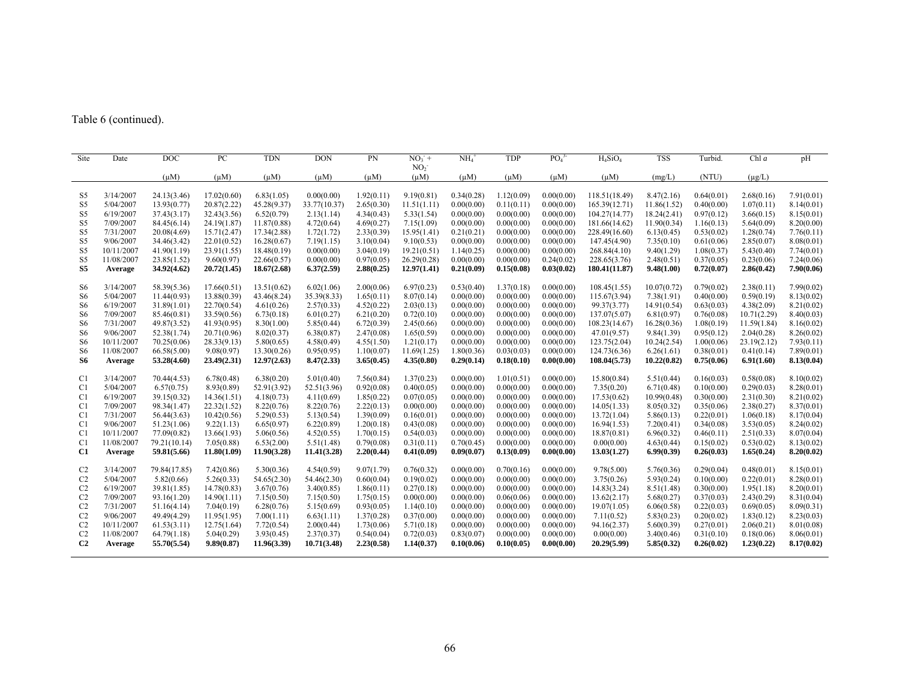# Table 6 (continued).

| Site           | Date                    | DOC          | PC          | <b>TDN</b>  | <b>DON</b>   | PN         | $NO_3$ <sup>+</sup>          | NH <sub>4</sub> | <b>TDP</b> | PO <sub>4</sub> <sup>3</sup> | $H_4SiO_4$    | <b>TSS</b>  | Turbid.    | Chl $a$     | pH         |
|----------------|-------------------------|--------------|-------------|-------------|--------------|------------|------------------------------|-----------------|------------|------------------------------|---------------|-------------|------------|-------------|------------|
|                |                         | $(\mu M)$    | $(\mu M)$   | $(\mu M)$   | $(\mu M)$    | $(\mu M)$  | NO <sub>2</sub><br>$(\mu M)$ | $(\mu M)$       | $(\mu M)$  | $(\mu M)$                    | $(\mu M)$     | (mg/L)      | (NTU)      | $(\mu g/L)$ |            |
|                |                         |              |             |             |              |            |                              |                 |            |                              |               |             |            |             |            |
| S5             | 3/14/2007               | 24.13(3.46)  | 17.02(0.60) | 6.83(1.05)  | 0.00(0.00)   | 1.92(0.11) | 9.19(0.81)                   | 0.34(0.28)      | 1.12(0.09) | 0.00(0.00)                   | 118.51(18.49) | 8.47(2.16)  | 0.64(0.01) | 2.68(0.16)  | 7.91(0.01) |
| S5             | 5/04/2007               | 13.93(0.77)  | 20.87(2.22) | 45.28(9.37) | 33.77(10.37) | 2.65(0.30) | 11.51(1.11)                  | 0.00(0.00)      | 0.11(0.11) | 0.00(0.00)                   | 165.39(12.71) | 11.86(1.52) | 0.40(0.00) | 1.07(0.11)  | 8.14(0.01) |
| S5             | 6/19/2007               | 37.43(3.17)  | 32.43(3.56) | 6.52(0.79)  | 2.13(1.14)   | 4.34(0.43) | 5.33(1.54)                   | 0.00(0.00)      | 0.00(0.00) | 0.00(0.00)                   | 104.27(14.77) | 18.24(2.41) | 0.97(0.12) | 3.66(0.15)  | 8.15(0.01) |
| S5             | 7/09/2007               | 84.45(6.14)  | 24.19(1.87) | 11.87(0.88) | 4.72(0.64)   | 4.69(0.27) | 7.15(1.09)                   | 0.00(0.00)      | 0.00(0.00) | 0.00(0.00)                   | 181.66(14.62) | 11.90(0.34) | 1.16(0.13) | 5.64(0.09)  | 8.20(0.00) |
| S5             | 7/31/2007               | 20.08(4.69)  | 15.71(2.47) | 17.34(2.88) | 1.72(1.72)   | 2.33(0.39) | 15.95(1.41)                  | 0.21(0.21)      | 0.00(0.00) | 0.00(0.00)                   | 228.49(16.60) | 6.13(0.45)  | 0.53(0.02) | 1.28(0.74)  | 7.76(0.11) |
| S5             | 9/06/2007<br>10/11/2007 | 34.46(3.42)  | 22.01(0.52) | 16.28(0.67) | 7.19(1.15)   | 3.10(0.04) | 9.10(0.53)                   | 0.00(0.00)      | 0.00(0.00) | 0.00(0.00)                   | 147.45(4.90)  | 7.35(0.10)  | 0.61(0.06) | 2.85(0.07)  | 8.08(0.01) |
| S5             |                         | 41.90(1.19)  | 23.91(1.55) | 18.48(0.19) | 0.00(0.00)   | 3.04(0.19) | 19.21(0.51)                  | 1.14(0.25)      | 0.00(0.00) | 0.00(0.00)                   | 268.84(4.10)  | 9.40(1.29)  | 1.08(0.37) | 5.43(0.40)  | 7.74(0.01) |
| S5             | 11/08/2007              | 23.85(1.52)  | 9.60(0.97)  | 22.66(0.57) | 0.00(0.00)   | 0.97(0.05) | 26.29(0.28)                  | 0.00(0.00)      | 0.00(0.00) | 0.24(0.02)                   | 228.65(3.76)  | 2.48(0.51)  | 0.37(0.05) | 0.23(0.06)  | 7.24(0.06) |
| S5             | Average                 | 34.92(4.62)  | 20.72(1.45) | 18.67(2.68) | 6.37(2.59)   | 2.88(0.25) | 12.97(1.41)                  | 0.21(0.09)      | 0.15(0.08) | 0.03(0.02)                   | 180.41(11.87) | 9.48(1.00)  | 0.72(0.07) | 2.86(0.42)  | 7.90(0.06) |
| S <sub>6</sub> | 3/14/2007               | 58.39(5.36)  | 17.66(0.51) | 13.51(0.62) | 6.02(1.06)   | 2.00(0.06) | 6.97(0.23)                   | 0.53(0.40)      | 1.37(0.18) | 0.00(0.00)                   | 108.45(1.55)  | 10.07(0.72) | 0.79(0.02) | 2.38(0.11)  | 7.99(0.02) |
| S <sub>6</sub> | 5/04/2007               | 11.44(0.93)  | 13.88(0.39) | 43.46(8.24) | 35.39(8.33)  | 1.65(0.11) | 8.07(0.14)                   | 0.00(0.00)      | 0.00(0.00) | 0.00(0.00)                   | 115.67(3.94)  | 7.38(1.91)  | 0.40(0.00) | 0.59(0.19)  | 8.13(0.02) |
| S <sub>6</sub> | 6/19/2007               | 31.89(1.01)  | 22.70(0.54) | 4.61(0.26)  | 2.57(0.33)   | 4.52(0.22) | 2.03(0.13)                   | 0.00(0.00)      | 0.00(0.00) | 0.00(0.00)                   | 99.37(3.77)   | 14.91(0.54) | 0.63(0.03) | 4.38(2.09)  | 8.21(0.02) |
| S <sub>6</sub> | 7/09/2007               | 85.46(0.81)  | 33.59(0.56) | 6.73(0.18)  | 6.01(0.27)   | 6.21(0.20) | 0.72(0.10)                   | 0.00(0.00)      | 0.00(0.00) | 0.00(0.00)                   | 137.07(5.07)  | 6.81(0.97)  | 0.76(0.08) | 10.71(2.29) | 8.40(0.03) |
| S <sub>6</sub> | 7/31/2007               | 49.87(3.52)  | 41.93(0.95) | 8.30(1.00)  | 5.85(0.44)   | 6.72(0.39) | 2.45(0.66)                   | 0.00(0.00)      | 0.00(0.00) | 0.00(0.00)                   | 108.23(14.67) | 16.28(0.36) | 1.08(0.19) | 11.59(1.84) | 8.16(0.02) |
| S <sub>6</sub> | 9/06/2007               | 52.38(1.74)  | 20.71(0.96) | 8.02(0.37)  | 6.38(0.87)   | 2.47(0.08) | 1.65(0.59)                   | 0.00(0.00)      | 0.00(0.00) | 0.00(0.00)                   | 47.01(9.57)   | 9.84(1.39)  | 0.95(0.12) | 2.04(0.28)  | 8.26(0.02) |
| S <sub>6</sub> | 10/11/2007              | 70.25(0.06)  | 28.33(9.13) | 5.80(0.65)  | 4.58(0.49)   | 4.55(1.50) | 1.21(0.17)                   | 0.00(0.00)      | 0.00(0.00) | 0.00(0.00)                   | 123.75(2.04)  | 10.24(2.54) | 1.00(0.06) | 23.19(2.12) | 7.93(0.11) |
| S <sub>6</sub> | 11/08/2007              | 66.58(5.00)  | 9.08(0.97)  | 13.30(0.26) | 0.95(0.95)   | 1.10(0.07) | 11.69(1.25)                  | 1.80(0.36)      | 0.03(0.03) | 0.00(0.00)                   | 124.73(6.36)  | 6.26(1.61)  | 0.38(0.01) | 0.41(0.14)  | 7.89(0.01) |
| S6             | Average                 | 53.28(4.60)  | 23.49(2.31) | 12.97(2.63) | 8.47(2.33)   | 3.65(0.45) | 4.35(0.80)                   | 0.29(0.14)      | 0.18(0.10) | 0.00(0.00)                   | 108.04(5.73)  | 10.22(0.82) | 0.75(0.06) | 6.91(1.60)  | 8.13(0.04) |
| C <sub>1</sub> | 3/14/2007               | 70.44(4.53)  | 6.78(0.48)  | 6.38(0.20)  | 5.01(0.40)   | 7.56(0.84) | 1.37(0.23)                   | 0.00(0.00)      | 1.01(0.51) | 0.00(0.00)                   | 15.80(0.84)   | 5.51(0.44)  | 0.16(0.03) | 0.58(0.08)  | 8.10(0.02) |
| C <sub>1</sub> | 5/04/2007               | 6.57(0.75)   | 8.93(0.89)  | 52.91(3.92) | 52.51(3.96)  | 0.92(0.08) | 0.40(0.05)                   | 0.00(0.00)      | 0.00(0.00) | 0.00(0.00)                   | 7.35(0.20)    | 6.71(0.48)  | 0.10(0.00) | 0.29(0.03)  | 8.28(0.01) |
| C <sub>1</sub> | 6/19/2007               | 39.15(0.32)  | 14.36(1.51) | 4.18(0.73)  | 4.11(0.69)   | 1.85(0.22) | 0.07(0.05)                   | 0.00(0.00)      | 0.00(0.00) | 0.00(0.00)                   | 17.53(0.62)   | 10.99(0.48) | 0.30(0.00) | 2.31(0.30)  | 8.21(0.02) |
| C <sub>1</sub> | 7/09/2007               | 98.34(1.47)  | 22.32(1.52) | 8.22(0.76)  | 8.22(0.76)   | 2.22(0.13) | 0.00(0.00)                   | 0.00(0.00)      | 0.00(0.00) | 0.00(0.00)                   | 14.05(1.33)   | 8.05(0.32)  | 0.35(0.06) | 2.38(0.27)  | 8.37(0.01) |
| C <sub>1</sub> | 7/31/2007               | 56.44(3.63)  | 10.42(0.56) | 5.29(0.53)  | 5.13(0.54)   | 1.39(0.09) | 0.16(0.01)                   | 0.00(0.00)      | 0.00(0.00) | 0.00(0.00)                   | 13.72(1.04)   | 5.86(0.13)  | 0.22(0.01) | 1.06(0.18)  | 8.17(0.04) |
| C <sub>1</sub> | 9/06/2007               | 51.23(1.06)  | 9.22(1.13)  | 6.65(0.97)  | 6.22(0.89)   | 1.20(0.18) | 0.43(0.08)                   | 0.00(0.00)      | 0.00(0.00) | 0.00(0.00)                   | 16.94(1.53)   | 7.20(0.41)  | 0.34(0.08) | 3.53(0.05)  | 8.24(0.02) |
| C <sub>1</sub> | 10/11/2007              | 77.09(0.82)  | 13.66(1.93) | 5.06(0.56)  | 4.52(0.55)   | 1.70(0.15) | 0.54(0.03)                   | 0.00(0.00)      | 0.00(0.00) | 0.00(0.00)                   | 18.87(0.81)   | 6.96(0.32)  | 0.46(0.11) | 2.51(0.33)  | 8.07(0.04) |
| C <sub>1</sub> | 11/08/2007              | 79.21(10.14) | 7.05(0.88)  | 6.53(2.00)  | 5.51(1.48)   | 0.79(0.08) | 0.31(0.11)                   | 0.70(0.45)      | 0.00(0.00) | 0.00(0.00)                   | 0.00(0.00)    | 4.63(0.44)  | 0.15(0.02) | 0.53(0.02)  | 8.13(0.02) |
| C1             | Average                 | 59.81(5.66)  | 11.80(1.09) | 11.90(3.28) | 11.41(3.28)  | 2,20(0.44) | 0.41(0.09)                   | 0.09(0.07)      | 0.13(0.09) | 0.00(0.00)                   | 13.03(1.27)   | 6.99(0.39)  | 0.26(0.03) | 1.65(0.24)  | 8.20(0.02) |
| C <sub>2</sub> | 3/14/2007               | 79.84(17.85) | 7.42(0.86)  | 5.30(0.36)  | 4.54(0.59)   | 9.07(1.79) | 0.76(0.32)                   | 0.00(0.00)      | 0.70(0.16) | 0.00(0.00)                   | 9.78(5.00)    | 5.76(0.36)  | 0.29(0.04) | 0.48(0.01)  | 8.15(0.01) |
| C2             | 5/04/2007               | 5.82(0.66)   | 5.26(0.33)  | 54.65(2.30) | 54.46(2.30)  | 0.60(0.04) | 0.19(0.02)                   | 0.00(0.00)      | 0.00(0.00) | 0.00(0.00)                   | 3.75(0.26)    | 5.93(0.24)  | 0.10(0.00) | 0.22(0.01)  | 8.28(0.01) |
| C <sub>2</sub> | 6/19/2007               | 39.81(1.85)  | 14.78(0.83) | 3.67(0.76)  | 3.40(0.85)   | 1.86(0.11) | 0.27(0.18)                   | 0.00(0.00)      | 0.00(0.00) | 0.00(0.00)                   | 14.83(3.24)   | 8.51(1.48)  | 0.30(0.00) | 1.95(1.18)  | 8.20(0.01) |
| C <sub>2</sub> | 7/09/2007               | 93.16(1.20)  | 14.90(1.11) | 7.15(0.50)  | 7.15(0.50)   | 1.75(0.15) | 0.00(0.00)                   | 0.00(0.00)      | 0.06(0.06) | 0.00(0.00)                   | 13.62(2.17)   | 5.68(0.27)  | 0.37(0.03) | 2.43(0.29)  | 8.31(0.04) |
| C <sub>2</sub> | 7/31/2007               | 51.16(4.14)  | 7.04(0.19)  | 6.28(0.76)  | 5.15(0.69)   | 0.93(0.05) | 1.14(0.10)                   | 0.00(0.00)      | 0.00(0.00) | 0.00(0.00)                   | 19.07(1.05)   | 6.06(0.58)  | 0.22(0.03) | 0.69(0.05)  | 8.09(0.31) |
| C <sub>2</sub> | 9/06/2007               | 49.49(4.29)  | 11.95(1.95) | 7.00(1.11)  | 6.63(1.11)   | 1.37(0.28) | 0.37(0.00)                   | 0.00(0.00)      | 0.00(0.00) | 0.00(0.00)                   | 7.11(0.52)    | 5.83(0.23)  | 0.20(0.02) | 1.83(0.12)  | 8.23(0.03) |
| C <sub>2</sub> | 10/11/2007              | 61.53(3.11)  | 12.75(1.64) | 7.72(0.54)  | 2.00(0.44)   | 1.73(0.06) | 5.71(0.18)                   | 0.00(0.00)      | 0.00(0.00) | 0.00(0.00)                   | 94.16(2.37)   | 5.60(0.39)  | 0.27(0.01) | 2.06(0.21)  | 8.01(0.08) |
| C <sub>2</sub> | 11/08/2007              | 64.79(1.18)  | 5.04(0.29)  | 3.93(0.45)  | 2.37(0.37)   | 0.54(0.04) | 0.72(0.03)                   | 0.83(0.07)      | 0.00(0.00) | 0.00(0.00)                   | 0.00(0.00)    | 3.40(0.46)  | 0.31(0.10) | 0.18(0.06)  | 8.06(0.01) |
| C <sub>2</sub> | Average                 | 55.70(5.54)  | 9.89(0.87)  | 11.96(3.39) | 10.71(3.48)  | 2,23(0.58) | 1.14(0.37)                   | 0.10(0.06)      | 0.10(0.05) | 0.00(0.00)                   | 20.29(5.99)   | 5.85(0.32)  | 0.26(0.02) | 1,23(0,22)  | 8.17(0.02) |
|                |                         |              |             |             |              |            |                              |                 |            |                              |               |             |            |             |            |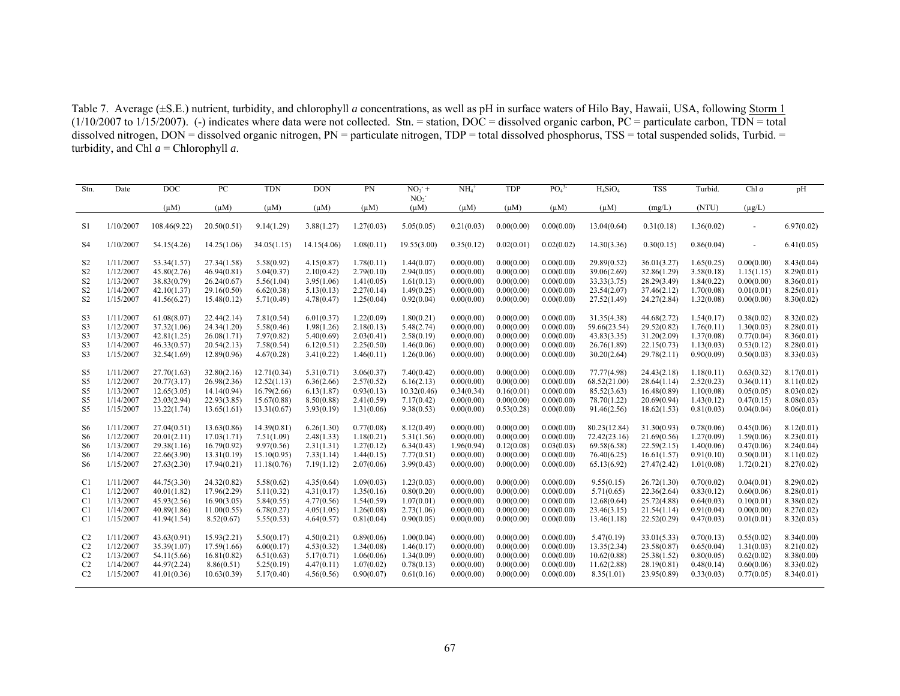Table 7. Average (±S.E.) nutrient, turbidity, and chlorophyll *a* concentrations, as well as pH in surface waters of Hilo Bay, Hawaii, USA, following Storm 1  $(1/10/2007$  to  $1/15/2007)$ . (-) indicates where data were not collected. Stn. = station, DOC = dissolved organic carbon, PC = particulate carbon, TDN = total dissolved nitrogen,  $DOM =$  dissolved organic nitrogen,  $PN =$  particulate nitrogen,  $TDP =$  total dissolved phosphorus,  $TSS =$  total suspended solids, Turbid. = turbidity, and Chl  $a$  = Chlorophyll  $a$ .

| Stn.           | Date      | DOC          | PC          | <b>TDN</b>  | <b>DON</b>  | PN         | $NO3$ +                      | NH <sub>4</sub> | TDP        | PO <sub>4</sub> <sup>3</sup> | $H_4SiO_4$   | <b>TSS</b>  | Turbid.    | Chl $a$                  | pH         |
|----------------|-----------|--------------|-------------|-------------|-------------|------------|------------------------------|-----------------|------------|------------------------------|--------------|-------------|------------|--------------------------|------------|
|                |           | $(\mu M)$    | $(\mu M)$   | $(\mu M)$   | $(\mu M)$   | $(\mu M)$  | NO <sub>2</sub><br>$(\mu M)$ | $(\mu M)$       | $(\mu M)$  | $(\mu M)$                    | $(\mu M)$    | (mg/L)      | (NTU)      | $(\mu g/L)$              |            |
| S1             | 1/10/2007 | 108.46(9.22) | 20.50(0.51) | 9.14(1.29)  | 3.88(1.27)  | 1.27(0.03) | 5.05(0.05)                   | 0.21(0.03)      | 0.00(0.00) | 0.00(0.00)                   | 13.04(0.64)  | 0.31(0.18)  | 1.36(0.02) | $\overline{\phantom{a}}$ | 6.97(0.02) |
| <b>S4</b>      | 1/10/2007 | 54.15(4.26)  | 14.25(1.06) | 34.05(1.15) | 14.15(4.06) | 1.08(0.11) | 19.55(3.00)                  | 0.35(0.12)      | 0.02(0.01) | 0.02(0.02)                   | 14.30(3.36)  | 0.30(0.15)  | 0.86(0.04) |                          | 6.41(0.05) |
| S <sub>2</sub> | 1/11/2007 | 53.34(1.57)  | 27.34(1.58) | 5.58(0.92)  | 4.15(0.87)  | 1.78(0.11) | 1.44(0.07)                   | 0.00(0.00)      | 0.00(0.00) | 0.00(0.00)                   | 29.89(0.52)  | 36.01(3.27) | 1.65(0.25) | 0.00(0.00)               | 8.43(0.04) |
| S <sub>2</sub> | 1/12/2007 | 45.80(2.76)  | 46.94(0.81) | 5.04(0.37)  | 2.10(0.42)  | 2.79(0.10) | 2.94(0.05)                   | 0.00(0.00)      | 0.00(0.00) | 0.00(0.00)                   | 39.06(2.69)  | 32.86(1.29) | 3.58(0.18) | 1.15(1.15)               | 8.29(0.01) |
| S <sub>2</sub> | 1/13/2007 | 38.83(0.79)  | 26.24(0.67) | 5.56(1.04)  | 3.95(1.06)  | 1.41(0.05) | 1.61(0.13)                   | 0.00(0.00)      | 0.00(0.00) | 0.00(0.00)                   | 33.33(3.75)  | 28.29(3.49) | 1.84(0.22) | 0.00(0.00)               | 8.36(0.01) |
| S <sub>2</sub> | 1/14/2007 | 42.10(1.37)  | 29.16(0.50) | 6.62(0.38)  | 5.13(0.13)  | 2.27(0.14) | 1.49(0.25)                   | 0.00(0.00)      | 0.00(0.00) | 0.00(0.00)                   | 23.54(2.07)  | 37.46(2.12) | 1.70(0.08) | 0.01(0.01)               | 8.25(0.01) |
| S <sub>2</sub> | 1/15/2007 | 41.56(6.27)  | 15.48(0.12) | 5.71(0.49)  | 4.78(0.47)  | 1.25(0.04) | 0.92(0.04)                   | 0.00(0.00)      | 0.00(0.00) | 0.00(0.00)                   | 27.52(1.49)  | 24.27(2.84) | 1.32(0.08) | 0.00(0.00)               | 8.30(0.02) |
| S <sub>3</sub> | 1/11/2007 | 61.08(8.07)  | 22.44(2.14) | 7.81(0.54)  | 6.01(0.37)  | 1.22(0.09) | 1.80(0.21)                   | 0.00(0.00)      | 0.00(0.00) | 0.00(0.00)                   | 31.35(4.38)  | 44.68(2.72) | 1.54(0.17) | 0.38(0.02)               | 8.32(0.02) |
| S <sub>3</sub> | 1/12/2007 | 37.32(1.06)  | 24.34(1.20) | 5.58(0.46)  | 1.98(1.26)  | 2.18(0.13) | 5.48(2.74)                   | 0.00(0.00)      | 0.00(0.00) | 0.00(0.00)                   | 59.66(23.54) | 29.52(0.82) | 1.76(0.11) | 1.30(0.03)               | 8.28(0.01) |
| S <sub>3</sub> | 1/13/2007 | 42.81(1.25)  | 26.08(1.71) | 7.97(0.82)  | 5.40(0.69)  | 2.03(0.41) | 2.58(0.19)                   | 0.00(0.00)      | 0.00(0.00) | 0.00(0.00)                   | 43.83(3.35)  | 31.20(2.09) | 1.37(0.08) | 0.77(0.04)               | 8.36(0.01) |
| S <sub>3</sub> | 1/14/2007 | 46.33(0.57)  | 20.54(2.13) | 7.58(0.54)  | 6.12(0.51)  | 2.25(0.50) | 1.46(0.06)                   | 0.00(0.00)      | 0.00(0.00) | 0.00(0.00)                   | 26.76(1.89)  | 22.15(0.73) | 1.13(0.03) | 0.53(0.12)               | 8.28(0.01) |
| S <sub>3</sub> | 1/15/2007 | 32.54(1.69)  | 12.89(0.96) | 4.67(0.28)  | 3.41(0.22)  | 1.46(0.11) | 1.26(0.06)                   | 0.00(0.00)      | 0.00(0.00) | 0.00(0.00)                   | 30.20(2.64)  | 29.78(2.11) | 0.90(0.09) | 0.50(0.03)               | 8.33(0.03) |
| S <sub>5</sub> | 1/11/2007 | 27.70(1.63)  | 32.80(2.16) | 12.71(0.34) | 5.31(0.71)  | 3.06(0.37) | 7.40(0.42)                   | 0.00(0.00)      | 0.00(0.00) | 0.00(0.00)                   | 77.77(4.98)  | 24.43(2.18) | 1.18(0.11) | 0.63(0.32)               | 8.17(0.01) |
| S <sub>5</sub> | 1/12/2007 | 20.77(3.17)  | 26.98(2.36) | 12.52(1.13) | 6.36(2.66)  | 2.57(0.52) | 6.16(2.13)                   | 0.00(0.00)      | 0.00(0.00) | 0.00(0.00)                   | 68.52(21.00) | 28.64(1.14) | 2.52(0.23) | 0.36(0.11)               | 8.11(0.02) |
| S5             | 1/13/2007 | 12.65(3.05)  | 14.14(0.94) | 16.79(2.66) | 6.13(1.87)  | 0.93(0.13) | 10.32(0.46)                  | 0.34(0.34)      | 0.16(0.01) | 0.00(0.00)                   | 85.52(3.63)  | 16.48(0.89) | 1.10(0.08) | 0.05(0.05)               | 8.03(0.02) |
| S <sub>5</sub> | 1/14/2007 | 23.03(2.94)  | 22.93(3.85) | 15.67(0.88) | 8.50(0.88)  | 2.41(0.59) | 7.17(0.42)                   | 0.00(0.00)      | 0.00(0.00) | 0.00(0.00)                   | 78.70(1.22)  | 20.69(0.94) | 1.43(0.12) | 0.47(0.15)               | 8.08(0.03) |
| S <sub>5</sub> | 1/15/2007 | 13.22(1.74)  | 13.65(1.61) | 13.31(0.67) | 3.93(0.19)  | 1.31(0.06) | 9.38(0.53)                   | 0.00(0.00)      | 0.53(0.28) | 0.00(0.00)                   | 91.46(2.56)  | 18.62(1.53) | 0.81(0.03) | 0.04(0.04)               | 8.06(0.01) |
| S <sub>6</sub> | 1/11/2007 | 27.04(0.51)  | 13.63(0.86) | 14.39(0.81) | 6.26(1.30)  | 0.77(0.08) | 8.12(0.49)                   | 0.00(0.00)      | 0.00(0.00) | 0.00(0.00)                   | 80.23(12.84) | 31.30(0.93) | 0.78(0.06) | 0.45(0.06)               | 8.12(0.01) |
| S <sub>6</sub> | 1/12/2007 | 20.01(2.11)  | 17.03(1.71) | 7.51(1.09)  | 2.48(1.33)  | 1.18(0.21) | 5.31(1.56)                   | 0.00(0.00)      | 0.00(0.00) | 0.00(0.00)                   | 72.42(23.16) | 21.69(0.56) | 1.27(0.09) | 1.59(0.06)               | 8.23(0.01) |
| S <sub>6</sub> | 1/13/2007 | 29.38(1.16)  | 16.79(0.92) | 9.97(0.56)  | 2.31(1.31)  | 1.27(0.12) | 6.34(0.43)                   | 1.96(0.94)      | 0.12(0.08) | 0.03(0.03)                   | 69.58(6.58)  | 22.59(2.15) | 1.40(0.06) | 0.47(0.06)               | 8.24(0.04) |
| S <sub>6</sub> | 1/14/2007 | 22.66(3.90)  | 13.31(0.19) | 15.10(0.95) | 7.33(1.14)  | 1.44(0.15) | 7.77(0.51)                   | 0.00(0.00)      | 0.00(0.00) | 0.00(0.00)                   | 76.40(6.25)  | 16.61(1.57) | 0.91(0.10) | 0.50(0.01)               | 8.11(0.02) |
| S <sub>6</sub> | 1/15/2007 | 27.63(2.30)  | 17.94(0.21) | 11.18(0.76) | 7.19(1.12)  | 2.07(0.06) | 3.99(0.43)                   | 0.00(0.00)      | 0.00(0.00) | 0.00(0.00)                   | 65.13(6.92)  | 27.47(2.42) | 1.01(0.08) | 1.72(0.21)               | 8.27(0.02) |
| C <sub>1</sub> | 1/11/2007 | 44.75(3.30)  | 24.32(0.82) | 5.58(0.62)  | 4.35(0.64)  | 1.09(0.03) | 1.23(0.03)                   | 0.00(0.00)      | 0.00(0.00) | 0.00(0.00)                   | 9.55(0.15)   | 26.72(1.30) | 0.70(0.02) | 0.04(0.01)               | 8.29(0.02) |
| C <sub>1</sub> | 1/12/2007 | 40.01(1.82)  | 17.96(2.29) | 5.11(0.32)  | 4.31(0.17)  | 1.35(0.16) | 0.80(0.20)                   | 0.00(0.00)      | 0.00(0.00) | 0.00(0.00)                   | 5.71(0.65)   | 22.36(2.64) | 0.83(0.12) | 0.60(0.06)               | 8.28(0.01) |
| C1             | 1/13/2007 | 45.93(2.56)  | 16.90(3.05) | 5.84(0.55)  | 4.77(0.56)  | 1.54(0.59) | 1.07(0.01)                   | 0.00(0.00)      | 0.00(0.00) | 0.00(0.00)                   | 12.68(0.64)  | 25.72(4.88) | 0.64(0.03) | 0.10(0.01)               | 8.38(0.02) |
| C <sub>1</sub> | 1/14/2007 | 40.89(1.86)  | 11.00(0.55) | 6.78(0.27)  | 4.05(1.05)  | 1.26(0.08) | 2.73(1.06)                   | 0.00(0.00)      | 0.00(0.00) | 0.00(0.00)                   | 23.46(3.15)  | 21.54(1.14) | 0.91(0.04) | 0.00(0.00)               | 8.27(0.02) |
| C <sub>1</sub> | 1/15/2007 | 41.94(1.54)  | 8.52(0.67)  | 5.55(0.53)  | 4.64(0.57)  | 0.81(0.04) | 0.90(0.05)                   | 0.00(0.00)      | 0.00(0.00) | 0.00(0.00)                   | 13.46(1.18)  | 22.52(0.29) | 0.47(0.03) | 0.01(0.01)               | 8.32(0.03) |
| C <sub>2</sub> | 1/11/2007 | 43.63(0.91)  | 15.93(2.21) | 5.50(0.17)  | 4.50(0.21)  | 0.89(0.06) | 1.00(0.04)                   | 0.00(0.00)      | 0.00(0.00) | 0.00(0.00)                   | 5.47(0.19)   | 33.01(5.33) | 0.70(0.13) | 0.55(0.02)               | 8.34(0.00) |
| C <sub>2</sub> | 1/12/2007 | 35.39(1.07)  | 17.59(1.66) | 6.00(0.17)  | 4.53(0.32)  | 1.34(0.08) | 1.46(0.17)                   | 0.00(0.00)      | 0.00(0.00) | 0.00(0.00)                   | 13.35(2.34)  | 23.58(0.87) | 0.65(0.04) | 1.31(0.03)               | 8.21(0.02) |
| C <sub>2</sub> | 1/13/2007 | 54.11(5.66)  | 16.81(0.82) | 6.51(0.63)  | 5.17(0.71)  | 1.06(0.06) | 1.34(0.09)                   | 0.00(0.00)      | 0.00(0.00) | 0.00(0.00)                   | 10.62(0.88)  | 25.38(1.52) | 0.80(0.05) | 0.62(0.02)               | 8.38(0.00) |
| C <sub>2</sub> | 1/14/2007 | 44.97(2.24)  | 8.86(0.51)  | 5.25(0.19)  | 4.47(0.11)  | 1.07(0.02) | 0.78(0.13)                   | 0.00(0.00)      | 0.00(0.00) | 0.00(0.00)                   | 11.62(2.88)  | 28.19(0.81) | 0.48(0.14) | 0.60(0.06)               | 8.33(0.02) |
| C <sub>2</sub> | 1/15/2007 | 41.01(0.36)  | 10.63(0.39) | 5.17(0.40)  | 4.56(0.56)  | 0.90(0.07) | 0.61(0.16)                   | 0.00(0.00)      | 0.00(0.00) | 0.00(0.00)                   | 8.35(1.01)   | 23.95(0.89) | 0.33(0.03) | 0.77(0.05)               | 8.34(0.01) |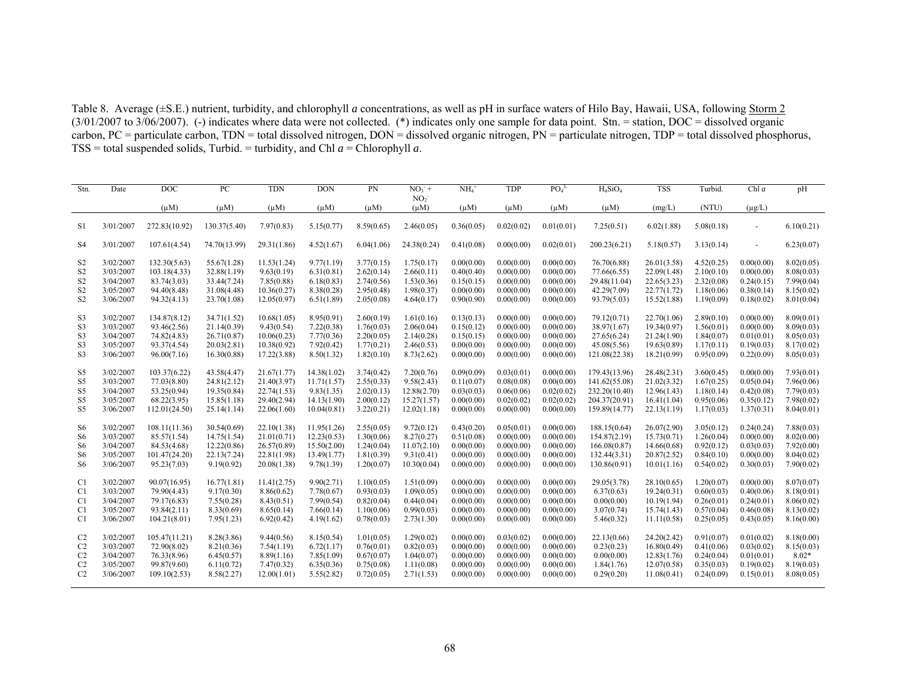Table 8. Average (±S.E.) nutrient, turbidity, and chlorophyll *a* concentrations, as well as pH in surface waters of Hilo Bay, Hawaii, USA, following Storm 2  $(3/01/2007$  to  $3/06/2007$ ). (-) indicates where data were not collected. (\*) indicates only one sample for data point. Stn. = station, DOC = dissolved organic carbon, PC = particulate carbon, TDN = total dissolved nitrogen, DON = dissolved organic nitrogen, PN = particulate nitrogen, TDP = total dissolved phosphorus, TSS = total suspended solids, Turbid. = turbidity, and Chl *<sup>a</sup>* = Chlorophyll *<sup>a</sup>*.

| Stn.           | Date      | DOC           | PC           | <b>TDN</b>  | DON         | PN         | $NO3 +$                      | NH <sub>4</sub> | TDP        | PO <sub>4</sub> <sup>3</sup> | $H_4SiO_4$    | <b>TSS</b>  | Turbid.    | Chl $a$     | pH         |
|----------------|-----------|---------------|--------------|-------------|-------------|------------|------------------------------|-----------------|------------|------------------------------|---------------|-------------|------------|-------------|------------|
|                |           | $(\mu M)$     | $(\mu M)$    | $(\mu M)$   | $(\mu M)$   | $(\mu M)$  | NO <sub>2</sub><br>$(\mu M)$ | $(\mu M)$       | $(\mu M)$  | $(\mu M)$                    | $(\mu M)$     | (mg/L)      | (NTU)      | $(\mu g/L)$ |            |
| S1             | 3/01/2007 | 272.83(10.92) | 130.37(5.40) | 7.97(0.83)  | 5.15(0.77)  | 8.59(0.65) | 2.46(0.05)                   | 0.36(0.05)      | 0.02(0.02) | 0.01(0.01)                   | 7.25(0.51)    | 6.02(1.88)  | 5.08(0.18) | $\sim$      | 6.10(0.21) |
| S4             | 3/01/2007 | 107.61(4.54)  | 74.70(13.99) | 29.31(1.86) | 4.52(1.67)  | 6.04(1.06) | 24.38(0.24)                  | 0.41(0.08)      | 0.00(0.00) | 0.02(0.01)                   | 200.23(6.21)  | 5.18(0.57)  | 3.13(0.14) | $\sim$      | 6.23(0.07) |
| S <sub>2</sub> | 3/02/2007 | 132.30(5.63)  | 55.67(1.28)  | 11.53(1.24) | 9.77(1.19)  | 3.77(0.15) | 1.75(0.17)                   | 0.00(0.00)      | 0.00(0.00) | 0.00(0.00)                   | 76.70(6.88)   | 26.01(3.58) | 4.52(0.25) | 0.00(0.00)  | 8.02(0.05) |
| S <sub>2</sub> | 3/03/2007 | 103.18(4.33)  | 32.88(1.19)  | 9.63(0.19)  | 6.31(0.81)  | 2.62(0.14) | 2.66(0.11)                   | 0.40(0.40)      | 0.00(0.00) | 0.00(0.00)                   | 77.66(6.55)   | 22.09(1.48) | 2.10(0.10) | 0.00(0.00)  | 8.08(0.03) |
| S <sub>2</sub> | 3/04/2007 | 83.74(3.03)   | 33.44(7.24)  | 7.85(0.88)  | 6.18(0.83)  | 2.74(0.56) | 1.53(0.36)                   | 0.15(0.15)      | 0.00(0.00) | 0.00(0.00)                   | 29.48(11.04)  | 22.65(3.23) | 2.32(0.08) | 0.24(0.15)  | 7.99(0.04) |
| S <sub>2</sub> | 3/05/2007 | 94.40(8.48)   | 31.08(4.48)  | 10.36(0.27) | 8.38(0.28)  | 2.95(0.48) | 1.98(0.37)                   | 0.00(0.00)      | 0.00(0.00) | 0.00(0.00)                   | 42.29(7.09)   | 22.77(1.72) | 1.18(0.06) | 0.38(0.14)  | 8.15(0.02) |
| S <sub>2</sub> | 3/06/2007 | 94.32(4.13)   | 23.70(1.08)  | 12.05(0.97) | 6.51(1.89)  | 2.05(0.08) | 4.64(0.17)                   | 0.90(0.90)      | 0.00(0.00) | 0.00(0.00)                   | 93.79(5.03)   | 15.52(1.88) | 1.19(0.09) | 0.18(0.02)  | 8.01(0.04) |
| S3             | 3/02/2007 | 134.87(8.12)  | 34.71(1.52)  | 10.68(1.05) | 8.95(0.91)  | 2.60(0.19) | 1.61(0.16)                   | 0.13(0.13)      | 0.00(0.00) | 0.00(0.00)                   | 79.12(0.71)   | 22.70(1.06) | 2.89(0.10) | 0.00(0.00)  | 8.09(0.01) |
| S <sub>3</sub> | 3/03/2007 | 93.46(2.56)   | 21.14(0.39)  | 9.43(0.54)  | 7.22(0.38)  | 1.76(0.03) | 2.06(0.04)                   | 0.15(0.12)      | 0.00(0.00) | 0.00(0.00)                   | 38.97(1.67)   | 19.34(0.97) | 1.56(0.01) | 0.00(0.00)  | 8.09(0.03) |
| S3             | 3/04/2007 | 74.82(4.83)   | 26.71(0.87)  | 10.06(0.23) | 7.77(0.36)  | 2.20(0.05) | 2.14(0.28)                   | 0.15(0.15)      | 0.00(0.00) | 0.00(0.00)                   | 27.65(6.24)   | 21.24(1.90) | 1.84(0.07) | 0.01(0.01)  | 8.05(0.03) |
| S3             | 3/05/2007 | 93.37(4.54)   | 20.03(2.81)  | 10.38(0.92) | 7.92(0.42)  | 1.77(0.21) | 2.46(0.53)                   | 0.00(0.00)      | 0.00(0.00) | 0.00(0.00)                   | 45.08(5.56)   | 19.63(0.89) | 1.17(0.11) | 0.19(0.03)  | 8.17(0.02) |
| S <sub>3</sub> | 3/06/2007 | 96.00(7.16)   | 16.30(0.88)  | 17.22(3.88) | 8.50(1.32)  | 1.82(0.10) | 8.73(2.62)                   | 0.00(0.00)      | 0.00(0.00) | 0.00(0.00)                   | 121.08(22.38) | 18.21(0.99) | 0.95(0.09) | 0.22(0.09)  | 8.05(0.03) |
| S5             | 3/02/2007 | 103.37(6.22)  | 43.58(4.47)  | 21.67(1.77) | 14.38(1.02) | 3.74(0.42) | 7.20(0.76)                   | 0.09(0.09)      | 0.03(0.01) | 0.00(0.00)                   | 179.43(13.96) | 28.48(2.31) | 3.60(0.45) | 0.00(0.00)  | 7.93(0.01) |
| S5             | 3/03/2007 | 77.03(8.80)   | 24.81(2.12)  | 21.40(3.97) | 11.71(1.57) | 2.55(0.33) | 9.58(2.43)                   | 0.11(0.07)      | 0.08(0.08) | 0.00(0.00)                   | 141.62(55.08) | 21.02(3.32) | 1.67(0.25) | 0.05(0.04)  | 7.96(0.06) |
| S5             | 3/04/2007 | 53.25(0.94)   | 19.35(0.84)  | 22.74(1.53) | 9.83(1.35)  | 2.02(0.13) | 12.88(2.70)                  | 0.03(0.03)      | 0.06(0.06) | 0.02(0.02)                   | 232.20(10.40) | 12.96(1.43) | 1.18(0.14) | 0.42(0.08)  | 7.79(0.03) |
| S5             | 3/05/2007 | 68.22(3.95)   | 15.85(1.18)  | 29.40(2.94) | 14.13(1.90) | 2.00(0.12) | 15.27(1.57)                  | 0.00(0.00)      | 0.02(0.02) | 0.02(0.02)                   | 204.37(20.91) | 16.41(1.04) | 0.95(0.06) | 0.35(0.12)  | 7.98(0.02) |
| S <sub>5</sub> | 3/06/2007 | 112.01(24.50) | 25.14(1.14)  | 22.06(1.60) | 10.04(0.81) | 3.22(0.21) | 12.02(1.18)                  | 0.00(0.00)      | 0.00(0.00) | 0.00(0.00)                   | 159.89(14.77) | 22.13(1.19) | 1.17(0.03) | 1.37(0.31)  | 8.04(0.01) |
| S6             | 3/02/2007 | 108.11(11.36) | 30.54(0.69)  | 22.10(1.38) | 11.95(1.26) | 2.55(0.05) | 9.72(0.12)                   | 0.43(0.20)      | 0.05(0.01) | 0.00(0.00)                   | 188.15(0.64)  | 26.07(2.90) | 3.05(0.12) | 0.24(0.24)  | 7.88(0.03) |
| S6             | 3/03/2007 | 85.57(1.54)   | 14.75(1.54)  | 21.01(0.71) | 12.23(0.53) | 1.30(0.06) | 8.27(0.27)                   | 0.51(0.08)      | 0.00(0.00) | 0.00(0.00)                   | 154.87(2.19)  | 15.73(0.71) | 1.26(0.04) | 0.00(0.00)  | 8.02(0.00) |
| S6             | 3/04/2007 | 84.53(4.68)   | 12.22(0.86)  | 26.57(0.89) | 15.50(2.00) | 1.24(0.04) | 11.07(2.10)                  | 0.00(0.00)      | 0.00(0.00) | 0.00(0.00)                   | 166.08(0.87)  | 14.66(0.68) | 0.92(0.12) | 0.03(0.03)  | 7.92(0.00) |
| S6             | 3/05/2007 | 101.47(24.20) | 22.13(7.24)  | 22.81(1.98) | 13.49(1.77) | 1.81(0.39) | 9.31(0.41)                   | 0.00(0.00)      | 0.00(0.00) | 0.00(0.00)                   | 132.44(3.31)  | 20.87(2.52) | 0.84(0.10) | 0.00(0.00)  | 8.04(0.02) |
| S6             | 3/06/2007 | 95.23(7.03)   | 9.19(0.92)   | 20.08(1.38) | 9.78(1.39)  | 1.20(0.07) | 10.30(0.04)                  | 0.00(0.00)      | 0.00(0.00) | 0.00(0.00)                   | 130.86(0.91)  | 10.01(1.16) | 0.54(0.02) | 0.30(0.03)  | 7.90(0.02) |
| C1             | 3/02/2007 | 90.07(16.95)  | 16.77(1.81)  | 11.41(2.75) | 9.90(2.71)  | 1.10(0.05) | 1.51(0.09)                   | 0.00(0.00)      | 0.00(0.00) | 0.00(0.00)                   | 29.05(3.78)   | 28.10(0.65) | 1.20(0.07) | 0.00(0.00)  | 8.07(0.07) |
| C1             | 3/03/2007 | 79.90(4.43)   | 9.17(0.30)   | 8.86(0.62)  | 7.78(0.67)  | 0.93(0.03) | 1.09(0.05)                   | 0.00(0.00)      | 0.00(0.00) | 0.00(0.00)                   | 6.37(0.63)    | 19.24(0.31) | 0.60(0.03) | 0.40(0.06)  | 8.18(0.01) |
| C <sub>1</sub> | 3/04/2007 | 79.17(6.83)   | 7.55(0.28)   | 8.43(0.51)  | 7.99(0.54)  | 0.82(0.04) | 0.44(0.04)                   | 0.00(0.00)      | 0.00(0.00) | 0.00(0.00)                   | 0.00(0.00)    | 10.19(1.94) | 0.26(0.01) | 0.24(0.01)  | 8.06(0.02) |
| C1             | 3/05/2007 | 93.84(2.11)   | 8.33(0.69)   | 8.65(0.14)  | 7.66(0.14)  | 1.10(0.06) | 0.99(0.03)                   | 0.00(0.00)      | 0.00(0.00) | 0.00(0.00)                   | 3.07(0.74)    | 15.74(1.43) | 0.57(0.04) | 0.46(0.08)  | 8.13(0.02) |
| C1             | 3/06/2007 | 104.21(8.01)  | 7.95(1.23)   | 6.92(0.42)  | 4.19(1.62)  | 0.78(0.03) | 2.73(1.30)                   | 0.00(0.00)      | 0.00(0.00) | 0.00(0.00)                   | 5.46(0.32)    | 11.11(0.58) | 0.25(0.05) | 0.43(0.05)  | 8.16(0.00) |
| C <sub>2</sub> | 3/02/2007 | 105.47(11.21) | 8.28(3.86)   | 9.44(0.56)  | 8.15(0.54)  | 1.01(0.05) | 1.29(0.02)                   | 0.00(0.00)      | 0.03(0.02) | 0.00(0.00)                   | 22.13(0.66)   | 24.20(2.42) | 0.91(0.07) | 0.01(0.02)  | 8.18(0.00) |
| C <sub>2</sub> | 3/03/2007 | 72.90(8.02)   | 8.21(0.36)   | 7.54(1.19)  | 6.72(1.17)  | 0.76(0.01) | 0.82(0.03)                   | 0.00(0.00)      | 0.00(0.00) | 0.00(0.00)                   | 0.23(0.23)    | 16.80(0.49) | 0.41(0.06) | 0.03(0.02)  | 8.15(0.03) |
| C <sub>2</sub> | 3/04/2007 | 76.33(8.96)   | 6.45(0.57)   | 8.89(1.16)  | 7.85(1.09)  | 0.67(0.07) | 1.04(0.07)                   | 0.00(0.00)      | 0.00(0.00) | 0.00(0.00)                   | 0.00(0.00)    | 12.83(1.76) | 0.24(0.04) | 0.01(0.01)  | $8.02*$    |
| C <sub>2</sub> | 3/05/2007 | 99.87(9.60)   | 6.11(0.72)   | 7.47(0.32)  | 6.35(0.36)  | 0.75(0.08) | 1.11(0.08)                   | 0.00(0.00)      | 0.00(0.00) | 0.00(0.00)                   | 1.84(1.76)    | 12.07(0.58) | 0.35(0.03) | 0.19(0.02)  | 8.19(0.03) |
| C <sub>2</sub> | 3/06/2007 | 109.10(2.53)  | 8.58(2.27)   | 12.00(1.01) | 5.55(2.82)  | 0.72(0.05) | 2.71(1.53)                   | 0.00(0.00)      | 0.00(0.00) | 0.00(0.00)                   | 0.29(0.20)    | 11.08(0.41) | 0.24(0.09) | 0.15(0.01)  | 8.08(0.05) |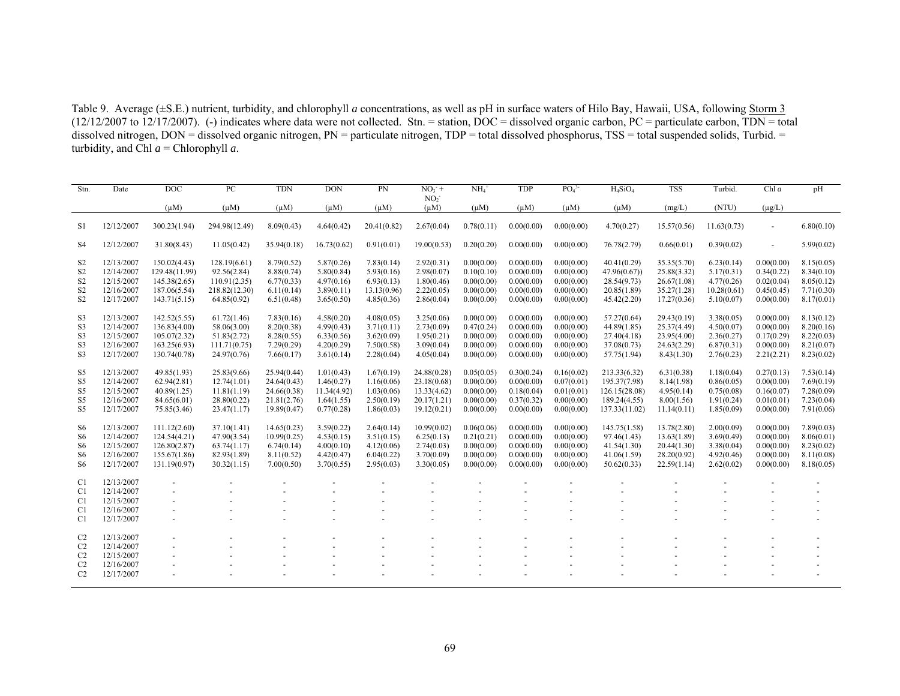Table 9. Average (±S.E.) nutrient, turbidity, and chlorophyll *a* concentrations, as well as pH in surface waters of Hilo Bay, Hawaii, USA, following Storm 3 (12/12/2007 to 12/17/2007). (-) indicates where data were not collected. Stn. = station, DOC = dissolved organic carbon, PC = particulate carbon, TDN = total dissolved nitrogen,  $DOM =$  dissolved organic nitrogen,  $PN =$  particulate nitrogen,  $TDP =$  total dissolved phosphorus,  $TSS =$  total suspended solids, Turbid.  $=$ turbidity, and Chl  $a$  = Chlorophyll  $a$ .

| Stn.           | Date       | DOC           | PC            | <b>TDN</b>  | <b>DON</b>  | PN          | $NO3 +$                      | $NH4+$     | <b>TDP</b> | PO <sub>4</sub> <sup>3</sup> | $H_4SiO_4$    | <b>TSS</b>  | Turbid.     | Chl a          | pH         |
|----------------|------------|---------------|---------------|-------------|-------------|-------------|------------------------------|------------|------------|------------------------------|---------------|-------------|-------------|----------------|------------|
|                |            | $(\mu M)$     | $(\mu M)$     | $(\mu M)$   | $(\mu M)$   | $(\mu M)$   | NO <sub>2</sub><br>$(\mu M)$ | $(\mu M)$  | $(\mu M)$  | $(\mu M)$                    | $(\mu M)$     |             | (NTU)       | $(\mu g/L)$    |            |
|                |            |               |               |             |             |             |                              |            |            |                              |               | (mg/L)      |             |                |            |
| S1             | 12/12/2007 | 300.23(1.94)  | 294.98(12.49) | 8.09(0.43)  | 4.64(0.42)  | 20.41(0.82) | 2.67(0.04)                   | 0.78(0.11) | 0.00(0.00) | 0.00(0.00)                   | 4.70(0.27)    | 15.57(0.56) | 11.63(0.73) | $\sim$         | 6.80(0.10) |
| S4             | 12/12/2007 | 31.80(8.43)   | 11.05(0.42)   | 35.94(0.18) | 16.73(0.62) | 0.91(0.01)  | 19.00(0.53)                  | 0.20(0.20) | 0.00(0.00) | 0.00(0.00)                   | 76.78(2.79)   | 0.66(0.01)  | 0.39(0.02)  | $\blacksquare$ | 5.99(0.02) |
| S <sub>2</sub> | 12/13/2007 | 150.02(4.43)  | 128.19(6.61)  | 8.79(0.52)  | 5.87(0.26)  | 7.83(0.14)  | 2.92(0.31)                   | 0.00(0.00) | 0.00(0.00) | 0.00(0.00)                   | 40.41(0.29)   | 35.35(5.70) | 6.23(0.14)  | 0.00(0.00)     | 8.15(0.05) |
| S <sub>2</sub> | 12/14/2007 | 129.48(11.99) | 92.56(2.84)   | 8.88(0.74)  | 5.80(0.84)  | 5.93(0.16)  | 2.98(0.07)                   | 0.10(0.10) | 0.00(0.00) | 0.00(0.00)                   | 47.96(0.67)   | 25.88(3.32) | 5.17(0.31)  | 0.34(0.22)     | 8.34(0.10) |
| S <sub>2</sub> | 12/15/2007 | 145.38(2.65)  | 110.91(2.35)  | 6.77(0.33)  | 4.97(0.16)  | 6.93(0.13)  | 1.80(0.46)                   | 0.00(0.00) | 0.00(0.00) | 0.00(0.00)                   | 28.54(9.73)   | 26.67(1.08) | 4.77(0.26)  | 0.02(0.04)     | 8.05(0.12) |
| S <sub>2</sub> | 12/16/2007 | 187.06(5.54)  | 218.82(12.30) | 6.11(0.14)  | 3.89(0.11)  | 13.13(0.96) | 2.22(0.05)                   | 0.00(0.00) | 0.00(0.00) | 0.00(0.00)                   | 20.85(1.89)   | 35.27(1.28) | 10.28(0.61) | 0.45(0.45)     | 7.71(0.30) |
| S <sub>2</sub> | 12/17/2007 | 143.71(5.15)  | 64.85(0.92)   | 6.51(0.48)  | 3.65(0.50)  | 4.85(0.36)  | 2.86(0.04)                   | 0.00(0.00) | 0.00(0.00) | 0.00(0.00)                   | 45.42(2.20)   | 17.27(0.36) | 5.10(0.07)  | 0.00(0.00)     | 8.17(0.01) |
| S <sub>3</sub> | 12/13/2007 | 142.52(5.55)  | 61.72(1.46)   | 7.83(0.16)  | 4.58(0.20)  | 4.08(0.05)  | 3.25(0.06)                   | 0.00(0.00) | 0.00(0.00) | 0.00(0.00)                   | 57.27(0.64)   | 29.43(0.19) | 3.38(0.05)  | 0.00(0.00)     | 8.13(0.12) |
| S <sub>3</sub> | 12/14/2007 | 136.83(4.00)  | 58.06(3.00)   | 8.20(0.38)  | 4.99(0.43)  | 3.71(0.11)  | 2.73(0.09)                   | 0.47(0.24) | 0.00(0.00) | 0.00(0.00)                   | 44.89(1.85)   | 25.37(4.49) | 4.50(0.07)  | 0.00(0.00)     | 8.20(0.16) |
| S <sub>3</sub> | 12/15/2007 | 105.07(2.32)  | 51.83(2.72)   | 8.28(0.55)  | 6.33(0.56)  | 3.62(0.09)  | 1.95(0.21)                   | 0.00(0.00) | 0.00(0.00) | 0.00(0.00)                   | 27.40(4.18)   | 23.95(4.00) | 2.36(0.27)  | 0.17(0.29)     | 8.22(0.03) |
| S <sub>3</sub> | 12/16/2007 | 163.25(6.93)  | 111.71(0.75)  | 7.29(0.29)  | 4.20(0.29)  | 7.50(0.58)  | 3.09(0.04)                   | 0.00(0.00) | 0.00(0.00) | 0.00(0.00)                   | 37.08(0.73)   | 24.63(2.29) | 6.87(0.31)  | 0.00(0.00)     | 8.21(0.07) |
| S <sub>3</sub> | 12/17/2007 | 130.74(0.78)  | 24.97(0.76)   | 7.66(0.17)  | 3.61(0.14)  | 2.28(0.04)  | 4.05(0.04)                   | 0.00(0.00) | 0.00(0.00) | 0.00(0.00)                   | 57.75(1.94)   | 8.43(1.30)  | 2.76(0.23)  | 2.21(2.21)     | 8.23(0.02) |
|                |            |               |               |             |             |             |                              |            |            |                              |               |             |             |                |            |
| S5             | 12/13/2007 | 49.85(1.93)   | 25.83(9.66)   | 25.94(0.44) | 1.01(0.43)  | 1.67(0.19)  | 24.88(0.28)                  | 0.05(0.05) | 0.30(0.24) | 0.16(0.02)                   | 213.33(6.32)  | 6.31(0.38)  | 1.18(0.04)  | 0.27(0.13)     | 7.53(0.14) |
| S5             | 12/14/2007 | 62.94(2.81)   | 12.74(1.01)   | 24.64(0.43) | 1.46(0.27)  | 1.16(0.06)  | 23.18(0.68)                  | 0.00(0.00) | 0.00(0.00) | 0.07(0.01)                   | 195.37(7.98)  | 8.14(1.98)  | 0.86(0.05)  | 0.00(0.00)     | 7.69(0.19) |
| S5             | 12/15/2007 | 40.89(1.25)   | 11.81(1.19)   | 24.66(0.38) | 11.34(4.92) | 1.03(0.06)  | 13.33(4.62)                  | 0.00(0.00) | 0.18(0.04) | 0.01(0.01)                   | 126.15(28.08) | 4.95(0.14)  | 0.75(0.08)  | 0.16(0.07)     | 7.28(0.09) |
| S5             | 12/16/2007 | 84.65(6.01)   | 28.80(0.22)   | 21.81(2.76) | 1.64(1.55)  | 2.50(0.19)  | 20.17(1.21)                  | 0.00(0.00) | 0.37(0.32) | 0.00(0.00)                   | 189.24(4.55)  | 8.00(1.56)  | 1.91(0.24)  | 0.01(0.01)     | 7.23(0.04) |
| S <sub>5</sub> | 12/17/2007 | 75.85(3.46)   | 23.47(1.17)   | 19.89(0.47) | 0.77(0.28)  | 1.86(0.03)  | 19.12(0.21)                  | 0.00(0.00) | 0.00(0.00) | 0.00(0.00)                   | 137.33(11.02) | 11.14(0.11) | 1.85(0.09)  | 0.00(0.00)     | 7.91(0.06) |
| S6             | 12/13/2007 | 111.12(2.60)  | 37.10(1.41)   | 14.65(0.23) | 3.59(0.22)  | 2.64(0.14)  | 10.99(0.02)                  | 0.06(0.06) | 0.00(0.00) | 0.00(0.00)                   | 145.75(1.58)  | 13.78(2.80) | 2.00(0.09)  | 0.00(0.00)     | 7.89(0.03) |
| S <sub>6</sub> | 12/14/2007 | 124.54(4.21)  | 47.90(3.54)   | 10.99(0.25) | 4.53(0.15)  | 3.51(0.15)  | 6.25(0.13)                   | 0.21(0.21) | 0.00(0.00) | 0.00(0.00)                   | 97.46(1.43)   | 13.63(1.89) | 3.69(0.49)  | 0.00(0.00)     | 8.06(0.01) |
|                | 12/15/2007 |               |               |             |             |             |                              |            | 0.00(0.00) |                              |               |             |             | 0.00(0.00)     |            |
| S6             |            | 126.80(2.87)  | 63.74(1.17)   | 6.74(0.14)  | 4.00(0.10)  | 4.12(0.06)  | 2.74(0.03)                   | 0.00(0.00) |            | 0.00(0.00)                   | 41.54(1.30)   | 20.44(1.30) | 3.38(0.04)  |                | 8.23(0.02) |
| S <sub>6</sub> | 12/16/2007 | 155.67(1.86)  | 82.93(1.89)   | 8.11(0.52)  | 4.42(0.47)  | 6.04(0.22)  | 3.70(0.09)                   | 0.00(0.00) | 0.00(0.00) | 0.00(0.00)                   | 41.06(1.59)   | 28.20(0.92) | 4.92(0.46)  | 0.00(0.00)     | 8.11(0.08) |
| S <sub>6</sub> | 12/17/2007 | 131.19(0.97)  | 30.32(1.15)   | 7.00(0.50)  | 3.70(0.55)  | 2.95(0.03)  | 3.30(0.05)                   | 0.00(0.00) | 0.00(0.00) | 0.00(0.00)                   | 50.62(0.33)   | 22.59(1.14) | 2.62(0.02)  | 0.00(0.00)     | 8.18(0.05) |
| C <sub>1</sub> | 12/13/2007 |               |               |             |             |             |                              |            |            |                              |               |             |             |                |            |
| C <sub>1</sub> | 12/14/2007 |               |               |             |             |             |                              |            |            |                              |               |             |             |                |            |
| C <sub>1</sub> | 12/15/2007 |               |               |             |             |             |                              |            |            |                              |               |             |             |                |            |
| C <sub>1</sub> | 12/16/2007 |               |               |             |             |             |                              |            |            |                              |               |             |             |                |            |
| C <sub>1</sub> | 12/17/2007 |               |               |             |             |             |                              |            |            |                              |               |             |             |                |            |
| C <sub>2</sub> | 12/13/2007 |               |               |             |             |             |                              |            |            |                              |               |             |             |                |            |
| C <sub>2</sub> | 12/14/2007 |               |               |             |             |             |                              |            |            |                              |               |             |             |                |            |
| C <sub>2</sub> | 12/15/2007 |               |               |             |             |             |                              |            |            |                              |               |             |             |                |            |
| C <sub>2</sub> | 12/16/2007 |               |               |             |             |             |                              |            |            |                              |               |             |             |                |            |
| C <sub>2</sub> | 12/17/2007 |               |               |             |             |             |                              |            |            |                              |               |             |             |                |            |
|                |            |               |               |             |             |             |                              |            |            |                              |               |             |             |                |            |
|                |            |               |               |             |             |             |                              |            |            |                              |               |             |             |                |            |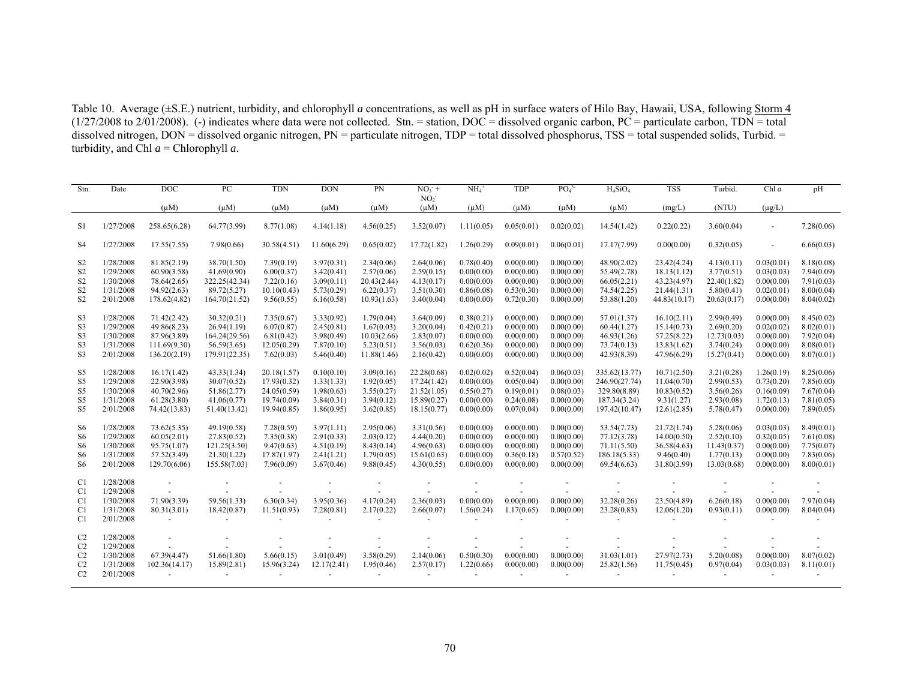Table 10. Average (±S.E.) nutrient, turbidity, and chlorophyll *a* concentrations, as well as pH in surface waters of Hilo Bay, Hawaii, USA, following Storm 4  $(1/27/2008$  to  $2/01/2008)$ . (-) indicates where data were not collected. Stn. = station, DOC = dissolved organic carbon, PC = particulate carbon, TDN = total dissolved nitrogen, DON = dissolved organic nitrogen, PN = particulate nitrogen, TDP = total dissolved phosphorus, TSS = total suspended solids, Turbid. = turbidity, and Chl  $a$  = Chlorophyll  $a$ .

| Stn.                                                                                   | Date                                                          | <b>DOC</b>                                                                | PC                                                                          | <b>TDN</b>                                                              | <b>DON</b>                                                         | PN                                                                   | $NO3$ +<br>NO <sub>2</sub>                                              | $NH4+$                                                             | <b>TDP</b>                                                         | PO <sub>4</sub> <sup>3</sup>                                       | $H_4SiO_4$                                                                      | <b>TSS</b>                                                               | Turbid.                                                              | Chl $a$                                                            | pH                                                                 |
|----------------------------------------------------------------------------------------|---------------------------------------------------------------|---------------------------------------------------------------------------|-----------------------------------------------------------------------------|-------------------------------------------------------------------------|--------------------------------------------------------------------|----------------------------------------------------------------------|-------------------------------------------------------------------------|--------------------------------------------------------------------|--------------------------------------------------------------------|--------------------------------------------------------------------|---------------------------------------------------------------------------------|--------------------------------------------------------------------------|----------------------------------------------------------------------|--------------------------------------------------------------------|--------------------------------------------------------------------|
|                                                                                        |                                                               | $(\mu M)$                                                                 | $(\mu M)$                                                                   | $(\mu M)$                                                               | $(\mu M)$                                                          | $(\mu M)$                                                            | $(\mu M)$                                                               | $(\mu M)$                                                          | $(\mu M)$                                                          | $(\mu M)$                                                          | $(\mu M)$                                                                       | (mg/L)                                                                   | (NTU)                                                                | $(\mu g/L)$                                                        |                                                                    |
| S1                                                                                     | 1/27/2008                                                     | 258.65(6.28)                                                              | 64.77(3.99)                                                                 | 8.77(1.08)                                                              | 4.14(1.18)                                                         | 4.56(0.25)                                                           | 3.52(0.07)                                                              | 1.11(0.05)                                                         | 0.05(0.01)                                                         | 0.02(0.02)                                                         | 14.54(1.42)                                                                     | 0.22(0.22)                                                               | 3.60(0.04)                                                           | $\blacksquare$                                                     | 7.28(0.06)                                                         |
| S <sub>4</sub>                                                                         | 1/27/2008                                                     | 17.55(7.55)                                                               | 7.98(0.66)                                                                  | 30.58(4.51)                                                             | 11.60(6.29)                                                        | 0.65(0.02)                                                           | 17.72(1.82)                                                             | 1.26(0.29)                                                         | 0.09(0.01)                                                         | 0.06(0.01)                                                         | 17.17(7.99)                                                                     | 0.00(0.00)                                                               | 0.32(0.05)                                                           | $\sim$                                                             | 6.66(0.03)                                                         |
| S <sub>2</sub><br>S <sub>2</sub><br>S <sub>2</sub><br>S <sub>2</sub><br>S <sub>2</sub> | 1/28/2008<br>1/29/2008<br>1/30/2008<br>1/31/2008<br>2/01/2008 | 81.85(2.19)<br>60.90(3.58)<br>78.64(2.65)<br>94.92(2.63)<br>178.62(4.82)  | 38.70(1.50)<br>41.69(0.90)<br>322.25(42.34)<br>89.72(5.27)<br>164.70(21.52) | 7.39(0.19)<br>6.00(0.37)<br>7.22(0.16)<br>10.10(0.43)<br>9.56(0.55)     | 3.97(0.31)<br>3.42(0.41)<br>3.09(0.11)<br>5.73(0.29)<br>6.16(0.58) | 2.34(0.06)<br>2.57(0.06)<br>20.43(2.44)<br>6.22(0.37)<br>10.93(1.63) | 2.64(0.06)<br>2.59(0.15)<br>4.13(0.17)<br>3.51(0.30)<br>3.40(0.04)      | 0.78(0.40)<br>0.00(0.00)<br>0.00(0.00)<br>0.86(0.08)<br>0.00(0.00) | 0.00(0.00)<br>0.00(0.00)<br>0.00(0.00)<br>0.53(0.30)<br>0.72(0.30) | 0.00(0.00)<br>0.00(0.00)<br>0.00(0.00)<br>0.00(0.00)<br>0.00(0.00) | 48.90(2.02)<br>55.49(2.78)<br>66.05(2.21)<br>74.54(2.25)<br>53.88(1.20)         | 23.42(4.24)<br>18.13(1.12)<br>43.23(4.97)<br>21.44(1.31)<br>44.83(10.17) | 4.13(0.11)<br>3.77(0.51)<br>22.40(1.82)<br>5.80(0.41)<br>20.63(0.17) | 0.03(0.01)<br>0.03(0.03)<br>0.00(0.00)<br>0.02(0.01)<br>0.00(0.00) | 8.18(0.08)<br>7.94(0.09)<br>7.91(0.03)<br>8.00(0.04)<br>8.04(0.02) |
| S <sub>3</sub><br>S <sub>3</sub><br>S <sub>3</sub><br>S3<br>S <sub>3</sub>             | 1/28/2008<br>1/29/2008<br>1/30/2008<br>1/31/2008<br>2/01/2008 | 71.42(2.42)<br>49.86(8.23)<br>87.96(3.89)<br>111.69(9.30)<br>136.20(2.19) | 30.32(0.21)<br>26.94(1.19)<br>164.24(29.56)<br>56.59(3.65)<br>179.91(22.35) | 7.35(0.67)<br>6.07(0.87)<br>6.81(0.42)<br>12.05(0.29)<br>7.62(0.03)     | 3.33(0.92)<br>2.45(0.81)<br>3.98(0.49)<br>7.87(0.10)<br>5.46(0.40) | 1.79(0.04)<br>1.67(0.03)<br>10.03(2.66)<br>5.23(0.51)<br>11.88(1.46) | 3.64(0.09)<br>3.20(0.04)<br>2.83(0.07)<br>3.56(0.03)<br>2.16(0.42)      | 0.38(0.21)<br>0.42(0.21)<br>0.00(0.00)<br>0.62(0.36)<br>0.00(0.00) | 0.00(0.00)<br>0.00(0.00)<br>0.00(0.00)<br>0.00(0.00)<br>0.00(0.00) | 0.00(0.00)<br>0.00(0.00)<br>0.00(0.00)<br>0.00(0.00)<br>0.00(0.00) | 57.01(1.37)<br>60.44(1.27)<br>46.93(1.26)<br>73.74(0.13)<br>42.93(8.39)         | 16.10(2.11)<br>15.14(0.73)<br>57.25(8.22)<br>13.83(1.62)<br>47.96(6.29)  | 2.99(0.49)<br>2.69(0.20)<br>12.73(0.03)<br>3.74(0.24)<br>15.27(0.41) | 0.00(0.00)<br>0.02(0.02)<br>0.00(0.00)<br>0.00(0.00)<br>0.00(0.00) | 8.45(0.02)<br>8.02(0.01)<br>7.92(0.04)<br>8.08(0.01)<br>8.07(0.01) |
| S5<br>S5<br>S5<br>S5<br>S5                                                             | 1/28/2008<br>1/29/2008<br>1/30/2008<br>1/31/2008<br>2/01/2008 | 16.17(1.42)<br>22.90(3.98)<br>40.70(2.96)<br>61.28(3.80)<br>74.42(13.83)  | 43.33(1.34)<br>30.07(0.52)<br>51.86(2.77)<br>41.06(0.77)<br>51.40(13.42)    | 20.18(1.57)<br>17.93(0.32)<br>24.05(0.59)<br>19.74(0.09)<br>19.94(0.85) | 0.10(0.10)<br>1.33(1.33)<br>1.98(0.63)<br>3.84(0.31)<br>1.86(0.95) | 3.09(0.16)<br>1.92(0.05)<br>3.55(0.27)<br>3.94(0.12)<br>3.62(0.85)   | 22.28(0.68)<br>17.24(1.42)<br>21.52(1.05)<br>15.89(0.27)<br>18.15(0.77) | 0.02(0.02)<br>0.00(0.00)<br>0.55(0.27)<br>0.00(0.00)<br>0.00(0.00) | 0.52(0.04)<br>0.05(0.04)<br>0.19(0.01)<br>0.24(0.08)<br>0.07(0.04) | 0.06(0.03)<br>0.00(0.00)<br>0.08(0.03)<br>0.00(0.00)<br>0.00(0.00) | 335.62(13.77)<br>246.90(27.74)<br>329.80(8.89)<br>187.34(3.24)<br>197.42(10.47) | 10.71(2.50)<br>11.04(0.70)<br>10.83(0.52)<br>9.31(1.27)<br>12.61(2.85)   | 3.21(0.28)<br>2.99(0.53)<br>3.56(0.26)<br>2.93(0.08)<br>5.78(0.47)   | 1.26(0.19)<br>0.73(0.20)<br>0.16(0.09)<br>1.72(0.13)<br>0.00(0.00) | 8.25(0.06)<br>7.85(0.00)<br>7.67(0.04)<br>7.81(0.05)<br>7.89(0.05) |
| S6<br>S <sub>6</sub><br>S <sub>6</sub><br>S <sub>6</sub><br>S <sub>6</sub>             | 1/28/2008<br>1/29/2008<br>1/30/2008<br>1/31/2008<br>2/01/2008 | 73.62(5.35)<br>60.05(2.01)<br>95.75(1.07)<br>57.52(3.49)<br>129.70(6.06)  | 49.19(0.58)<br>27.83(0.52)<br>121.25(3.50)<br>21.30(1.22)<br>155.58(7.03)   | 7.28(0.59)<br>7.35(0.38)<br>9.47(0.63)<br>17.87(1.97)<br>7.96(0.09)     | 3.97(1.11)<br>2.91(0.33)<br>4.51(0.19)<br>2.41(1.21)<br>3.67(0.46) | 2.95(0.06)<br>2.03(0.12)<br>8.43(0.14)<br>1.79(0.05)<br>9.88(0.45)   | 3.31(0.56)<br>4.44(0.20)<br>4.96(0.63)<br>15.61(0.63)<br>4.30(0.55)     | 0.00(0.00)<br>0.00(0.00)<br>0.00(0.00)<br>0.00(0.00)<br>0.00(0.00) | 0.00(0.00)<br>0.00(0.00)<br>0.00(0.00)<br>0.36(0.18)<br>0.00(0.00) | 0.00(0.00)<br>0.00(0.00)<br>0.00(0.00)<br>0.57(0.52)<br>0.00(0.00) | 53.54(7.73)<br>77.12(3.78)<br>71.11(5.50)<br>186.18(5.33)<br>69.54(6.63)        | 21.72(1.74)<br>14.00(0.50)<br>36.58(4.63)<br>9.46(0.40)<br>31.80(3.99)   | 5.28(0.06)<br>2.52(0.10)<br>11.43(0.37)<br>1.77(0.13)<br>13.03(0.68) | 0.03(0.03)<br>0.32(0.05)<br>0.00(0.00)<br>0.00(0.00)<br>0.00(0.00) | 8.49(0.01)<br>7.61(0.08)<br>7.75(0.07)<br>7.83(0.06)<br>8.00(0.01) |
| C <sub>1</sub><br>C <sub>1</sub><br>C <sub>1</sub><br>C <sub>1</sub><br>C <sub>1</sub> | 1/28/2008<br>1/29/2008<br>1/30/2008<br>1/31/2008<br>2/01/2008 | 71.90(3.39)<br>80.31(3.01)                                                | 59.56(1.33)<br>18.42(0.87)                                                  | 6.30(0.34)<br>11.51(0.93)                                               | 3.95(0.36)<br>7.28(0.81)                                           | 4.17(0.24)<br>2.17(0.22)                                             | 2.36(0.03)<br>2.66(0.07)                                                | 0.00(0.00)<br>1.56(0.24)                                           | 0.00(0.00)<br>1.17(0.65)                                           | 0.00(0.00)<br>0.00(0.00)                                           | 32.28(0.26)<br>23.28(0.83)                                                      | 23.50(4.89)<br>12.06(1.20)                                               | 6.26(0.18)<br>0.93(0.11)                                             | 0.00(0.00)<br>0.00(0.00)                                           | 7.97(0.04)<br>8.04(0.04)                                           |
| C <sub>2</sub><br>C <sub>2</sub><br>C <sub>2</sub><br>C <sub>2</sub><br>C <sub>2</sub> | 1/28/2008<br>1/29/2008<br>1/30/2008<br>1/31/2008<br>2/01/2008 | 67.39(4.47)<br>102.36(14.17)                                              | 51.66(1.80)<br>15.89(2.81)                                                  | 5.66(0.15)<br>15.96(3.24)                                               | 3.01(0.49)<br>12.17(2.41)                                          | 3.58(0.29)<br>1.95(0.46)                                             | 2.14(0.06)<br>2.57(0.17)                                                | 0.50(0.30)<br>1.22(0.66)                                           | 0.00(0.00)<br>0.00(0.00)                                           | 0.00(0.00)<br>0.00(0.00)                                           | 31.03(1.01)<br>25.82(1.56)                                                      | 27.97(2.73)<br>11.75(0.45)                                               | 5.20(0.08)<br>0.97(0.04)                                             | 0.00(0.00)<br>0.03(0.03)                                           | 8.07(0.02)<br>8.11(0.01)                                           |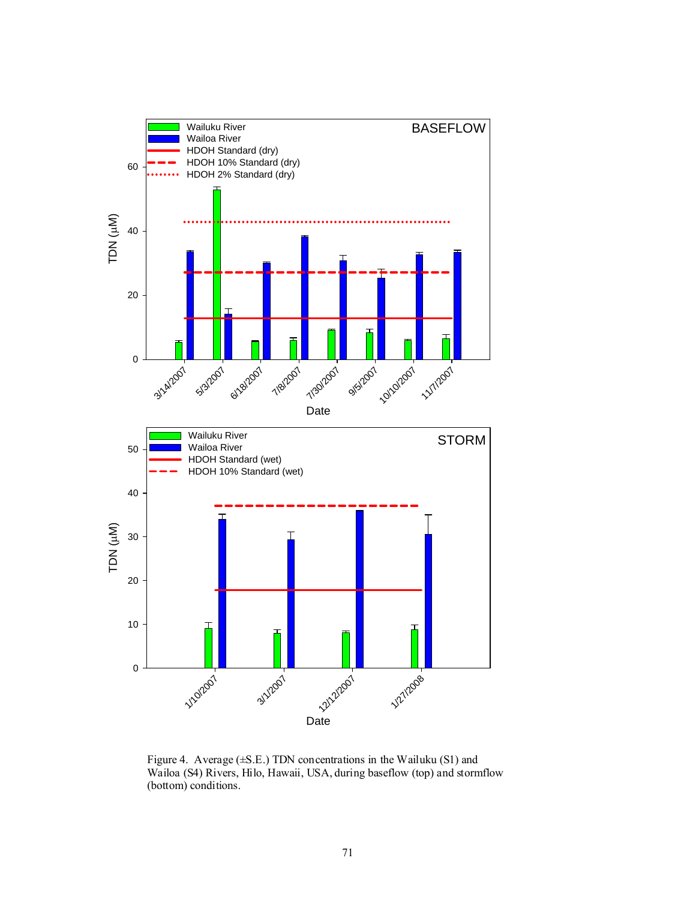

Figure 4. Average (±S.E.) TDN concentrations in the Wailuku (S1) and Wailoa (S4) Rivers, Hilo, Hawaii, USA, during baseflow (top) and stormflow (bottom) conditions.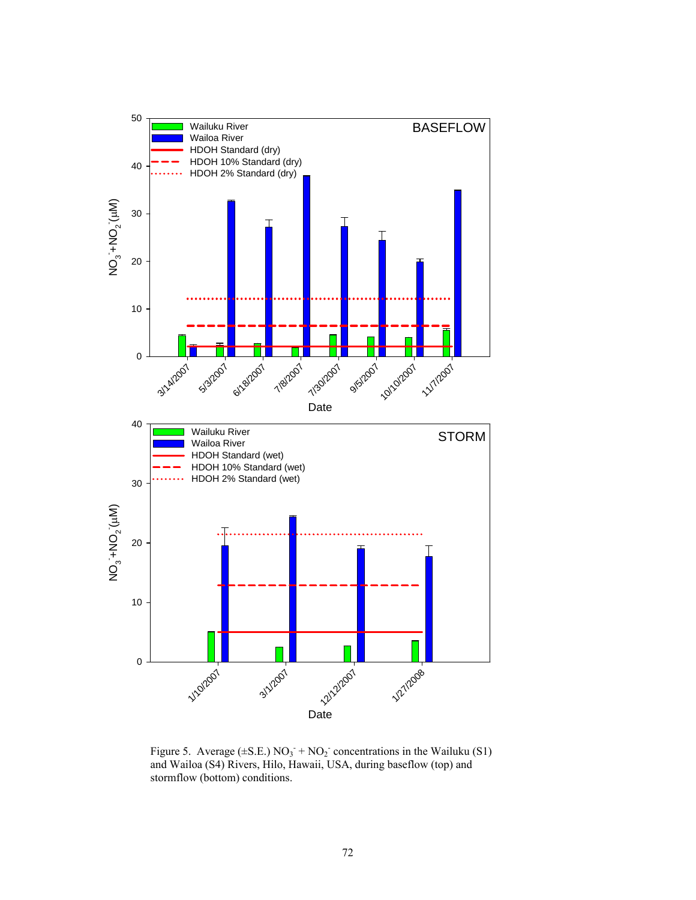

Figure 5. Average  $(\pm S.E.) NO_3 + NO_2$  concentrations in the Wailuku (S1) and Wailoa (S4) Rivers, Hilo, Hawaii, USA, during baseflow (top) and stormflow (bottom) conditions.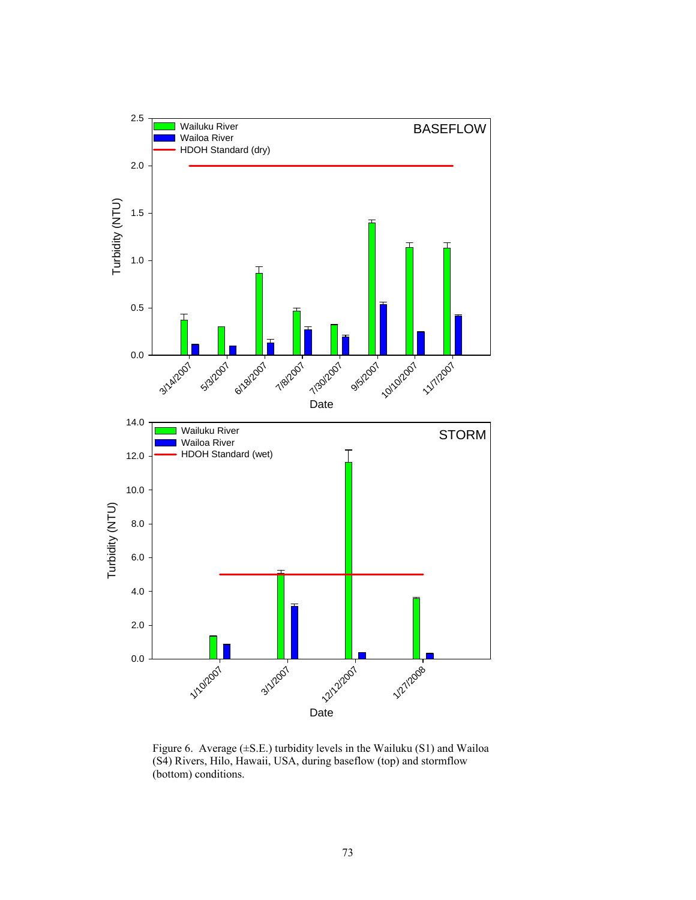

Figure 6. Average (±S.E.) turbidity levels in the Wailuku (S1) and Wailoa (S4) Rivers, Hilo, Hawaii, USA, during baseflow (top) and stormflow (bottom) conditions.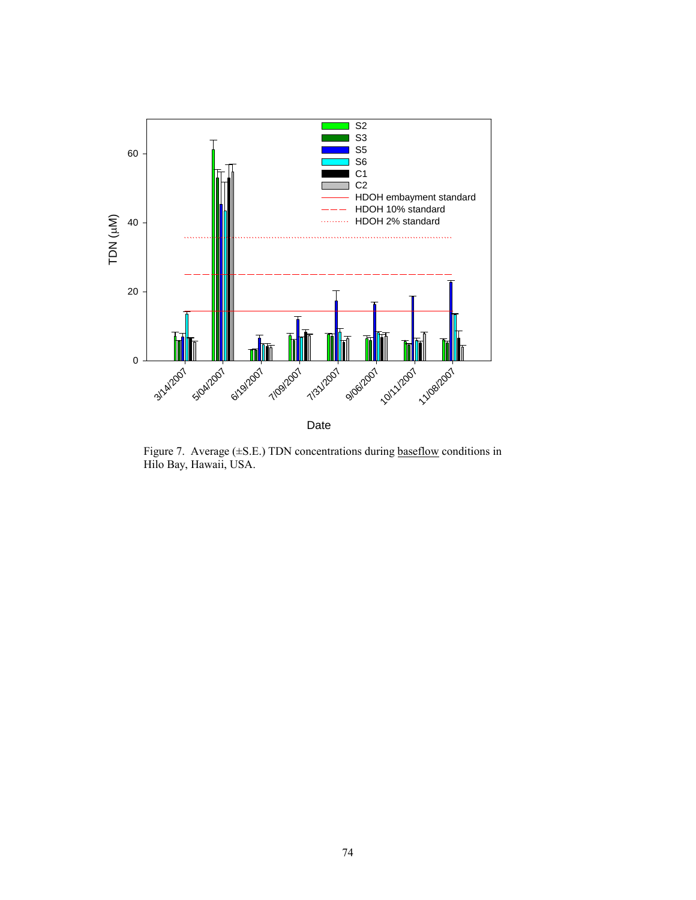

Figure 7. Average (±S.E.) TDN concentrations during baseflow conditions in Hilo Bay, Hawaii, USA.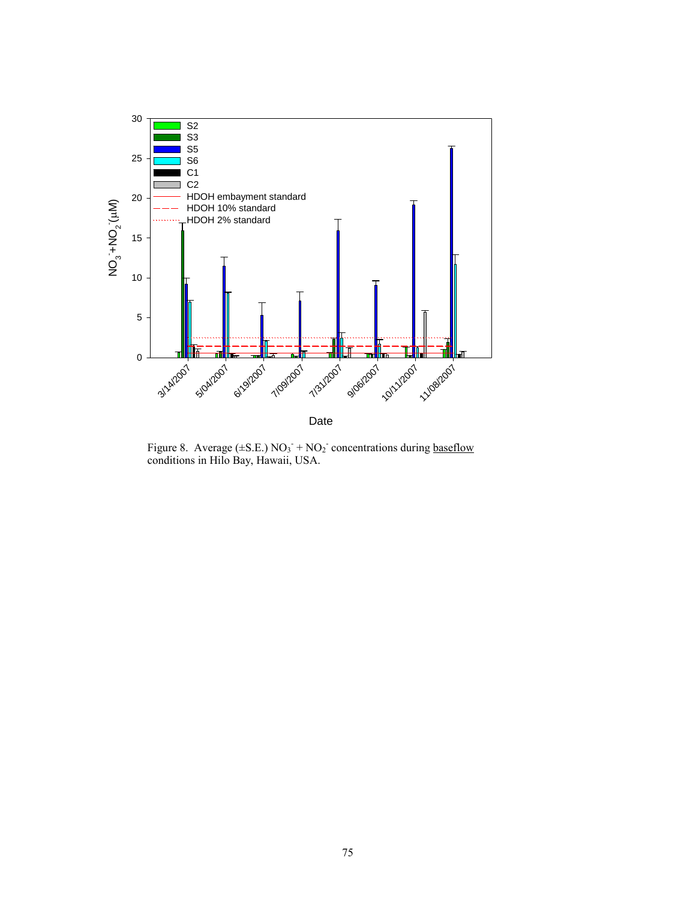

Figure 8. Average ( $\pm$ S.E.) NO<sub>3</sub><sup>-</sup> + NO<sub>2</sub><sup>-</sup> concentrations during baseflow conditions in Hilo Bay, Hawaii, USA.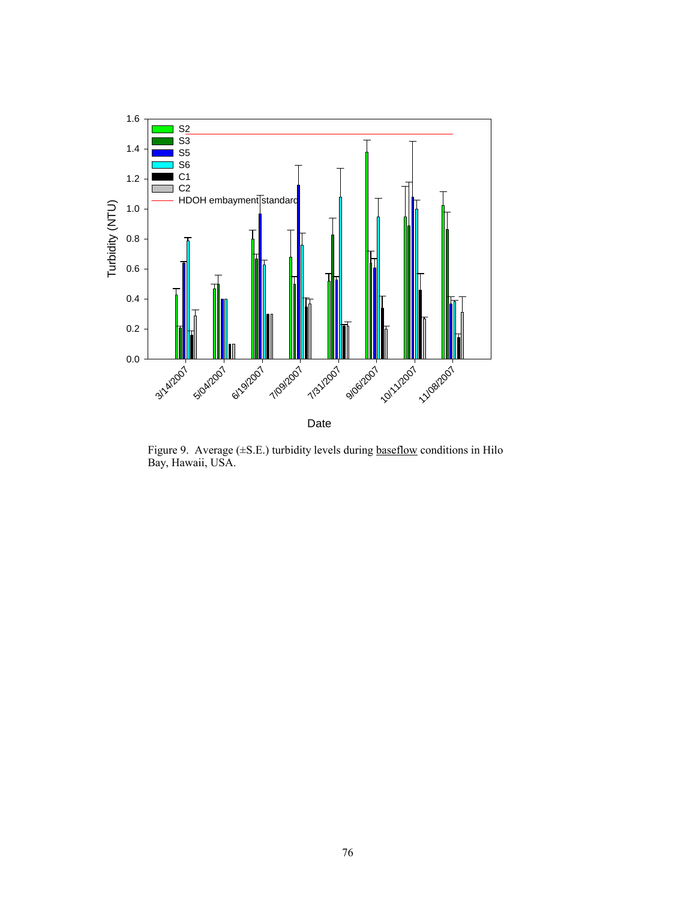

Figure 9. Average (±S.E.) turbidity levels during baseflow conditions in Hilo Bay, Hawaii, USA.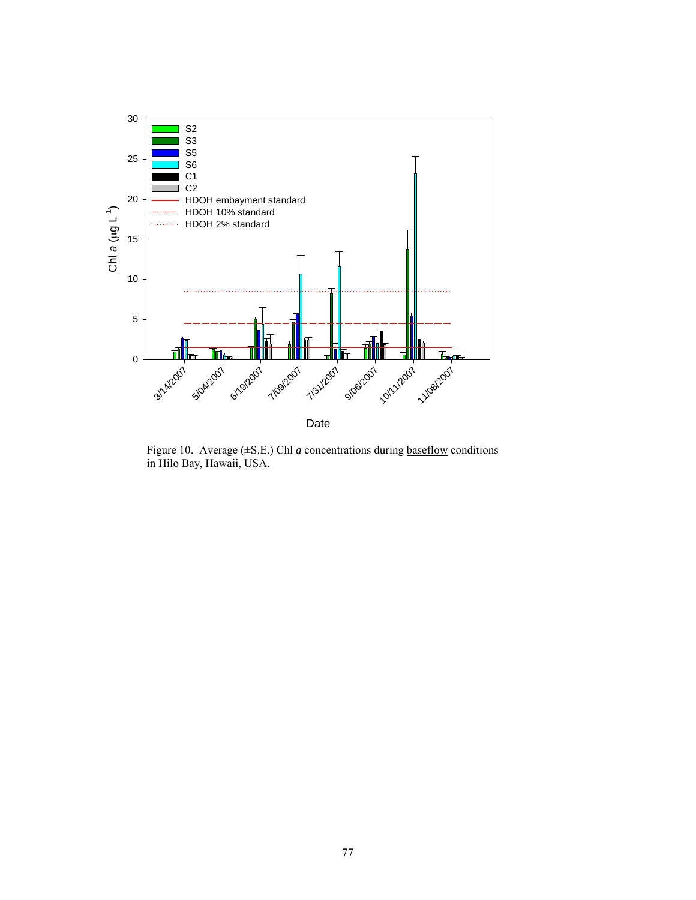

Figure 10. Average (±S.E.) Chl *a* concentrations during baseflow conditions in Hilo Bay, Hawaii, USA.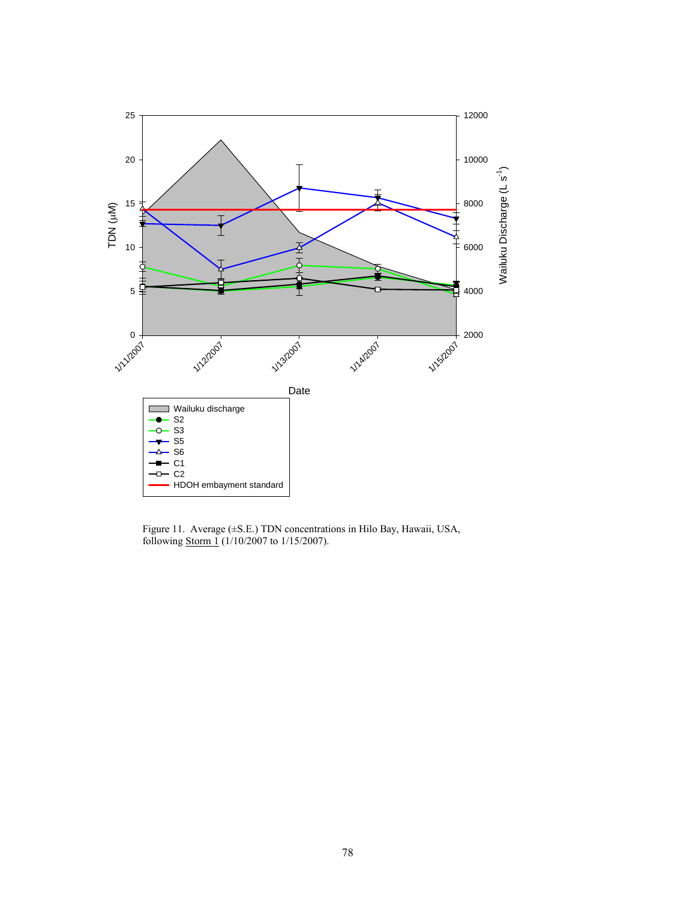

Figure 11. Average (±S.E.) TDN concentrations in Hilo Bay, Hawaii, USA, following Storm 1 (1/10/2007 to 1/15/2007).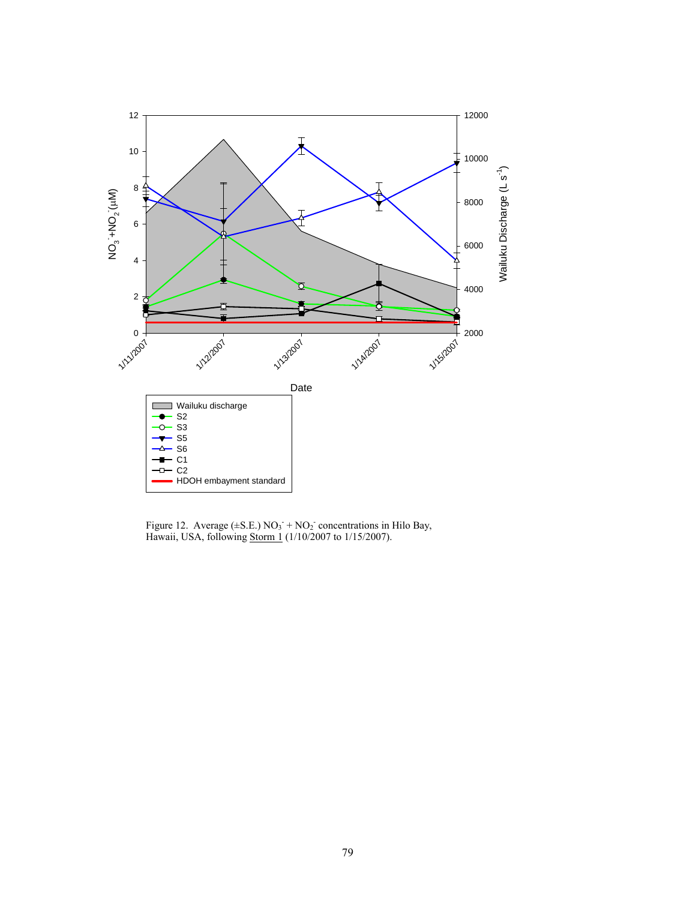

Figure 12. Average  $(\pm S.E.) NO_3 + NO_2$  concentrations in Hilo Bay, Hawaii, USA, following Storm 1 (1/10/2007 to 1/15/2007).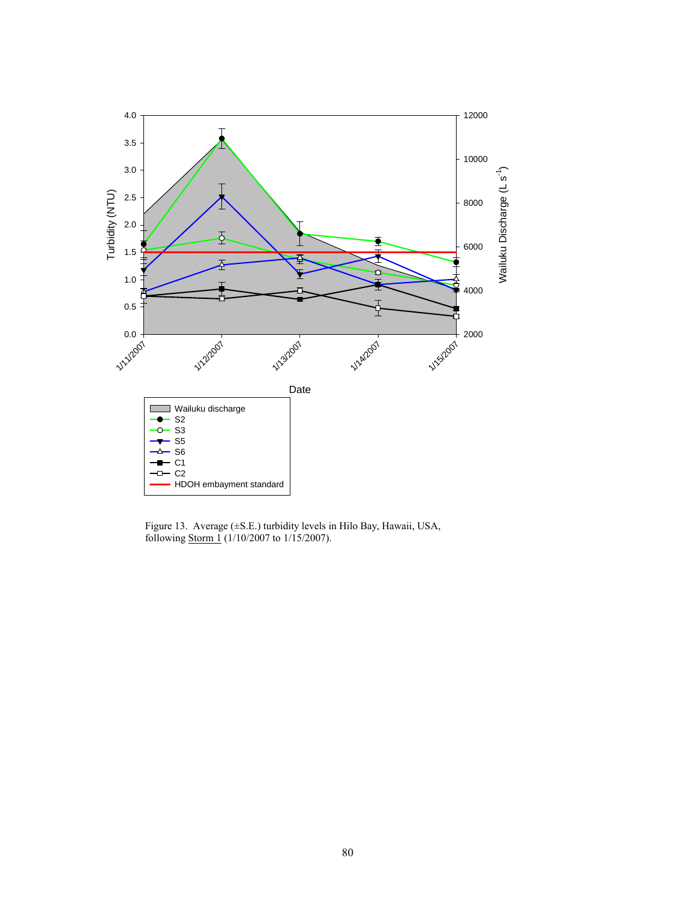

Figure 13. Average (±S.E.) turbidity levels in Hilo Bay, Hawaii, USA, following Storm 1 (1/10/2007 to 1/15/2007).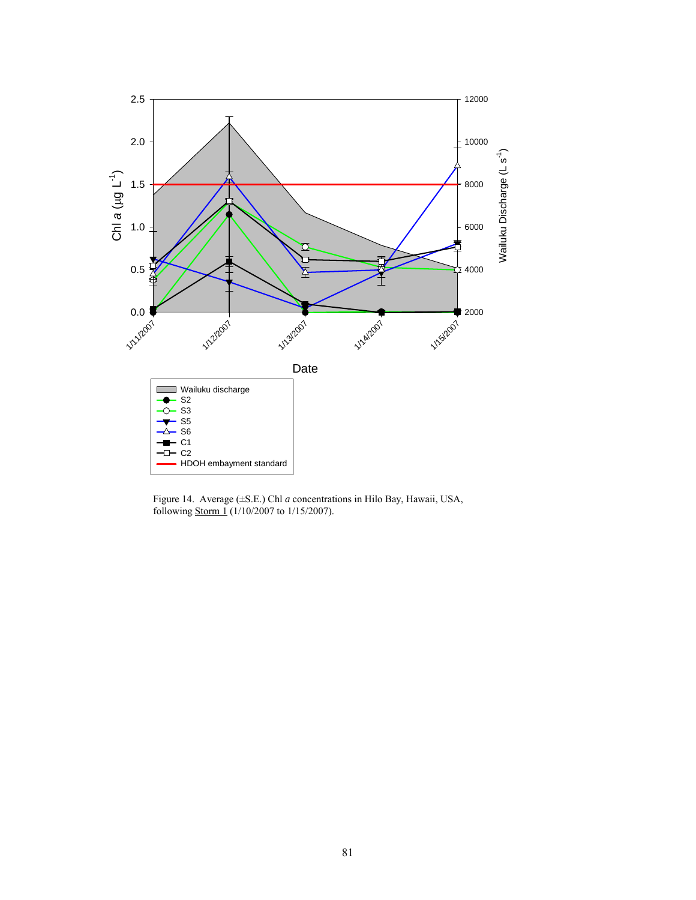

Figure 14. Average (±S.E.) Chl *a* concentrations in Hilo Bay, Hawaii, USA, following Storm 1 (1/10/2007 to 1/15/2007).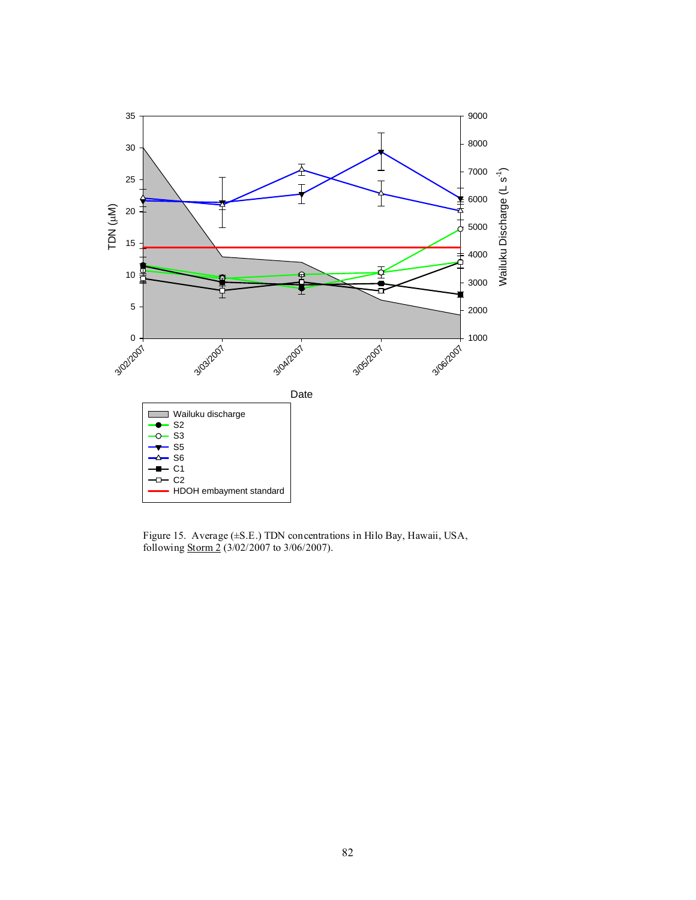

Figure 15. Average (±S.E.) TDN concentrations in Hilo Bay, Hawaii, USA, following Storm 2 (3/02/2007 to 3/06/2007).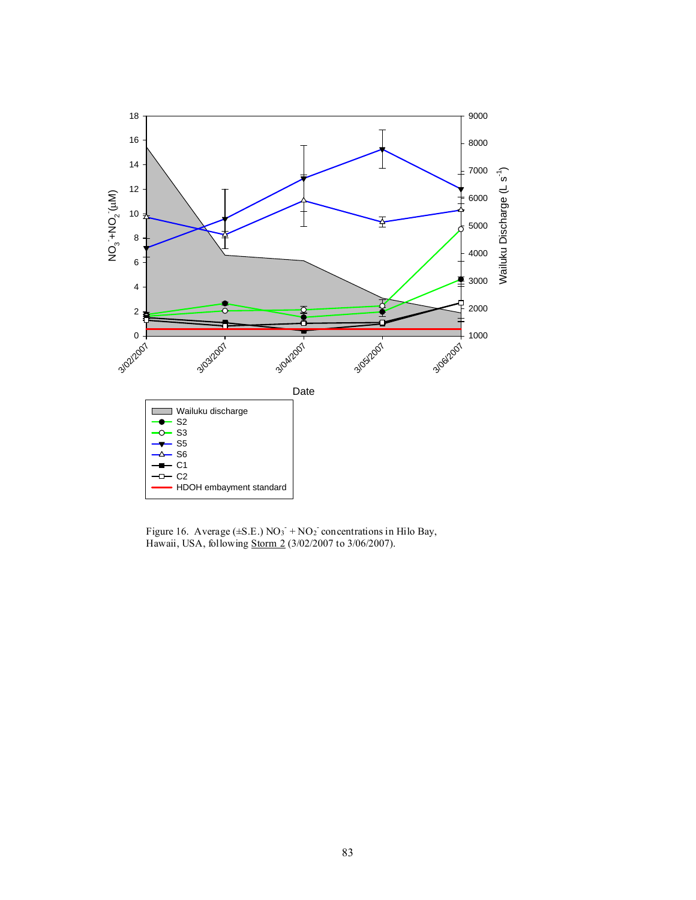

Figure 16. Average  $(\pm S.E.)$  NO<sub>3</sub> + NO<sub>2</sub> concentrations in Hilo Bay, Hawaii, USA, following Storm 2 (3/02/2007 to 3/06/2007).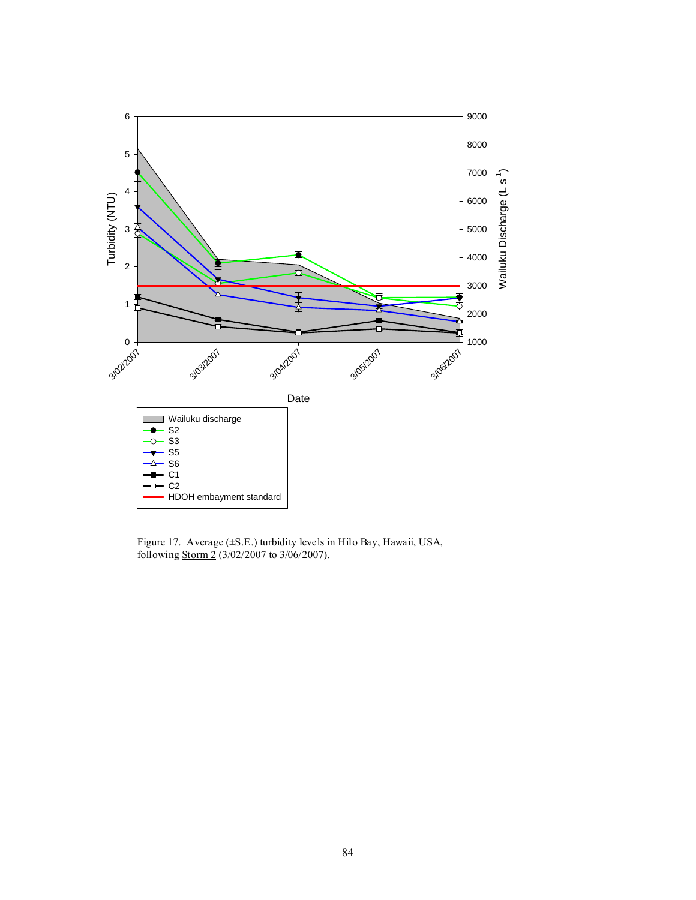

Figure 17. Average (±S.E.) turbidity levels in Hilo Bay, Hawaii, USA, following Storm 2 (3/02/2007 to 3/06/2007).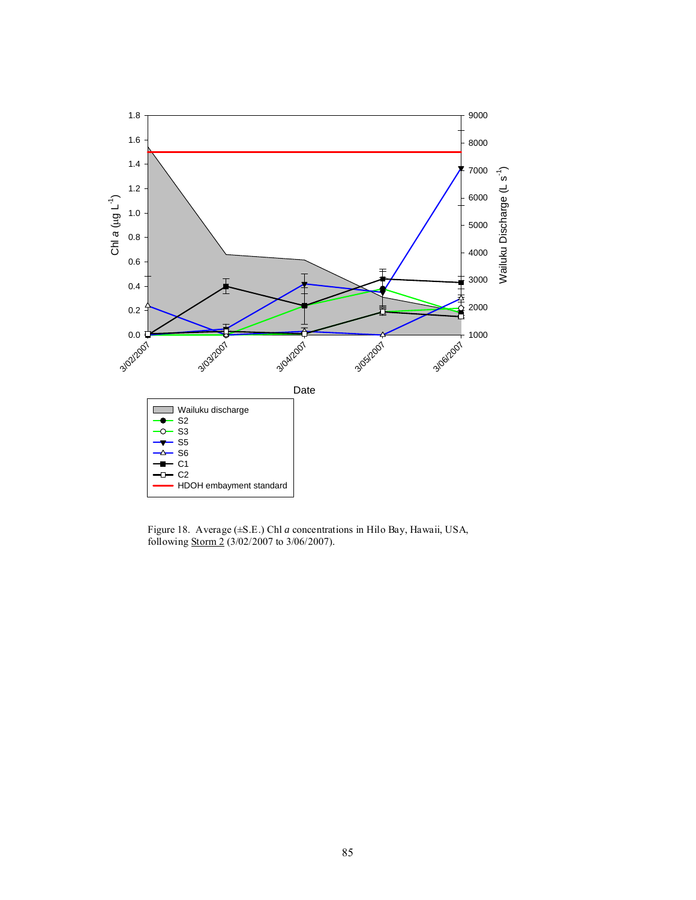

Figure 18. Average (±S.E.) Chl *a* concentrations in Hilo Bay, Hawaii, USA, following Storm 2 (3/02/2007 to 3/06/2007).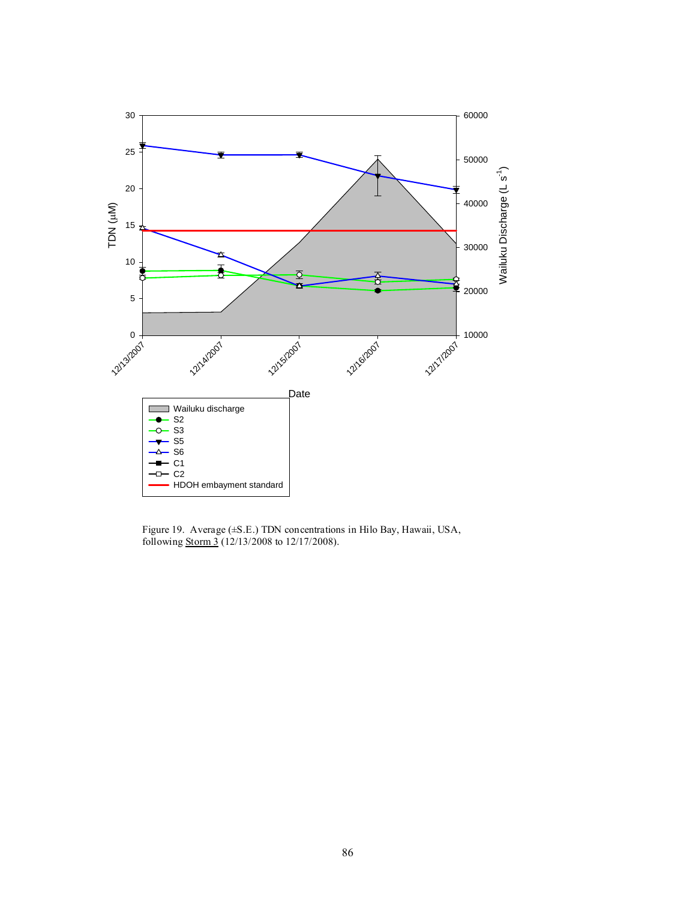

Figure 19. Average (±S.E.) TDN concentrations in Hilo Bay, Hawaii, USA, following **Storm 3** (12/13/2008 to 12/17/2008).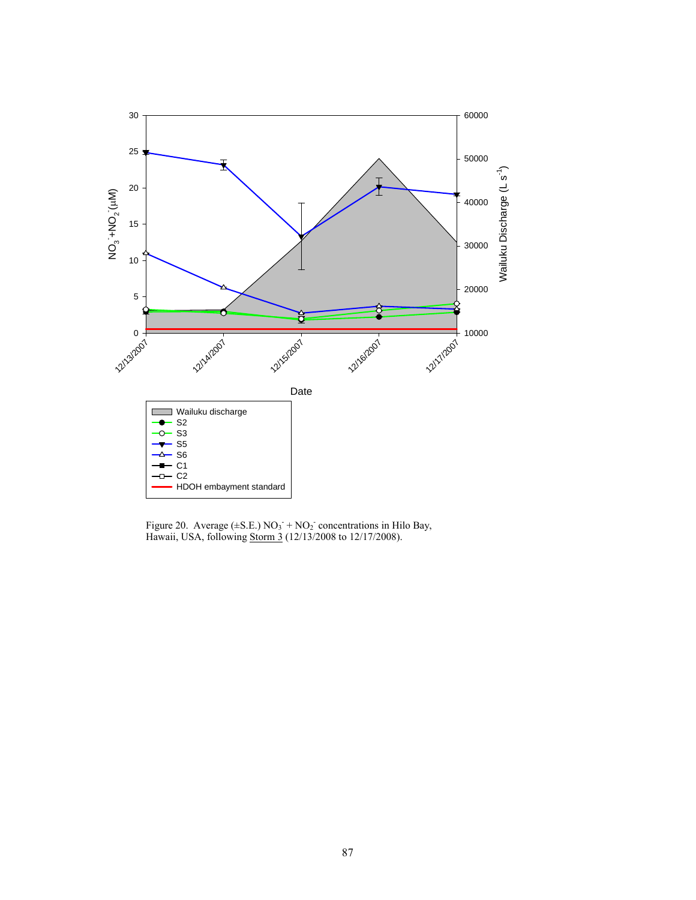

Figure 20. Average  $(\pm S.E.) NO_3 + NO_2$  concentrations in Hilo Bay, Hawaii, USA, following Storm 3 (12/13/2008 to 12/17/2008).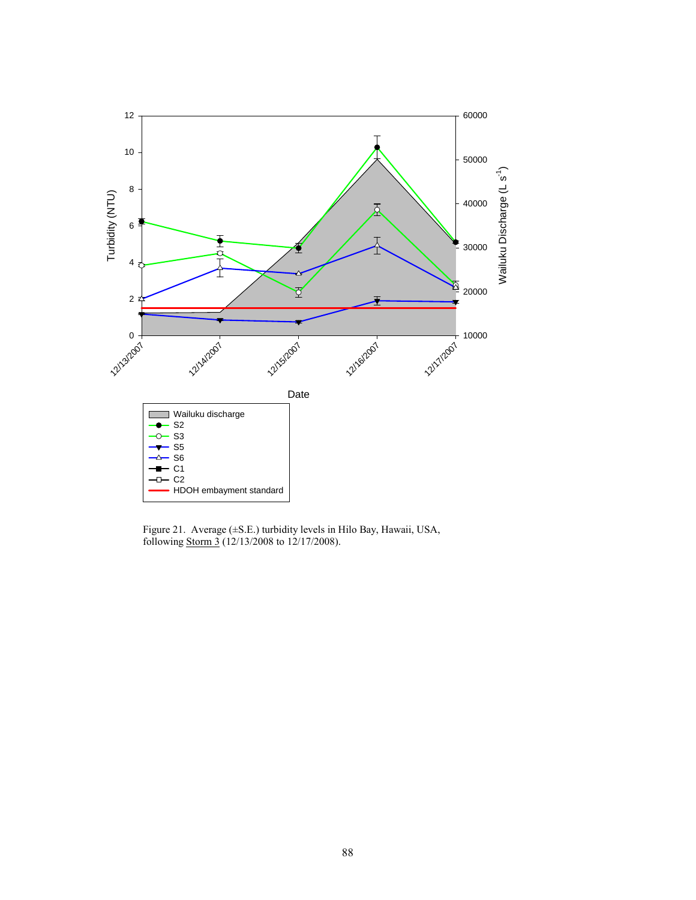

Figure 21. Average (±S.E.) turbidity levels in Hilo Bay, Hawaii, USA, following **Storm 3** (12/13/2008 to 12/17/2008).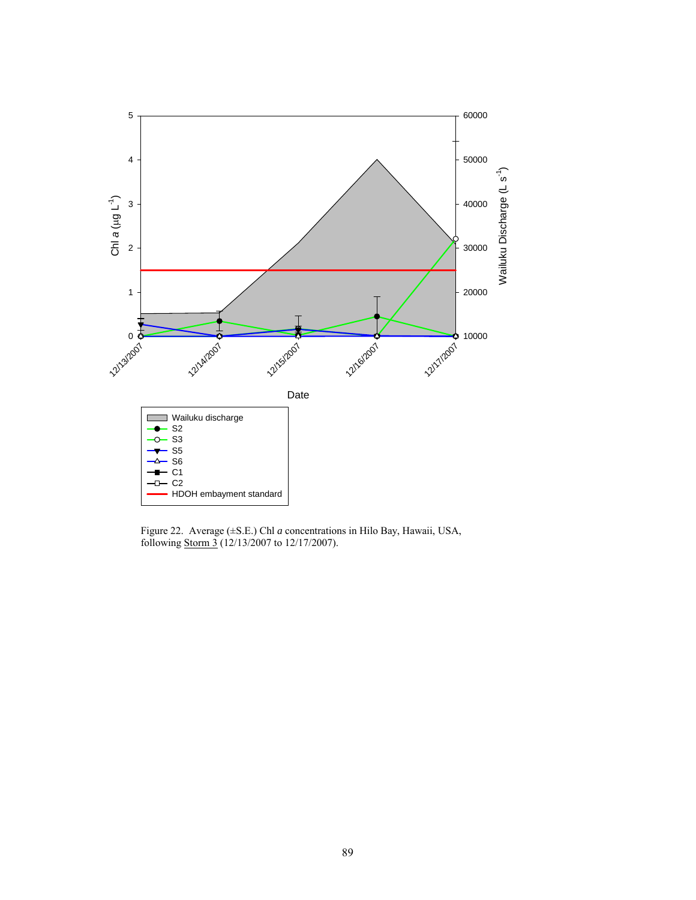

Figure 22. Average (±S.E.) Chl *a* concentrations in Hilo Bay, Hawaii, USA, following Storm 3 (12/13/2007 to 12/17/2007).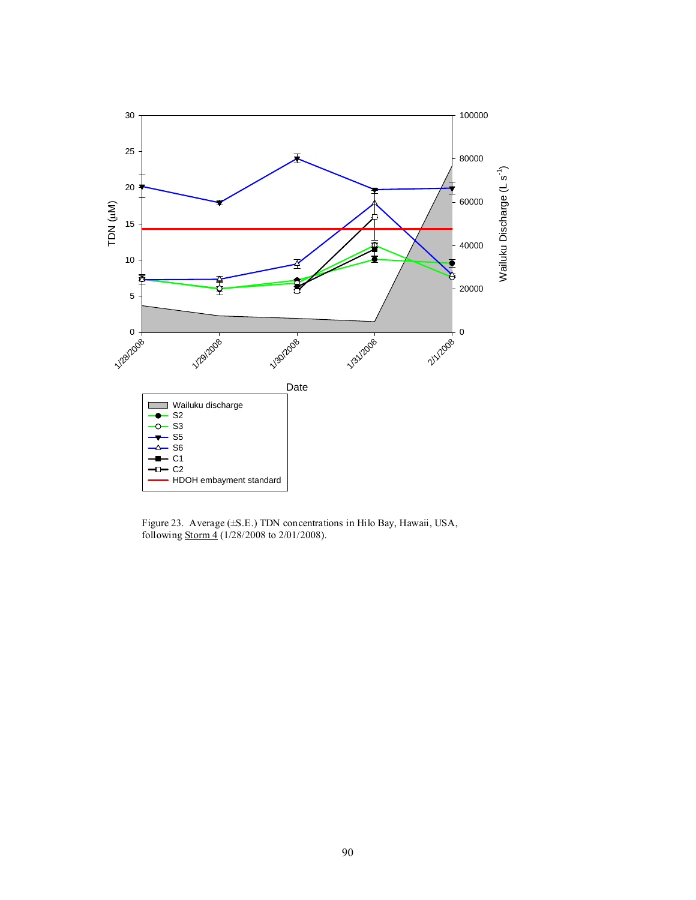

Figure 23. Average (±S.E.) TDN concentrations in Hilo Bay, Hawaii, USA, following Storm 4 (1/28/2008 to 2/01/2008).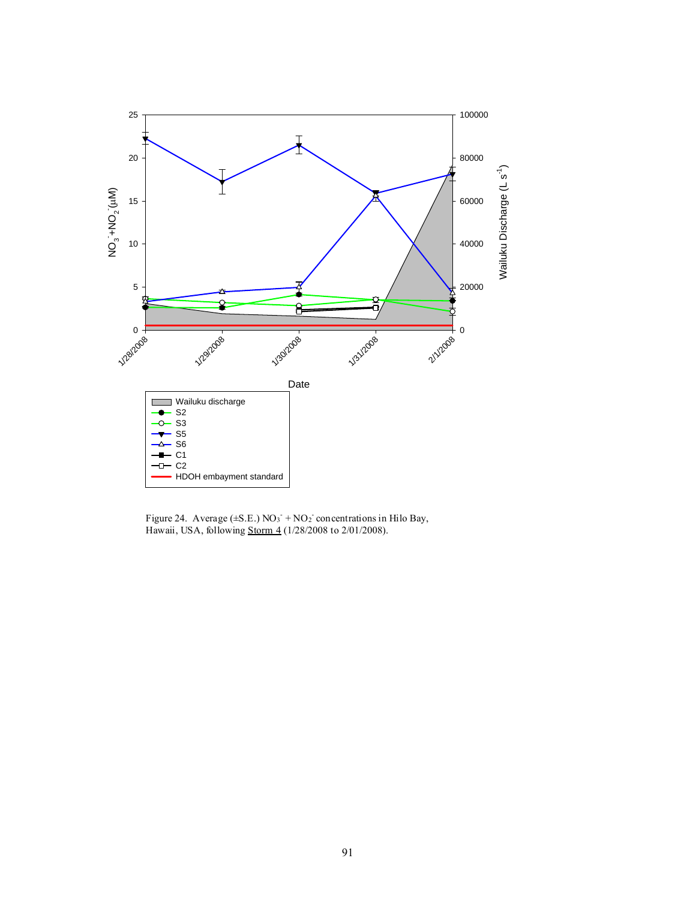

Figure 24. Average  $(\pm S.E.)$  NO<sub>3</sub> + NO<sub>2</sub> concentrations in Hilo Bay, Hawaii, USA, following Storm 4 (1/28/2008 to 2/01/2008).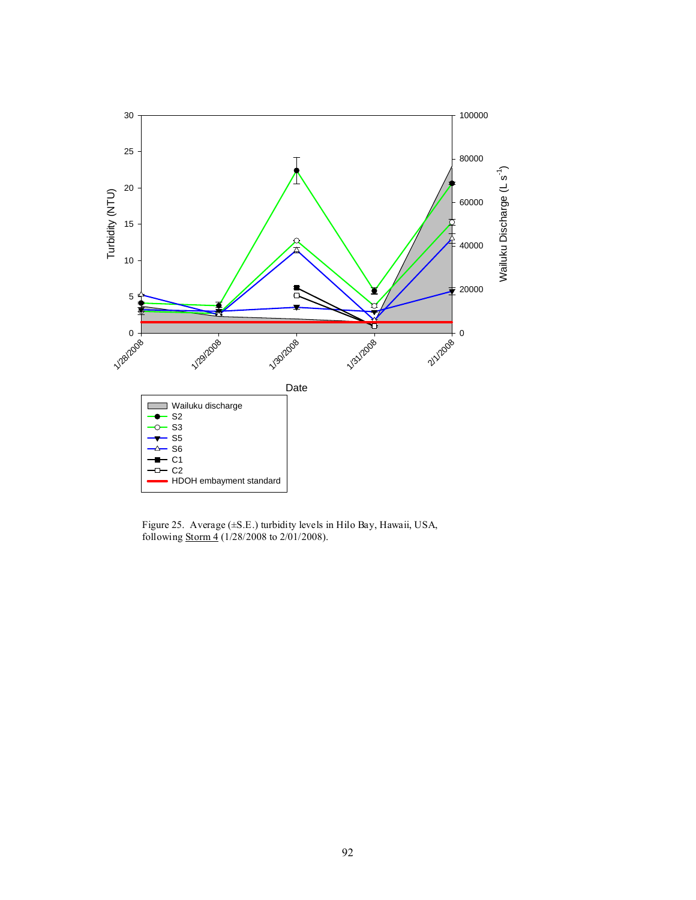

Figure 25. Average (±S.E.) turbidity levels in Hilo Bay, Hawaii, USA, following **Storm 4** (1/28/2008 to 2/01/2008).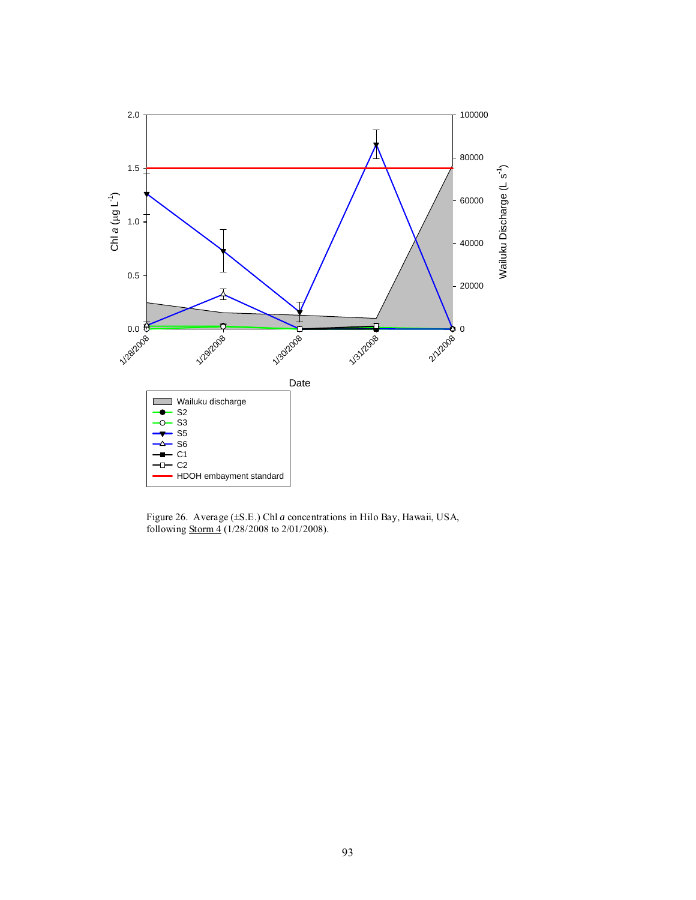

Figure 26. Average (±S.E.) Chl *a* concentrations in Hilo Bay, Hawaii, USA, following **Storm 4** (1/28/2008 to 2/01/2008).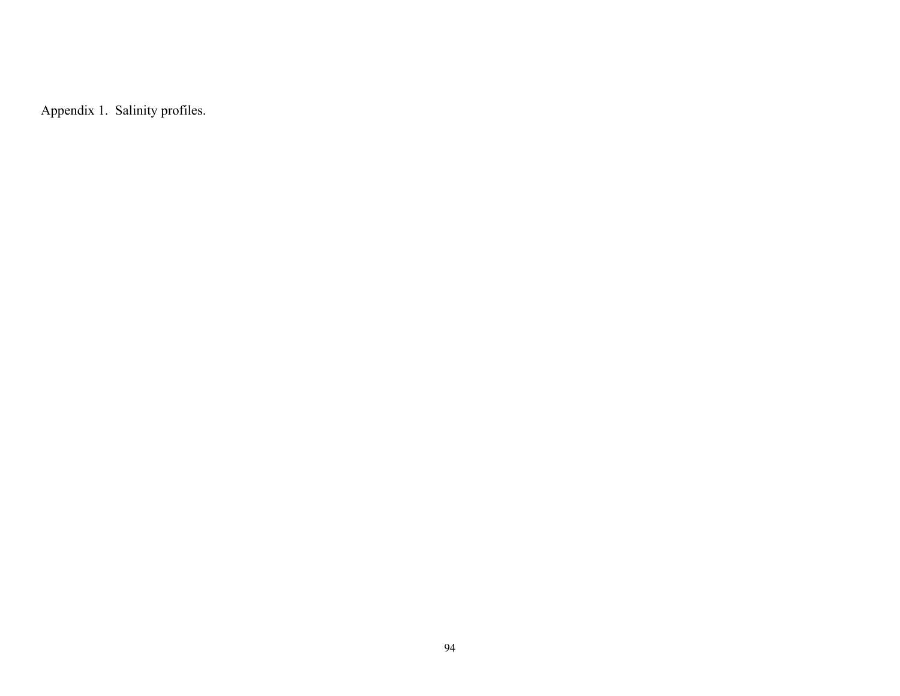Appendix 1. Salinity profiles.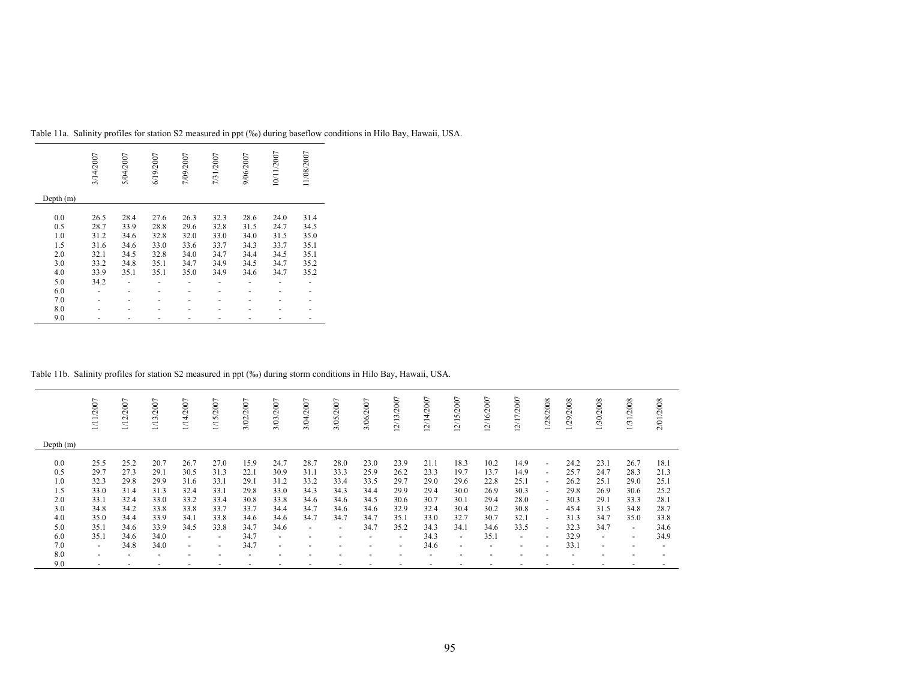|             | 3/14/2007 | 5/04/2007 | 6/19/2007 | 7/09/2007 | 7/31/2007 | 9/06/2007 | 10/11/2007 | 11/08/2007 |
|-------------|-----------|-----------|-----------|-----------|-----------|-----------|------------|------------|
| Depth $(m)$ |           |           |           |           |           |           |            |            |
| 0.0         | 26.5      | 28.4      | 27.6      | 26.3      | 32.3      | 28.6      | 24.0       | 31.4       |
| 0.5         | 28.7      | 33.9      | 28.8      | 29.6      | 32.8      | 31.5      | 24.7       | 34.5       |
| 1.0         | 31.2      | 34.6      | 32.8      | 32.0      | 33.0      | 34.0      | 31.5       | 35.0       |
| 1.5         | 31.6      | 34.6      | 33.0      | 33.6      | 33.7      | 34.3      | 33.7       | 35.1       |
| 2.0         | 32.1      | 34.5      | 32.8      | 34.0      | 34.7      | 34.4      | 34.5       | 35.1       |
| 3.0         | 33.2      | 34.8      | 35.1      | 34.7      | 34.9      | 34.5      | 34.7       | 35.2       |
| 4.0         | 33.9      | 35.1      | 35.1      | 35.0      | 34.9      | 34.6      | 34.7       | 35.2       |
| 5.0         | 34.2      |           |           |           |           |           |            |            |
| 6.0         |           |           |           |           |           |           |            |            |
| 7.0         |           |           |           |           |           |           |            |            |
| 8.0         |           |           |           |           |           |           |            |            |
| 9.0         |           |           |           |           |           |           |            |            |

Table 11a. Salinity profiles for station S2 measured in ppt (‰) during baseflow conditions in Hilo Bay, Hawaii, USA.

## Table 11b. Salinity profiles for station S2 measured in ppt (‰) during storm conditions in Hilo Bay, Hawaii, USA.

|             | 1/11/2007      | 1/12/2007 | 1/13/2007 | 1/14/2007                | 1/15/2007                | 3/02/2007 | 3/03/2007                | 3/04/2007                | 3/05/2007                | 3/06/2007      | 12/13/2007               | 12/14/2007 | 12/15/2007               | 12/16/2007 | 12/17/2007 | 1/28/2008                | 1/29/2008 | 1/30/2008                | 1/31/2008                | 2/01/2008 |
|-------------|----------------|-----------|-----------|--------------------------|--------------------------|-----------|--------------------------|--------------------------|--------------------------|----------------|--------------------------|------------|--------------------------|------------|------------|--------------------------|-----------|--------------------------|--------------------------|-----------|
| Depth $(m)$ |                |           |           |                          |                          |           |                          |                          |                          |                |                          |            |                          |            |            |                          |           |                          |                          |           |
|             |                |           |           |                          |                          |           |                          |                          |                          |                |                          |            |                          |            |            |                          |           |                          |                          |           |
| 0.0         | 25.5           | 25.2      | 20.7      | 26.7                     | 27.0                     | 15.9      | 24.7                     | 28.7                     | 28.0                     | 23.0           | 23.9                     | 21.1       | 18.3                     | 10.2       | 14.9       | $\blacksquare$           | 24.2      | 23.1                     | 26.7                     | 18.1      |
| 0.5         | 29.7           | 27.3      | 29.1      | 30.5                     | 31.3                     | 22.1      | 30.9                     | 31.1                     | 33.3                     | 25.9           | 26.2                     | 23.3       | 19.7                     | 13.7       | 14.9       | $\overline{\phantom{a}}$ | 25.7      | 24.7                     | 28.3                     | 21.3      |
| 1.0         | 32.3           | 29.8      | 29.9      | 31.6                     | 33.1                     | 29.1      | 31.2                     | 33.2                     | 33.4                     | 33.5           | 29.7                     | 29.0       | 29.6                     | 22.8       | 25.1       | $\overline{\phantom{a}}$ | 26.2      | 25.1                     | 29.0                     | 25.1      |
| 1.5         | 33.0           | 31.4      | 31.3      | 32.4                     | 33.1                     | 29.8      | 33.0                     | 34.3                     | 34.3                     | 34.4           | 29.9                     | 29.4       | 30.0                     | 26.9       | 30.3       | $\overline{\phantom{a}}$ | 29.8      | 26.9                     | 30.6                     | 25.2      |
| 2.0         | 33.1           | 32.4      | 33.0      | 33.2                     | 33.4                     | 30.8      | 33.8                     | 34.6                     | 34.6                     | 34.5           | 30.6                     | 30.7       | 30.1                     | 29.4       | 28.0       | $\blacksquare$           | 30.3      | 29.1                     | 33.3                     | 28.1      |
| 3.0         | 34.8           | 34.2      | 33.8      | 33.8                     | 33.7                     | 33.7      | 34.4                     | 34.7                     | 34.6                     | 34.6           | 32.9                     | 32.4       | 30.4                     | 30.2       | 30.8       | $\blacksquare$           | 45.4      | 31.5                     | 34.8                     | 28.7      |
| 4.0         | 35.0           | 34.4      | 33.9      | 34.1                     | 33.8                     | 34.6      | 34.6                     | 34.7                     | 34.7                     | 34.7           | 35.1                     | 33.0       | 32.7                     | 30.7       | 32.1       | $\overline{a}$           | 31.3      | 34.7                     | 35.0                     | 33.8      |
| 5.0         | 35.1           | 34.6      | 33.9      | 34.5                     | 33.8                     | 34.7      | 34.6                     | $\sim$                   | $\overline{\phantom{a}}$ | 34.7           | 35.2                     | 34.3       | 34.1                     | 34.6       | 33.5       | $\overline{\phantom{a}}$ | 32.3      | 34.7                     | $\overline{\phantom{a}}$ | 34.6      |
| 6.0         | 35.1           | 34.6      | 34.0      | $\sim$                   | $\sim$                   | 34.7      | $\sim$                   | $\overline{\phantom{a}}$ |                          | $\overline{a}$ | $\sim$                   | 34.3       | $\sim$                   | 35.1       | $\sim$     | $\overline{a}$           | 32.9      | $\overline{\phantom{a}}$ | $\overline{\phantom{a}}$ | 34.9      |
| 7.0         | $\sim$         | 34.8      | 34.0      | $\overline{\phantom{a}}$ | $\overline{\phantom{a}}$ | 34.7      | $\overline{\phantom{a}}$ |                          |                          |                | $\overline{\phantom{0}}$ | 34.6       | $\overline{\phantom{a}}$ |            |            | $\overline{\phantom{a}}$ | 33.1      | ۰                        |                          |           |
| 8.0         | $\overline{a}$ |           |           |                          |                          |           |                          |                          |                          |                |                          |            |                          |            |            |                          |           |                          |                          |           |
| 9.0         |                |           |           |                          |                          |           |                          |                          |                          |                |                          |            |                          |            |            |                          |           |                          |                          |           |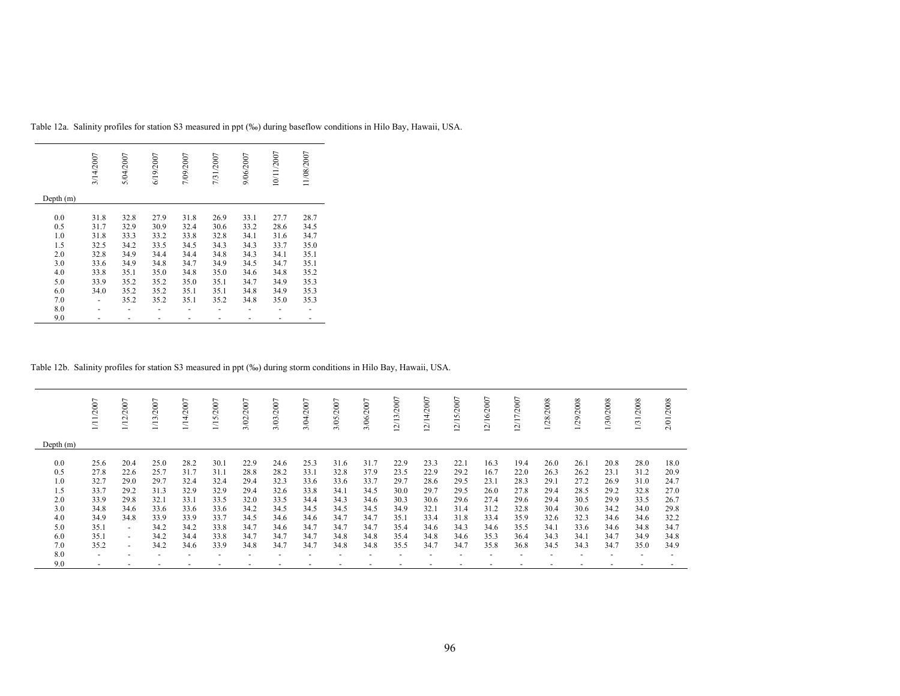|             | 3/14/2007 | 5/04/2007 | 6/19/2007 | 7/09/2007 | 7/31/2007 | 9/06/2007 | 10/11/2007 | 11/08/2007 |
|-------------|-----------|-----------|-----------|-----------|-----------|-----------|------------|------------|
| Depth $(m)$ |           |           |           |           |           |           |            |            |
| 0.0         | 31.8      | 32.8      | 27.9      | 31.8      | 26.9      | 33.1      | 27.7       | 28.7       |
| 0.5         | 31.7      | 32.9      | 30.9      | 32.4      | 30.6      | 33.2      | 28.6       | 34.5       |
| 1.0         | 31.8      | 33.3      | 33.2      | 33.8      | 32.8      | 34.1      | 31.6       | 34.7       |
| 1.5         | 32.5      | 34.2      | 33.5      | 34.5      | 34.3      | 34.3      | 33.7       | 35.0       |
| 2.0         | 32.8      | 34.9      | 34.4      | 34.4      | 34.8      | 34.3      | 34.1       | 35.1       |
| 3.0         | 33.6      | 34.9      | 34.8      | 34.7      | 34.9      | 34.5      | 34.7       | 35.1       |
| 4.0         | 33.8      | 35.1      | 35.0      | 34.8      | 35.0      | 34.6      | 34.8       | 35.2       |
| 5.0         | 33.9      | 35.2      | 35.2      | 35.0      | 35.1      | 34.7      | 34.9       | 35.3       |
| 6.0         | 34.0      | 35.2      | 35.2      | 35.1      | 35.1      | 34.8      | 34.9       | 35.3       |
| 7.0         |           | 35.2      | 35.2      | 35.1      | 35.2      | 34.8      | 35.0       | 35.3       |
| 8.0         |           |           |           |           |           |           |            |            |
| 9.0         |           |           |           |           |           |           |            |            |

Table 12a. Salinity profiles for station S3 measured in ppt (‰) during baseflow conditions in Hilo Bay, Hawaii, USA.

## Table 12b. Salinity profiles for station S3 measured in ppt (‰) during storm conditions in Hilo Bay, Hawaii, USA.

|             | /2007          | /12/2007                 | 1/13/2007                | 2007<br>$\frac{1}{4}$ | 5/2007<br>$\equiv$       | 2007<br>3/02/ | 3/03/2007                | 3/04/2007 | 3/05/2007 | 3/06/2007 | 2/13/2007 | /14/2007<br>$\sim$ | 2/15/2007 | ∼<br>2/16/200            | ∼<br>/17/200<br>$\sim$ | 28/2008 | 29/2008 | /30/2008 | /2008<br>1/31 | 2/01/2008 |
|-------------|----------------|--------------------------|--------------------------|-----------------------|--------------------------|---------------|--------------------------|-----------|-----------|-----------|-----------|--------------------|-----------|--------------------------|------------------------|---------|---------|----------|---------------|-----------|
| Depth $(m)$ |                |                          |                          |                       |                          |               |                          |           |           |           |           |                    |           |                          |                        |         |         |          |               |           |
| 0.0         | 25.6           | 20.4                     | 25.0                     | 28.2                  | 30.1                     | 22.9          | 24.6                     | 25.3      | 31.6      | 31.7      | 22.9      | 23.3               | 22.1      | 16.3                     | 19.4                   | 26.0    | 26.1    | 20.8     | 28.0          | 18.0      |
| 0.5         | 27.8           | 22.6                     | 25.7                     | 31.7                  | 31.1                     | 28.8          | 28.2                     | 33.1      | 32.8      | 37.9      | 23.5      | 22.9               | 29.2      | 16.7                     | 22.0                   | 26.3    | 26.2    | 23.1     | 31.2          | 20.9      |
| 1.0         | 32.7           | 29.0                     | 29.7                     | 32.4                  | 32.4                     | 29.4          | 32.3                     | 33.6      | 33.6      | 33.7      | 29.7      | 28.6               | 29.5      | 23.1                     | 28.3                   | 29.1    | 27.2    | 26.9     | 31.0          | 24.7      |
| 1.5         | 33.7           | 29.2                     | 31.3                     | 32.9                  | 32.9                     | 29.4          | 32.6                     | 33.8      | 34.1      | 34.5      | 30.0      | 29.7               | 29.5      | 26.0                     | 27.8                   | 29.4    | 28.5    | 29.2     | 32.8          | 27.0      |
| 2.0         | 33.9           | 29.8                     | 32.1                     | 33.1                  | 33.5                     | 32.0          | 33.5                     | 34.4      | 34.3      | 34.6      | 30.3      | 30.6               | 29.6      | 27.4                     | 29.6                   | 29.4    | 30.5    | 29.9     | 33.5          | 26.7      |
| 3.0         | 34.8           | 34.6                     | 33.6                     | 33.6                  | 33.6                     | 34.2          | 34.5                     | 34.5      | 34.5      | 34.5      | 34.9      | 32.1               | 31.4      | 31.2                     | 32.8                   | 30.4    | 30.6    | 34.2     | 34.0          | 29.8      |
| 4.0         | 34.9           | 34.8                     | 33.9                     | 33.9                  | 33.7                     | 34.5          | 34.6                     | 34.6      | 34.7      | 34.7      | 35.1      | 33.4               | 31.8      | 33.4                     | 35.9                   | 32.6    | 32.3    | 34.6     | 34.6          | 32.2      |
| 5.0         | 35.1           | $\sim$                   | 34.2                     | 34.2                  | 33.8                     | 34.7          | 34.6                     | 34.7      | 34.7      | 34.7      | 35.4      | 34.6               | 34.3      | 34.6                     | 35.5                   | 34.1    | 33.6    | 34.6     | 34.8          | 34.7      |
| 6.0         | 35.1           | $\overline{\phantom{a}}$ | 34.2                     | 34.4                  | 33.8                     | 34.7          | 34.7                     | 34.7      | 34.8      | 34.8      | 35.4      | 34.8               | 34.6      | 35.3                     | 36.4                   | 34.3    | 34.1    | 34.7     | 34.9          | 34.8      |
| 7.0         | 35.2           | $\sim$                   | 34.2                     | 34.6                  | 33.9                     | 34.8          | 34.7                     | 34.7      | 34.8      | 34.8      | 35.5      | 34.7               | 34.7      | 35.8                     | 36.8                   | 34.5    | 34.3    | 34.7     | 35.0          | 34.9      |
| 8.0         | $\overline{a}$ |                          | $\overline{\phantom{a}}$ |                       | $\overline{\phantom{0}}$ |               | $\overline{\phantom{a}}$ |           |           |           |           |                    |           | $\overline{\phantom{a}}$ |                        |         |         |          |               |           |
| 9.0         |                |                          |                          |                       |                          |               |                          |           |           |           |           |                    |           |                          |                        |         |         |          |               |           |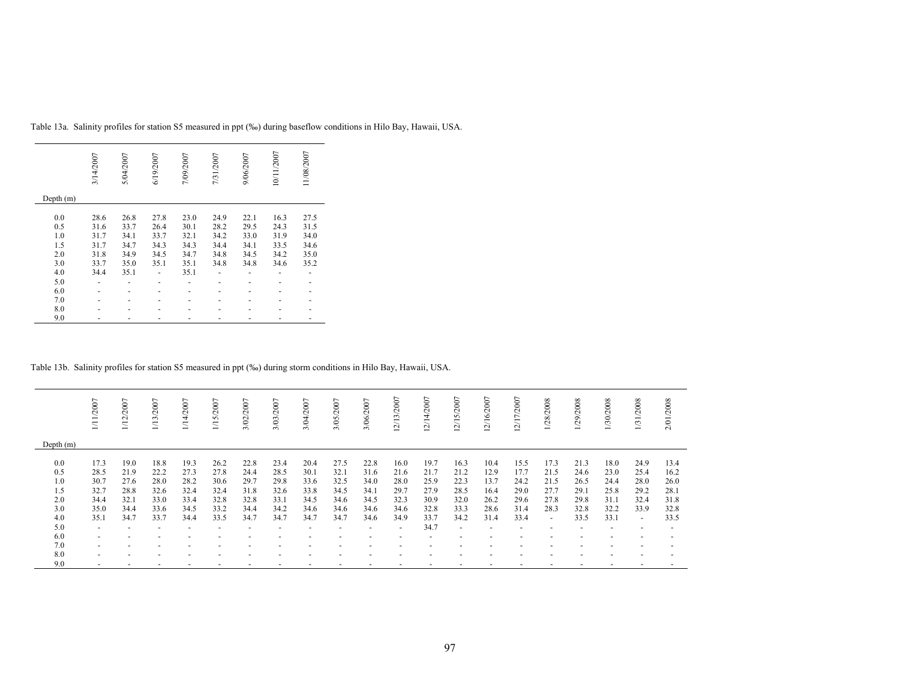|             | 3/14/2007 | 5/04/2007 | 6/19/2007 | 7/09/2007 | 7/31/2007 | 9/06/2007 | 10/11/2007 | 11/08/2007 |
|-------------|-----------|-----------|-----------|-----------|-----------|-----------|------------|------------|
| Depth $(m)$ |           |           |           |           |           |           |            |            |
| 0.0         | 28.6      | 26.8      | 27.8      | 23.0      | 24.9      | 22.1      | 16.3       | 27.5       |
| 0.5         | 31.6      | 33.7      | 26.4      | 30.1      | 28.2      | 29.5      | 24.3       | 31.5       |
| 1.0         | 31.7      | 34.1      | 33.7      | 32.1      | 34.2      | 33.0      | 31.9       | 34.0       |
| 1.5         | 31.7      | 34.7      | 34.3      | 34.3      | 34.4      | 34.1      | 33.5       | 34.6       |
| 2.0         | 31.8      | 34.9      | 34.5      | 34.7      | 34.8      | 34.5      | 34.2       | 35.0       |
| 3.0         | 33.7      | 35.0      | 35.1      | 35.1      | 34.8      | 34.8      | 34.6       | 35.2       |
| 4.0         | 34.4      | 35.1      |           | 35.1      |           |           |            |            |
| 5.0         |           |           |           |           |           |           |            |            |
| 6.0         |           |           |           |           |           |           |            |            |
| 7.0         |           |           |           |           |           |           |            |            |
| 8.0         |           |           |           |           |           |           |            |            |
| 9.0         |           |           |           |           |           |           |            |            |

Table 13a. Salinity profiles for station S5 measured in ppt (‰) during baseflow conditions in Hilo Bay, Hawaii, USA.

## Table 13b. Salinity profiles for station S5 measured in ppt (‰) during storm conditions in Hilo Bay, Hawaii, USA.

|                          | 1/11/2007                                            | 1/12/2007                    | 1/13/2007                    | 1/14/2007                    | 1/15/2007                    | 3/02/2007                    | 3/03/2007                    | 3/04/2007                    | 3/05/2007                    | 3/06/2007                    | 12/13/2007                   | 12/14/2007                   | 12/15/2007                   | 12/16/2007                   | 12/17/2007                   | 1/28/2008                        | 1/29/2008                    | 1/30/2008                    | 1/31/2008                    | 2/01/2008                    |
|--------------------------|------------------------------------------------------|------------------------------|------------------------------|------------------------------|------------------------------|------------------------------|------------------------------|------------------------------|------------------------------|------------------------------|------------------------------|------------------------------|------------------------------|------------------------------|------------------------------|----------------------------------|------------------------------|------------------------------|------------------------------|------------------------------|
| Depth $(m)$              |                                                      |                              |                              |                              |                              |                              |                              |                              |                              |                              |                              |                              |                              |                              |                              |                                  |                              |                              |                              |                              |
| 0.0<br>0.5<br>1.0<br>1.5 | 17.3<br>28.5<br>30.7<br>32.7                         | 19.0<br>21.9<br>27.6<br>28.8 | 18.8<br>22.2<br>28.0<br>32.6 | 19.3<br>27.3<br>28.2<br>32.4 | 26.2<br>27.8<br>30.6<br>32.4 | 22.8<br>24.4<br>29.7<br>31.8 | 23.4<br>28.5<br>29.8<br>32.6 | 20.4<br>30.1<br>33.6<br>33.8 | 27.5<br>32.1<br>32.5<br>34.5 | 22.8<br>31.6<br>34.0<br>34.1 | 16.0<br>21.6<br>28.0<br>29.7 | 19.7<br>21.7<br>25.9<br>27.9 | 16.3<br>21.2<br>22.3<br>28.5 | 10.4<br>12.9<br>13.7<br>16.4 | 15.5<br>17.7<br>24.2<br>29.0 | 17.3<br>21.5<br>21.5<br>27.7     | 21.3<br>24.6<br>26.5<br>29.1 | 18.0<br>23.0<br>24.4<br>25.8 | 24.9<br>25.4<br>28.0<br>29.2 | 13.4<br>16.2<br>26.0<br>28.1 |
| 2.0                      | 34.4                                                 | 32.1                         | 33.0                         | 33.4                         | 32.8                         | 32.8                         | 33.1                         | 34.5                         | 34.6                         | 34.5                         | 32.3                         | 30.9                         | 32.0                         | 26.2                         | 29.6                         | 27.8                             | 29.8                         | 31.1                         | 32.4                         | 31.8                         |
| 3.0<br>4.0               | 35.0<br>35.1                                         | 34.4<br>34.7                 | 33.6<br>33.7                 | 34.5<br>34.4                 | 33.2<br>33.5                 | 34.4<br>34.7                 | 34.2<br>34.7                 | 34.6<br>34.7                 | 34.6<br>34.7                 | 34.6<br>34.6                 | 34.6<br>34.9                 | 32.8<br>33.7                 | 33.3<br>34.2                 | 28.6<br>31.4                 | 31.4<br>33.4                 | 28.3<br>$\overline{\phantom{a}}$ | 32.8<br>33.5                 | 32.2<br>33.1                 | 33.9<br>$\sim$               | 32.8<br>33.5                 |
| 5.0<br>6.0               | $\overline{\phantom{a}}$<br>$\overline{\phantom{a}}$ |                              | $\overline{\phantom{a}}$     |                              | $\overline{\phantom{0}}$     |                              |                              |                              | ۰                            | $\overline{a}$               | $\overline{\phantom{a}}$     | 34.7                         | $\overline{\phantom{0}}$     | $\overline{\phantom{a}}$     |                              |                                  |                              |                              |                              |                              |
| 7.0                      | $\overline{\phantom{a}}$                             |                              |                              |                              |                              |                              |                              |                              |                              |                              |                              |                              |                              |                              |                              |                                  |                              |                              |                              |                              |
| 8.0<br>9.0               | $\overline{\phantom{a}}$                             |                              | $\overline{\phantom{a}}$     |                              |                              |                              |                              |                              |                              |                              |                              |                              |                              |                              |                              |                                  |                              |                              |                              |                              |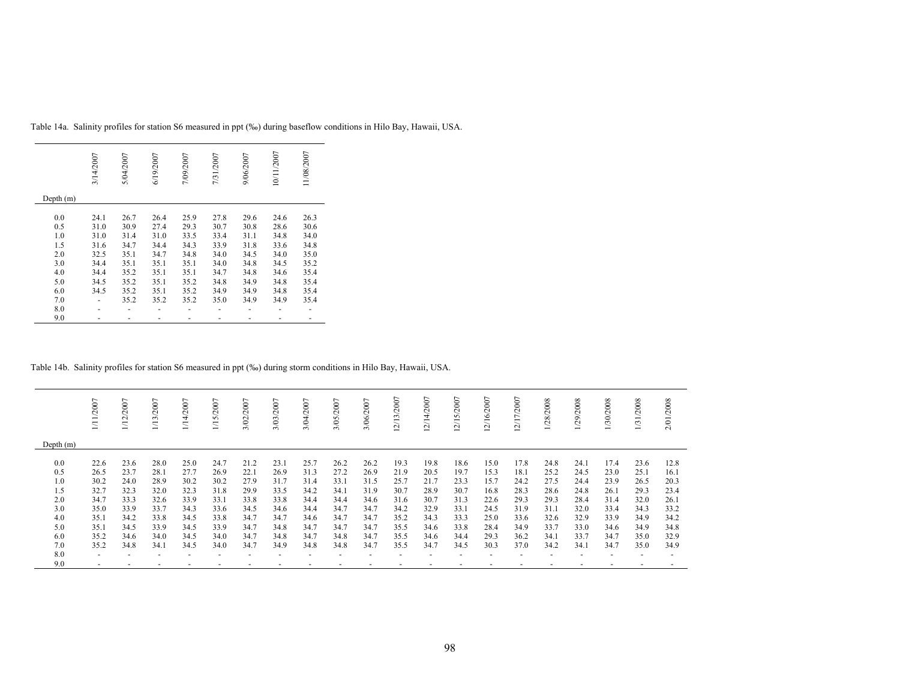|             | 3/14/2007 | 5/04/2007 | 6/19/2007 | 7/09/2007 | 7/31/2007 | 9/06/2007 | 10/11/2007 | 11/08/2007 |
|-------------|-----------|-----------|-----------|-----------|-----------|-----------|------------|------------|
| Depth $(m)$ |           |           |           |           |           |           |            |            |
| 0.0         | 24.1      | 26.7      | 26.4      | 25.9      | 27.8      | 29.6      | 24.6       | 26.3       |
| 0.5         | 31.0      | 30.9      | 27.4      | 29.3      | 30.7      | 30.8      | 28.6       | 30.6       |
| 1.0         | 31.0      | 31.4      | 31.0      | 33.5      | 33.4      | 31.1      | 34.8       | 34.0       |
| 1.5         | 31.6      | 34.7      | 34.4      | 34.3      | 33.9      | 31.8      | 33.6       | 34.8       |
| 2.0         | 32.5      | 35.1      | 34.7      | 34.8      | 34.0      | 34.5      | 34.0       | 35.0       |
| 3.0         | 34.4      | 35.1      | 35.1      | 35.1      | 34.0      | 34.8      | 34.5       | 35.2       |
| 4.0         | 34.4      | 35.2      | 35.1      | 35.1      | 34.7      | 34.8      | 34.6       | 35.4       |
| 5.0         | 34.5      | 35.2      | 35.1      | 35.2      | 34.8      | 34.9      | 34.8       | 35.4       |
| 6.0         | 34.5      | 35.2      | 35.1      | 35.2      | 34.9      | 34.9      | 34.8       | 35.4       |
| 7.0         |           | 35.2      | 35.2      | 35.2      | 35.0      | 34.9      | 34.9       | 35.4       |
| 8.0         |           |           |           |           |           |           |            |            |
| 9.0         |           |           |           |           |           |           |            |            |

Table 14a. Salinity profiles for station S6 measured in ppt (‰) during baseflow conditions in Hilo Bay, Hawaii, USA.

## Table 14b. Salinity profiles for station S6 measured in ppt (‰) during storm conditions in Hilo Bay, Hawaii, USA.

|           | /2007          | 1/12/2007 | 1/13/2007 | 4/2007 | 1/15/2007 | 3/02/2007 | 3/03/2007 | 3/04/2007                | 3/05/2007 | 3/06/2007 | 2/13/2007 | 12/14/2007 | 12/15/2007 | 12/16/2007 | 12/17/2007 | 1/28/2008 | 1/29/2008 | /30/2008 | 1/31/2008 | 2/01/2008 |
|-----------|----------------|-----------|-----------|--------|-----------|-----------|-----------|--------------------------|-----------|-----------|-----------|------------|------------|------------|------------|-----------|-----------|----------|-----------|-----------|
| Depth (m) |                |           |           |        |           |           |           |                          |           |           |           |            |            |            |            |           |           |          |           |           |
| 0.0       | 22.6           | 23.6      | 28.0      | 25.0   | 24.7      | 21.2      | 23.1      | 25.7                     | 26.2      | 26.2      | 19.3      | 19.8       | 18.6       | 15.0       | 17.8       | 24.8      | 24.1      | 17.4     | 23.6      | 12.8      |
| 0.5       | 26.5           | 23.7      | 28.1      | 27.7   | 26.9      | 22.1      | 26.9      | 31.3                     | 27.2      | 26.9      | 21.9      | 20.5       | 19.7       | 15.3       | 18.1       | 25.2      | 24.5      | 23.0     | 25.1      | 16.1      |
| 1.0       | 30.2           | 24.0      | 28.9      | 30.2   | 30.2      | 27.9      | 31.7      | 31.4                     | 33.1      | 31.5      | 25.7      | 21.7       | 23.3       | 15.7       | 24.2       | 27.5      | 24.4      | 23.9     | 26.5      | 20.3      |
| 1.5       | 32.7           | 32.3      | 32.0      | 32.3   | 31.8      | 29.9      | 33.5      | 34.2                     | 34.1      | 31.9      | 30.7      | 28.9       | 30.7       | 16.8       | 28.3       | 28.6      | 24.8      | 26.1     | 29.3      | 23.4      |
| 2.0       | 34.7           | 33.3      | 32.6      | 33.9   | 33.1      | 33.8      | 33.8      | 34.4                     | 34.4      | 34.6      | 31.6      | 30.7       | 31.3       | 22.6       | 29.3       | 29.3      | 28.4      | 31.4     | 32.0      | 26.1      |
| 3.0       | 35.0           | 33.9      | 33.7      | 34.3   | 33.6      | 34.5      | 34.6      | 34.4                     | 34.7      | 34.7      | 34.2      | 32.9       | 33.1       | 24.5       | 31.9       | 31.1      | 32.0      | 33.4     | 34.3      | 33.2      |
| 4.0       | 35.1           | 34.2      | 33.8      | 34.5   | 33.8      | 34.7      | 34.7      | 34.6                     | 34.7      | 34.7      | 35.2      | 34.3       | 33.3       | 25.0       | 33.6       | 32.6      | 32.9      | 33.9     | 34.9      | 34.2      |
| 5.0       | 35.1           | 34.5      | 33.9      | 34.5   | 33.9      | 34.7      | 34.8      | 34.7                     | 34.7      | 34.7      | 35.5      | 34.6       | 33.8       | 28.4       | 34.9       | 33.7      | 33.0      | 34.6     | 34.9      | 34.8      |
| 6.0       | 35.2           | 34.6      | 34.0      | 34.5   | 34.0      | 34.7      | 34.8      | 34.7                     | 34.8      | 34.7      | 35.5      | 34.6       | 34.4       | 29.3       | 36.2       | 34.1      | 33.7      | 34.7     | 35.0      | 32.9      |
| 7.0       | 35.2           | 34.8      | 34.1      | 34.5   | 34.0      | 34.7      | 34.9      | 34.8                     | 34.8      | 34.7      | 35.5      | 34.7       | 34.5       | 30.3       | 37.0       | 34.2      | 34.1      | 34.7     | 35.0      | 34.9      |
| 8.0       | $\overline{a}$ |           |           |        |           |           |           | $\overline{\phantom{a}}$ |           |           |           |            |            |            |            |           |           |          |           |           |
| 9.0       |                |           |           |        |           |           |           |                          |           |           |           |            |            |            |            |           |           |          |           |           |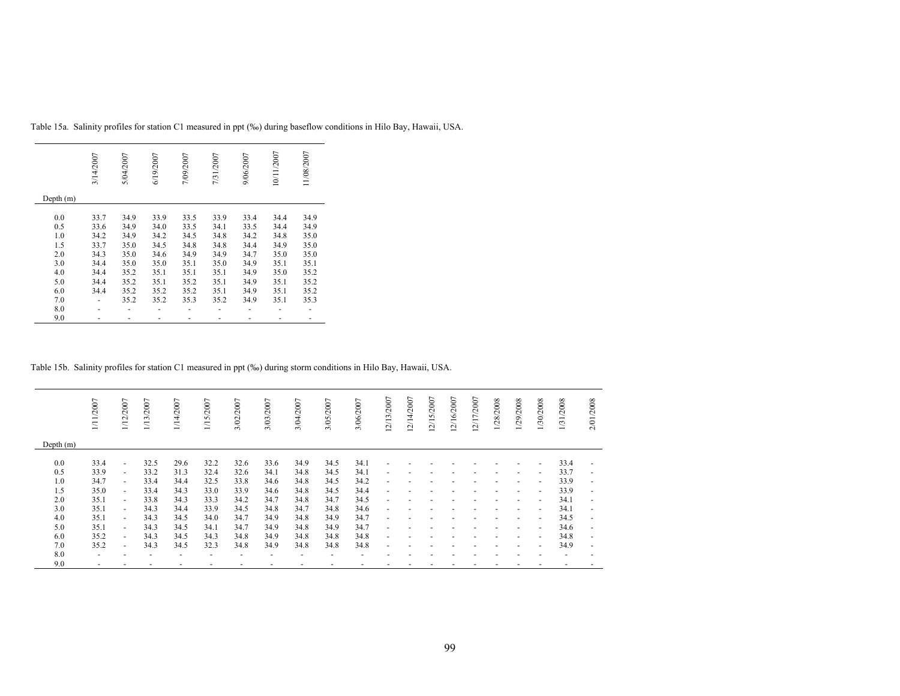|             | 3/14/2007 | 5/04/2007 | 6/19/2007 | 7/09/2007 | 7/31/2007 | 9/06/2007 | 10/11/2007 | 11/08/2007 |
|-------------|-----------|-----------|-----------|-----------|-----------|-----------|------------|------------|
| Depth $(m)$ |           |           |           |           |           |           |            |            |
| 0.0         | 33.7      | 34.9      | 33.9      | 33.5      | 33.9      | 33.4      | 34.4       | 34.9       |
|             |           |           |           |           |           |           |            |            |
| 0.5         | 33.6      | 34.9      | 34.0      | 33.5      | 34.1      | 33.5      | 34.4       | 34.9       |
| 1.0         | 34.2      | 34.9      | 34.2      | 34.5      | 34.8      | 34.2      | 34.8       | 35.0       |
| 1.5         | 33.7      | 35.0      | 34.5      | 34.8      | 34.8      | 34.4      | 34.9       | 35.0       |
| 2.0         | 34.3      | 35.0      | 34.6      | 34.9      | 34.9      | 34.7      | 35.0       | 35.0       |
| 3.0         | 34.4      | 35.0      | 35.0      | 35.1      | 35.0      | 34.9      | 35.1       | 35.1       |
| 4.0         | 34.4      | 35.2      | 35.1      | 35.1      | 35.1      | 34.9      | 35.0       | 35.2       |
| 5.0         | 34.4      | 35.2      | 35.1      | 35.2      | 35.1      | 34.9      | 35.1       | 35.2       |
| 6.0         | 34.4      | 35.2      | 35.2      | 35.2      | 35.1      | 34.9      | 35.1       | 35.2       |
| 7.0         |           | 35.2      | 35.2      | 35.3      | 35.2      | 34.9      | 35.1       | 35.3       |
| 8.0         |           |           |           |           |           |           |            |            |
| 9.0         |           |           |           |           |           |           |            |            |

Table 15a. Salinity profiles for station C1 measured in ppt (‰) during baseflow conditions in Hilo Bay, Hawaii, USA.

Table 15b. Salinity profiles for station C1 measured in ppt (‰) during storm conditions in Hilo Bay, Hawaii, USA.

|             | 1/11/2007      | 1/12/2007                | 1/13/2007 | 1/14/2007 | 1/15/2007 | 3/02/2007 | 3/03/2007 | 3/04/2007 | 3/05/2007 | 3/06/2007 | 12/13/2007               | 12/14/2007 | 12/15/2007 | 12/16/2007 | 12/17/2007 | 1/28/2008 | 1/29/2008                | 1/30/2008                | 1/31/2008 | /2008<br>2/01            |
|-------------|----------------|--------------------------|-----------|-----------|-----------|-----------|-----------|-----------|-----------|-----------|--------------------------|------------|------------|------------|------------|-----------|--------------------------|--------------------------|-----------|--------------------------|
| Depth $(m)$ |                |                          |           |           |           |           |           |           |           |           |                          |            |            |            |            |           |                          |                          |           |                          |
| 0.0         | 33.4           | $\overline{\phantom{0}}$ | 32.5      | 29.6      | 32.2      | 32.6      | 33.6      | 34.9      | 34.5      | 34.1      | ٠                        |            |            |            |            |           |                          | $\overline{\phantom{a}}$ | 33.4      | $\overline{\phantom{a}}$ |
| 0.5         | 33.9           | $\overline{\phantom{0}}$ | 33.2      | 31.3      | 32.4      | 32.6      | 34.1      | 34.8      | 34.5      | 34.1      | $\overline{\phantom{a}}$ |            |            |            |            |           |                          | $\overline{\phantom{0}}$ | 33.7      | $\overline{\phantom{0}}$ |
| 1.0         | 34.7           | $\overline{\phantom{0}}$ | 33.4      | 34.4      | 32.5      | 33.8      | 34.6      | 34.8      | 34.5      | 34.2      | $\overline{\phantom{a}}$ |            |            |            |            |           | $\overline{\phantom{a}}$ | $\overline{\phantom{a}}$ | 33.9      | ٠                        |
| 1.5         | 35.0           | $\overline{\phantom{0}}$ | 33.4      | 34.3      | 33.0      | 33.9      | 34.6      | 34.8      | 34.5      | 34.4      | ٠                        |            |            |            |            |           | $\overline{\phantom{a}}$ | $\overline{\phantom{a}}$ | 33.9      | ٠                        |
| 2.0         | 35.1           | $\overline{\phantom{0}}$ | 33.8      | 34.3      | 33.3      | 34.2      | 34.7      | 34.8      | 34.7      | 34.5      | ٠                        |            |            |            |            |           | $\overline{\phantom{a}}$ | $\overline{\phantom{a}}$ | 34.1      | $\overline{\phantom{a}}$ |
| 3.0         | 35.1           | ٠                        | 34.3      | 34.4      | 33.9      | 34.5      | 34.8      | 34.7      | 34.8      | 34.6      | $\overline{\phantom{a}}$ |            |            |            |            |           | $\overline{\phantom{a}}$ | $\overline{\phantom{a}}$ | 34.1      | ٠                        |
| 4.0         | 35.1           | $\overline{\phantom{0}}$ | 34.3      | 34.5      | 34.0      | 34.7      | 34.9      | 34.8      | 34.9      | 34.7      | $\overline{\phantom{a}}$ |            |            |            |            |           | $\overline{\phantom{a}}$ | $\sim$                   | 34.5      | $\overline{\phantom{a}}$ |
| 5.0         | 35.1           | $\overline{\phantom{0}}$ | 34.3      | 34.5      | 34.1      | 34.7      | 34.9      | 34.8      | 34.9      | 34.7      | $\overline{\phantom{a}}$ |            |            |            |            |           |                          | $\overline{\phantom{a}}$ | 34.6      | $\overline{\phantom{a}}$ |
| 6.0         | 35.2           | $\overline{\phantom{0}}$ | 34.3      | 34.5      | 34.3      | 34.8      | 34.9      | 34.8      | 34.8      | 34.8      | $\overline{\phantom{a}}$ |            |            |            |            |           |                          | $\overline{\phantom{a}}$ | 34.8      | $\overline{\phantom{0}}$ |
| 7.0         | 35.2           | $\blacksquare$           | 34.3      | 34.5      | 32.3      | 34.8      | 34.9      | 34.8      | 34.8      | 34.8      | $\overline{\phantom{a}}$ |            |            |            |            |           |                          | $\overline{\phantom{a}}$ | 34.9      | ٠                        |
| 8.0         | $\overline{a}$ |                          |           |           |           |           |           |           |           |           |                          |            |            |            |            |           |                          |                          |           |                          |
| 9.0         | ٠              |                          |           |           |           |           |           |           |           |           |                          |            |            |            |            |           |                          |                          |           |                          |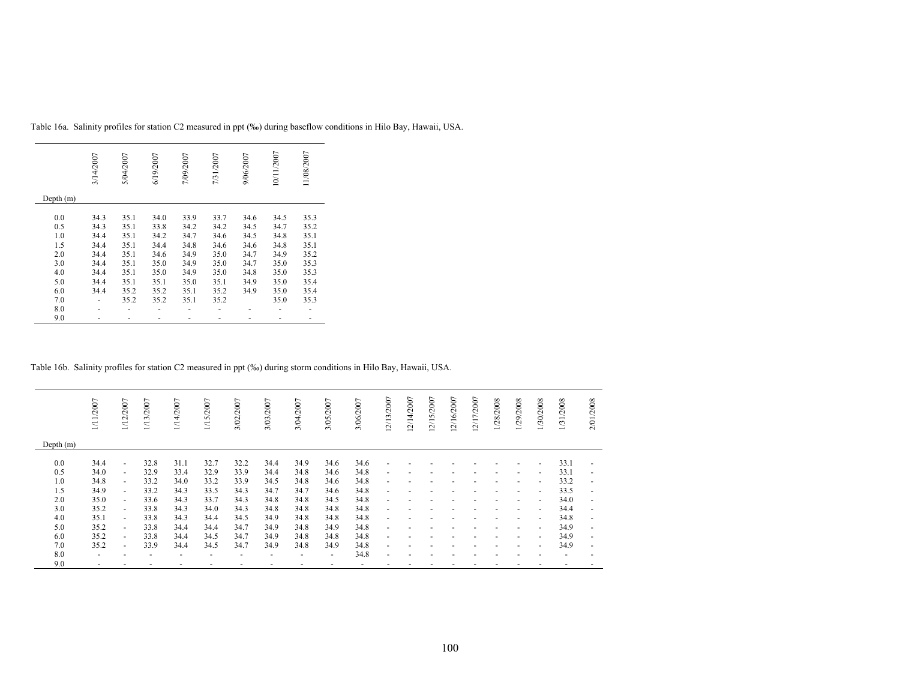|             | 3/14/2007 | 5/04/2007 | 6/19/2007 | 7/09/2007 | 7/31/2007 | 9/06/2007 | 10/11/2007 | 11/08/2007 |
|-------------|-----------|-----------|-----------|-----------|-----------|-----------|------------|------------|
| Depth $(m)$ |           |           |           |           |           |           |            |            |
|             |           |           |           |           |           |           |            |            |
| 0.0         | 34.3      | 35.1      | 34.0      | 33.9      | 33.7      | 34.6      | 34.5       | 35.3       |
| 0.5         | 34.3      | 35.1      | 33.8      | 34.2      | 34.2      | 34.5      | 34.7       | 35.2       |
| 1.0         | 34.4      | 35.1      | 34.2      | 34.7      | 34.6      | 34.5      | 34.8       | 35.1       |
| 1.5         | 34.4      | 35.1      | 34.4      | 34.8      | 34.6      | 34.6      | 34.8       | 35.1       |
| 2.0         | 34.4      | 35.1      | 34.6      | 34.9      | 35.0      | 34.7      | 34.9       | 35.2       |
| 3.0         | 34.4      | 35.1      | 35.0      | 34.9      | 35.0      | 34.7      | 35.0       | 35.3       |
| 4.0         | 34.4      | 35.1      | 35.0      | 34.9      | 35.0      | 34.8      | 35.0       | 35.3       |
| 5.0         | 34.4      | 35.1      | 35.1      | 35.0      | 35.1      | 34.9      | 35.0       | 35.4       |
| 6.0         | 34.4      | 35.2      | 35.2      | 35.1      | 35.2      | 34.9      | 35.0       | 35.4       |
| 7.0         |           | 35.2      | 35.2      | 35.1      | 35.2      |           | 35.0       | 35.3       |
| 8.0         |           |           |           |           |           |           |            |            |
| 9.0         |           |           |           |           |           |           |            |            |

Table 16a. Salinity profiles for station C2 measured in ppt (‰) during baseflow conditions in Hilo Bay, Hawaii, USA.

Table 16b. Salinity profiles for station C2 measured in ppt (‰) during storm conditions in Hilo Bay, Hawaii, USA.

|             | 1/11/2007                | 1/12/2007                | 1/13/2007                | /14/2007                 | 1/15/2007                | 3/02/2007                | 3/03/2007 | 3/04/2007 | 3/05/2007                | 3/06/2007 | 12/13/2007               | 12/14/2007 | 12/15/2007 | 12/16/2007 | 12/17/2007 | 1/28/2008 | 1/29/2008                | 1/30/2008                | 1/31/2008                | /2008<br>2/01            |
|-------------|--------------------------|--------------------------|--------------------------|--------------------------|--------------------------|--------------------------|-----------|-----------|--------------------------|-----------|--------------------------|------------|------------|------------|------------|-----------|--------------------------|--------------------------|--------------------------|--------------------------|
| Depth $(m)$ |                          |                          |                          |                          |                          |                          |           |           |                          |           |                          |            |            |            |            |           |                          |                          |                          |                          |
| 0.0         | 34.4                     | $\overline{\phantom{a}}$ | 32.8                     | 31.1                     | 32.7                     | 32.2                     | 34.4      | 34.9      | 34.6                     | 34.6      | ٠                        |            |            |            |            |           |                          | $\overline{\phantom{0}}$ | 33.1                     | $\overline{\phantom{0}}$ |
| 0.5         | 34.0                     | $\overline{\phantom{a}}$ | 32.9                     | 33.4                     | 32.9                     | 33.9                     | 34.4      | 34.8      | 34.6                     | 34.8      | $\overline{\phantom{a}}$ |            |            |            |            |           |                          | $\overline{\phantom{0}}$ | 33.1                     | $\overline{\phantom{0}}$ |
| 1.0         | 34.8                     | $\sim$                   | 33.2                     | 34.0                     | 33.2                     | 33.9                     | 34.5      | 34.8      | 34.6                     | 34.8      | $\overline{\phantom{a}}$ |            |            |            |            |           | $\overline{\phantom{a}}$ | $\overline{\phantom{a}}$ | 33.2                     | $\overline{\phantom{0}}$ |
| 1.5         | 34.9                     | $\overline{\phantom{a}}$ | 33.2                     | 34.3                     | 33.5                     | 34.3                     | 34.7      | 34.7      | 34.6                     | 34.8      | $\overline{\phantom{a}}$ |            |            |            |            |           | $\overline{\phantom{a}}$ | $\sim$                   | 33.5                     | $\overline{\phantom{a}}$ |
| 2.0         | 35.0                     | $\overline{\phantom{a}}$ | 33.6                     | 34.3                     | 33.7                     | 34.3                     | 34.8      | 34.8      | 34.5                     | 34.8      | $\overline{\phantom{a}}$ |            |            |            |            |           | $\overline{\phantom{a}}$ | $\sim$                   | 34.0                     | $\overline{\phantom{a}}$ |
| 3.0         | 35.2                     | $\blacksquare$           | 33.8                     | 34.3                     | 34.0                     | 34.3                     | 34.8      | 34.8      | 34.8                     | 34.8      | $\overline{\phantom{a}}$ |            |            |            |            |           |                          | $\overline{\phantom{a}}$ | 34.4                     | $\overline{\phantom{0}}$ |
| 4.0         | 35.1                     | $\overline{\phantom{a}}$ | 33.8                     | 34.3                     | 34.4                     | 34.5                     | 34.9      | 34.8      | 34.8                     | 34.8      | $\overline{\phantom{a}}$ |            |            |            |            |           | $\overline{\phantom{a}}$ | $\sim$                   | 34.8                     | $\overline{\phantom{a}}$ |
| 5.0         | 35.2                     | $\blacksquare$           | 33.8                     | 34.4                     | 34.4                     | 34.7                     | 34.9      | 34.8      | 34.9                     | 34.8      | $\overline{\phantom{a}}$ |            |            |            |            |           |                          | $\overline{\phantom{0}}$ | 34.9                     | ٠                        |
| 6.0         | 35.2                     | $\overline{\phantom{a}}$ | 33.8                     | 34.4                     | 34.5                     | 34.7                     | 34.9      | 34.8      | 34.8                     | 34.8      | $\overline{\phantom{a}}$ |            |            |            |            |           |                          | $\overline{\phantom{0}}$ | 34.9                     | $\overline{\phantom{0}}$ |
| 7.0         | 35.2                     | $\overline{\phantom{a}}$ | 33.9                     | 34.4                     | 34.5                     | 34.7                     | 34.9      | 34.8      | 34.9                     | 34.8      | $\overline{\phantom{a}}$ |            |            |            |            |           |                          | $\overline{a}$           | 34.9                     | $\overline{\phantom{a}}$ |
| 8.0         | $\overline{\phantom{a}}$ |                          | $\overline{\phantom{a}}$ | $\overline{\phantom{a}}$ | $\overline{\phantom{a}}$ | $\overline{\phantom{a}}$ |           | ۰         | $\overline{\phantom{a}}$ | 34.8      | $\overline{a}$           |            |            |            |            |           |                          |                          | $\overline{\phantom{a}}$ |                          |
| 9.0         |                          |                          |                          |                          |                          |                          |           |           |                          |           |                          |            |            |            |            |           |                          |                          |                          |                          |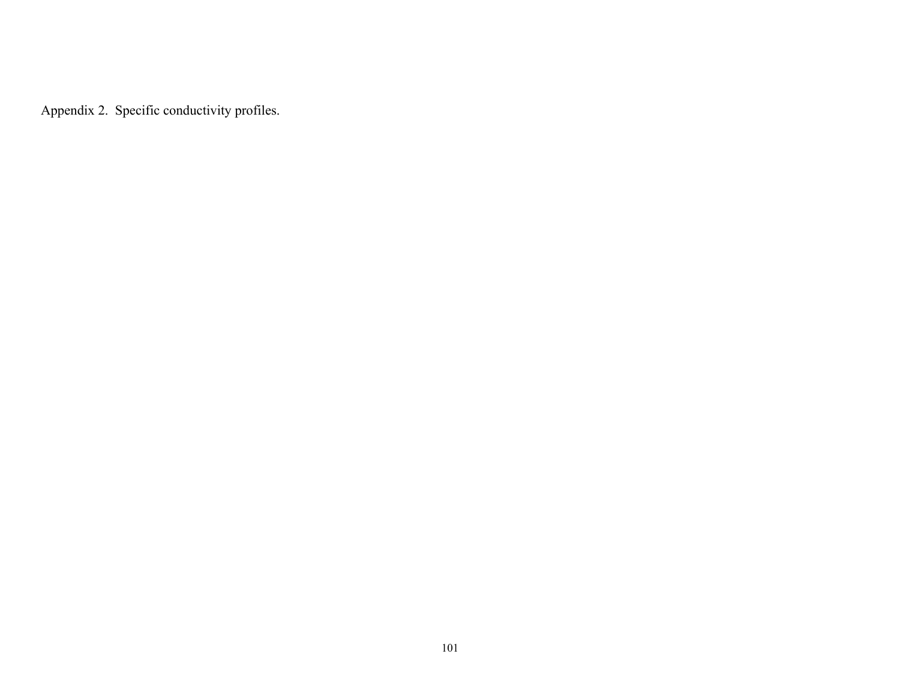Appendix 2. Specific conductivity profiles.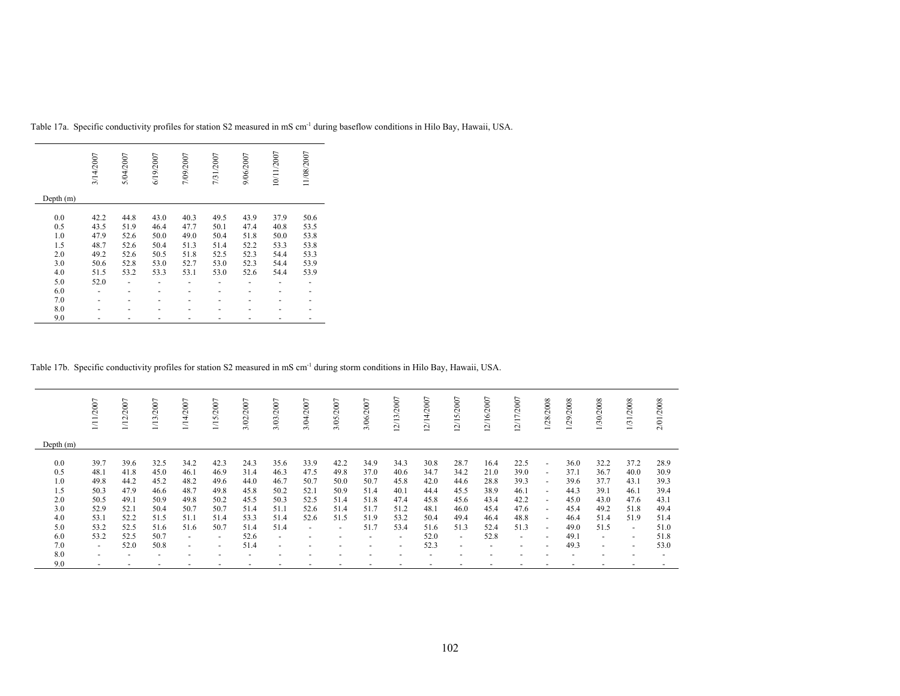|           | 3/14/2007 | 5/04/2007 | 6/19/2007 | 7/09/2007 | 7/31/2007 | 9/06/2007 | 10/11/2007 | 11/08/2007 |
|-----------|-----------|-----------|-----------|-----------|-----------|-----------|------------|------------|
| Depth (m) |           |           |           |           |           |           |            |            |
| 0.0       | 42.2      | 44.8      | 43.0      | 40.3      | 49.5      | 43.9      | 37.9       | 50.6       |
| 0.5       | 43.5      | 51.9      | 46.4      | 47.7      | 50.1      | 47.4      | 40.8       | 53.5       |
| 1.0       | 47.9      | 52.6      | 50.0      | 49.0      | 50.4      | 51.8      | 50.0       | 53.8       |
| 1.5       | 48.7      | 52.6      | 50.4      | 51.3      | 51.4      | 52.2      | 53.3       | 53.8       |
| 2.0       | 49.2      | 52.6      | 50.5      | 51.8      | 52.5      | 52.3      | 54.4       | 53.3       |
| 3.0       | 50.6      | 52.8      | 53.0      | 52.7      | 53.0      | 52.3      | 54.4       | 53.9       |
| 4.0       | 51.5      | 53.2      | 53.3      | 53.1      | 53.0      | 52.6      | 54.4       | 53.9       |
| 5.0       | 52.0      |           |           |           |           |           |            |            |
| 6.0       |           |           |           |           |           |           |            |            |
| 7.0       |           |           |           |           |           |           |            |            |
| 8.0       |           |           |           |           |           |           |            |            |
| 9.0       |           |           |           |           |           |           |            |            |

Table 17a. Specific conductivity profiles for station S2 measured in mS cm-1 during baseflow conditions in Hilo Bay, Hawaii, USA.

Table 17b. Specific conductivity profiles for station S2 measured in mS cm-1 during storm conditions in Hilo Bay, Hawaii, USA.

|                                        | /2007<br>Ξ.                                  | 1/12/2007                                    | 1/13/2007                                    | 1/14/2007                                    | 1/15/2007                                    | 3/02/2007                                    | 3/03/2007                                    | 3/04/2007                                    | 3/05/2007                                    | 3/06/2007                                    | 12/13/2007                                   | 12/14/2007                                   | 5/2007<br>$\overline{21}$<br>$\overline{\phantom{0}}$ | 2/16/2007                                    | 2/17/2007                                    | 1/28/2008                                                                                    | 1/29/2008                                    | 1/30/2008                                    | /2008<br>1/31.                               | 2/01/2008                                    |
|----------------------------------------|----------------------------------------------|----------------------------------------------|----------------------------------------------|----------------------------------------------|----------------------------------------------|----------------------------------------------|----------------------------------------------|----------------------------------------------|----------------------------------------------|----------------------------------------------|----------------------------------------------|----------------------------------------------|-------------------------------------------------------|----------------------------------------------|----------------------------------------------|----------------------------------------------------------------------------------------------|----------------------------------------------|----------------------------------------------|----------------------------------------------|----------------------------------------------|
| Depth $(m)$                            |                                              |                                              |                                              |                                              |                                              |                                              |                                              |                                              |                                              |                                              |                                              |                                              |                                                       |                                              |                                              |                                                                                              |                                              |                                              |                                              |                                              |
| 0.0<br>0.5<br>1.0<br>1.5<br>2.0<br>3.0 | 39.7<br>48.1<br>49.8<br>50.3<br>50.5<br>52.9 | 39.6<br>41.8<br>44.2<br>47.9<br>49.1<br>52.1 | 32.5<br>45.0<br>45.2<br>46.6<br>50.9<br>50.4 | 34.2<br>46.1<br>48.2<br>48.7<br>49.8<br>50.7 | 42.3<br>46.9<br>49.6<br>49.8<br>50.2<br>50.7 | 24.3<br>31.4<br>44.0<br>45.8<br>45.5<br>51.4 | 35.6<br>46.3<br>46.7<br>50.2<br>50.3<br>51.1 | 33.9<br>47.5<br>50.7<br>52.1<br>52.5<br>52.6 | 42.2<br>49.8<br>50.0<br>50.9<br>51.4<br>51.4 | 34.9<br>37.0<br>50.7<br>51.4<br>51.8<br>51.7 | 34.3<br>40.6<br>45.8<br>40.1<br>47.4<br>51.2 | 30.8<br>34.7<br>42.0<br>44.4<br>45.8<br>48.1 | 28.7<br>34.2<br>44.6<br>45.5<br>45.6<br>46.0          | 16.4<br>21.0<br>28.8<br>38.9<br>43.4<br>45.4 | 22.5<br>39.0<br>39.3<br>46.1<br>42.2<br>47.6 | $\overline{\phantom{a}}$<br>$\overline{\phantom{a}}$<br>$\sim$<br>$\sim$<br>$\sim$<br>$\sim$ | 36.0<br>37.1<br>39.6<br>44.3<br>45.0<br>45.4 | 32.2<br>36.7<br>37.7<br>39.1<br>43.0<br>49.2 | 37.2<br>40.0<br>43.1<br>46.1<br>47.6<br>51.8 | 28.9<br>30.9<br>39.3<br>39.4<br>43.1<br>49.4 |
| 4.0                                    | 53.1                                         | 52.2                                         | 51.5                                         | 51.1                                         | 51.4                                         | 53.3                                         | 51.4                                         | 52.6                                         | 51.5                                         | 51.9                                         | 53.2                                         | 50.4                                         | 49.4                                                  | 46.4                                         | 48.8                                         | $\sim$                                                                                       | 46.4                                         | 51.4                                         | 51.9                                         | 51.4                                         |
| 5.0<br>6.0                             | 53.2<br>53.2                                 | 52.5<br>52.5                                 | 51.6<br>50.7                                 | 51.6<br>$\sim$                               | 50.7<br>$\overline{\phantom{a}}$             | 51.4<br>52.6                                 | 51.4<br>$\overline{\phantom{a}}$             | $\overline{\phantom{a}}$                     | $\overline{\phantom{a}}$<br>-                | 51.7<br>-                                    | 53.4<br>$\overline{\phantom{a}}$             | 51.6<br>52.0                                 | 51.3<br>$\sim$                                        | 52.4<br>52.8                                 | 51.3<br>$\overline{\phantom{a}}$             | $\sim$<br>$\overline{a}$                                                                     | 49.0<br>49.1                                 | 51.5<br>$\sim$                               | $\sim$<br>$\overline{\phantom{0}}$           | 51.0<br>51.8                                 |
| 7.0                                    | $\sim$                                       | 52.0                                         | 50.8                                         | $\sim$                                       | $\overline{a}$                               | 51.4                                         | $\overline{\phantom{a}}$                     |                                              |                                              |                                              | $\overline{\phantom{a}}$                     | 52.3                                         | $\overline{\phantom{a}}$                              |                                              | $\overline{\phantom{0}}$                     | $\overline{\phantom{0}}$                                                                     | 49.3                                         | $\overline{\phantom{0}}$                     | $\overline{\phantom{a}}$                     | 53.0                                         |
| 8.0<br>9.0                             | $\overline{a}$                               |                                              | $\overline{\phantom{a}}$                     |                                              | $\overline{\phantom{0}}$                     | $\overline{\phantom{a}}$                     | $\overline{a}$                               |                                              | ۰                                            |                                              | ٠                                            | $\overline{\phantom{0}}$                     |                                                       |                                              | $\overline{\phantom{0}}$                     |                                                                                              | $\overline{\phantom{a}}$                     |                                              | $\overline{\phantom{a}}$                     |                                              |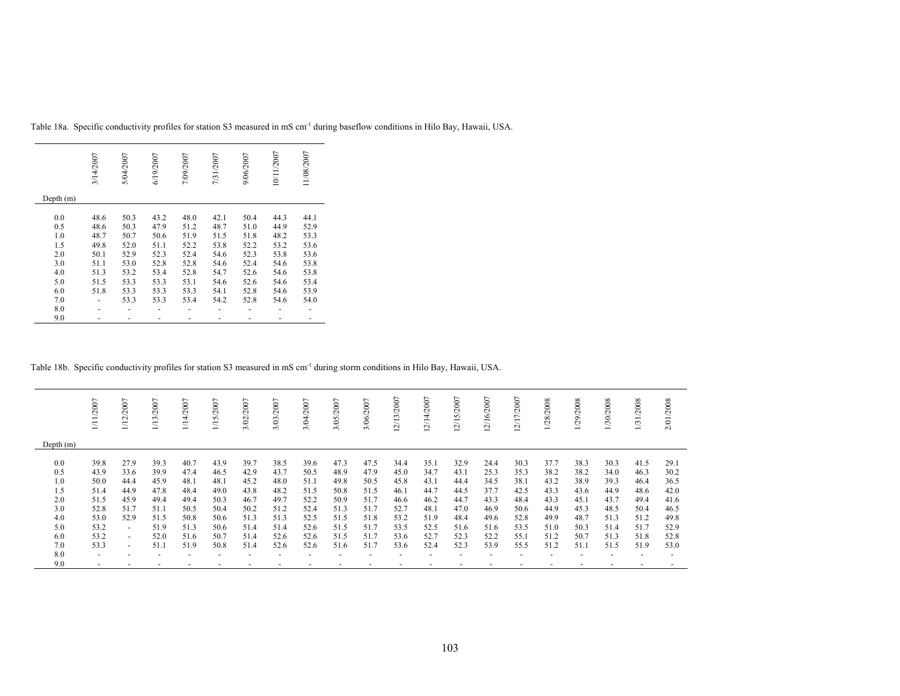|             | 3/14/2007 | 5/04/2007 | 6/19/2007 | 7/09/2007 | 7/31/2007 | 9/06/2007 | 10/11/2007 | 11/08/2007 |
|-------------|-----------|-----------|-----------|-----------|-----------|-----------|------------|------------|
| Depth $(m)$ |           |           |           |           |           |           |            |            |
| 0.0         | 48.6      | 50.3      | 43.2      | 48.0      | 42.1      | 50.4      | 44.3       | 44.1       |
| 0.5         | 48.6      | 50.3      | 47.9      | 51.2      | 48.7      | 51.0      | 44.9       | 52.9       |
| 1.0         | 48.7      | 50.7      | 50.6      | 51.9      | 51.5      | 51.8      | 48.2       | 53.3       |
| 1.5         | 49.8      | 52.0      | 51.1      | 52.2      | 53.8      | 52.2      | 53.2       | 53.6       |
| 2.0         | 50.1      | 52.9      | 52.3      | 52.4      | 54.6      | 52.3      | 53.8       | 53.6       |
| 3.0         | 51.1      | 53.0      | 52.8      | 52.8      | 54.6      | 52.4      | 54.6       | 53.8       |
| 4.0         | 51.3      | 53.2      | 53.4      | 52.8      | 54.7      | 52.6      | 54.6       | 53.8       |
| 5.0         | 51.5      | 53.3      | 53.3      | 53.1      | 54.6      | 52.6      | 54.6       | 53.4       |
| 6.0         | 51.8      | 53.3      | 53.3      | 53.3      | 54.1      | 52.8      | 54.6       | 53.9       |
| 7.0         |           | 53.3      | 53.3      | 53.4      | 54.2      | 52.8      | 54.6       | 54.0       |
| 8.0         |           |           |           |           |           |           |            |            |
| 9.0         |           |           |           |           |           |           |            |            |

Table 18a. Specific conductivity profiles for station S3 measured in mS cm-1 during baseflow conditions in Hilo Bay, Hawaii, USA.

Table 18b. Specific conductivity profiles for station S3 measured in mS cm-1 during storm conditions in Hilo Bay, Hawaii, USA.

|                                                                    | /2007                                                                        | /2007<br>$\overline{1/12}$                                                                                                               | $/2007$<br>1/13                                                              | 114/2007                                                                     | 1/15/2007                                                                    | /2007<br>3/02                                                                | 3/03/2007                                                                    | /2007<br>3/04,                                                               | $\overline{ }$<br>3/05/200                                                   | 3/06/2007                                                                    | $\overline{ }$<br>2/13/200                                                   | 2/14/2007                                                                    | $\overline{ }$<br>2/15/200                                                   | 2/16/2007                                                                    | 2/17/2007                                                                    | 1/28/2008                                                                    | 1/29/2008                                                                    | 1/30/2008                                                                    | /2008<br>$1/31$ .                                                            | /2008<br>2/01.                                                               |
|--------------------------------------------------------------------|------------------------------------------------------------------------------|------------------------------------------------------------------------------------------------------------------------------------------|------------------------------------------------------------------------------|------------------------------------------------------------------------------|------------------------------------------------------------------------------|------------------------------------------------------------------------------|------------------------------------------------------------------------------|------------------------------------------------------------------------------|------------------------------------------------------------------------------|------------------------------------------------------------------------------|------------------------------------------------------------------------------|------------------------------------------------------------------------------|------------------------------------------------------------------------------|------------------------------------------------------------------------------|------------------------------------------------------------------------------|------------------------------------------------------------------------------|------------------------------------------------------------------------------|------------------------------------------------------------------------------|------------------------------------------------------------------------------|------------------------------------------------------------------------------|
| Depth $(m)$                                                        |                                                                              |                                                                                                                                          |                                                                              |                                                                              |                                                                              |                                                                              |                                                                              |                                                                              |                                                                              |                                                                              |                                                                              |                                                                              |                                                                              |                                                                              |                                                                              |                                                                              |                                                                              |                                                                              |                                                                              |                                                                              |
| 0.0<br>0.5<br>1.0<br>1.5<br>2.0<br>3.0<br>4.0<br>5.0<br>6.0<br>7.0 | 39.8<br>43.9<br>50.0<br>51.4<br>51.5<br>52.8<br>53.0<br>53.2<br>53.2<br>53.3 | 27.9<br>33.6<br>44.4<br>44.9<br>45.9<br>51.7<br>52.9<br>$\overline{\phantom{0}}$<br>$\overline{\phantom{a}}$<br>$\overline{\phantom{0}}$ | 39.3<br>39.9<br>45.9<br>47.8<br>49.4<br>51.1<br>51.5<br>51.9<br>52.0<br>51.1 | 40.7<br>47.4<br>48.1<br>48.4<br>49.4<br>50.5<br>50.8<br>51.3<br>51.6<br>51.9 | 43.9<br>46.5<br>48.1<br>49.0<br>50.3<br>50.4<br>50.6<br>50.6<br>50.7<br>50.8 | 39.7<br>42.9<br>45.2<br>43.8<br>46.7<br>50.2<br>51.3<br>51.4<br>51.4<br>51.4 | 38.5<br>43.7<br>48.0<br>48.2<br>49.7<br>51.2<br>51.3<br>51.4<br>52.6<br>52.6 | 39.6<br>50.5<br>51.1<br>51.5<br>52.2<br>52.4<br>52.5<br>52.6<br>52.6<br>52.6 | 47.3<br>48.9<br>49.8<br>50.8<br>50.9<br>51.3<br>51.5<br>51.5<br>51.5<br>51.6 | 47.5<br>47.9<br>50.5<br>51.5<br>51.7<br>51.7<br>51.8<br>51.7<br>51.7<br>51.7 | 34.4<br>45.0<br>45.8<br>46.1<br>46.6<br>52.7<br>53.2<br>53.5<br>53.6<br>53.6 | 35.1<br>34.7<br>43.1<br>44.7<br>46.2<br>48.1<br>51.9<br>52.5<br>52.7<br>52.4 | 32.9<br>43.1<br>44.4<br>44.5<br>44.7<br>47.0<br>48.4<br>51.6<br>52.3<br>52.3 | 24.4<br>25.3<br>34.5<br>37.7<br>43.3<br>46.9<br>49.6<br>51.6<br>52.2<br>53.9 | 30.3<br>35.3<br>38.1<br>42.5<br>48.4<br>50.6<br>52.8<br>53.5<br>55.1<br>55.5 | 37.7<br>38.2<br>43.2<br>43.3<br>43.3<br>44.9<br>49.9<br>51.0<br>51.2<br>51.2 | 38.3<br>38.2<br>38.9<br>43.6<br>45.1<br>45.3<br>48.7<br>50.3<br>50.7<br>51.1 | 30.3<br>34.0<br>39.3<br>44.9<br>43.7<br>48.5<br>51.3<br>51.4<br>51.3<br>51.5 | 41.5<br>46.3<br>46.4<br>48.6<br>49.4<br>50.4<br>51.2<br>51.7<br>51.8<br>51.9 | 29.1<br>30.2<br>36.5<br>42.0<br>41.6<br>46.5<br>49.8<br>52.9<br>52.8<br>53.0 |
| 8.0<br>9.0                                                         | $\overline{a}$<br>$\overline{a}$                                             |                                                                                                                                          |                                                                              |                                                                              |                                                                              | $\overline{\phantom{a}}$                                                     |                                                                              | $\overline{\phantom{a}}$                                                     |                                                                              | $\overline{\phantom{a}}$<br>$\overline{a}$                                   |                                                                              | $\overline{\phantom{a}}$                                                     |                                                                              | $\overline{\phantom{a}}$<br>-                                                |                                                                              |                                                                              |                                                                              |                                                                              |                                                                              |                                                                              |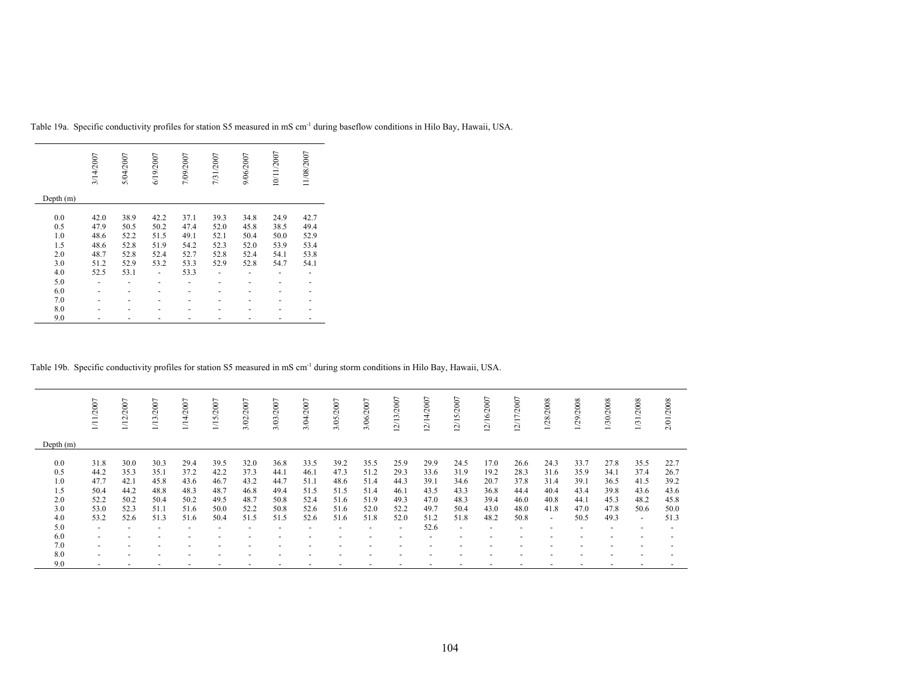|           | 3/14/2007 | 5/04/2007 | 6/19/2007 | 7/09/2007 | 7/31/2007 | 9/06/2007 | 10/11/2007 | 11/08/2007 |
|-----------|-----------|-----------|-----------|-----------|-----------|-----------|------------|------------|
| Depth (m) |           |           |           |           |           |           |            |            |
| 0.0       | 42.0      | 38.9      | 42.2      | 37.1      | 39.3      | 34.8      | 24.9       | 42.7       |
| 0.5       | 47.9      | 50.5      | 50.2      | 47.4      | 52.0      | 45.8      | 38.5       | 49.4       |
| 1.0       | 48.6      | 52.2      | 51.5      | 49.1      | 52.1      | 50.4      | 50.0       | 52.9       |
| 1.5       | 48.6      | 52.8      | 51.9      | 54.2      | 52.3      | 52.0      | 53.9       | 53.4       |
| 2.0       | 48.7      | 52.8      | 52.4      | 52.7      | 52.8      | 52.4      | 54.1       | 53.8       |
| 3.0       | 51.2      | 52.9      | 53.2      | 53.3      | 52.9      | 52.8      | 54.7       | 54.1       |
| 4.0       | 52.5      | 53.1      |           | 53.3      |           |           |            |            |
| 5.0       |           |           |           |           |           |           |            |            |
| 6.0       | -         |           |           |           |           |           |            |            |
| 7.0       |           |           |           |           |           |           |            |            |
| 8.0       |           |           |           |           |           |           |            |            |
| 9.0       |           |           |           |           |           |           |            |            |

Table 19a. Specific conductivity profiles for station S5 measured in mS cm-1 during baseflow conditions in Hilo Bay, Hawaii, USA.

Table 19b. Specific conductivity profiles for station S5 measured in mS cm-1 during storm conditions in Hilo Bay, Hawaii, USA.

|                                               | /2007<br>ΞI                                          | 1/12/2007                                            | 1/13/2007                                            | 2007<br>$\frac{1}{4}$                                | 1/15/2007                                            | 3/02/2007                                            | 3/03/2007                                            | 3/04/2007                                            | 3/05/2007                                            | 3/06/2007                                            | 2/13/2007                                            | 2/14/2007                                            | 2/15/2007                                            | 12/16/2007                                           | ∼<br>2/17/200                                        | 1/28/2008                                              | 1/29/2008                                            | 1/30/2008                                            | 1/31/2008                                              | 2/01/2008                                            |
|-----------------------------------------------|------------------------------------------------------|------------------------------------------------------|------------------------------------------------------|------------------------------------------------------|------------------------------------------------------|------------------------------------------------------|------------------------------------------------------|------------------------------------------------------|------------------------------------------------------|------------------------------------------------------|------------------------------------------------------|------------------------------------------------------|------------------------------------------------------|------------------------------------------------------|------------------------------------------------------|--------------------------------------------------------|------------------------------------------------------|------------------------------------------------------|--------------------------------------------------------|------------------------------------------------------|
| Depth $(m)$                                   |                                                      |                                                      |                                                      |                                                      |                                                      |                                                      |                                                      |                                                      |                                                      |                                                      |                                                      |                                                      |                                                      |                                                      |                                                      |                                                        |                                                      |                                                      |                                                        |                                                      |
| 0.0<br>0.5<br>1.0<br>1.5<br>2.0<br>3.0<br>4.0 | 31.8<br>44.2<br>47.7<br>50.4<br>52.2<br>53.0<br>53.2 | 30.0<br>35.3<br>42.1<br>44.2<br>50.2<br>52.3<br>52.6 | 30.3<br>35.1<br>45.8<br>48.8<br>50.4<br>51.1<br>51.3 | 29.4<br>37.2<br>43.6<br>48.3<br>50.2<br>51.6<br>51.6 | 39.5<br>42.2<br>46.7<br>48.7<br>49.5<br>50.0<br>50.4 | 32.0<br>37.3<br>43.2<br>46.8<br>48.7<br>52.2<br>51.5 | 36.8<br>44.1<br>44.7<br>49.4<br>50.8<br>50.8<br>51.5 | 33.5<br>46.1<br>51.1<br>51.5<br>52.4<br>52.6<br>52.6 | 39.2<br>47.3<br>48.6<br>51.5<br>51.6<br>51.6<br>51.6 | 35.5<br>51.2<br>51.4<br>51.4<br>51.9<br>52.0<br>51.8 | 25.9<br>29.3<br>44.3<br>46.1<br>49.3<br>52.2<br>52.0 | 29.9<br>33.6<br>39.1<br>43.5<br>47.0<br>49.7<br>51.2 | 24.5<br>31.9<br>34.6<br>43.3<br>48.3<br>50.4<br>51.8 | 17.0<br>19.2<br>20.7<br>36.8<br>39.4<br>43.0<br>48.2 | 26.6<br>28.3<br>37.8<br>44.4<br>46.0<br>48.0<br>50.8 | 24.3<br>31.6<br>31.4<br>40.4<br>40.8<br>41.8<br>$\sim$ | 33.7<br>35.9<br>39.1<br>43.4<br>44.1<br>47.0<br>50.5 | 27.8<br>34.1<br>36.5<br>39.8<br>45.3<br>47.8<br>49.3 | 35.5<br>37.4<br>41.5<br>43.6<br>48.2<br>50.6<br>$\sim$ | 22.7<br>26.7<br>39.2<br>43.6<br>45.8<br>50.0<br>51.3 |
| 5.0                                           | $\overline{a}$                                       |                                                      | $\overline{\phantom{0}}$                             |                                                      |                                                      |                                                      | $\overline{\phantom{a}}$                             |                                                      |                                                      | $\overline{\phantom{0}}$                             |                                                      | 52.6                                                 | <b>.</b>                                             |                                                      |                                                      |                                                        |                                                      |                                                      |                                                        |                                                      |
| 6.0<br>7.0                                    | $\overline{\phantom{a}}$<br>$\overline{a}$           |                                                      |                                                      |                                                      |                                                      |                                                      |                                                      |                                                      |                                                      |                                                      |                                                      |                                                      |                                                      |                                                      |                                                      |                                                        |                                                      |                                                      |                                                        |                                                      |
| 8.0                                           | $\overline{a}$                                       |                                                      |                                                      |                                                      |                                                      |                                                      |                                                      |                                                      |                                                      |                                                      |                                                      |                                                      |                                                      |                                                      |                                                      |                                                        |                                                      |                                                      |                                                        |                                                      |
| 9.0                                           | $\overline{\phantom{0}}$                             |                                                      |                                                      |                                                      |                                                      |                                                      | $\overline{\phantom{a}}$                             |                                                      |                                                      | $\overline{\phantom{0}}$                             |                                                      |                                                      |                                                      | ۰                                                    |                                                      |                                                        |                                                      |                                                      |                                                        |                                                      |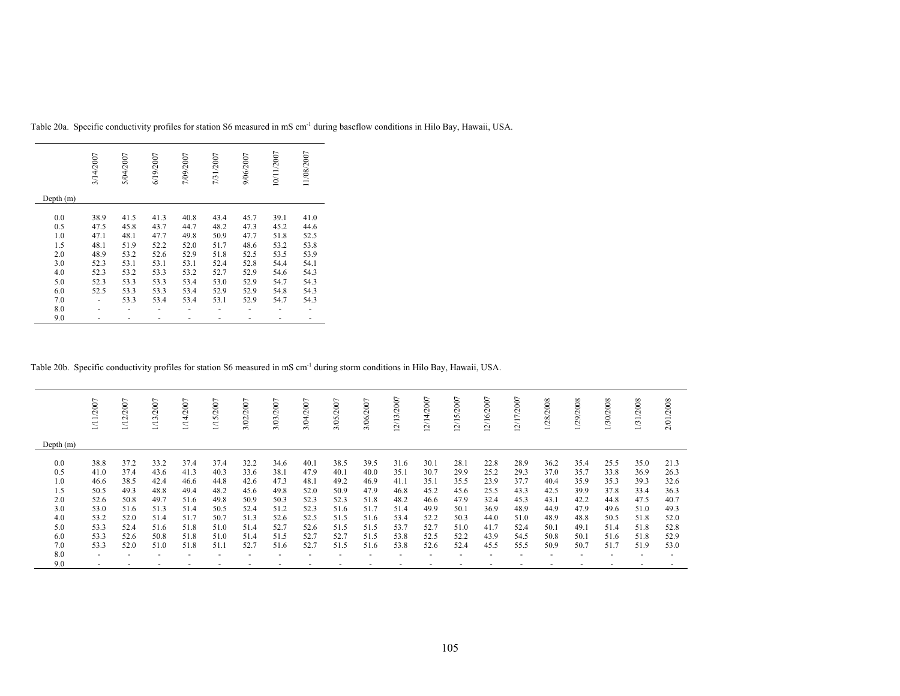|             | 3/14/2007 | 5/04/2007 | 6/19/2007 | 7/09/2007 | 7/31/2007 | 9/06/2007 | 10/11/2007 | 11/08/2007 |
|-------------|-----------|-----------|-----------|-----------|-----------|-----------|------------|------------|
| Depth $(m)$ |           |           |           |           |           |           |            |            |
| 0.0         | 38.9      | 41.5      | 41.3      | 40.8      | 43.4      | 45.7      | 39.1       | 41.0       |
| 0.5         | 47.5      | 45.8      | 43.7      | 44.7      | 48.2      | 47.3      | 45.2       | 44.6       |
|             |           |           |           |           |           |           |            |            |
| 1.0         | 47.1      | 48.1      | 47.7      | 49.8      | 50.9      | 47.7      | 51.8       | 52.5       |
| 1.5         | 48.1      | 51.9      | 52.2      | 52.0      | 51.7      | 48.6      | 53.2       | 53.8       |
| 2.0         | 48.9      | 53.2      | 52.6      | 52.9      | 51.8      | 52.5      | 53.5       | 53.9       |
| 3.0         | 52.3      | 53.1      | 53.1      | 53.1      | 52.4      | 52.8      | 54.4       | 54.1       |
| 4.0         | 52.3      | 53.2      | 53.3      | 53.2      | 52.7      | 52.9      | 54.6       | 54.3       |
| 5.0         | 52.3      | 53.3      | 53.3      | 53.4      | 53.0      | 52.9      | 54.7       | 54.3       |
| 6.0         | 52.5      | 53.3      | 53.3      | 53.4      | 52.9      | 52.9      | 54.8       | 54.3       |
| 7.0         |           | 53.3      | 53.4      | 53.4      | 53.1      | 52.9      | 54.7       | 54.3       |
| 8.0         |           |           |           |           |           |           |            |            |
| 9.0         |           |           |           |           |           |           |            |            |

Table 20a. Specific conductivity profiles for station S6 measured in mS cm-1 during baseflow conditions in Hilo Bay, Hawaii, USA.

Table 20b. Specific conductivity profiles for station S6 measured in mS cm-1 during storm conditions in Hilo Bay, Hawaii, USA.

|                                                                    | /2007                                                                        | /2007<br>$\frac{1}{2}$                                                       | /2007<br>1/13                                                                | /2007<br><u>न</u><br>∏                                                       | 1/15/2007                                                                    | /2007<br>3/02                                                                | 3/03/2007                                                                    | /2007<br>3/04,                                                               | $\overline{ }$<br>3/05/200                                                   | 3/06/2007                                                                    | $\overline{ }$<br>2/13/200                                                   | 2/14/2007                                                                    | $\overline{ }$<br>2/15/200                                                   | 2/16/2007                                                                    | $\overline{ }$<br>2/17/200                                                   | 1/28/2008                                                                    | 1/29/2008                                                                    | 1/30/2008                                                                    | $/2008$<br>1/31                                                              | /2008<br>2/01.                                                               |
|--------------------------------------------------------------------|------------------------------------------------------------------------------|------------------------------------------------------------------------------|------------------------------------------------------------------------------|------------------------------------------------------------------------------|------------------------------------------------------------------------------|------------------------------------------------------------------------------|------------------------------------------------------------------------------|------------------------------------------------------------------------------|------------------------------------------------------------------------------|------------------------------------------------------------------------------|------------------------------------------------------------------------------|------------------------------------------------------------------------------|------------------------------------------------------------------------------|------------------------------------------------------------------------------|------------------------------------------------------------------------------|------------------------------------------------------------------------------|------------------------------------------------------------------------------|------------------------------------------------------------------------------|------------------------------------------------------------------------------|------------------------------------------------------------------------------|
| Depth $(m)$                                                        |                                                                              |                                                                              |                                                                              |                                                                              |                                                                              |                                                                              |                                                                              |                                                                              |                                                                              |                                                                              |                                                                              |                                                                              |                                                                              |                                                                              |                                                                              |                                                                              |                                                                              |                                                                              |                                                                              |                                                                              |
| 0.0<br>0.5<br>1.0<br>1.5<br>2.0<br>3.0<br>4.0<br>5.0<br>6.0<br>7.0 | 38.8<br>41.0<br>46.6<br>50.5<br>52.6<br>53.0<br>53.2<br>53.3<br>53.3<br>53.3 | 37.2<br>37.4<br>38.5<br>49.3<br>50.8<br>51.6<br>52.0<br>52.4<br>52.6<br>52.0 | 33.2<br>43.6<br>42.4<br>48.8<br>49.7<br>51.3<br>51.4<br>51.6<br>50.8<br>51.0 | 37.4<br>41.3<br>46.6<br>49.4<br>51.6<br>51.4<br>51.7<br>51.8<br>51.8<br>51.8 | 37.4<br>40.3<br>44.8<br>48.2<br>49.8<br>50.5<br>50.7<br>51.0<br>51.0<br>51.1 | 32.2<br>33.6<br>42.6<br>45.6<br>50.9<br>52.4<br>51.3<br>51.4<br>51.4<br>52.7 | 34.6<br>38.1<br>47.3<br>49.8<br>50.3<br>51.2<br>52.6<br>52.7<br>51.5<br>51.6 | 40.1<br>47.9<br>48.1<br>52.0<br>52.3<br>52.3<br>52.5<br>52.6<br>52.7<br>52.7 | 38.5<br>40.1<br>49.2<br>50.9<br>52.3<br>51.6<br>51.5<br>51.5<br>52.7<br>51.5 | 39.5<br>40.0<br>46.9<br>47.9<br>51.8<br>51.7<br>51.6<br>51.5<br>51.5<br>51.6 | 31.6<br>35.1<br>41.1<br>46.8<br>48.2<br>51.4<br>53.4<br>53.7<br>53.8<br>53.8 | 30.1<br>30.7<br>35.1<br>45.2<br>46.6<br>49.9<br>52.2<br>52.7<br>52.5<br>52.6 | 28.1<br>29.9<br>35.5<br>45.6<br>47.9<br>50.1<br>50.3<br>51.0<br>52.2<br>52.4 | 22.8<br>25.2<br>23.9<br>25.5<br>32.4<br>36.9<br>44.0<br>41.7<br>43.9<br>45.5 | 28.9<br>29.3<br>37.7<br>43.3<br>45.3<br>48.9<br>51.0<br>52.4<br>54.5<br>55.5 | 36.2<br>37.0<br>40.4<br>42.5<br>43.1<br>44.9<br>48.9<br>50.1<br>50.8<br>50.9 | 35.4<br>35.7<br>35.9<br>39.9<br>42.2<br>47.9<br>48.8<br>49.1<br>50.1<br>50.7 | 25.5<br>33.8<br>35.3<br>37.8<br>44.8<br>49.6<br>50.5<br>51.4<br>51.6<br>51.7 | 35.0<br>36.9<br>39.3<br>33.4<br>47.5<br>51.0<br>51.8<br>51.8<br>51.8<br>51.9 | 21.3<br>26.3<br>32.6<br>36.3<br>40.7<br>49.3<br>52.0<br>52.8<br>52.9<br>53.0 |
| 8.0<br>9.0                                                         | $\overline{a}$<br>$\overline{a}$                                             |                                                                              |                                                                              |                                                                              |                                                                              | $\overline{\phantom{a}}$                                                     |                                                                              | $\overline{\phantom{a}}$                                                     |                                                                              | $\overline{\phantom{a}}$<br>$\overline{a}$                                   |                                                                              |                                                                              |                                                                              | $\overline{\phantom{a}}$<br>-                                                |                                                                              | $\overline{\phantom{a}}$                                                     |                                                                              |                                                                              |                                                                              |                                                                              |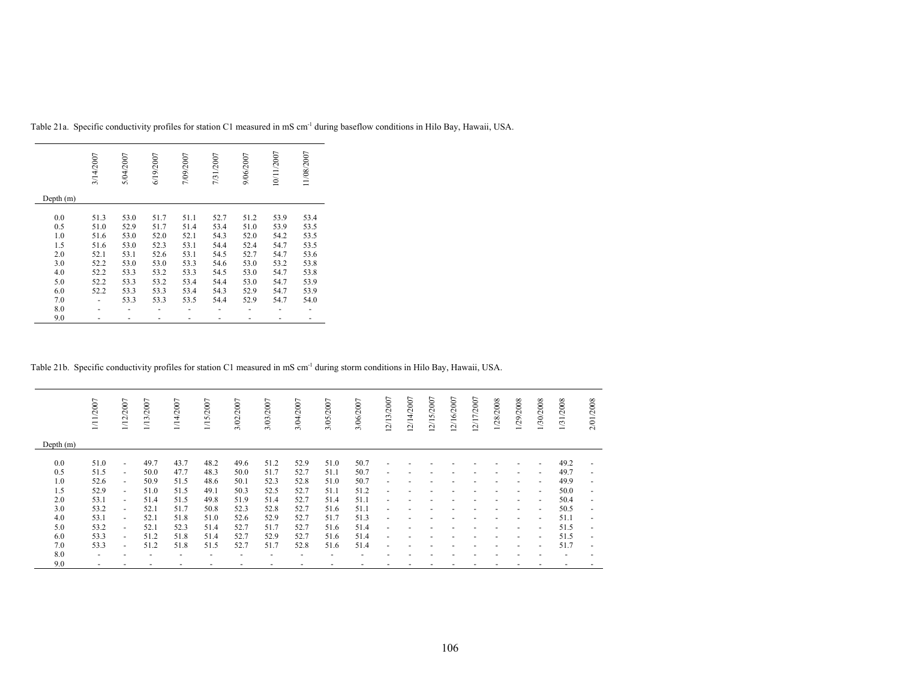|             | 3/14/2007 | 5/04/2007 | 6/19/2007 | 7/09/2007 | 7/31/2007 | 9/06/2007 | 10/11/2007 | 11/08/2007 |
|-------------|-----------|-----------|-----------|-----------|-----------|-----------|------------|------------|
| Depth $(m)$ |           |           |           |           |           |           |            |            |
| 0.0         | 51.3      | 53.0      | 51.7      | 51.1      | 52.7      | 51.2      | 53.9       | 53.4       |
| 0.5         | 51.0      | 52.9      | 51.7      | 51.4      | 53.4      | 51.0      | 53.9       | 53.5       |
| 1.0         | 51.6      | 53.0      | 52.0      | 52.1      | 54.3      | 52.0      | 54.2       | 53.5       |
| 1.5         | 51.6      | 53.0      | 52.3      | 53.1      | 54.4      | 52.4      | 54.7       | 53.5       |
| 2.0         | 52.1      | 53.1      | 52.6      | 53.1      | 54.5      | 52.7      | 54.7       | 53.6       |
| 3.0         | 52.2      | 53.0      | 53.0      | 53.3      | 54.6      | 53.0      | 53.2       | 53.8       |
| 4.0         | 52.2      | 53.3      | 53.2      | 53.3      | 54.5      | 53.0      | 54.7       | 53.8       |
| 5.0         | 52.2      | 53.3      | 53.2      | 53.4      | 54.4      | 53.0      | 54.7       | 53.9       |
| 6.0         | 52.2      | 53.3      | 53.3      | 53.4      | 54.3      | 52.9      | 54.7       | 53.9       |
| 7.0         |           | 53.3      | 53.3      | 53.5      | 54.4      | 52.9      | 54.7       | 54.0       |
| 8.0         |           |           |           |           |           |           |            |            |
| 9.0         |           |           |           |           |           |           |            |            |

Table 21a. Specific conductivity profiles for station C1 measured in mS cm-1 during baseflow conditions in Hilo Bay, Hawaii, USA.

Table 21b. Specific conductivity profiles for station C1 measured in mS cm<sup>-1</sup> during storm conditions in Hilo Bay, Hawaii, USA.

|             | 1/11/2007                | 1/12/2007                | 1/13/2007 | 1/14/2007 | 1/15/2007 | 3/02/2007 | 3/03/2007 | 3/04/2007 | 3/05/2007 | 3/06/2007 | 12/13/2007               | 12/14/2007 | 12/15/2007 | 12/16/2007 | 12/17/2007 | 1/28/2008 | 1/29/2008                | 1/30/2008                | 1/31/2008 | 2/01/2008                |
|-------------|--------------------------|--------------------------|-----------|-----------|-----------|-----------|-----------|-----------|-----------|-----------|--------------------------|------------|------------|------------|------------|-----------|--------------------------|--------------------------|-----------|--------------------------|
| Depth $(m)$ |                          |                          |           |           |           |           |           |           |           |           |                          |            |            |            |            |           |                          |                          |           |                          |
| 0.0         | 51.0                     | ٠                        | 49.7      | 43.7      | 48.2      | 49.6      | 51.2      | 52.9      | 51.0      | 50.7      | $\overline{\phantom{a}}$ |            |            |            |            |           |                          | $\overline{\phantom{a}}$ | 49.2      | $\overline{\phantom{a}}$ |
| 0.5         | 51.5                     | $\blacksquare$           | 50.0      | 47.7      | 48.3      | 50.0      | 51.7      | 52.7      | 51.1      | 50.7      | $\overline{\phantom{a}}$ |            |            |            |            |           |                          | $\overline{\phantom{a}}$ | 49.7      | $\overline{\phantom{a}}$ |
| 1.0         | 52.6                     | $\blacksquare$           | 50.9      | 51.5      | 48.6      | 50.1      | 52.3      | 52.8      | 51.0      | 50.7      | $\overline{\phantom{a}}$ |            |            |            |            |           | $\overline{\phantom{a}}$ | $\overline{\phantom{a}}$ | 49.9      | $\overline{\phantom{a}}$ |
| 1.5         | 52.9                     | $\overline{\phantom{a}}$ | 51.0      | 51.5      | 49.1      | 50.3      | 52.5      | 52.7      | 51.1      | 51.2      | $\blacksquare$           |            |            |            |            |           | $\overline{\phantom{a}}$ | $\overline{\phantom{a}}$ | 50.0      | $\overline{\phantom{a}}$ |
| 2.0         | 53.1                     | $\blacksquare$           | 51.4      | 51.5      | 49.8      | 51.9      | 51.4      | 52.7      | 51.4      | 51.1      | $\blacksquare$           |            |            |            |            |           | $\overline{\phantom{a}}$ | $\overline{\phantom{a}}$ | 50.4      | $\overline{\phantom{0}}$ |
| 3.0         | 53.2                     | $\overline{\phantom{a}}$ | 52.1      | 51.7      | 50.8      | 52.3      | 52.8      | 52.7      | 51.6      | 51.1      | $\blacksquare$           |            |            |            |            |           | $\overline{a}$           | $\sim$                   | 50.5      | ٠                        |
| 4.0         | 53.1                     | $\overline{\phantom{a}}$ | 52.1      | 51.8      | 51.0      | 52.6      | 52.9      | 52.7      | 51.7      | 51.3      | $\blacksquare$           |            |            |            |            |           | $\overline{\phantom{a}}$ | $\sim$                   | 51.1      | ٠                        |
| 5.0         | 53.2                     | $\sim$                   | 52.1      | 52.3      | 51.4      | 52.7      | 51.7      | 52.7      | 51.6      | 51.4      | $\blacksquare$           |            |            |            |            |           | $\overline{\phantom{a}}$ | $\overline{\phantom{a}}$ | 51.5      | $\overline{\phantom{a}}$ |
| 6.0         | 53.3                     | $\blacksquare$           | 51.2      | 51.8      | 51.4      | 52.7      | 52.9      | 52.7      | 51.6      | 51.4      | $\overline{\phantom{a}}$ |            |            |            |            |           |                          | $\blacksquare$           | 51.5      | $\overline{\phantom{a}}$ |
| 7.0         | 53.3                     | ٠                        | 51.2      | 51.8      | 51.5      | 52.7      | 51.7      | 52.8      | 51.6      | 51.4      | $\blacksquare$           |            |            |            |            |           | $\overline{\phantom{a}}$ | $\blacksquare$           | 51.7      | $\overline{\phantom{a}}$ |
| 8.0         | $\overline{\phantom{a}}$ |                          |           |           |           |           |           |           |           |           |                          |            |            |            |            |           |                          |                          |           |                          |
| 9.0         | ٠                        |                          |           |           |           |           |           |           |           |           |                          |            |            |            |            |           |                          |                          |           |                          |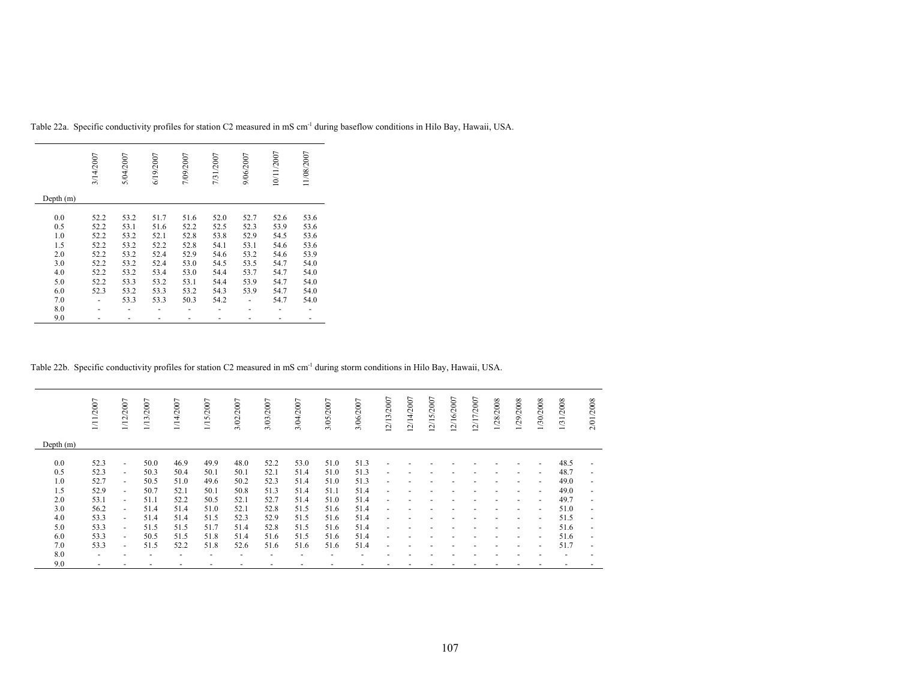|             | 3/14/2007 | 5/04/2007 | 6/19/2007 | 7/09/2007 | 7/31/2007 | 9/06/2007 | 10/11/2007 | 11/08/2007 |
|-------------|-----------|-----------|-----------|-----------|-----------|-----------|------------|------------|
| Depth $(m)$ |           |           |           |           |           |           |            |            |
| 0.0         | 52.2      | 53.2      | 51.7      | 51.6      | 52.0      | 52.7      | 52.6       | 53.6       |
| 0.5         | 52.2      | 53.1      | 51.6      | 52.2      | 52.5      | 52.3      | 53.9       | 53.6       |
| 1.0         | 52.2      | 53.2      | 52.1      | 52.8      | 53.8      | 52.9      | 54.5       | 53.6       |
| 1.5         |           |           |           |           |           |           |            | 53.6       |
|             | 52.2      | 53.2      | 52.2      | 52.8      | 54.1      | 53.1      | 54.6       |            |
| 2.0         | 52.2      | 53.2      | 52.4      | 52.9      | 54.6      | 53.2      | 54.6       | 53.9       |
| 3.0         | 52.2      | 53.2      | 52.4      | 53.0      | 54.5      | 53.5      | 54.7       | 54.0       |
| 4.0         | 52.2      | 53.2      | 53.4      | 53.0      | 54.4      | 53.7      | 54.7       | 54.0       |
| 5.0         | 52.2      | 53.3      | 53.2      | 53.1      | 54.4      | 53.9      | 54.7       | 54.0       |
| 6.0         | 52.3      | 53.2      | 53.3      | 53.2      | 54.3      | 53.9      | 54.7       | 54.0       |
| 7.0         |           | 53.3      | 53.3      | 50.3      | 54.2      |           | 54.7       | 54.0       |
| 8.0         |           |           |           |           |           |           |            |            |
| 9.0         |           |           |           |           |           |           |            |            |

Table 22a. Specific conductivity profiles for station C2 measured in mS cm-1 during baseflow conditions in Hilo Bay, Hawaii, USA.

Table 22b. Specific conductivity profiles for station C2 measured in mS cm<sup>-1</sup> during storm conditions in Hilo Bay, Hawaii, USA.

|             | 1/11/2007                | 1/12/2007                | 1/13/2007 | 1/14/2007                | 1/15/2007                | 3/02/2007                | 3/03/2007 | 3/04/2007 | 3/05/2007 | 3/06/2007 | 12/13/2007               | 12/14/2007 | 12/15/2007 | 12/16/2007 | 12/17/2007 | 1/28/2008 | 1/29/2008                | 1/30/2008                | 1/31/2008                | 2/01/2008                |
|-------------|--------------------------|--------------------------|-----------|--------------------------|--------------------------|--------------------------|-----------|-----------|-----------|-----------|--------------------------|------------|------------|------------|------------|-----------|--------------------------|--------------------------|--------------------------|--------------------------|
| Depth $(m)$ |                          |                          |           |                          |                          |                          |           |           |           |           |                          |            |            |            |            |           |                          |                          |                          |                          |
| 0.0         | 52.3                     | $\overline{\phantom{a}}$ | 50.0      | 46.9                     | 49.9                     | 48.0                     | 52.2      | 53.0      | 51.0      | 51.3      |                          |            |            |            |            |           |                          |                          | 48.5                     | $\overline{\phantom{a}}$ |
| 0.5         | 52.3                     | $\sim$                   | 50.3      | 50.4                     | 50.1                     | 50.1                     | 52.1      | 51.4      | 51.0      | 51.3      |                          |            |            |            |            |           |                          | $\overline{\phantom{a}}$ | 48.7                     | $\overline{\phantom{a}}$ |
| 1.0         | 52.7                     | $\sim$                   | 50.5      | 51.0                     | 49.6                     | 50.2                     | 52.3      | 51.4      | 51.0      | 51.3      | $\overline{\phantom{a}}$ |            |            |            |            |           | $\overline{\phantom{a}}$ | $\overline{\phantom{a}}$ | 49.0                     | $\overline{\phantom{a}}$ |
| 1.5         | 52.9                     | $\overline{\phantom{a}}$ | 50.7      | 52.1                     | 50.1                     | 50.8                     | 51.3      | 51.4      | 51.1      | 51.4      | $\overline{\phantom{a}}$ |            |            |            |            |           | $\overline{\phantom{a}}$ | $\blacksquare$           | 49.0                     | $\overline{\phantom{a}}$ |
| 2.0         | 53.1                     | $\sim$                   | 51.1      | 52.2                     | 50.5                     | 52.1                     | 52.7      | 51.4      | 51.0      | 51.4      | $\overline{\phantom{a}}$ |            |            |            |            |           |                          | $\sim$                   | 49.7                     | $\overline{\phantom{a}}$ |
| 3.0         | 56.2                     | $\sim$                   | 51.4      | 51.4                     | 51.0                     | 52.1                     | 52.8      | 51.5      | 51.6      | 51.4      | $\overline{\phantom{a}}$ |            |            |            |            |           | $\overline{\phantom{a}}$ | $\blacksquare$           | 51.0                     | $\overline{\phantom{a}}$ |
| 4.0         | 53.3                     | $\sim$                   | 51.4      | 51.4                     | 51.5                     | 52.3                     | 52.9      | 51.5      | 51.6      | 51.4      | $\overline{\phantom{a}}$ |            |            |            |            |           | $\overline{\phantom{a}}$ | $\sim$                   | 51.5                     | $\overline{\phantom{a}}$ |
| 5.0         | 53.3                     | $\sim$                   | 51.5      | 51.5                     | 51.7                     | 51.4                     | 52.8      | 51.5      | 51.6      | 51.4      |                          |            |            |            |            |           |                          | $\overline{\phantom{a}}$ | 51.6                     | $\overline{\phantom{a}}$ |
| 6.0         | 53.3                     | $\sim$                   | 50.5      | 51.5                     | 51.8                     | 51.4                     | 51.6      | 51.5      | 51.6      | 51.4      |                          |            |            |            |            |           |                          | $\overline{\phantom{a}}$ | 51.6                     | $\overline{\phantom{a}}$ |
| 7.0         | 53.3                     | $\overline{\phantom{a}}$ | 51.5      | 52.2                     | 51.8                     | 52.6                     | 51.6      | 51.6      | 51.6      | 51.4      | $\overline{\phantom{a}}$ |            |            |            |            |           |                          | $\overline{\phantom{a}}$ | 51.7                     | $\overline{\phantom{a}}$ |
| 8.0         | $\overline{\phantom{a}}$ |                          |           | $\overline{\phantom{a}}$ | $\overline{\phantom{a}}$ | $\overline{\phantom{a}}$ |           |           |           |           |                          |            |            |            |            |           |                          |                          | $\overline{\phantom{a}}$ | $\overline{\phantom{a}}$ |
| 9.0         |                          |                          |           |                          |                          |                          |           |           |           |           |                          |            |            |            |            |           |                          |                          |                          |                          |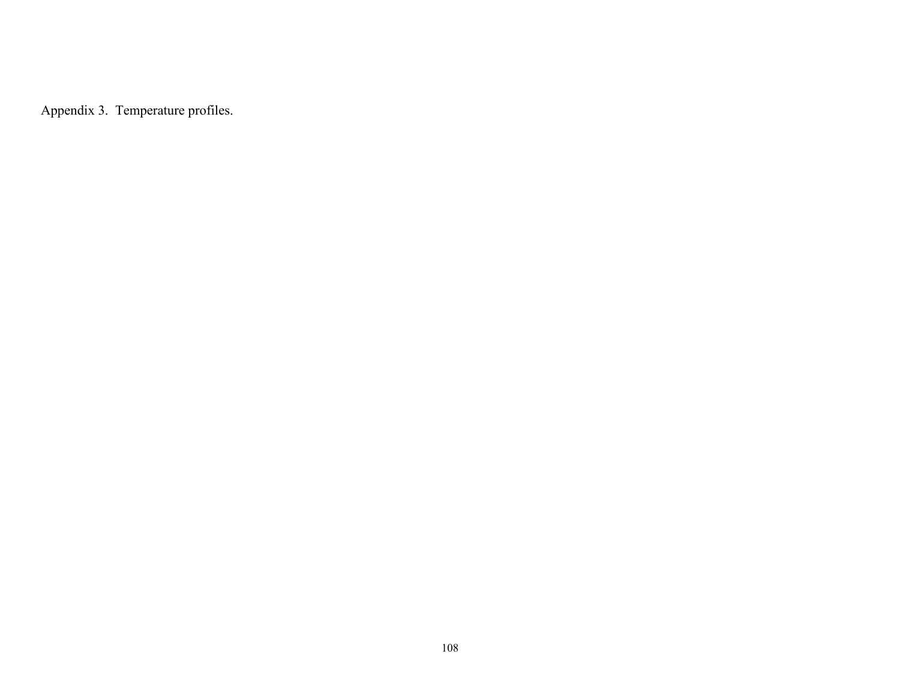Appendix 3. Temperature profiles.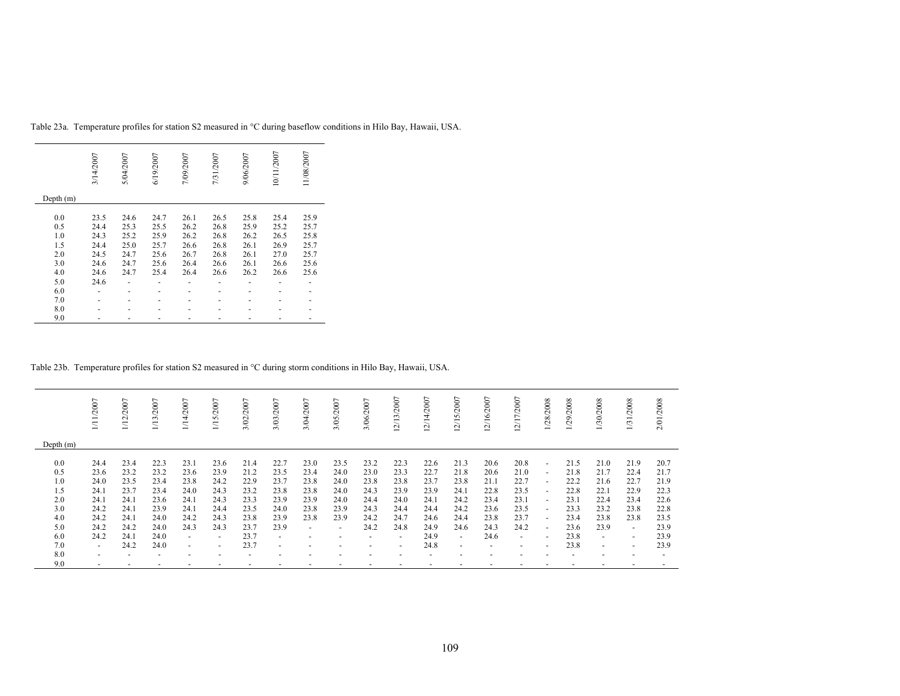|             | 3/14/2007 | 5/04/2007 | 6/19/2007 | 7/09/2007 | 7/31/2007 | 9/06/2007 | 10/11/2007 | 11/08/2007 |
|-------------|-----------|-----------|-----------|-----------|-----------|-----------|------------|------------|
| Depth $(m)$ |           |           |           |           |           |           |            |            |
| 0.0         | 23.5      | 24.6      | 24.7      | 26.1      | 26.5      | 25.8      | 25.4       | 25.9       |
| 0.5         | 24.4      | 25.3      | 25.5      | 26.2      | 26.8      | 25.9      | 25.2       | 25.7       |
| 1.0         | 24.3      | 25.2      | 25.9      | 26.2      | 26.8      | 26.2      | 26.5       | 25.8       |
| 1.5         | 24.4      | 25.0      | 25.7      | 26.6      | 26.8      | 26.1      | 26.9       | 25.7       |
| 2.0         | 24.5      | 24.7      | 25.6      | 26.7      | 26.8      | 26.1      | 27.0       | 25.7       |
| 3.0         | 24.6      | 24.7      | 25.6      | 26.4      | 26.6      | 26.1      | 26.6       | 25.6       |
| 4.0         | 24.6      | 24.7      | 25.4      | 26.4      | 26.6      | 26.2      | 26.6       | 25.6       |
| 5.0         | 24.6      |           |           |           |           |           |            |            |
| 6.0         |           |           |           |           |           |           |            |            |
| 7.0         |           |           |           |           |           |           |            |            |
| 8.0         |           |           |           |           |           |           |            |            |
| 9.0         |           |           |           |           |           |           |            |            |

Table 23a. Temperature profiles for station S2 measured in °C during baseflow conditions in Hilo Bay, Hawaii, USA.

### Table 23b. Temperature profiles for station S2 measured in °C during storm conditions in Hilo Bay, Hawaii, USA.

|                                                                    | /11/2007                                                                                         | /12/2007                                                                     | /13/2007                                                                     | 1/14/2007                                                                                        | /15/2007                                                                                                             | 3/02/2007                                                                    | 3/03/2007                                                                                                            | 3/04/2007                                                                        | 3/05/2007                                                                             | 3/06/2007                                                    | 2/13/2007                                                                                                  | ∼<br>2/14/200                                                                | 5/2007<br>$\overline{\phantom{0}}$<br>$\sim$                                                                         | $\overline{ }$<br>2/16/200                                           | 2/17/2007                                                                                          | 1/28/2008                                                                                                                | /29/2008                                                                     | /30/2008                                                                                                             | 1/31/2008                                                                                                                                | 2/01/2008                                                                    |
|--------------------------------------------------------------------|--------------------------------------------------------------------------------------------------|------------------------------------------------------------------------------|------------------------------------------------------------------------------|--------------------------------------------------------------------------------------------------|----------------------------------------------------------------------------------------------------------------------|------------------------------------------------------------------------------|----------------------------------------------------------------------------------------------------------------------|----------------------------------------------------------------------------------|---------------------------------------------------------------------------------------|--------------------------------------------------------------|------------------------------------------------------------------------------------------------------------|------------------------------------------------------------------------------|----------------------------------------------------------------------------------------------------------------------|----------------------------------------------------------------------|----------------------------------------------------------------------------------------------------|--------------------------------------------------------------------------------------------------------------------------|------------------------------------------------------------------------------|----------------------------------------------------------------------------------------------------------------------|------------------------------------------------------------------------------------------------------------------------------------------|------------------------------------------------------------------------------|
| Depth $(m)$                                                        |                                                                                                  |                                                                              |                                                                              |                                                                                                  |                                                                                                                      |                                                                              |                                                                                                                      |                                                                                  |                                                                                       |                                                              |                                                                                                            |                                                                              |                                                                                                                      |                                                                      |                                                                                                    |                                                                                                                          |                                                                              |                                                                                                                      |                                                                                                                                          |                                                                              |
| 0.0<br>0.5<br>1.0<br>1.5<br>2.0<br>3.0<br>4.0<br>5.0<br>6.0<br>7.0 | 24.4<br>23.6<br>24.0<br>24.1<br>24.1<br>24.2<br>24.2<br>24.2<br>24.2<br>$\overline{\phantom{0}}$ | 23.4<br>23.2<br>23.5<br>23.7<br>24.1<br>24.1<br>24.1<br>24.2<br>24.1<br>24.2 | 22.3<br>23.2<br>23.4<br>23.4<br>23.6<br>23.9<br>24.0<br>24.0<br>24.0<br>24.0 | 23.1<br>23.6<br>23.8<br>24.0<br>24.1<br>24.1<br>24.2<br>24.3<br>$\overline{a}$<br>$\overline{a}$ | 23.6<br>23.9<br>24.2<br>24.3<br>24.3<br>24.4<br>24.3<br>24.3<br>$\overline{\phantom{a}}$<br>$\overline{\phantom{a}}$ | 21.4<br>21.2<br>22.9<br>23.2<br>23.3<br>23.5<br>23.8<br>23.7<br>23.7<br>23.7 | 22.7<br>23.5<br>23.7<br>23.8<br>23.9<br>24.0<br>23.9<br>23.9<br>$\overline{\phantom{a}}$<br>$\overline{\phantom{a}}$ | 23.0<br>23.4<br>23.8<br>23.8<br>23.9<br>23.8<br>23.8<br>$\overline{\phantom{a}}$ | 23.5<br>24.0<br>24.0<br>24.0<br>24.0<br>23.9<br>23.9<br>$\overline{\phantom{a}}$<br>٠ | 23.2<br>23.0<br>23.8<br>24.3<br>24.4<br>24.3<br>24.2<br>24.2 | 22.3<br>23.3<br>23.8<br>23.9<br>24.0<br>24.4<br>24.7<br>24.8<br>$\overline{a}$<br>$\overline{\phantom{0}}$ | 22.6<br>22.7<br>23.7<br>23.9<br>24.1<br>24.4<br>24.6<br>24.9<br>24.9<br>24.8 | 21.3<br>21.8<br>23.8<br>24.1<br>24.2<br>24.2<br>24.4<br>24.6<br>$\overline{\phantom{a}}$<br>$\overline{\phantom{0}}$ | 20.6<br>20.6<br>21.1<br>22.8<br>23.4<br>23.6<br>23.8<br>24.3<br>24.6 | 20.8<br>21.0<br>22.7<br>23.5<br>23.1<br>23.5<br>23.7<br>24.2<br>$\sim$<br>$\overline{\phantom{0}}$ | $\sim$<br>$\sim$<br>$\sim$<br>$\overline{a}$<br>$\overline{\phantom{a}}$<br>$\overline{\phantom{a}}$<br>$\sim$<br>$\sim$ | 21.5<br>21.8<br>22.2<br>22.8<br>23.1<br>23.3<br>23.4<br>23.6<br>23.8<br>23.8 | 21.0<br>21.7<br>21.6<br>22.1<br>22.4<br>23.2<br>23.8<br>23.9<br>$\overline{\phantom{a}}$<br>$\overline{\phantom{a}}$ | 21.9<br>22.4<br>22.7<br>22.9<br>23.4<br>23.8<br>23.8<br>$\overline{\phantom{a}}$<br>$\overline{\phantom{a}}$<br>$\overline{\phantom{a}}$ | 20.7<br>21.7<br>21.9<br>22.3<br>22.6<br>22.8<br>23.5<br>23.9<br>23.9<br>23.9 |
| 8.0                                                                | $\overline{\phantom{a}}$                                                                         |                                                                              |                                                                              |                                                                                                  |                                                                                                                      |                                                                              |                                                                                                                      |                                                                                  |                                                                                       |                                                              |                                                                                                            |                                                                              |                                                                                                                      |                                                                      |                                                                                                    |                                                                                                                          |                                                                              |                                                                                                                      |                                                                                                                                          |                                                                              |
| 9.0                                                                | $\overline{\phantom{0}}$                                                                         |                                                                              |                                                                              |                                                                                                  | $\overline{\phantom{0}}$                                                                                             |                                                                              | $\overline{\phantom{a}}$                                                                                             |                                                                                  | $\overline{\phantom{a}}$                                                              |                                                              | -                                                                                                          |                                                                              |                                                                                                                      |                                                                      |                                                                                                    |                                                                                                                          |                                                                              |                                                                                                                      |                                                                                                                                          |                                                                              |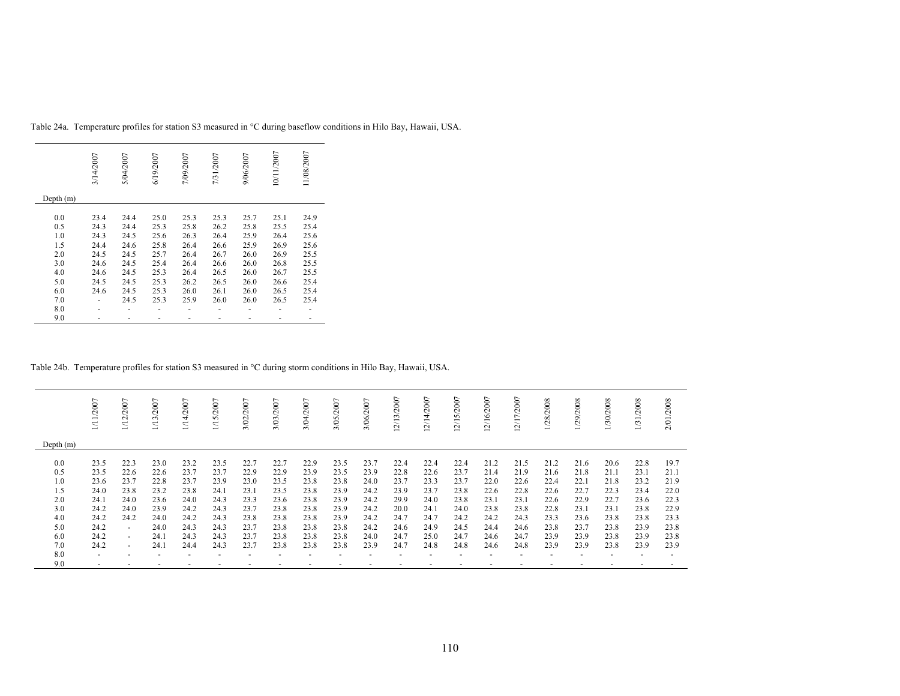|             | 3/14/2007 | 5/04/2007 | 6/19/2007 | 7/09/2007 | 7/31/2007 | 9/06/2007 | 10/11/2007 | 11/08/2007 |
|-------------|-----------|-----------|-----------|-----------|-----------|-----------|------------|------------|
| Depth $(m)$ |           |           |           |           |           |           |            |            |
| 0.0         | 23.4      | 24.4      | 25.0      | 25.3      | 25.3      | 25.7      | 25.1       | 24.9       |
|             |           |           |           |           |           |           |            |            |
| 0.5         | 24.3      | 24.4      | 25.3      | 25.8      | 26.2      | 25.8      | 25.5       | 25.4       |
| 1.0         | 24.3      | 24.5      | 25.6      | 26.3      | 26.4      | 25.9      | 26.4       | 25.6       |
| 1.5         | 24.4      | 24.6      | 25.8      | 26.4      | 26.6      | 25.9      | 26.9       | 25.6       |
| 2.0         | 24.5      | 24.5      | 25.7      | 26.4      | 26.7      | 26.0      | 26.9       | 25.5       |
| 3.0         | 24.6      | 24.5      | 25.4      | 26.4      | 26.6      | 26.0      | 26.8       | 25.5       |
| 4.0         | 24.6      | 24.5      | 25.3      | 26.4      | 26.5      | 26.0      | 26.7       | 25.5       |
| 5.0         | 24.5      | 24.5      | 25.3      | 26.2      | 26.5      | 26.0      | 26.6       | 25.4       |
| 6.0         | 24.6      | 24.5      | 25.3      | 26.0      | 26.1      | 26.0      | 26.5       | 25.4       |
| 7.0         |           | 24.5      | 25.3      | 25.9      | 26.0      | 26.0      | 26.5       | 25.4       |
| 8.0         |           |           |           |           |           |           |            |            |
| 9.0         |           |           |           |           |           |           |            |            |

Table 24a. Temperature profiles for station S3 measured in °C during baseflow conditions in Hilo Bay, Hawaii, USA.

### Table 24b. Temperature profiles for station S3 measured in °C during storm conditions in Hilo Bay, Hawaii, USA.

|             | /2007          | /12/2007     | /2007<br>$\overline{113}$ | 2007<br>$\frac{14}{3}$ | 5/2007<br>Ξ  | 2007<br>3/02/ | 3/03/2007    | 3/04/2007    | 3/05/2007    | 3/06/2007    | 2/13/2007    | /14/2007<br>$\sim$ | $\overline{ }$<br>2/15/200 | ∼<br>2/16/200 | $\overline{ }$<br>/17/2007<br>$\sim$ | 28/2008      | 29/2008      | /30/2008     | /2008<br>1/31 | 2/01/2008    |
|-------------|----------------|--------------|---------------------------|------------------------|--------------|---------------|--------------|--------------|--------------|--------------|--------------|--------------------|----------------------------|---------------|--------------------------------------|--------------|--------------|--------------|---------------|--------------|
| Depth $(m)$ |                |              |                           |                        |              |               |              |              |              |              |              |                    |                            |               |                                      |              |              |              |               |              |
| 0.0         | 23.5           | 22.3         | 23.0                      | 23.2                   | 23.5         | 22.7          | 22.7         | 22.9         | 23.5         | 23.7         | 22.4         | 22.4               | 22.4                       | 21.2          | 21.5                                 | 21.2         | 21.6         | 20.6         | 22.8          | 19.7         |
| 0.5<br>1.0  | 23.5<br>23.6   | 22.6<br>23.7 | 22.6<br>22.8              | 23.7<br>23.7           | 23.7<br>23.9 | 22.9<br>23.0  | 22.9<br>23.5 | 23.9<br>23.8 | 23.5<br>23.8 | 23.9<br>24.0 | 22.8<br>23.7 | 22.6<br>23.3       | 23.7<br>23.7               | 21.4<br>22.0  | 21.9<br>22.6                         | 21.6<br>22.4 | 21.8<br>22.1 | 21.1<br>21.8 | 23.1<br>23.2  | 21.1<br>21.9 |
| 1.5         | 24.0           | 23.8         | 23.2                      | 23.8                   | 24.1         | 23.1          | 23.5         | 23.8         | 23.9         | 24.2         | 23.9         | 23.7               | 23.8                       | 22.6          | 22.8                                 | 22.6         | 22.7         | 22.3         | 23.4          | 22.0         |
| 2.0<br>3.0  | 24.1<br>24.2   | 24.0<br>24.0 | 23.6<br>23.9              | 24.0<br>24.2           | 24.3<br>24.3 | 23.3<br>23.7  | 23.6<br>23.8 | 23.8<br>23.8 | 23.9<br>23.9 | 24.2<br>24.2 | 29.9<br>20.0 | 24.0<br>24.1       | 23.8<br>24.0               | 23.1<br>23.8  | 23.1<br>23.8                         | 22.6<br>22.8 | 22.9<br>23.1 | 22.7<br>23.1 | 23.6<br>23.8  | 22.3<br>22.9 |
| 4.0         | 24.2           | 24.2         | 24.0                      | 24.2                   | 24.3         | 23.8          | 23.8         | 23.8         | 23.9         | 24.2         | 24.7         | 24.7               | 24.2                       | 24.2          | 24.3                                 | 23.3         | 23.6         | 23.8         | 23.8          | 23.3         |
| 5.0         | 24.2           | $\sim$       | 24.0                      | 24.3                   | 24.3         | 23.7          | 23.8         | 23.8         | 23.8         | 24.2         | 24.6         | 24.9               | 24.5                       | 24.4          | 24.6                                 | 23.8         | 23.7         | 23.8         | 23.9          | 23.8         |
| 6.0<br>7.0  | 24.2<br>24.2   | $\sim$       | 24.1<br>24.1              | 24.3<br>24.4           | 24.3<br>24.3 | 23.7<br>23.7  | 23.8<br>23.8 | 23.8<br>23.8 | 23.8<br>23.8 | 24.0<br>23.9 | 24.7<br>24.7 | 25.0<br>24.8       | 24.7<br>24.8               | 24.6<br>24.6  | 24.7<br>24.8                         | 23.9<br>23.9 | 23.9<br>23.9 | 23.8<br>23.8 | 23.9<br>23.9  | 23.8<br>23.9 |
| 8.0         | $\overline{a}$ | $\sim$       |                           |                        | -            |               |              |              |              |              |              |                    |                            |               |                                      |              |              |              |               |              |
| 9.0         |                |              |                           |                        |              |               |              |              |              |              |              |                    |                            |               |                                      |              |              |              |               |              |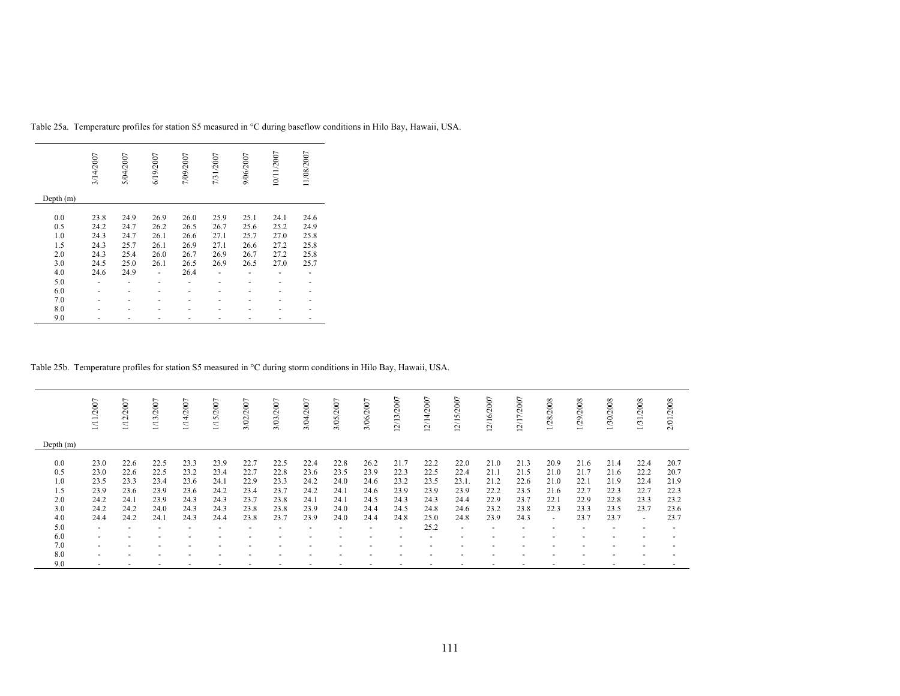|             | 3/14/2007 | 5/04/2007 | 6/19/2007 | 7/09/2007 | 7/31/2007 | 9/06/2007 | 10/11/2007 | 11/08/2007 |
|-------------|-----------|-----------|-----------|-----------|-----------|-----------|------------|------------|
| Depth $(m)$ |           |           |           |           |           |           |            |            |
| 0.0         | 23.8      | 24.9      | 26.9      | 26.0      | 25.9      | 25.1      | 24.1       | 24.6       |
| 0.5         | 24.2      | 24.7      | 26.2      | 26.5      | 26.7      | 25.6      | 25.2       | 24.9       |
| 1.0         | 24.3      | 24.7      | 26.1      | 26.6      | 27.1      | 25.7      | 27.0       | 25.8       |
| 1.5         | 24.3      | 25.7      | 26.1      | 26.9      | 27.1      | 26.6      | 27.2       | 25.8       |
| 2.0         | 24.3      | 25.4      | 26.0      | 26.7      | 26.9      | 26.7      | 27.2       | 25.8       |
| 3.0         | 24.5      | 25.0      | 26.1      | 26.5      | 26.9      | 26.5      | 27.0       | 25.7       |
| 4.0         | 24.6      | 24.9      |           | 26.4      |           |           |            |            |
| 5.0         |           |           |           |           |           |           |            |            |
| 6.0         |           |           |           |           |           |           |            |            |
| 7.0         |           |           |           |           |           |           |            |            |
| 8.0         |           |           |           |           |           |           |            |            |
| 9.0         |           |           |           |           |           |           |            |            |

Table 25a. Temperature profiles for station S5 measured in °C during baseflow conditions in Hilo Bay, Hawaii, USA.

### Table 25b. Temperature profiles for station S5 measured in °C during storm conditions in Hilo Bay, Hawaii, USA.

|                                 | 11/2007                                    | 1/12/2007                            | /13/2007                             | 1/14/2007                            | 5/2007<br>$\Xi$                      | 3/02/2007                            | 3/03/2007                            | 3/04/2007                            | 3/05/2007                            | 3/06/2007                            | 12/13/2007                           | 12/14/2007                           | $\overline{ }$<br>2/15/200           | 12/16/2007                           | 12/17/2007                           | 28/2008                              | /29/2008                             | 1/30/2008                            | /31/2008                             | 2/01/2008                            |
|---------------------------------|--------------------------------------------|--------------------------------------|--------------------------------------|--------------------------------------|--------------------------------------|--------------------------------------|--------------------------------------|--------------------------------------|--------------------------------------|--------------------------------------|--------------------------------------|--------------------------------------|--------------------------------------|--------------------------------------|--------------------------------------|--------------------------------------|--------------------------------------|--------------------------------------|--------------------------------------|--------------------------------------|
| Depth $(m)$                     |                                            |                                      |                                      |                                      |                                      |                                      |                                      |                                      |                                      |                                      |                                      |                                      |                                      |                                      |                                      |                                      |                                      |                                      |                                      |                                      |
| 0.0<br>0.5<br>1.0<br>1.5<br>2.0 | 23.0<br>23.0<br>23.5<br>23.9<br>24.2       | 22.6<br>22.6<br>23.3<br>23.6<br>24.1 | 22.5<br>22.5<br>23.4<br>23.9<br>23.9 | 23.3<br>23.2<br>23.6<br>23.6<br>24.3 | 23.9<br>23.4<br>24.1<br>24.2<br>24.3 | 22.7<br>22.7<br>22.9<br>23.4<br>23.7 | 22.5<br>22.8<br>23.3<br>23.7<br>23.8 | 22.4<br>23.6<br>24.2<br>24.2<br>24.1 | 22.8<br>23.5<br>24.0<br>24.1<br>24.1 | 26.2<br>23.9<br>24.6<br>24.6<br>24.5 | 21.7<br>22.3<br>23.2<br>23.9<br>24.3 | 22.2<br>22.5<br>23.5<br>23.9<br>24.3 | 22.0<br>22.4<br>23.1<br>23.9<br>24.4 | 21.0<br>21.1<br>21.2<br>22.2<br>22.9 | 21.3<br>21.5<br>22.6<br>23.5<br>23.7 | 20.9<br>21.0<br>21.0<br>21.6<br>22.1 | 21.6<br>21.7<br>22.1<br>22.7<br>22.9 | 21.4<br>21.6<br>21.9<br>22.3<br>22.8 | 22.4<br>22.2<br>22.4<br>22.7<br>23.3 | 20.7<br>20.7<br>21.9<br>22.3<br>23.2 |
| 3.0                             | 24.2                                       | 24.2<br>24.2                         | 24.0<br>24.1                         | 24.3                                 | 24.3<br>24.4                         | 23.8<br>23.8                         | 23.8<br>23.7                         | 23.9                                 | 24.0                                 | 24.4<br>24.4                         | 24.5                                 | 24.8                                 | 24.6<br>24.8                         | 23.2                                 | 23.8                                 | 22.3                                 | 23.3                                 | 23.5<br>23.7                         | 23.7                                 | 23.6                                 |
| 4.0<br>5.0                      | 24.4<br>$\overline{\phantom{a}}$           |                                      | $\overline{\phantom{0}}$             | 24.3                                 |                                      |                                      |                                      | 23.9                                 | 24.0                                 | $\overline{\phantom{a}}$             | 24.8<br>$\overline{\phantom{a}}$     | 25.0<br>25.2                         | $\overline{\phantom{0}}$             | 23.9<br>$\overline{\phantom{a}}$     | 24.3                                 | $\overline{a}$                       | 23.7                                 |                                      | $\sim$                               | 23.7                                 |
| 6.0                             | $\overline{\phantom{a}}$                   |                                      |                                      |                                      |                                      |                                      |                                      |                                      |                                      |                                      |                                      |                                      |                                      |                                      |                                      |                                      |                                      |                                      |                                      |                                      |
| 7.0<br>8.0                      | $\overline{\phantom{a}}$<br>$\overline{a}$ |                                      | $\overline{\phantom{0}}$             |                                      |                                      |                                      |                                      |                                      |                                      |                                      |                                      |                                      |                                      | $\overline{\phantom{a}}$             |                                      |                                      |                                      |                                      |                                      |                                      |
| 9.0                             |                                            |                                      |                                      |                                      |                                      |                                      |                                      |                                      |                                      |                                      |                                      |                                      |                                      |                                      |                                      |                                      |                                      |                                      |                                      |                                      |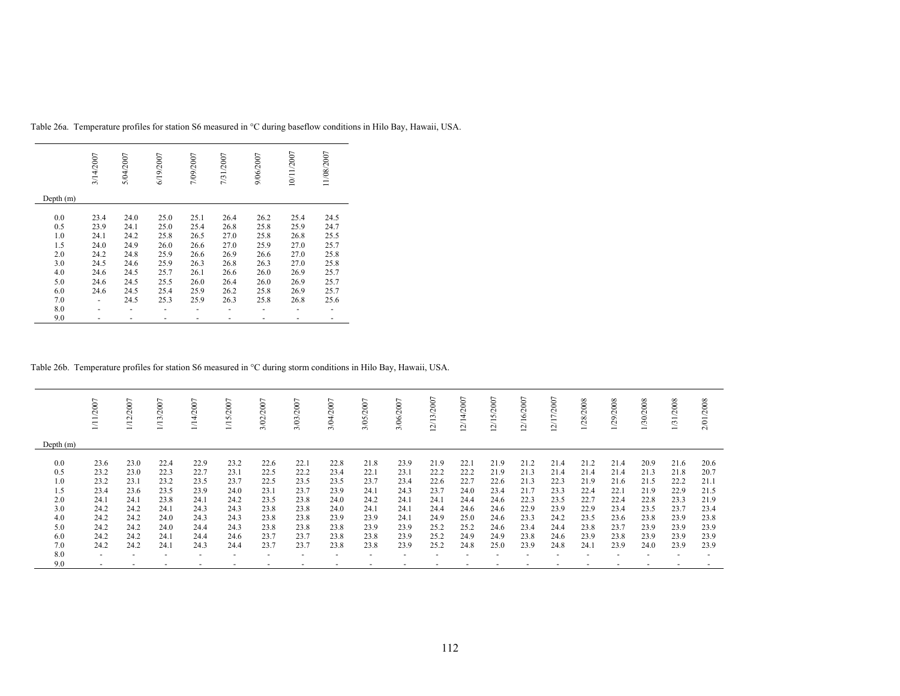|             | 3/14/2007 | 5/04/2007 | 6/19/2007 | 7/09/2007 | 7/31/2007 | 9/06/2007 | 10/11/2007 | 11/08/2007 |
|-------------|-----------|-----------|-----------|-----------|-----------|-----------|------------|------------|
| Depth $(m)$ |           |           |           |           |           |           |            |            |
| 0.0         | 23.4      | 24.0      | 25.0      | 25.1      | 26.4      | 26.2      | 25.4       | 24.5       |
| 0.5         | 23.9      | 24.1      | 25.0      | 25.4      | 26.8      | 25.8      | 25.9       | 24.7       |
| 1.0         | 24.1      | 24.2      | 25.8      | 26.5      | 27.0      | 25.8      | 26.8       | 25.5       |
| 1.5         | 24.0      | 24.9      | 26.0      | 26.6      | 27.0      | 25.9      | 27.0       | 25.7       |
| 2.0         | 24.2      | 24.8      | 25.9      | 26.6      | 26.9      | 26.6      | 27.0       | 25.8       |
| 3.0         | 24.5      | 24.6      | 25.9      | 26.3      | 26.8      | 26.3      | 27.0       | 25.8       |
| 4.0         | 24.6      | 24.5      | 25.7      | 26.1      | 26.6      | 26.0      | 26.9       | 25.7       |
| 5.0         | 24.6      | 24.5      | 25.5      | 26.0      | 26.4      | 26.0      | 26.9       | 25.7       |
| 6.0         | 24.6      | 24.5      | 25.4      | 25.9      | 26.2      | 25.8      | 26.9       | 25.7       |
| 7.0         |           | 24.5      | 25.3      | 25.9      | 26.3      | 25.8      | 26.8       | 25.6       |
| 8.0         |           |           |           |           |           |           |            |            |
| 9.0         |           |           |           |           |           |           |            |            |

Table 26a. Temperature profiles for station S6 measured in °C during baseflow conditions in Hilo Bay, Hawaii, USA.

#### Table 26b. Temperature profiles for station S6 measured in °C during storm conditions in Hilo Bay, Hawaii, USA.

|             | /2007          | /2007<br>$\Xi$ | 1/13/2007 | 5<br>$\tilde{\mathcal{C}}$ | /2007<br>n<br>$\overline{\phantom{0}}$ | 3/02/2007 | /2007<br>3/03  | /2007<br>3/Q4, | 3/05/2007                | 3/06/2007 | 12/13/2007 | 12/14/2007 | 12/15/2007 | 12/16/2007 | 12/17/2007 | 1/28/2008 | 1/29/2008 | 1/30/2008 | 1/31/2008 | 2/01/2008 |
|-------------|----------------|----------------|-----------|----------------------------|----------------------------------------|-----------|----------------|----------------|--------------------------|-----------|------------|------------|------------|------------|------------|-----------|-----------|-----------|-----------|-----------|
| Depth $(m)$ |                |                |           |                            |                                        |           |                |                |                          |           |            |            |            |            |            |           |           |           |           |           |
| 0.0         | 23.6           | 23.0           | 22.4      | 22.9                       | 23.2                                   | 22.6      | 22.1           | 22.8           | 21.8                     | 23.9      | 21.9       | 22.1       | 21.9       | 21.2       | 21.4       | 21.2      | 21.4      | 20.9      | 21.6      | 20.6      |
| 0.5         | 23.2           | 23.0           | 22.3      | 22.7                       | 23.1                                   | 22.5      | 22.2           | 23.4           | 22.1                     | 23.1      | 22.2       | 22.2       | 21.9       | 21.3       | 21.4       | 21.4      | 21.4      | 21.3      | 21.8      | 20.7      |
| 1.0         | 23.2           | 23.1           | 23.2      | 23.5                       | 23.7                                   | 22.5      | 23.5           | 23.5           | 23.7                     | 23.4      | 22.6       | 22.7       | 22.6       | 21.3       | 22.3       | 21.9      | 21.6      | 21.5      | 22.2      | 21.1      |
| 1.5         | 23.4           | 23.6           | 23.5      | 23.9                       | 24.0                                   | 23.1      | 23.7           | 23.9           | 24.1                     | 24.3      | 23.7       | 24.0       | 23.4       | 21.7       | 23.3       | 22.4      | 22.1      | 21.9      | 22.9      | 21.5      |
| 2.0         | 24.1           | 24.1           | 23.8      | 24.1                       | 24.2                                   | 23.5      | 23.8           | 24.0           | 24.2                     | 24.1      | 24.1       | 24.4       | 24.6       | 22.3       | 23.5       | 22.7      | 22.4      | 22.8      | 23.3      | 21.9      |
| 3.0         | 24.2           | 24.2           | 24.1      | 24.3                       | 24.3                                   | 23.8      | 23.8           | 24.0           | 24.1                     | 24.1      | 24.4       | 24.6       | 24.6       | 22.9       | 23.9       | 22.9      | 23.4      | 23.5      | 23.7      | 23.4      |
| 4.0         | 24.2           | 24.2           | 24.0      | 24.3                       | 24.3                                   | 23.8      | 23.8           | 23.9           | 23.9                     | 24.1      | 24.9       | 25.0       | 24.6       | 23.3       | 24.2       | 23.5      | 23.6      | 23.8      | 23.9      | 23.8      |
| 5.0         | 24.2           | 24.2           | 24.0      | 24.4                       | 24.3                                   | 23.8      | 23.8           | 23.8           | 23.9                     | 23.9      | 25.2       | 25.2       | 24.6       | 23.4       | 24.4       | 23.8      | 23.7      | 23.9      | 23.9      | 23.9      |
| 6.0         | 24.2           | 24.2           | 24.1      | 24.4                       | 24.6                                   | 23.7      | 23.7           | 23.8           | 23.8                     | 23.9      | 25.2       | 24.9       | 24.9       | 23.8       | 24.6       | 23.9      | 23.8      | 23.9      | 23.9      | 23.9      |
| 7.0         | 24.2           | 24.2           | 24.1      | 24.3                       | 24.4                                   | 23.7      | 23.7           | 23.8           | 23.8                     | 23.9      | 25.2       | 24.8       | 25.0       | 23.9       | 24.8       | 24.1      | 23.9      | 24.0      | 23.9      | 23.9      |
|             |                |                |           |                            |                                        |           |                |                |                          |           |            |            |            |            |            |           |           |           |           |           |
| 8.0         | $\overline{a}$ |                |           |                            |                                        |           | $\overline{a}$ |                | $\overline{\phantom{a}}$ |           |            |            |            |            |            |           |           |           |           |           |
| 9.0         |                |                |           |                            |                                        |           |                |                |                          |           |            |            |            |            |            |           |           |           |           |           |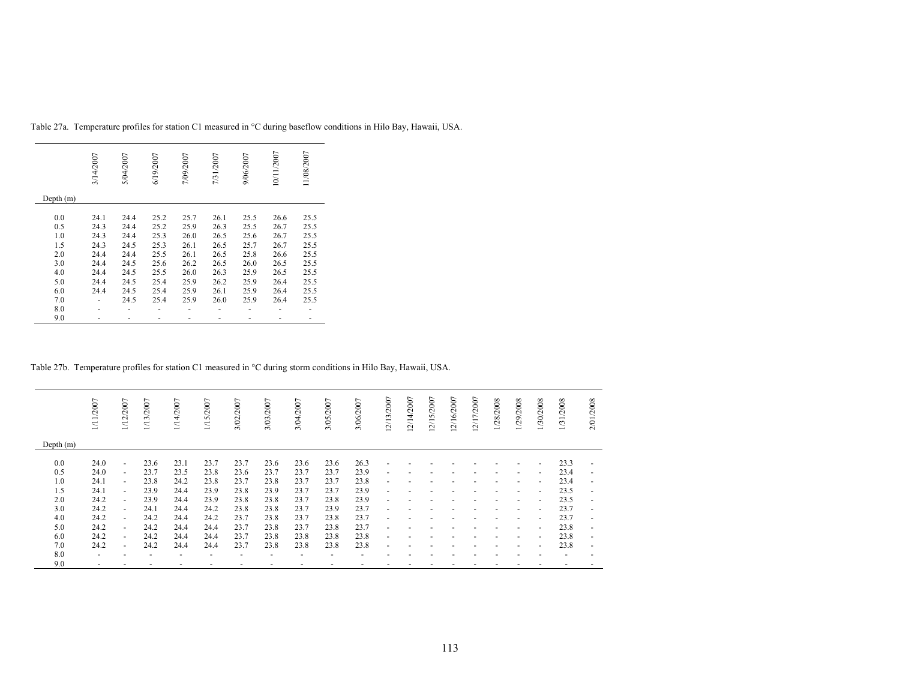|           | 3/14/2007 | 5/04/2007 | 6/19/2007 | 7/09/2007 | 7/31/2007 | 9/06/2007 | 10/11/2007 | 11/08/2007 |
|-----------|-----------|-----------|-----------|-----------|-----------|-----------|------------|------------|
| Depth (m) |           |           |           |           |           |           |            |            |
|           |           |           |           |           |           |           |            |            |
| 0.0       | 24.1      | 24.4      | 25.2      | 25.7      | 26.1      | 25.5      | 26.6       | 25.5       |
| 0.5       | 24.3      | 24.4      | 25.2      | 25.9      | 26.3      | 25.5      | 26.7       | 25.5       |
| 1.0       | 24.3      | 24.4      | 25.3      | 26.0      | 26.5      | 25.6      | 26.7       | 25.5       |
| 1.5       | 24.3      | 24.5      | 25.3      | 26.1      | 26.5      | 25.7      | 26.7       | 25.5       |
| 2.0       | 24.4      | 24.4      | 25.5      | 26.1      | 26.5      | 25.8      | 26.6       | 25.5       |
| 3.0       | 24.4      | 24.5      | 25.6      | 26.2      | 26.5      | 26.0      | 26.5       | 25.5       |
| 4.0       | 24.4      | 24.5      | 25.5      | 26.0      | 26.3      | 25.9      | 26.5       | 25.5       |
| 5.0       | 24.4      | 24.5      | 25.4      | 25.9      | 26.2      | 25.9      | 26.4       | 25.5       |
| 6.0       | 24.4      | 24.5      | 25.4      | 25.9      | 26.1      | 25.9      | 26.4       | 25.5       |
| 7.0       |           | 24.5      | 25.4      | 25.9      | 26.0      | 25.9      | 26.4       | 25.5       |
| 8.0       |           |           |           |           |           |           |            |            |
| 9.0       |           |           |           |           |           |           |            |            |

Table 27a. Temperature profiles for station C1 measured in °C during baseflow conditions in Hilo Bay, Hawaii, USA.

Table 27b. Temperature profiles for station C1 measured in °C during storm conditions in Hilo Bay, Hawaii, USA.

|             | 1/11/2007                | 1/12/2007                | 1/13/2007 | 1/14/2007                | 1/15/2007 | 3/02/2007 | 3/03/2007 | 3/04/2007 | 3/05/2007 | 3/06/2007 | 12/13/2007               | 12/14/2007 | 2/15/2007 | 12/16/2007 | 12/17/2007 | 1/28/2008 | 1/29/2008                | 1/30/2008                | 1/31/2008                | 2/01/2008                |
|-------------|--------------------------|--------------------------|-----------|--------------------------|-----------|-----------|-----------|-----------|-----------|-----------|--------------------------|------------|-----------|------------|------------|-----------|--------------------------|--------------------------|--------------------------|--------------------------|
| Depth $(m)$ |                          |                          |           |                          |           |           |           |           |           |           |                          |            |           |            |            |           |                          |                          |                          |                          |
| 0.0         | 24.0                     | $\overline{\phantom{0}}$ | 23.6      | 23.1                     | 23.7      | 23.7      | 23.6      | 23.6      | 23.6      | 26.3      | $\overline{\phantom{0}}$ |            |           |            |            |           |                          |                          | 23.3                     |                          |
| 0.5         | 24.0                     | $\overline{\phantom{0}}$ | 23.7      | 23.5                     | 23.8      | 23.6      | 23.7      | 23.7      | 23.7      | 23.9      | $\overline{\phantom{a}}$ |            |           |            |            |           | -                        | $\overline{a}$           | 23.4                     | $\overline{\phantom{a}}$ |
| 1.0         | 24.1                     | $\overline{\phantom{0}}$ | 23.8      | 24.2                     | 23.8      | 23.7      | 23.8      | 23.7      | 23.7      | 23.8      | ٠                        |            |           |            |            |           | $\overline{\phantom{0}}$ | $\overline{a}$           | 23.4                     | $\overline{\phantom{0}}$ |
| 1.5         | 24.1                     | $\overline{\phantom{0}}$ | 23.9      | 24.4                     | 23.9      | 23.8      | 23.9      | 23.7      | 23.7      | 23.9      | ٠                        |            |           |            |            |           | $\overline{\phantom{0}}$ |                          | 23.5                     |                          |
| 2.0         | 24.2                     | $\overline{\phantom{0}}$ | 23.9      | 24.4                     | 23.9      | 23.8      | 23.8      | 23.7      | 23.8      | 23.9      | $\overline{\phantom{a}}$ |            |           |            |            |           | $\overline{\phantom{a}}$ | $\overline{\phantom{a}}$ | 23.5                     | $\overline{\phantom{0}}$ |
| 3.0         | 24.2                     | $\overline{\phantom{0}}$ | 24.1      | 24.4                     | 24.2      | 23.8      | 23.8      | 23.7      | 23.9      | 23.7      | $\blacksquare$           |            |           |            |            |           | ٠                        | $\overline{a}$           | 23.7                     | $\overline{\phantom{0}}$ |
| 4.0         | 24.2                     | $\overline{\phantom{0}}$ | 24.2      | 24.4                     | 24.2      | 23.7      | 23.8      | 23.7      | 23.8      | 23.7      | $\overline{\phantom{a}}$ |            |           |            |            |           | $\overline{\phantom{0}}$ | $\overline{\phantom{a}}$ | 23.7                     | $\overline{\phantom{0}}$ |
| 5.0         | 24.2                     | $\overline{\phantom{0}}$ | 24.2      | 24.4                     | 24.4      | 23.7      | 23.8      | 23.7      | 23.8      | 23.7      | $\overline{\phantom{a}}$ |            |           |            |            |           | $\overline{\phantom{a}}$ | $\overline{\phantom{a}}$ | 23.8                     | ٠                        |
| 6.0         | 24.2                     | $\blacksquare$           | 24.2      | 24.4                     | 24.4      | 23.7      | 23.8      | 23.8      | 23.8      | 23.8      | ٠                        |            |           |            |            |           |                          | $\overline{a}$           | 23.8                     |                          |
| 7.0         | 24.2                     | $\overline{\phantom{0}}$ | 24.2      | 24.4                     | 24.4      | 23.7      | 23.8      | 23.8      | 23.8      | 23.8      | ٠                        |            |           |            |            |           |                          |                          | 23.8                     | $\overline{\phantom{0}}$ |
| 8.0         | $\overline{\phantom{a}}$ |                          |           | $\overline{\phantom{a}}$ |           |           |           |           |           |           |                          |            |           |            |            |           |                          |                          | $\overline{\phantom{a}}$ |                          |
| 9.0         | $\overline{\phantom{a}}$ |                          |           |                          |           |           |           |           |           |           |                          |            |           |            |            |           |                          |                          |                          |                          |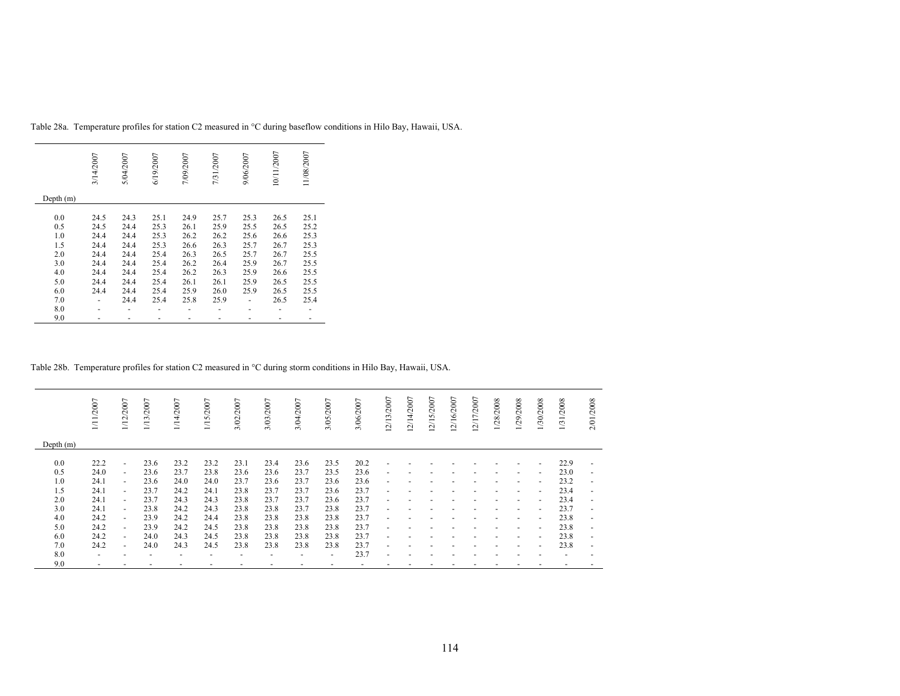|           | 3/14/2007 | 5/04/2007 | 6/19/2007 | 7/09/2007 | 7/31/2007 | 9/06/2007 | 10/11/2007 | 11/08/2007 |
|-----------|-----------|-----------|-----------|-----------|-----------|-----------|------------|------------|
| Depth (m) |           |           |           |           |           |           |            |            |
|           |           |           |           |           |           |           |            |            |
| 0.0       | 24.5      | 24.3      | 25.1      | 24.9      | 25.7      | 25.3      | 26.5       | 25.1       |
| 0.5       | 24.5      | 24.4      | 25.3      | 26.1      | 25.9      | 25.5      | 26.5       | 25.2       |
| 1.0       | 24.4      | 24.4      | 25.3      | 26.2      | 26.2      | 25.6      | 26.6       | 25.3       |
| 1.5       | 24.4      | 24.4      | 25.3      | 26.6      | 26.3      | 25.7      | 26.7       | 25.3       |
| 2.0       | 24.4      | 24.4      | 25.4      | 26.3      | 26.5      | 25.7      | 26.7       | 25.5       |
| 3.0       | 24.4      | 24.4      | 25.4      | 26.2      | 26.4      | 25.9      | 26.7       | 25.5       |
| 4.0       | 24.4      | 24.4      | 25.4      | 26.2      | 26.3      | 25.9      | 26.6       | 25.5       |
| 5.0       | 24.4      | 24.4      | 25.4      | 26.1      | 26.1      | 25.9      | 26.5       | 25.5       |
| 6.0       | 24.4      | 24.4      | 25.4      | 25.9      | 26.0      | 25.9      | 26.5       | 25.5       |
| 7.0       |           | 24.4      | 25.4      | 25.8      | 25.9      |           | 26.5       | 25.4       |
| 8.0       |           |           |           |           |           |           |            |            |
|           |           |           |           |           |           |           |            |            |
| 9.0       |           |           |           |           |           |           |            |            |

Table 28a. Temperature profiles for station C2 measured in °C during baseflow conditions in Hilo Bay, Hawaii, USA.

### Table 28b. Temperature profiles for station C2 measured in °C during storm conditions in Hilo Bay, Hawaii, USA.

|             | 1/11/2007      | 1/12/2007                | 1/13/2007 | 1/14/2007 | 1/15/2007 | 3/02/2007 | 3/03/2007 | 3/04/2007 | 3/05/2007 | 3/06/2007 | 12/13/2007               | 12/14/2007 | 2/15/2007 | 12/16/2007 | 12/17/2007 | 1/28/2008 | 1/29/2008                | 1/30/2008                | 1/31/2008 | /2008<br>2/01            |
|-------------|----------------|--------------------------|-----------|-----------|-----------|-----------|-----------|-----------|-----------|-----------|--------------------------|------------|-----------|------------|------------|-----------|--------------------------|--------------------------|-----------|--------------------------|
| Depth $(m)$ |                |                          |           |           |           |           |           |           |           |           |                          |            |           |            |            |           |                          |                          |           |                          |
| 0.0         | 22.2           | $\overline{\phantom{0}}$ | 23.6      | 23.2      | 23.2      | 23.1      | 23.4      | 23.6      | 23.5      | 20.2      | ٠                        |            |           |            |            |           |                          | $\overline{\phantom{a}}$ | 22.9      | $\overline{\phantom{a}}$ |
| 0.5         | 24.0           | $\overline{\phantom{a}}$ | 23.6      | 23.7      | 23.8      | 23.6      | 23.6      | 23.7      | 23.5      | 23.6      | $\overline{\phantom{a}}$ |            |           |            |            |           |                          | $\overline{\phantom{0}}$ | 23.0      | $\overline{\phantom{0}}$ |
| 1.0         | 24.1           | $\overline{\phantom{0}}$ | 23.6      | 24.0      | 24.0      | 23.7      | 23.6      | 23.7      | 23.6      | 23.6      | ٠                        |            |           |            |            |           | $\overline{\phantom{a}}$ | $\overline{\phantom{a}}$ | 23.2      | ٠                        |
| 1.5         | 24.1           | $\overline{\phantom{0}}$ | 23.7      | 24.2      | 24.1      | 23.8      | 23.7      | 23.7      | 23.6      | 23.7      | $\overline{\phantom{a}}$ |            |           |            |            |           | $\overline{\phantom{a}}$ | $\overline{\phantom{a}}$ | 23.4      | ٠                        |
| 2.0         | 24.1           | $\overline{\phantom{0}}$ | 23.7      | 24.3      | 24.3      | 23.8      | 23.7      | 23.7      | 23.6      | 23.7      | $\overline{\phantom{a}}$ |            |           |            |            |           | $\overline{\phantom{a}}$ | $\overline{\phantom{a}}$ | 23.4      | $\overline{\phantom{a}}$ |
| 3.0         | 24.1           | $\overline{\phantom{0}}$ | 23.8      | 24.2      | 24.3      | 23.8      | 23.8      | 23.7      | 23.8      | 23.7      | $\overline{\phantom{a}}$ |            |           |            |            |           | $\overline{\phantom{a}}$ | $\sim$                   | 23.7      | ۰                        |
| 4.0         | 24.2           | $\blacksquare$           | 23.9      | 24.2      | 24.4      | 23.8      | 23.8      | 23.8      | 23.8      | 23.7      | $\overline{\phantom{a}}$ |            |           |            |            |           | $\overline{\phantom{a}}$ | $\sim$                   | 23.8      | $\overline{\phantom{a}}$ |
| 5.0         | 24.2           | $\overline{\phantom{0}}$ | 23.9      | 24.2      | 24.5      | 23.8      | 23.8      | 23.8      | 23.8      | 23.7      | $\overline{\phantom{a}}$ |            |           |            |            |           |                          | $\overline{\phantom{a}}$ | 23.8      | $\overline{\phantom{0}}$ |
| 6.0         | 24.2           | $\overline{\phantom{0}}$ | 24.0      | 24.3      | 24.5      | 23.8      | 23.8      | 23.8      | 23.8      | 23.7      | ٠                        |            |           |            |            |           |                          | $\overline{\phantom{a}}$ | 23.8      | $\overline{\phantom{a}}$ |
| 7.0         | 24.2           | $\overline{\phantom{0}}$ | 24.0      | 24.3      | 24.5      | 23.8      | 23.8      | 23.8      | 23.8      | 23.7      | $\overline{\phantom{a}}$ |            |           |            |            |           |                          | $\overline{\phantom{a}}$ | 23.8      | ٠                        |
| 8.0         | $\overline{a}$ |                          |           |           |           |           |           |           | ٠         | 23.7      | ٠                        |            |           |            |            |           |                          |                          |           |                          |
| 9.0         | ٠              |                          |           |           |           |           |           |           |           |           |                          |            |           |            |            |           |                          |                          |           |                          |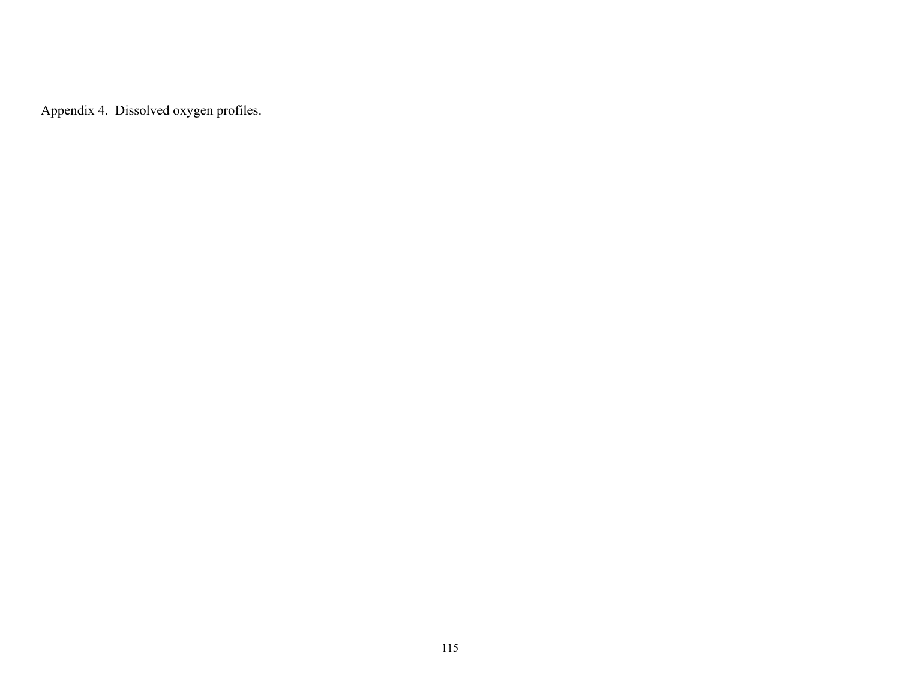Appendix 4. Dissolved oxygen profiles.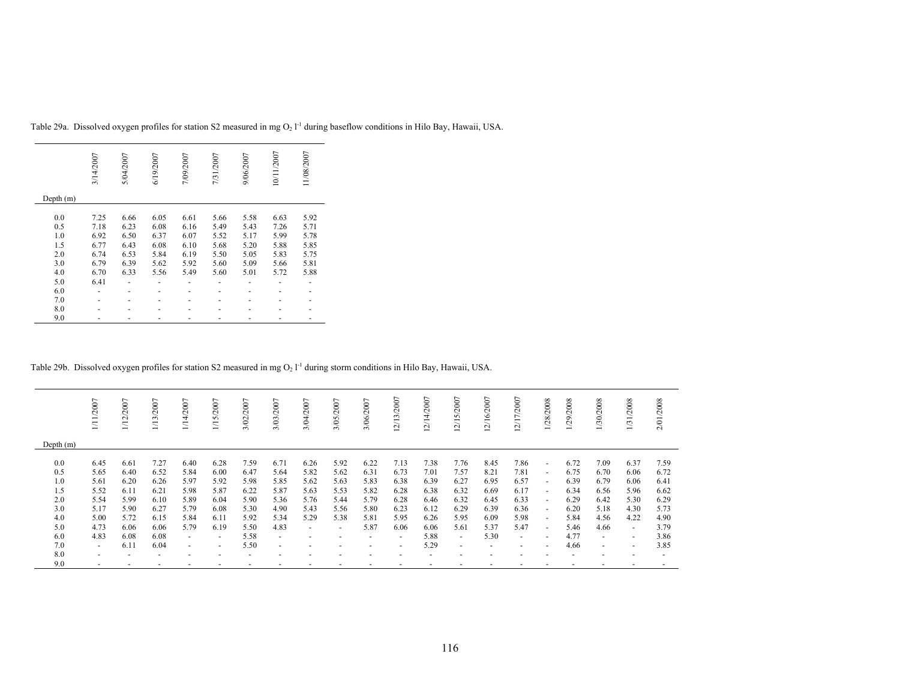|           | 3/14/2007 | 5/04/2007 | 6/19/2007 | 7/09/2007 | 7/31/2007 | 9/06/2007 | 10/11/2007 | 11/08/2007 |
|-----------|-----------|-----------|-----------|-----------|-----------|-----------|------------|------------|
| Depth (m) |           |           |           |           |           |           |            |            |
| 0.0       | 7.25      | 6.66      | 6.05      | 6.61      | 5.66      | 5.58      | 6.63       | 5.92       |
| 0.5       | 7.18      | 6.23      | 6.08      | 6.16      | 5.49      | 5.43      | 7.26       | 5.71       |
| 1.0       | 6.92      | 6.50      | 6.37      | 6.07      | 5.52      | 5.17      | 5.99       | 5.78       |
| 1.5       | 6.77      | 6.43      | 6.08      | 6.10      | 5.68      | 5.20      | 5.88       | 5.85       |
| 2.0       | 6.74      | 6.53      | 5.84      | 6.19      | 5.50      | 5.05      | 5.83       | 5.75       |
| 3.0       | 6.79      | 6.39      | 5.62      | 5.92      | 5.60      | 5.09      | 5.66       | 5.81       |
| 4.0       | 6.70      | 6.33      | 5.56      | 5.49      | 5.60      | 5.01      | 5.72       | 5.88       |
| 5.0       | 6.41      |           |           |           |           |           |            |            |
| 6.0       |           |           |           |           |           |           |            |            |
| 7.0       |           |           |           |           |           |           |            |            |
| 8.0       |           |           |           |           |           |           |            |            |
| 9.0       |           |           |           |           |           |           |            |            |

Table 29a. Dissolved oxygen profiles for station S2 measured in mg  $O_2$   $I<sup>-1</sup>$  during baseflow conditions in Hilo Bay, Hawaii, USA.

Table 29b. Dissolved oxygen profiles for station S2 measured in mg  $O_2$   $I<sup>-1</sup>$  during storm conditions in Hilo Bay, Hawaii, USA.

|                                                      | 1/11/2007                                                    | 1/12/2007                                                    | 1/13/2007                                                    | 1/14/2007                                                    | 15/2007                                                      | 3/02/2007                                                    | 3/03/2007                                                    | 3/04/2007                                                                        | 3/05/2007                                                                        | 3/06/2007                                                    | 12/13/2007                                                   | 12/14/2007                                                   | 5/2007<br>$\overline{21}$<br>$\overline{\phantom{0}}$        | 2/16/2007<br>Ī                                               | 2/17/2007<br>Ī                                               | 1/28/2008                                                                                      | 1/29/2008                                                    | 1/30/2008                                                    | 1/31/2008                                                      | 2/01/2008                                                    |
|------------------------------------------------------|--------------------------------------------------------------|--------------------------------------------------------------|--------------------------------------------------------------|--------------------------------------------------------------|--------------------------------------------------------------|--------------------------------------------------------------|--------------------------------------------------------------|----------------------------------------------------------------------------------|----------------------------------------------------------------------------------|--------------------------------------------------------------|--------------------------------------------------------------|--------------------------------------------------------------|--------------------------------------------------------------|--------------------------------------------------------------|--------------------------------------------------------------|------------------------------------------------------------------------------------------------|--------------------------------------------------------------|--------------------------------------------------------------|----------------------------------------------------------------|--------------------------------------------------------------|
| Depth $(m)$                                          |                                                              |                                                              |                                                              |                                                              |                                                              |                                                              |                                                              |                                                                                  |                                                                                  |                                                              |                                                              |                                                              |                                                              |                                                              |                                                              |                                                                                                |                                                              |                                                              |                                                                |                                                              |
| 0.0<br>0.5<br>1.0<br>1.5<br>2.0<br>3.0<br>4.0<br>5.0 | 6.45<br>5.65<br>5.61<br>5.52<br>5.54<br>5.17<br>5.00<br>4.73 | 6.61<br>6.40<br>6.20<br>6.11<br>5.99<br>5.90<br>5.72<br>6.06 | 7.27<br>6.52<br>6.26<br>6.21<br>6.10<br>6.27<br>6.15<br>6.06 | 6.40<br>5.84<br>5.97<br>5.98<br>5.89<br>5.79<br>5.84<br>5.79 | 6.28<br>6.00<br>5.92<br>5.87<br>6.04<br>6.08<br>6.11<br>6.19 | 7.59<br>6.47<br>5.98<br>6.22<br>5.90<br>5.30<br>5.92<br>5.50 | 6.71<br>5.64<br>5.85<br>5.87<br>5.36<br>4.90<br>5.34<br>4.83 | 6.26<br>5.82<br>5.62<br>5.63<br>5.76<br>5.43<br>5.29<br>$\overline{\phantom{a}}$ | 5.92<br>5.62<br>5.63<br>5.53<br>5.44<br>5.56<br>5.38<br>$\overline{\phantom{a}}$ | 6.22<br>6.31<br>5.83<br>5.82<br>5.79<br>5.80<br>5.81<br>5.87 | 7.13<br>6.73<br>6.38<br>6.28<br>6.28<br>6.23<br>5.95<br>6.06 | 7.38<br>7.01<br>6.39<br>6.38<br>6.46<br>6.12<br>6.26<br>6.06 | 7.76<br>7.57<br>6.27<br>6.32<br>6.32<br>6.29<br>5.95<br>5.61 | 8.45<br>8.21<br>6.95<br>6.69<br>6.45<br>6.39<br>6.09<br>5.37 | 7.86<br>7.81<br>6.57<br>6.17<br>6.33<br>6.36<br>5.98<br>5.47 | $\sim$<br>$\sim$<br>$\sim$<br>$\sim$<br>$\overline{\phantom{a}}$<br>$\sim$<br>$\sim$<br>$\sim$ | 6.72<br>6.75<br>6.39<br>6.34<br>6.29<br>6.20<br>5.84<br>5.46 | 7.09<br>6.70<br>6.79<br>6.56<br>6.42<br>5.18<br>4.56<br>4.66 | 6.37<br>6.06<br>6.06<br>5.96<br>5.30<br>4.30<br>4.22<br>$\sim$ | 7.59<br>6.72<br>6.41<br>6.62<br>6.29<br>5.73<br>4.90<br>3.79 |
| 6.0<br>7.0                                           | 4.83                                                         | 6.08<br>6.11                                                 | 6.08<br>6.04                                                 | $\overline{\phantom{a}}$                                     | ٠                                                            | 5.58<br>5.50                                                 | $\sim$                                                       |                                                                                  | ٠                                                                                | $\overline{\phantom{a}}$                                     | $\sim$                                                       | 5.88<br>5.29                                                 | $\sim$                                                       | 5.30                                                         | $\overline{\phantom{a}}$                                     | $\overline{\phantom{0}}$                                                                       | 4.77<br>4.66                                                 | $\sim$                                                       | $\overline{\phantom{a}}$                                       | 3.86<br>3.85                                                 |
| 8.0<br>9.0                                           | $\sim$<br>$\overline{a}$                                     |                                                              | $\overline{\phantom{0}}$                                     | $\sim$<br>$\overline{\phantom{a}}$                           | $\overline{\phantom{a}}$<br>$\overline{\phantom{a}}$         | $\overline{\phantom{0}}$                                     | $\overline{\phantom{a}}$<br>$\overline{\phantom{0}}$         |                                                                                  | ٠                                                                                |                                                              | $\overline{\phantom{0}}$<br>$\overline{\phantom{0}}$         | $\overline{\phantom{0}}$                                     | $\overline{\phantom{a}}$<br>٠                                |                                                              | $\overline{\phantom{0}}$<br>$\overline{\phantom{a}}$         | $\overline{\phantom{0}}$                                                                       | $\overline{a}$                                               | $\overline{\phantom{a}}$                                     | $\overline{\phantom{a}}$<br>$\sim$                             |                                                              |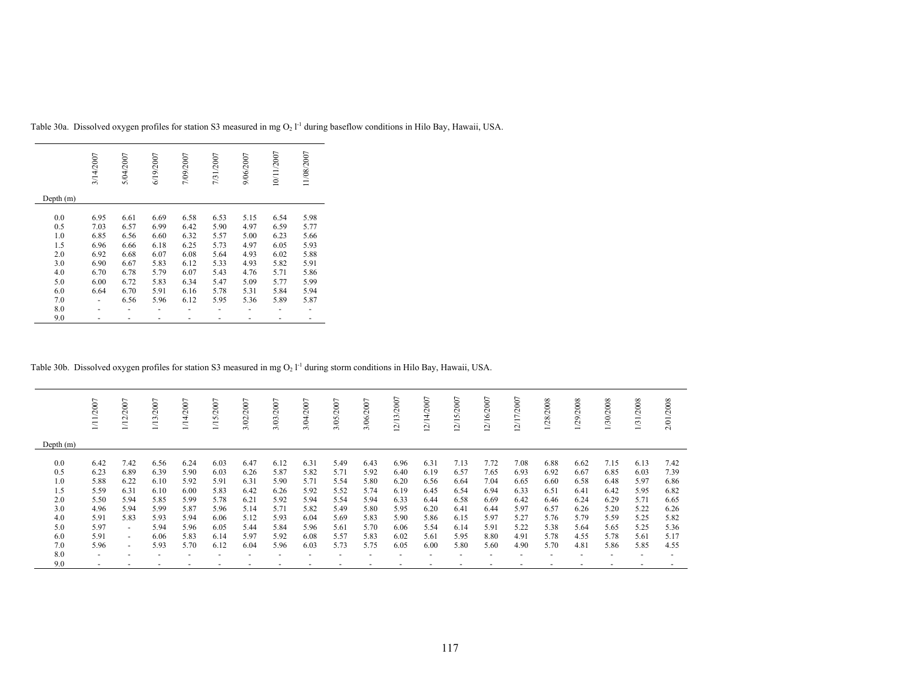|           | 3/14/2007 | 5/04/2007 | 6/19/2007 | 7/09/2007 | 7/31/2007 | 9/06/2007 | 10/11/2007 | 11/08/2007 |
|-----------|-----------|-----------|-----------|-----------|-----------|-----------|------------|------------|
| Depth (m) |           |           |           |           |           |           |            |            |
| 0.0       | 6.95      | 6.61      | 6.69      | 6.58      | 6.53      | 5.15      | 6.54       | 5.98       |
| 0.5       | 7.03      | 6.57      | 6.99      | 6.42      | 5.90      | 4.97      | 6.59       | 5.77       |
| 1.0       | 6.85      | 6.56      | 6.60      | 6.32      | 5.57      | 5.00      | 6.23       | 5.66       |
| 1.5       | 6.96      | 6.66      | 6.18      | 6.25      | 5.73      | 4.97      | 6.05       | 5.93       |
| 2.0       | 6.92      | 6.68      | 6.07      | 6.08      | 5.64      | 4.93      | 6.02       | 5.88       |
| 3.0       | 6.90      | 6.67      | 5.83      | 6.12      | 5.33      | 4.93      | 5.82       | 5.91       |
| 4.0       | 6.70      | 6.78      | 5.79      | 6.07      | 5.43      | 4.76      | 5.71       | 5.86       |
| 5.0       | 6.00      | 6.72      | 5.83      | 6.34      | 5.47      | 5.09      | 5.77       | 5.99       |
| 6.0       | 6.64      | 6.70      | 5.91      | 6.16      | 5.78      | 5.31      | 5.84       | 5.94       |
| 7.0       |           | 6.56      | 5.96      | 6.12      | 5.95      | 5.36      | 5.89       | 5.87       |
| 8.0       |           |           |           |           |           |           |            |            |
| 9.0       |           |           |           |           |           |           |            |            |

Table 30a. Dissolved oxygen profiles for station S3 measured in mg  $O_2$   $I<sup>-1</sup>$  during baseflow conditions in Hilo Bay, Hawaii, USA.

Table 30b. Dissolved oxygen profiles for station S3 measured in mg  $O_2 1^{-1}$  during storm conditions in Hilo Bay, Hawaii, USA.

|             | /2007                    | 1/12/2007 | 1/13/2007 | 4/2007 | 5/2007<br>H, | 3/02/2007 | 3/03/2007 | 3/04/2007 | 3/05/2007 | ∼<br>3/06/200 | 12/13/2007 | /14/2007<br>$\sim$ | $\overline{ }$<br>2/15/200 | 2/16/2007 | 2/17/2007 | /28/2008 | /29/2008 | 1/30/2008 | /2008<br>31. | 2/01/2008 |
|-------------|--------------------------|-----------|-----------|--------|--------------|-----------|-----------|-----------|-----------|---------------|------------|--------------------|----------------------------|-----------|-----------|----------|----------|-----------|--------------|-----------|
| Depth $(m)$ |                          |           |           |        |              |           |           |           |           |               |            |                    |                            |           |           |          |          |           |              |           |
| 0.0         | 6.42                     | 7.42      | 6.56      | 6.24   | 6.03         | 6.47      | 6.12      | 6.31      | 5.49      | 6.43          | 6.96       | 6.31               | 7.13                       | 7.72      | 7.08      | 6.88     | 6.62     | 7.15      | 6.13         | 7.42      |
| 0.5         | 6.23                     | 6.89      | 6.39      | 5.90   | 6.03         | 6.26      | 5.87      | 5.82      | 5.71      | 5.92          | 6.40       | 6.19               | 6.57                       | 7.65      | 6.93      | 6.92     | 6.67     | 6.85      | 6.03         | 7.39      |
| 1.0         | 5.88                     | 6.22      | 6.10      | 5.92   | 5.91         | 6.31      | 5.90      | 5.71      | 5.54      | 5.80          | 6.20       | 6.56               | 6.64                       | 7.04      | 6.65      | 6.60     | 6.58     | 6.48      | 5.97         | 6.86      |
| 1.5         | 5.59                     | 6.31      | 6.10      | 6.00   | 5.83         | 6.42      | 6.26      | 5.92      | 5.52      | 5.74          | 6.19       | 6.45               | 6.54                       | 6.94      | 6.33      | 6.51     | 6.41     | 6.42      | 5.95         | 6.82      |
| 2.0         | 5.50                     | 5.94      | 5.85      | 5.99   | 5.78         | 6.21      | 5.92      | 5.94      | 5.54      | 5.94          | 6.33       | 6.44               | 6.58                       | 6.69      | 6.42      | 6.46     | 6.24     | 6.29      | 5.71         | 6.65      |
| 3.0         | 4.96                     | 5.94      | 5.99      | 5.87   | 5.96         | 5.14      | 5.71      | 5.82      | 5.49      | 5.80          | 5.95       | 6.20               | 6.41                       | 6.44      | 5.97      | 6.57     | 6.26     | 5.20      | 5.22         | 6.26      |
| 4.0         | 5.91                     | 5.83      | 5.93      | 5.94   | 6.06         | 5.12      | 5.93      | 6.04      | 5.69      | 5.83          | 5.90       | 5.86               | 6.15                       | 5.97      | 5.27      | 5.76     | 5.79     | 5.59      | 5.25         | 5.82      |
| 5.0         | 5.97                     | $\sim$    | 5.94      | 5.96   | 6.05         | 5.44      | 5.84      | 5.96      | 5.61      | 5.70          | 6.06       | 5.54               | 6.14                       | 5.91      | 5.22      | 5.38     | 5.64     | 5.65      | 5.25         | 5.36      |
| 6.0         | 5.91                     | $\sim$    | 6.06      | 5.83   | 6.14         | 5.97      | 5.92      | 6.08      | 5.57      | 5.83          | 6.02       | 5.61               | 5.95                       | 8.80      | 4.91      | 5.78     | 4.55     | 5.78      | 5.61         | 5.17      |
| 7.0         | 5.96                     | $\sim$    | 5.93      | 5.70   | 6.12         | 6.04      | 5.96      | 6.03      | 5.73      | 5.75          | 6.05       | 6.00               | 5.80                       | 5.60      | 4.90      | 5.70     | 4.81     | 5.86      | 5.85         | 4.55      |
| 8.0         | $\overline{a}$           |           |           |        |              |           |           |           |           |               |            |                    |                            |           |           |          |          |           |              |           |
| 9.0         | $\overline{\phantom{a}}$ |           |           |        |              |           |           |           |           |               |            |                    |                            |           |           |          |          |           |              |           |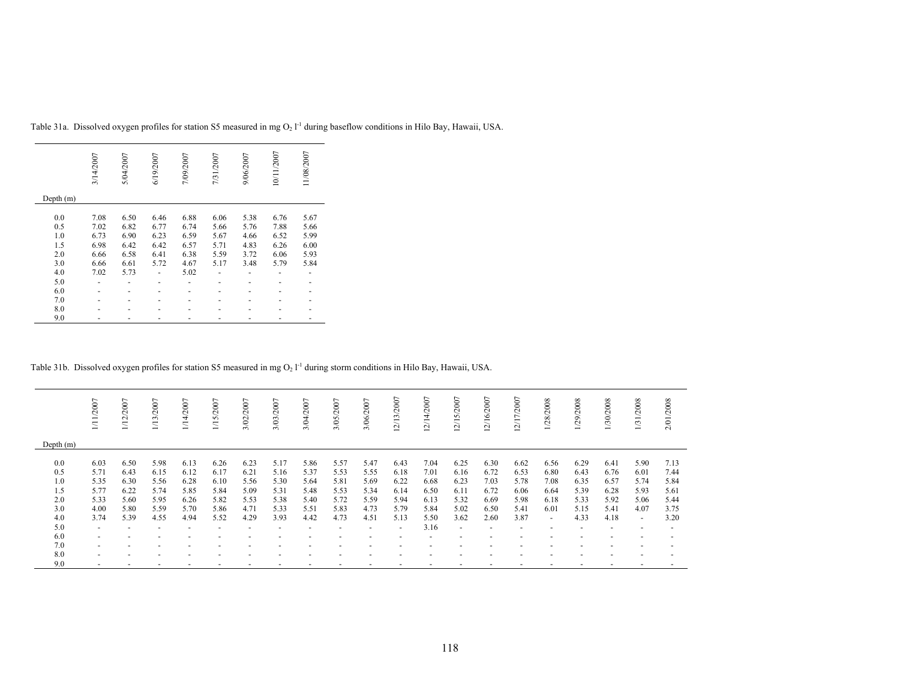|           | 3/14/2007 | 5/04/2007 | 6/19/2007 | 7/09/2007 | 7/31/2007 | 9/06/2007 | 10/11/2007 | 11/08/2007 |
|-----------|-----------|-----------|-----------|-----------|-----------|-----------|------------|------------|
| Depth (m) |           |           |           |           |           |           |            |            |
| 0.0       | 7.08      | 6.50      | 6.46      | 6.88      | 6.06      | 5.38      | 6.76       | 5.67       |
| 0.5       | 7.02      | 6.82      | 6.77      | 6.74      | 5.66      | 5.76      | 7.88       | 5.66       |
| 1.0       | 6.73      | 6.90      | 6.23      | 6.59      | 5.67      | 4.66      | 6.52       | 5.99       |
| 1.5       | 6.98      | 6.42      | 6.42      | 6.57      | 5.71      | 4.83      | 6.26       | 6.00       |
| 2.0       | 6.66      | 6.58      | 6.41      | 6.38      | 5.59      | 3.72      | 6.06       | 5.93       |
| 3.0       | 6.66      | 6.61      | 5.72      | 4.67      | 5.17      | 3.48      | 5.79       | 5.84       |
| 4.0       | 7.02      | 5.73      |           | 5.02      |           |           |            |            |
| 5.0       |           |           |           |           |           |           |            |            |
| 6.0       |           |           |           |           |           |           |            |            |
| 7.0       |           |           |           |           |           |           |            |            |
| 8.0       |           |           |           |           |           |           |            |            |
| 9.0       |           |           |           |           |           |           |            |            |

Table 31a. Dissolved oxygen profiles for station S5 measured in mg  $O_2$   $I<sup>-1</sup>$  during baseflow conditions in Hilo Bay, Hawaii, USA.

Table 31b. Dissolved oxygen profiles for station S5 measured in mg  $O_2 1^{-1}$  during storm conditions in Hilo Bay, Hawaii, USA.

|                                               | 111/2007                                             | 1/12/2007                                            | 1/13/2007                                            | /14/2007                                             | 1/15/2007                                            | 3/02/2007                                            | 3/03/2007                                            | 3/04/2007                                            | 3/05/2007                                            | 3/06/2007                                            | 2/13/2007                                            | 12/14/2007                                           | 12/15/2007                                           | 12/16/2007                                           | 2/17/2007                                            | 1/28/2008                                                                | 1/29/2008                                            | 1/30/2008                                            | 1/31/2008                                                      | 2/01/2008                                            |
|-----------------------------------------------|------------------------------------------------------|------------------------------------------------------|------------------------------------------------------|------------------------------------------------------|------------------------------------------------------|------------------------------------------------------|------------------------------------------------------|------------------------------------------------------|------------------------------------------------------|------------------------------------------------------|------------------------------------------------------|------------------------------------------------------|------------------------------------------------------|------------------------------------------------------|------------------------------------------------------|--------------------------------------------------------------------------|------------------------------------------------------|------------------------------------------------------|----------------------------------------------------------------|------------------------------------------------------|
| Depth $(m)$                                   |                                                      |                                                      |                                                      |                                                      |                                                      |                                                      |                                                      |                                                      |                                                      |                                                      |                                                      |                                                      |                                                      |                                                      |                                                      |                                                                          |                                                      |                                                      |                                                                |                                                      |
| 0.0<br>0.5<br>1.0<br>1.5<br>2.0<br>3.0<br>4.0 | 6.03<br>5.71<br>5.35<br>5.77<br>5.33<br>4.00<br>3.74 | 6.50<br>6.43<br>6.30<br>6.22<br>5.60<br>5.80<br>5.39 | 5.98<br>6.15<br>5.56<br>5.74<br>5.95<br>5.59<br>4.55 | 6.13<br>6.12<br>6.28<br>5.85<br>6.26<br>5.70<br>4.94 | 6.26<br>6.17<br>6.10<br>5.84<br>5.82<br>5.86<br>5.52 | 6.23<br>6.21<br>5.56<br>5.09<br>5.53<br>4.71<br>4.29 | 5.17<br>5.16<br>5.30<br>5.31<br>5.38<br>5.33<br>3.93 | 5.86<br>5.37<br>5.64<br>5.48<br>5.40<br>5.51<br>4.42 | 5.57<br>5.53<br>5.81<br>5.53<br>5.72<br>5.83<br>4.73 | 5.47<br>5.55<br>5.69<br>5.34<br>5.59<br>4.73<br>4.51 | 6.43<br>6.18<br>6.22<br>6.14<br>5.94<br>5.79<br>5.13 | 7.04<br>7.01<br>6.68<br>6.50<br>6.13<br>5.84<br>5.50 | 6.25<br>6.16<br>6.23<br>6.11<br>5.32<br>5.02<br>3.62 | 6.30<br>6.72<br>7.03<br>6.72<br>6.69<br>6.50<br>2.60 | 6.62<br>6.53<br>5.78<br>6.06<br>5.98<br>5.41<br>3.87 | 6.56<br>6.80<br>7.08<br>6.64<br>6.18<br>6.01<br>$\overline{\phantom{a}}$ | 6.29<br>6.43<br>6.35<br>5.39<br>5.33<br>5.15<br>4.33 | 6.41<br>6.76<br>6.57<br>6.28<br>5.92<br>5.41<br>4.18 | 5.90<br>6.01<br>5.74<br>5.93<br>5.06<br>4.07<br>$\overline{a}$ | 7.13<br>7.44<br>5.84<br>5.61<br>5.44<br>3.75<br>3.20 |
| 5.0<br>6.0                                    | $\overline{a}$                                       |                                                      |                                                      |                                                      |                                                      |                                                      |                                                      |                                                      |                                                      |                                                      | $\overline{\phantom{0}}$                             | 3.16                                                 | $\overline{\phantom{a}}$                             |                                                      |                                                      |                                                                          |                                                      |                                                      |                                                                |                                                      |
| 7.0                                           | $\overline{\phantom{0}}$<br>$\overline{a}$           |                                                      |                                                      |                                                      |                                                      |                                                      |                                                      |                                                      |                                                      |                                                      |                                                      |                                                      |                                                      |                                                      |                                                      |                                                                          |                                                      |                                                      |                                                                | $\overline{\phantom{a}}$                             |
| 8.0<br>9.0                                    | $\overline{a}$<br>$\overline{a}$                     |                                                      |                                                      |                                                      |                                                      |                                                      |                                                      |                                                      |                                                      |                                                      |                                                      |                                                      |                                                      |                                                      | $\overline{\phantom{0}}$                             |                                                                          |                                                      |                                                      |                                                                |                                                      |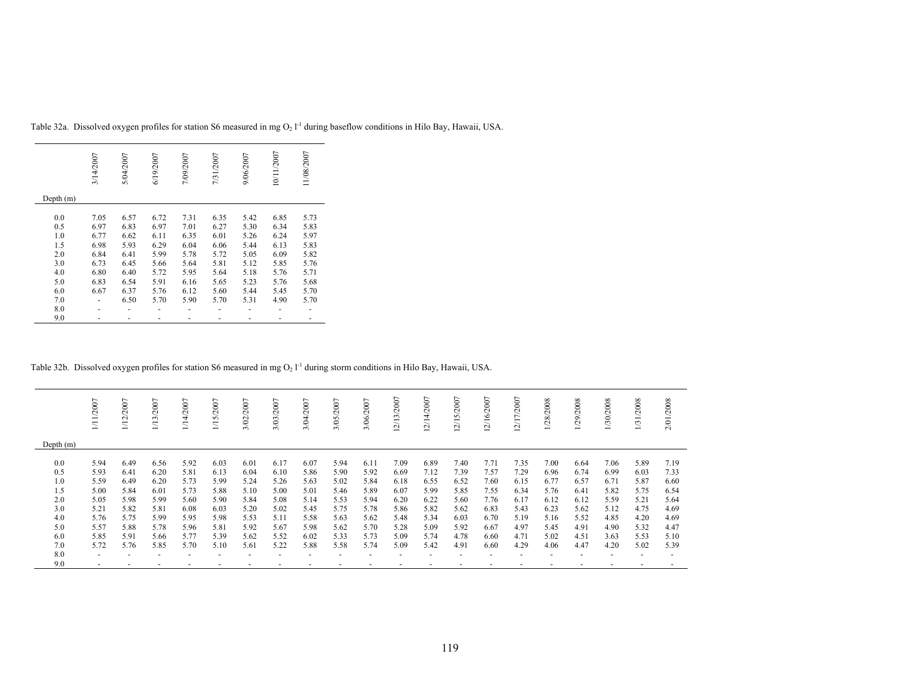|           | 3/14/2007 | 5/04/2007 | 6/19/2007 | 7/09/2007 | 7/31/2007 | 9/06/2007 | 10/11/2007 | 11/08/2007 |
|-----------|-----------|-----------|-----------|-----------|-----------|-----------|------------|------------|
| Depth (m) |           |           |           |           |           |           |            |            |
| 0.0       | 7.05      | 6.57      | 6.72      | 7.31      | 6.35      | 5.42      | 6.85       | 5.73       |
| 0.5       | 6.97      | 6.83      | 6.97      | 7.01      | 6.27      | 5.30      | 6.34       | 5.83       |
| 1.0       | 6.77      | 6.62      | 6.11      | 6.35      | 6.01      | 5.26      | 6.24       | 5.97       |
| 1.5       | 6.98      | 5.93      | 6.29      | 6.04      | 6.06      | 5.44      | 6.13       | 5.83       |
| 2.0       | 6.84      | 6.41      | 5.99      | 5.78      | 5.72      | 5.05      | 6.09       | 5.82       |
| 3.0       | 6.73      | 6.45      | 5.66      | 5.64      | 5.81      | 5.12      | 5.85       | 5.76       |
| 4.0       | 6.80      | 6.40      | 5.72      | 5.95      | 5.64      | 5.18      | 5.76       | 5.71       |
| 5.0       | 6.83      | 6.54      | 5.91      | 6.16      | 5.65      | 5.23      | 5.76       | 5.68       |
| 6.0       | 6.67      | 6.37      | 5.76      | 6.12      | 5.60      | 5.44      | 5.45       | 5.70       |
| 7.0       |           | 6.50      | 5.70      | 5.90      | 5.70      | 5.31      | 4.90       | 5.70       |
| 8.0       |           |           |           |           |           |           |            |            |
| 9.0       |           |           |           |           |           |           |            |            |

Table 32a. Dissolved oxygen profiles for station S6 measured in mg  $O_2$   $I<sup>-1</sup>$  during baseflow conditions in Hilo Bay, Hawaii, USA.

# Table 32b. Dissolved oxygen profiles for station S6 measured in mg  $O_2 1^{-1}$  during storm conditions in Hilo Bay, Hawaii, USA.

|             | /2007          | 1/12/2007 | 1/13/2007 | $\overline{ }$<br>14/2007 | 5/2007<br>$\equiv$ | $\overline{ }$<br>3/02/200 | 3/03/2007 | 3/04/2007 | 3/05/2007 | 3/06/2007 | 12/13/2007 | 2/14/2007 | $\overline{ }$<br>2/15/200 | 2/16/2007 | 2/17/2007 | /28/2008 | /29/2008 | 1/30/2008 | /2008<br>$\overline{131}$ | 2/01/2008 |
|-------------|----------------|-----------|-----------|---------------------------|--------------------|----------------------------|-----------|-----------|-----------|-----------|------------|-----------|----------------------------|-----------|-----------|----------|----------|-----------|---------------------------|-----------|
| Depth $(m)$ |                |           |           |                           |                    |                            |           |           |           |           |            |           |                            |           |           |          |          |           |                           |           |
| 0.0         | 5.94           | 6.49      | 6.56      | 5.92                      | 6.03               | 6.01                       | 6.17      | 6.07      | 5.94      | 6.11      | 7.09       | 6.89      | 7.40                       | 7.71      | 7.35      | 7.00     | 6.64     | 7.06      | 5.89                      | 7.19      |
| 0.5         | 5.93           | 6.41      | 6.20      | 5.81                      | 6.13               | 6.04                       | 6.10      | 5.86      | 5.90      | 5.92      | 6.69       | 7.12      | 7.39                       | 7.57      | 7.29      | 6.96     | 6.74     | 6.99      | 6.03                      | 7.33      |
| 1.0         | 5.59           | 6.49      | 6.20      | 5.73                      | 5.99               | 5.24                       | 5.26      | 5.63      | 5.02      | 5.84      | 6.18       | 6.55      | 6.52                       | 7.60      | 6.15      | 6.77     | 6.57     | 6.71      | 5.87                      | 6.60      |
| 1.5         | 5.00           | 5.84      | 6.01      | 5.73                      | 5.88               | 5.10                       | 5.00      | 5.01      | 5.46      | 5.89      | 6.07       | 5.99      | 5.85                       | 7.55      | 6.34      | 5.76     | 6.41     | 5.82      | 5.75                      | 6.54      |
| 2.0         | 5.05           | 5.98      | 5.99      | 5.60                      | 5.90               | 5.84                       | 5.08      | 5.14      | 5.53      | 5.94      | 6.20       | 6.22      | 5.60                       | 7.76      | 6.17      | 6.12     | 6.12     | 5.59      | 5.21                      | 5.64      |
| 3.0         | 5.21           | 5.82      | 5.81      | 6.08                      | 6.03               | 5.20                       | 5.02      | 5.45      | 5.75      | 5.78      | 5.86       | 5.82      | 5.62                       | 6.83      | 5.43      | 6.23     | 5.62     | 5.12      | 4.75                      | 4.69      |
| 4.0         | 5.76           | 5.75      | 5.99      | 5.95                      | 5.98               | 5.53                       | 5.11      | 5.58      | 5.63      | 5.62      | 5.48       | 5.34      | 6.03                       | 6.70      | 5.19      | 5.16     | 5.52     | 4.85      | 4.20                      | 4.69      |
| 5.0         | 5.57           | 5.88      | 5.78      | 5.96                      | 5.81               | 5.92                       | 5.67      | 5.98      | 5.62      | 5.70      | 5.28       | 5.09      | 5.92                       | 6.67      | 4.97      | 5.45     | 4.91     | 4.90      | 5.32                      | 4.47      |
| 6.0         | 5.85           | 5.91      | 5.66      | 5.77                      | 5.39               | 5.62                       | 5.52      | 6.02      | 5.33      | 5.73      | 5.09       | 5.74      | 4.78                       | 6.60      | 4.71      | 5.02     | 4.51     | 3.63      | 5.53                      | 5.10      |
| 7.0         | 5.72           | 5.76      | 5.85      | 5.70                      | 5.10               | 5.61                       | 5.22      | 5.88      | 5.58      | 5.74      | 5.09       | 5.42      | 4.91                       | 6.60      | 4.29      | 4.06     | 4.47     | 4.20      | 5.02                      | 5.39      |
| 8.0         | $\overline{a}$ |           |           |                           |                    |                            |           |           |           |           |            |           |                            |           |           |          |          |           |                           |           |
| 9.0         | $\overline{a}$ |           |           |                           |                    |                            |           |           |           |           |            |           |                            |           |           |          |          |           |                           |           |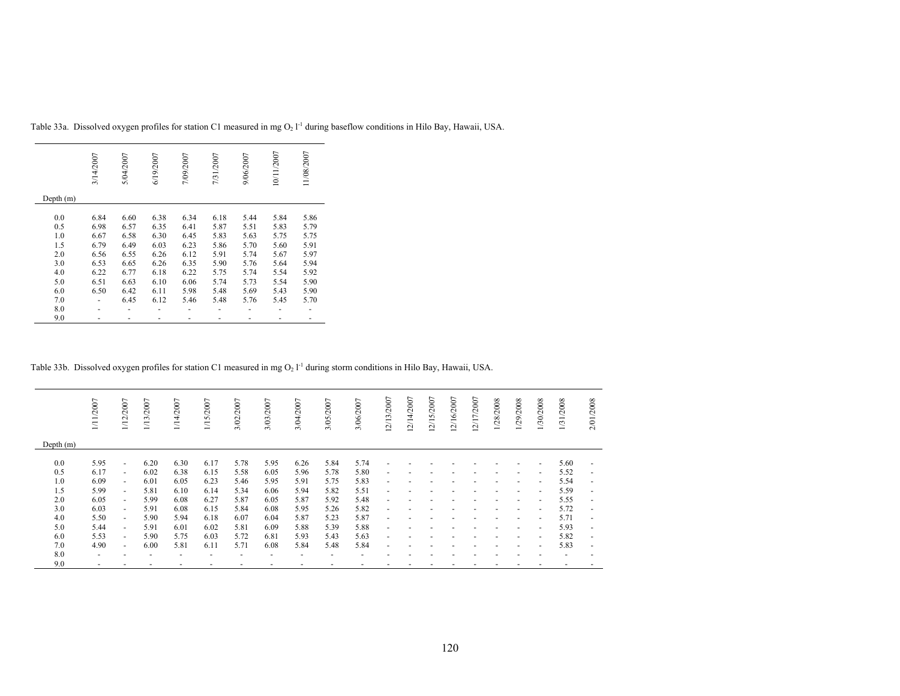|           | 3/14/2007 | 5/04/2007 | 6/19/2007 | 7/09/2007 | 7/31/2007 | 9/06/2007 | 10/11/2007 | 11/08/2007 |
|-----------|-----------|-----------|-----------|-----------|-----------|-----------|------------|------------|
| Depth (m) |           |           |           |           |           |           |            |            |
| 0.0       | 6.84      | 6.60      | 6.38      | 6.34      | 6.18      | 5.44      | 5.84       | 5.86       |
| 0.5       | 6.98      | 6.57      | 6.35      | 6.41      | 5.87      | 5.51      | 5.83       | 5.79       |
| 1.0       | 6.67      | 6.58      | 6.30      | 6.45      | 5.83      | 5.63      | 5.75       | 5.75       |
| 1.5       | 6.79      | 6.49      | 6.03      | 6.23      | 5.86      | 5.70      | 5.60       | 5.91       |
| 2.0       | 6.56      | 6.55      | 6.26      | 6.12      | 5.91      | 5.74      | 5.67       | 5.97       |
| 3.0       | 6.53      | 6.65      | 6.26      | 6.35      | 5.90      | 5.76      | 5.64       | 5.94       |
| 4.0       | 6.22      | 6.77      | 6.18      | 6.22      | 5.75      | 5.74      | 5.54       | 5.92       |
| 5.0       | 6.51      | 6.63      | 6.10      | 6.06      | 5.74      | 5.73      | 5.54       | 5.90       |
| 6.0       | 6.50      | 6.42      | 6.11      | 5.98      | 5.48      | 5.69      | 5.43       | 5.90       |
| 7.0       |           | 6.45      | 6.12      | 5.46      | 5.48      | 5.76      | 5.45       | 5.70       |
| 8.0       |           |           |           |           |           |           |            |            |
| 9.0       |           |           |           |           |           |           |            |            |

Table 33a. Dissolved oxygen profiles for station C1 measured in mg  $O_2 1<sup>-1</sup>$  during baseflow conditions in Hilo Bay, Hawaii, USA.

# Table 33b. Dissolved oxygen profiles for station C1 measured in mg  $O_2 I^{-1}$  during storm conditions in Hilo Bay, Hawaii, USA.

|             | 1/11/2007                | 1/12/2007                | 1/13/2007 | 1/14/2007                | 1/15/2007                | 3/02/2007                | 3/03/2007 | 3/04/2007                | 3/05/2007 | 3/06/2007 | 12/13/2007               | 12/14/2007 | 12/15/2007 | 12/16/2007 | 12/17/2007 | 1/28/2008 | 1/29/2008                | 1/30/2008                | 1/31/2008                | 2/01/2008                |
|-------------|--------------------------|--------------------------|-----------|--------------------------|--------------------------|--------------------------|-----------|--------------------------|-----------|-----------|--------------------------|------------|------------|------------|------------|-----------|--------------------------|--------------------------|--------------------------|--------------------------|
| Depth $(m)$ |                          |                          |           |                          |                          |                          |           |                          |           |           |                          |            |            |            |            |           |                          |                          |                          |                          |
| 0.0         | 5.95                     | $\overline{\phantom{a}}$ | 6.20      | 6.30                     | 6.17                     | 5.78                     | 5.95      | 6.26                     | 5.84      | 5.74      |                          |            |            |            |            |           |                          | $\overline{\phantom{a}}$ | 5.60                     | $\sim$                   |
| 0.5         | 6.17                     | $\sim$                   | 6.02      | 6.38                     | 6.15                     | 5.58                     | 6.05      | 5.96                     | 5.78      | 5.80      | $\overline{\phantom{a}}$ |            |            |            |            |           |                          | $\overline{\phantom{a}}$ | 5.52                     | $\sim$                   |
| 1.0         | 6.09                     | $\sim$                   | 6.01      | 6.05                     | 6.23                     | 5.46                     | 5.95      | 5.91                     | 5.75      | 5.83      | $\overline{\phantom{a}}$ |            |            |            |            |           | $\overline{\phantom{a}}$ | $\overline{\phantom{a}}$ | 5.54                     | $\sim$                   |
| 1.5         | 5.99                     | $\sim$                   | 5.81      | 6.10                     | 6.14                     | 5.34                     | 6.06      | 5.94                     | 5.82      | 5.51      | $\overline{\phantom{a}}$ |            |            |            |            |           | $\overline{\phantom{a}}$ | $\overline{\phantom{a}}$ | 5.59                     | $\sim$                   |
| 2.0         | 6.05                     | $\sim$                   | 5.99      | 6.08                     | 6.27                     | 5.87                     | 6.05      | 5.87                     | 5.92      | 5.48      | $\overline{\phantom{a}}$ |            |            |            |            |           |                          | $\overline{\phantom{a}}$ | 5.55                     | $\sim$                   |
| 3.0         | 6.03                     | $\sim$                   | 5.91      | 6.08                     | 6.15                     | 5.84                     | 6.08      | 5.95                     | 5.26      | 5.82      | $\overline{\phantom{a}}$ |            |            |            |            |           |                          | $\overline{\phantom{a}}$ | 5.72                     | $\sim$                   |
| 4.0         | 5.50                     | $\sim$                   | 5.90      | 5.94                     | 6.18                     | 6.07                     | 6.04      | 5.87                     | 5.23      | 5.87      | $\overline{\phantom{a}}$ |            |            |            |            |           |                          | ٠                        | 5.71                     | $\sim$                   |
| 5.0         | 5.44                     | $\sim$                   | 5.91      | 6.01                     | 6.02                     | 5.81                     | 6.09      | 5.88                     | 5.39      | 5.88      |                          |            |            |            |            |           |                          | $\overline{\phantom{a}}$ | 5.93                     | $\overline{\phantom{a}}$ |
| 6.0         | 5.53                     | $\sim$                   | 5.90      | 5.75                     | 6.03                     | 5.72                     | 6.81      | 5.93                     | 5.43      | 5.63      |                          |            |            |            |            |           |                          | $\overline{\phantom{a}}$ | 5.82                     | $\overline{\phantom{a}}$ |
| 7.0         | 4.90                     | $\sim$                   | 6.00      | 5.81                     | 6.11                     | 5.71                     | 6.08      | 5.84                     | 5.48      | 5.84      | $\overline{\phantom{a}}$ |            |            |            |            |           |                          | $\overline{\phantom{a}}$ | 5.83                     | $\sim$                   |
| 8.0         | $\overline{\phantom{a}}$ |                          | ۰         | $\overline{\phantom{a}}$ | $\overline{\phantom{a}}$ | $\overline{\phantom{a}}$ |           | $\overline{\phantom{0}}$ |           |           |                          |            |            |            |            |           |                          |                          | $\overline{\phantom{a}}$ | $\overline{\phantom{a}}$ |
| 9.0         | $\overline{\phantom{a}}$ |                          |           |                          |                          |                          |           |                          |           |           |                          |            |            |            |            |           |                          |                          |                          |                          |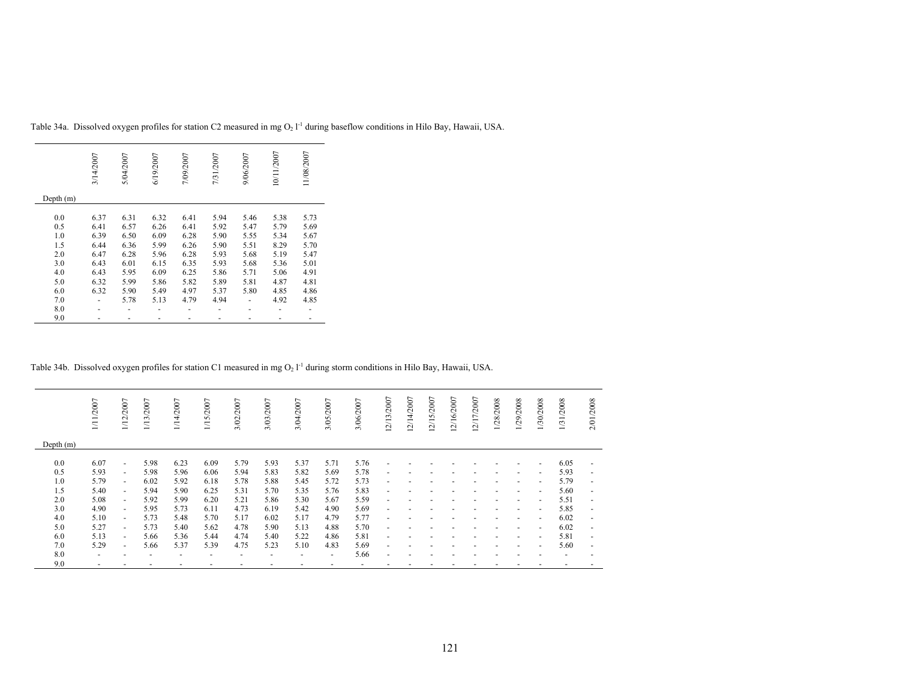|           | 3/14/2007 | 5/04/2007 | 6/19/2007 | 7/09/2007 | 7/31/2007 | 9/06/2007 | 10/11/2007 | 11/08/2007 |
|-----------|-----------|-----------|-----------|-----------|-----------|-----------|------------|------------|
| Depth (m) |           |           |           |           |           |           |            |            |
| 0.0       | 6.37      | 6.31      | 6.32      | 6.41      | 5.94      | 5.46      | 5.38       | 5.73       |
| 0.5       | 6.41      | 6.57      | 6.26      | 6.41      | 5.92      | 5.47      | 5.79       | 5.69       |
| 1.0       | 6.39      | 6.50      | 6.09      | 6.28      | 5.90      | 5.55      | 5.34       | 5.67       |
| 1.5       | 6.44      | 6.36      | 5.99      | 6.26      | 5.90      | 5.51      | 8.29       | 5.70       |
| 2.0       | 6.47      | 6.28      | 5.96      | 6.28      | 5.93      | 5.68      | 5.19       | 5.47       |
| 3.0       | 6.43      | 6.01      | 6.15      | 6.35      | 5.93      | 5.68      | 5.36       | 5.01       |
| 4.0       | 6.43      | 5.95      | 6.09      | 6.25      | 5.86      | 5.71      | 5.06       | 4.91       |
| 5.0       | 6.32      | 5.99      | 5.86      | 5.82      | 5.89      | 5.81      | 4.87       | 4.81       |
| 6.0       | 6.32      | 5.90      | 5.49      | 4.97      | 5.37      | 5.80      | 4.85       | 4.86       |
| 7.0       |           | 5.78      | 5.13      | 4.79      | 4.94      |           | 4.92       | 4.85       |
| 8.0       |           |           |           |           |           |           |            |            |
| 9.0       |           |           |           |           |           |           |            |            |

Table 34a. Dissolved oxygen profiles for station C2 measured in mg  $O_2 1<sup>-1</sup>$  during baseflow conditions in Hilo Bay, Hawaii, USA.

# Table 34b. Dissolved oxygen profiles for station C1 measured in mg  $O_2 I^{-1}$  during storm conditions in Hilo Bay, Hawaii, USA.

|             | 1/11/2007                | 1/12/2007                | 1/13/2007                | /14/2007                 | 1/15/2007                | 3/02/2007                | 3/03/2007                | 3/04/2007                | 3/05/2007 | 3/06/2007 | 12/13/2007     | 12/14/2007 | 2/15/2007 | 12/16/2007 | 12/17/2007 | 1/28/2008 | 1/29/2008                | 1/30/2008                | 1/31/2008 | 2/01/2008                |
|-------------|--------------------------|--------------------------|--------------------------|--------------------------|--------------------------|--------------------------|--------------------------|--------------------------|-----------|-----------|----------------|------------|-----------|------------|------------|-----------|--------------------------|--------------------------|-----------|--------------------------|
| Depth $(m)$ |                          |                          |                          |                          |                          |                          |                          |                          |           |           |                |            |           |            |            |           |                          |                          |           |                          |
| 0.0         | 6.07                     | $\overline{\phantom{a}}$ | 5.98                     | 6.23                     | 6.09                     | 5.79                     | 5.93                     | 5.37                     | 5.71      | 5.76      |                |            |           |            |            |           |                          |                          | 6.05      | ٠                        |
| 0.5         | 5.93                     | $\overline{\phantom{a}}$ | 5.98                     | 5.96                     | 6.06                     | 5.94                     | 5.83                     | 5.82                     | 5.69      | 5.78      |                |            |           |            |            |           | ٠                        | $\overline{\phantom{a}}$ | 5.93      | $\blacksquare$           |
| 1.0         | 5.79                     | $\sim$                   | 6.02                     | 5.92                     | 6.18                     | 5.78                     | 5.88                     | 5.45                     | 5.72      | 5.73      | $\overline{a}$ |            |           |            |            |           | $\overline{\phantom{a}}$ | $\overline{\phantom{a}}$ | 5.79      | $\sim$                   |
| 1.5         | 5.40                     | $\overline{\phantom{a}}$ | 5.94                     | 5.90                     | 6.25                     | 5.31                     | 5.70                     | 5.35                     | 5.76      | 5.83      | $\overline{a}$ |            |           |            |            |           | $\overline{\phantom{a}}$ | $\overline{\phantom{a}}$ | 5.60      | $\sim$                   |
| 2.0         | 5.08                     | $\sim$                   | 5.92                     | 5.99                     | 6.20                     | 5.21                     | 5.86                     | 5.30                     | 5.67      | 5.59      | $\overline{a}$ |            |           |            |            |           |                          | $\overline{\phantom{a}}$ | 5.51      | $\sim$                   |
| 3.0         | 4.90                     | $\overline{\phantom{a}}$ | 5.95                     | 5.73                     | 6.11                     | 4.73                     | 6.19                     | 5.42                     | 4.90      | 5.69      | $\overline{a}$ |            |           |            |            |           |                          | $\overline{\phantom{a}}$ | 5.85      | $\sim$                   |
| 4.0         | 5.10                     | $\overline{\phantom{a}}$ | 5.73                     | 5.48                     | 5.70                     | 5.17                     | 6.02                     | 5.17                     | 4.79      | 5.77      | $\blacksquare$ |            |           |            |            |           |                          | $\overline{\phantom{a}}$ | 6.02      | $\sim$                   |
| 5.0         | 5.27                     | $\blacksquare$           | 5.73                     | 5.40                     | 5.62                     | 4.78                     | 5.90                     | 5.13                     | 4.88      | 5.70      |                |            |           |            |            |           |                          | $\overline{\phantom{a}}$ | 6.02      | $\overline{\phantom{a}}$ |
| 6.0         | 5.13                     | $\overline{\phantom{a}}$ | 5.66                     | 5.36                     | 5.44                     | 4.74                     | 5.40                     | 5.22                     | 4.86      | 5.81      |                |            |           |            |            |           |                          | $\overline{\phantom{a}}$ | 5.81      | $\blacksquare$           |
| 7.0         | 5.29                     | $\overline{\phantom{a}}$ | 5.66                     | 5.37                     | 5.39                     | 4.75                     | 5.23                     | 5.10                     | 4.83      | 5.69      | $\overline{a}$ |            |           |            |            |           |                          | $\overline{\phantom{a}}$ | 5.60      | $\sim$                   |
| 8.0         | $\overline{\phantom{a}}$ |                          | $\overline{\phantom{a}}$ | $\overline{\phantom{a}}$ | $\overline{\phantom{a}}$ | $\overline{\phantom{a}}$ | $\overline{\phantom{a}}$ | $\overline{\phantom{0}}$ | ٠         | 5.66      | $\overline{a}$ |            |           |            |            |           |                          |                          | ٠         | $\overline{\phantom{0}}$ |
| 9.0         | $\overline{\phantom{a}}$ |                          |                          |                          |                          |                          |                          |                          |           |           |                |            |           |            |            |           |                          |                          |           |                          |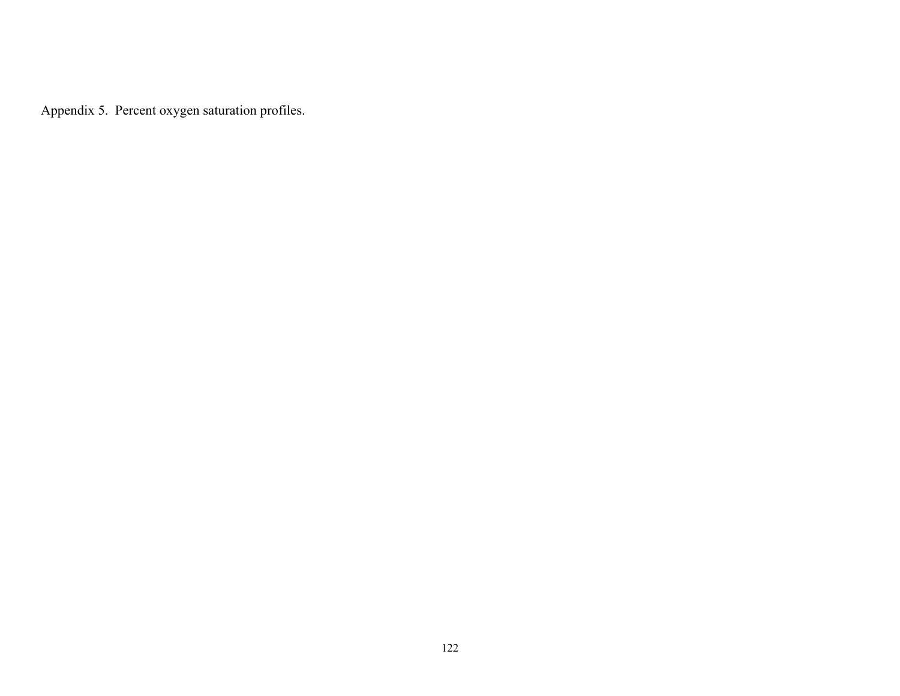Appendix 5. Percent oxygen saturation profiles.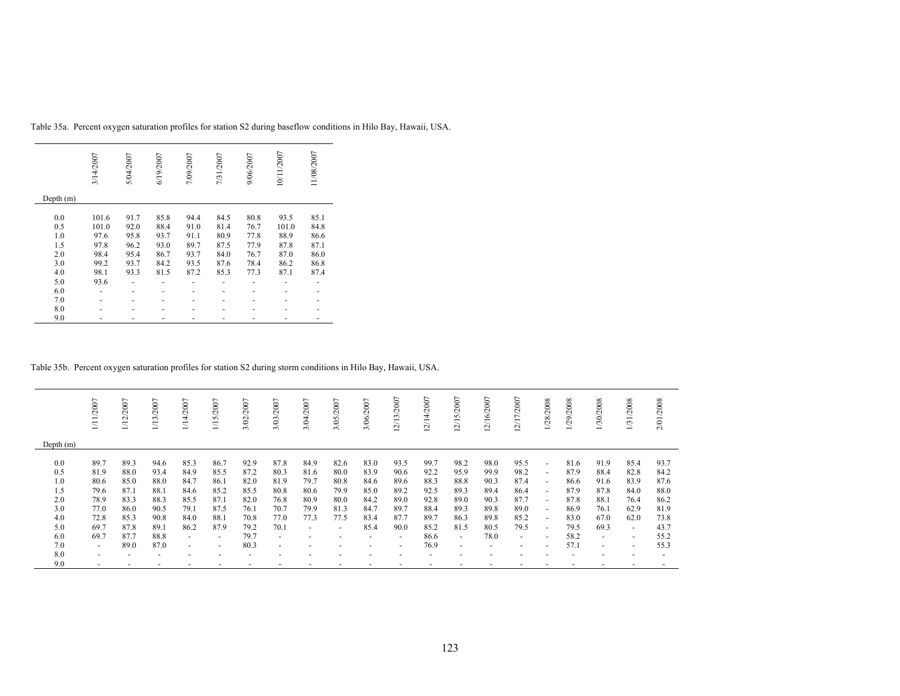|             | 3/14/2007 | 5/04/2007 | 6/19/2007 | 7/09/2007 | 7/31/2007 | 9/06/2007 | 10/11/2007 | 11/08/2007 |
|-------------|-----------|-----------|-----------|-----------|-----------|-----------|------------|------------|
| Depth $(m)$ |           |           |           |           |           |           |            |            |
| 0.0         | 101.6     | 91.7      | 85.8      | 94.4      | 84.5      | 80.8      | 93.5       | 85.1       |
| 0.5         | 101.0     | 92.0      | 88.4      | 91.0      | 81.4      | 76.7      | 101.0      | 84.8       |
| 1.0         | 97.6      | 95.8      | 93.7      | 91.1      | 80.9      | 77.8      | 88.9       | 86.6       |
| 1.5         | 97.8      | 96.2      | 93.0      | 89.7      | 87.5      | 77.9      | 87.8       | 87.1       |
| 2.0         | 98.4      | 95.4      | 86.7      | 93.7      | 84.0      | 76.7      | 87.0       | 86.0       |
| 3.0         | 99.2      | 93.7      | 84.2      | 93.5      | 87.6      | 78.4      | 86.2       | 86.8       |
| 4.0         | 98.1      | 93.3      | 81.5      | 87.2      | 85.3      | 77.3      | 87.1       | 87.4       |
| 5.0         | 93.6      |           |           |           |           |           |            |            |
| 6.0         |           |           |           |           |           |           |            |            |
| 7.0         |           |           |           |           |           |           |            |            |
| 8.0         |           |           |           |           |           |           |            |            |
| 9.0         |           |           |           |           |           |           |            |            |

Table 35a. Percent oxygen saturation profiles for station S2 during baseflow conditions in Hilo Bay, Hawaii, USA.

Table 35b. Percent oxygen saturation profiles for station S2 during storm conditions in Hilo Bay, Hawaii, USA.

|                                                             | /11/2007                                                             | /12/2007                                                             | /13/2007                                                             | 1/14/2007                                                                      | /15/2007                                                                                 | 3/02/2007                                                            | 3/03/2007                                                                                | 3/04/2007                                                 | 3/05/2007                                                                        | 3/06/2007                                                    | 2/13/2007                                                                      | 2/14/2007                                                            | 5/2007<br>$\overline{21}$                                              | $\overline{ }$<br>2/16/200                                           | 2/17/2007                                                              | 1/28/2008                                                                                                                                  | 1/29/2008                                                            | 1/30/2008                                                                                | 1/31/2008                                                                                  | 2/01/2008                                                            |
|-------------------------------------------------------------|----------------------------------------------------------------------|----------------------------------------------------------------------|----------------------------------------------------------------------|--------------------------------------------------------------------------------|------------------------------------------------------------------------------------------|----------------------------------------------------------------------|------------------------------------------------------------------------------------------|-----------------------------------------------------------|----------------------------------------------------------------------------------|--------------------------------------------------------------|--------------------------------------------------------------------------------|----------------------------------------------------------------------|------------------------------------------------------------------------|----------------------------------------------------------------------|------------------------------------------------------------------------|--------------------------------------------------------------------------------------------------------------------------------------------|----------------------------------------------------------------------|------------------------------------------------------------------------------------------|--------------------------------------------------------------------------------------------|----------------------------------------------------------------------|
| Depth $(m)$                                                 |                                                                      |                                                                      |                                                                      |                                                                                |                                                                                          |                                                                      |                                                                                          |                                                           |                                                                                  |                                                              |                                                                                |                                                                      |                                                                        |                                                                      |                                                                        |                                                                                                                                            |                                                                      |                                                                                          |                                                                                            |                                                                      |
| 0.0<br>0.5<br>1.0<br>1.5<br>2.0<br>3.0<br>4.0<br>5.0<br>6.0 | 89.7<br>81.9<br>80.6<br>79.6<br>78.9<br>77.0<br>72.8<br>69.7<br>69.7 | 89.3<br>88.0<br>85.0<br>87.1<br>83.3<br>86.0<br>85.3<br>87.8<br>87.7 | 94.6<br>93.4<br>88.0<br>88.1<br>88.3<br>90.5<br>90.8<br>89.1<br>88.8 | 85.3<br>84.9<br>84.7<br>84.6<br>85.5<br>79.1<br>84.0<br>86.2<br>$\overline{a}$ | 86.7<br>85.5<br>86.1<br>85.2<br>87.1<br>87.5<br>88.1<br>87.9<br>$\overline{\phantom{0}}$ | 92.9<br>87.2<br>82.0<br>85.5<br>82.0<br>76.1<br>70.8<br>79.2<br>79.7 | 87.8<br>80.3<br>81.9<br>80.8<br>76.8<br>70.7<br>77.0<br>70.1<br>$\overline{\phantom{a}}$ | 84.9<br>81.6<br>79.7<br>80.6<br>80.9<br>79.9<br>77.3<br>۰ | 82.6<br>80.0<br>80.8<br>79.9<br>80.0<br>81.3<br>77.5<br>$\overline{\phantom{a}}$ | 83.0<br>83.9<br>84.6<br>85.0<br>84.2<br>84.7<br>83.4<br>85.4 | 93.5<br>90.6<br>89.6<br>89.2<br>89.0<br>89.7<br>87.7<br>90.0<br>$\overline{a}$ | 99.7<br>92.2<br>88.3<br>92.5<br>92.8<br>88.4<br>89.7<br>85.2<br>86.6 | 98.2<br>95.9<br>88.8<br>89.3<br>89.0<br>89.3<br>86.3<br>81.5<br>$\sim$ | 98.0<br>99.9<br>90.3<br>89.4<br>90.3<br>89.8<br>89.8<br>80.5<br>78.0 | 95.5<br>98.2<br>87.4<br>86.4<br>87.7<br>89.0<br>85.2<br>79.5<br>$\sim$ | $\sim$<br>$\overline{\phantom{a}}$<br>$\sim$<br>$\overline{a}$<br>$\overline{\phantom{a}}$<br>$\sim$<br>$\sim$<br>$\overline{\phantom{a}}$ | 81.6<br>87.9<br>86.6<br>87.9<br>87.8<br>86.9<br>83.0<br>79.5<br>58.2 | 91.9<br>88.4<br>91.6<br>87.8<br>88.1<br>76.1<br>67.0<br>69.3<br>$\overline{\phantom{a}}$ | 85.4<br>82.8<br>83.9<br>84.0<br>76.4<br>62.9<br>62.0<br>$\sim$<br>$\overline{\phantom{a}}$ | 93.7<br>84.2<br>87.6<br>88.0<br>86.2<br>81.9<br>73.8<br>43.7<br>55.2 |
| 7.0<br>8.0                                                  | $\overline{\phantom{0}}$<br>$\overline{\phantom{a}}$                 | 89.0                                                                 | 87.0                                                                 | $\overline{a}$                                                                 | $\overline{\phantom{0}}$                                                                 | 80.3                                                                 | $\blacksquare$                                                                           |                                                           | $\overline{\phantom{a}}$                                                         |                                                              | $\overline{\phantom{0}}$                                                       | 76.9                                                                 | $\overline{\phantom{0}}$                                               |                                                                      | $\sim$                                                                 |                                                                                                                                            | 57.1                                                                 | $\overline{\phantom{a}}$                                                                 | $\overline{\phantom{a}}$                                                                   | 55.3                                                                 |
| 9.0                                                         | $\overline{a}$                                                       |                                                                      |                                                                      |                                                                                | $\overline{\phantom{0}}$                                                                 |                                                                      | $\overline{\phantom{a}}$                                                                 |                                                           | $\overline{\phantom{a}}$                                                         |                                                              | -                                                                              |                                                                      |                                                                        |                                                                      |                                                                        |                                                                                                                                            |                                                                      |                                                                                          |                                                                                            |                                                                      |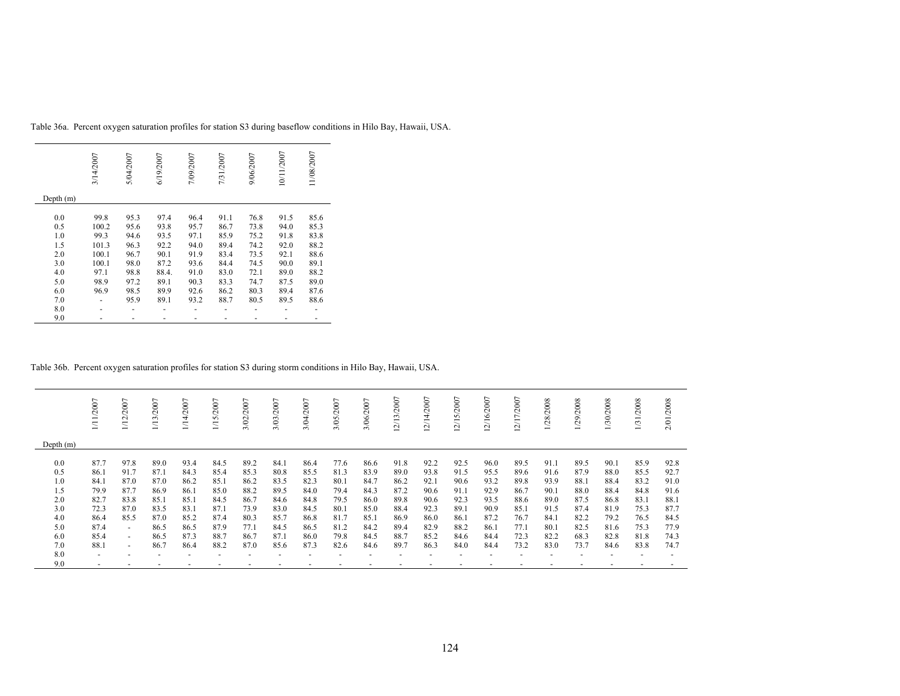|             | 3/14/2007 | 5/04/2007 | 6/19/2007 | 7/09/2007 | 7/31/2007 | 9/06/2007 | 10/11/2007 | 11/08/2007 |
|-------------|-----------|-----------|-----------|-----------|-----------|-----------|------------|------------|
| Depth $(m)$ |           |           |           |           |           |           |            |            |
| 0.0         | 99.8      | 95.3      | 97.4      | 96.4      | 91.1      | 76.8      | 91.5       | 85.6       |
| 0.5         | 100.2     | 95.6      | 93.8      | 95.7      | 86.7      | 73.8      | 94.0       | 85.3       |
| 1.0         | 99.3      | 94.6      | 93.5      | 97.1      | 85.9      | 75.2      | 91.8       | 83.8       |
| 1.5         | 101.3     | 96.3      | 92.2      | 94.0      | 89.4      | 74.2      | 92.0       | 88.2       |
| 2.0         | 100.1     | 96.7      | 90.1      | 91.9      | 83.4      | 73.5      | 92.1       | 88.6       |
| 3.0         | 100.1     | 98.0      | 87.2      | 93.6      | 84.4      | 74.5      | 90.0       | 89.1       |
| 4.0         | 97.1      | 98.8      | 88.4.     | 91.0      | 83.0      | 72.1      | 89.0       | 88.2       |
| 5.0         | 98.9      | 97.2      | 89.1      | 90.3      | 83.3      | 74.7      | 87.5       | 89.0       |
| 6.0         | 96.9      | 98.5      | 89.9      | 92.6      | 86.2      | 80.3      | 89.4       | 87.6       |
| 7.0         |           | 95.9      | 89.1      | 93.2      | 88.7      | 80.5      | 89.5       | 88.6       |
| 8.0         |           |           |           |           |           |           |            |            |
| 9.0         |           |           |           |           |           |           |            |            |

Table 36a. Percent oxygen saturation profiles for station S3 during baseflow conditions in Hilo Bay, Hawaii, USA.

Table 36b. Percent oxygen saturation profiles for station S3 during storm conditions in Hilo Bay, Hawaii, USA.

|             | 111/2007       | 1/12/2007                | /2007<br>1/13 | /14/2007     | 5/2007<br>$\Xi$ | /2007<br>3/02 | 3/03/2007    | 3/04/2007    | 3/05/2007    | 3/06/2007    | 12/13/2007   | 2/14/2007    | 2/15/2007    | 2/16/2007    | 12/17/2007   | 1/28/2008    | /2008<br>(29) | 1/30/2008    | /2008<br>1/31 | 2/01/2008    |
|-------------|----------------|--------------------------|---------------|--------------|-----------------|---------------|--------------|--------------|--------------|--------------|--------------|--------------|--------------|--------------|--------------|--------------|---------------|--------------|---------------|--------------|
| Depth $(m)$ |                |                          |               |              |                 |               |              |              |              |              |              |              |              |              |              |              |               |              |               |              |
| 0.0<br>0.5  | 87.7<br>86.1   | 97.8<br>91.7             | 89.0<br>87.1  | 93.4<br>84.3 | 84.5<br>85.4    | 89.2<br>85.3  | 84.1<br>80.8 | 86.4<br>85.5 | 77.6<br>81.3 | 86.6<br>83.9 | 91.8<br>89.0 | 92.2<br>93.8 | 92.5<br>91.5 | 96.0<br>95.5 | 89.5<br>89.6 | 91.1<br>91.6 | 89.5<br>87.9  | 90.1<br>88.0 | 85.9<br>85.5  | 92.8<br>92.7 |
| 1.0         | 84.1           | 87.0                     | 87.0          | 86.2         | 85.1            | 86.2          | 83.5         | 82.3         | 80.1         | 84.7         | 86.2         | 92.1         | 90.6         | 93.2         | 89.8         | 93.9         | 88.1          | 88.4         | 83.2          | 91.0         |
| 1.5         | 79.9           | 87.7                     | 86.9          | 86.1         | 85.0            | 88.2          | 89.5         | 84.0         | 79.4         | 84.3         | 87.2         | 90.6         | 91.1         | 92.9         | 86.7         | 90.1         | 88.0          | 88.4         | 84.8          | 91.6         |
| 2.0         | 82.7           | 83.8                     | 85.1          | 85.1         | 84.5            | 86.7          | 84.6         | 84.8         | 79.5         | 86.0         | 89.8         | 90.6         | 92.3         | 93.5         | 88.6         | 89.0         | 87.5          | 86.8         | 83.1          | 88.1         |
| 3.0         | 72.3           | 87.0                     | 83.5          | 83.1         | 87.1            | 73.9          | 83.0         | 84.5         | 80.1         | 85.0         | 88.4         | 92.3         | 89.1         | 90.9         | 85.1         | 91.5         | 87.4          | 81.9         | 75.3          | 87.7         |
| 4.0         | 86.4           | 85.5                     | 87.0          | 85.2         | 87.4            | 80.3          | 85.7         | 86.8         | 81.7         | 85.1         | 86.9         | 86.0         | 86.1         | 87.2         | 76.7         | 84.1         | 82.2          | 79.2         | 76.5          | 84.5         |
| 5.0         | 87.4           | $\sim$                   | 86.5          | 86.5         | 87.9            | 77.1          | 84.5         | 86.5         | 81.2         | 84.2         | 89.4         | 82.9         | 88.2         | 86.1         | 77.1         | 80.1         | 82.5          | 81.6         | 75.3          | 77.9         |
| 6.0         | 85.4           | $\overline{\phantom{a}}$ | 86.5          | 87.3         | 88.7            | 86.7          | 87.1         | 86.0         | 79.8         | 84.5         | 88.7         | 85.2         | 84.6         | 84.4         | 72.3         | 82.2         | 68.3          | 82.8         | 81.8          | 74.3         |
| 7.0         | 88.1           | $\sim$                   | 86.7          | 86.4         | 88.2            | 87.0          | 85.6         | 87.3         | 82.6         | 84.6         | 89.7         | 86.3         | 84.0         | 84.4         | 73.2         | 83.0         | 73.7          | 84.6         | 83.8          | 74.7         |
| 8.0         | $\overline{a}$ |                          |               |              |                 |               |              |              |              |              |              |              |              |              |              |              |               |              |               |              |
| 9.0         |                |                          |               |              |                 |               |              |              |              |              |              |              |              |              |              |              |               |              |               |              |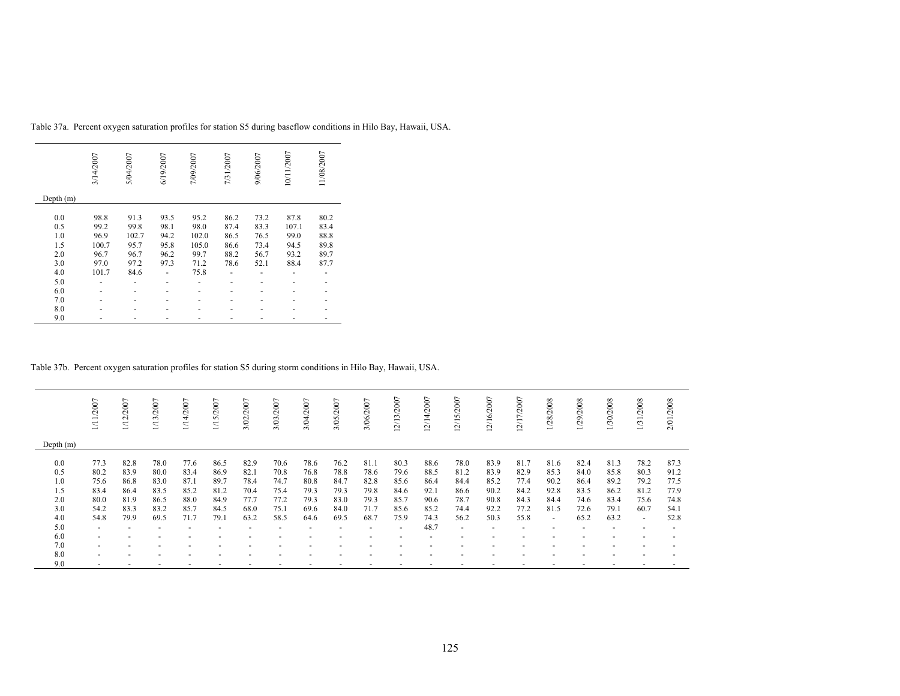|           | 3/14/2007 | 5/04/2007 | 6/19/2007 | 7/09/2007 | 7/31/2007 | 9/06/2007 | 10/11/2007 | 11/08/2007 |
|-----------|-----------|-----------|-----------|-----------|-----------|-----------|------------|------------|
| Depth (m) |           |           |           |           |           |           |            |            |
| 0.0       | 98.8      | 91.3      | 93.5      | 95.2      | 86.2      | 73.2      | 87.8       | 80.2       |
| 0.5       | 99.2      | 99.8      | 98.1      | 98.0      | 87.4      | 83.3      | 107.1      | 83.4       |
| 1.0       | 96.9      | 102.7     | 94.2      | 102.0     | 86.5      | 76.5      | 99.0       | 88.8       |
| 1.5       | 100.7     | 95.7      | 95.8      | 105.0     | 86.6      | 73.4      | 94.5       | 89.8       |
| 2.0       | 96.7      | 96.7      | 96.2      | 99.7      | 88.2      | 56.7      | 93.2       | 89.7       |
| 3.0       | 97.0      | 97.2      | 97.3      | 71.2      | 78.6      | 52.1      | 88.4       | 87.7       |
| 4.0       | 101.7     | 84.6      |           | 75.8      |           |           |            |            |
| 5.0       |           |           |           |           |           |           |            |            |
| 6.0       |           |           |           |           |           |           |            |            |
| 7.0       |           |           |           |           |           |           |            |            |
| 8.0       |           |           |           |           |           |           |            |            |
| 9.0       |           |           |           |           |           |           |            |            |

Table 37a. Percent oxygen saturation profiles for station S5 during baseflow conditions in Hilo Bay, Hawaii, USA.

Table 37b. Percent oxygen saturation profiles for station S5 during storm conditions in Hilo Bay, Hawaii, USA.

|             | 111/2007                 | 1/12/2007 | 1/13/2007 | 14/2007 | 1/15/2007 | 3/02/2007                | 3/03/2007 | 3/04/2007 | 3/05/2007 | 3/06/2007                | 12/13/2007               | 12/14/2007 | 2/15/2007 | 12/16/2007 | 12/17/2007               | 1/28/2008 | 1/29/2008 | /30/2008 | 1/31/2008                | 2/01/2008 |
|-------------|--------------------------|-----------|-----------|---------|-----------|--------------------------|-----------|-----------|-----------|--------------------------|--------------------------|------------|-----------|------------|--------------------------|-----------|-----------|----------|--------------------------|-----------|
|             |                          |           |           |         |           |                          |           |           |           |                          |                          |            |           |            |                          |           |           |          |                          |           |
| Depth $(m)$ |                          |           |           |         |           |                          |           |           |           |                          |                          |            |           |            |                          |           |           |          |                          |           |
| 0.0         | 77.3                     | 82.8      | 78.0      | 77.6    | 86.5      | 82.9                     | 70.6      | 78.6      | 76.2      | 81.1                     | 80.3                     | 88.6       | 78.0      | 83.9       | 81.7                     | 81.6      | 82.4      | 81.3     | 78.2                     | 87.3      |
| 0.5         | 80.2                     | 83.9      | 80.0      | 83.4    | 86.9      | 82.1                     | 70.8      | 76.8      | 78.8      | 78.6                     | 79.6                     | 88.5       | 81.2      | 83.9       | 82.9                     | 85.3      | 84.0      | 85.8     | 80.3                     | 91.2      |
| 1.0         | 75.6                     | 86.8      | 83.0      | 87.1    | 89.7      | 78.4                     | 74.7      | 80.8      | 84.7      | 82.8                     | 85.6                     | 86.4       | 84.4      | 85.2       | 77.4                     | 90.2      | 86.4      | 89.2     | 79.2                     | 77.5      |
| 1.5         | 83.4                     | 86.4      | 83.5      | 85.2    | 81.2      | 70.4                     | 75.4      | 79.3      | 79.3      | 79.8                     | 84.6                     | 92.1       | 86.6      | 90.2       | 84.2                     | 92.8      | 83.5      | 86.2     | 81.2                     | 77.9      |
| 2.0         | 80.0                     | 81.9      | 86.5      | 88.0    | 84.9      | 77.7                     | 77.2      | 79.3      | 83.0      | 79.3                     | 85.7                     | 90.6       | 78.7      | 90.8       | 84.3                     | 84.4      | 74.6      | 83.4     | 75.6                     | 74.8      |
| 3.0         | 54.2                     | 83.3      | 83.2      | 85.7    | 84.5      | 68.0                     | 75.1      | 69.6      | 84.0      | 71.7                     | 85.6                     | 85.2       | 74.4      | 92.2       | 77.2                     | 81.5      | 72.6      | 79.1     | 60.7                     | 54.1      |
| 4.0         | 54.8                     | 79.9      | 69.5      | 71.7    | 79.1      | 63.2                     | 58.5      | 64.6      | 69.5      | 68.7                     | 75.9                     | 74.3       | 56.2      | 50.3       | 55.8                     | $\sim$    | 65.2      | 63.2     | $\sim$                   | 52.8      |
| 5.0         | $\overline{\phantom{a}}$ |           |           |         |           | $\overline{\phantom{a}}$ |           |           |           | $\overline{\phantom{0}}$ | $\overline{\phantom{a}}$ | 48.7       | $\sim$    |            | $\overline{\phantom{0}}$ |           |           |          | $\overline{\phantom{0}}$ |           |
| 6.0         | $\overline{\phantom{a}}$ |           |           |         |           |                          |           |           |           |                          |                          |            |           |            |                          |           |           |          |                          |           |
| 7.0         | $\overline{\phantom{a}}$ |           |           |         |           |                          |           |           |           |                          |                          |            |           |            |                          |           |           |          |                          |           |
| 8.0         | $\overline{\phantom{a}}$ |           |           |         |           |                          |           |           |           |                          |                          |            |           |            |                          |           |           |          |                          |           |
| 9.0         | $\overline{\phantom{a}}$ |           |           |         |           |                          |           |           |           |                          |                          |            |           |            |                          |           |           |          |                          |           |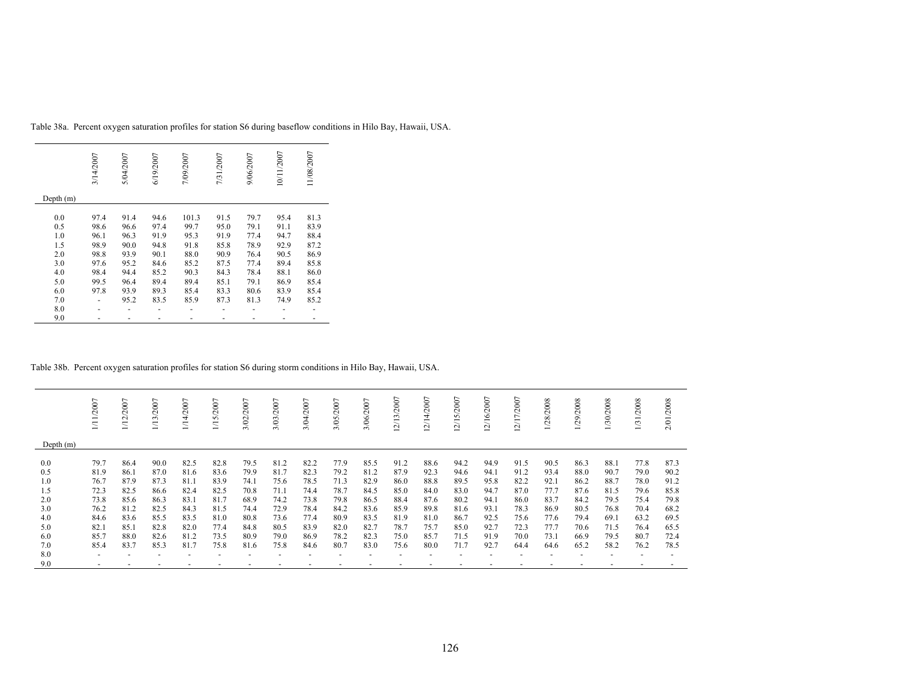|             | 3/14/2007 | 5/04/2007 | 6/19/2007 | 7/09/2007 | 7/31/2007 | 9/06/2007 | 10/11/2007 | 11/08/2007 |
|-------------|-----------|-----------|-----------|-----------|-----------|-----------|------------|------------|
| Depth $(m)$ |           |           |           |           |           |           |            |            |
| 0.0         | 97.4      | 91.4      | 94.6      | 101.3     | 91.5      | 79.7      | 95.4       | 81.3       |
| 0.5         | 98.6      | 96.6      | 97.4      | 99.7      | 95.0      | 79.1      | 91.1       | 83.9       |
| 1.0         | 96.1      | 96.3      | 91.9      | 95.3      | 91.9      | 77.4      | 94.7       | 88.4       |
| 1.5         | 98.9      | 90.0      | 94.8      | 91.8      | 85.8      | 78.9      | 92.9       | 87.2       |
| 2.0         | 98.8      | 93.9      | 90.1      | 88.0      | 90.9      | 76.4      | 90.5       | 86.9       |
| 3.0         | 97.6      | 95.2      | 84.6      | 85.2      | 87.5      | 77.4      | 89.4       | 85.8       |
| 4.0         | 98.4      | 94.4      | 85.2      | 90.3      | 84.3      | 78.4      | 88.1       | 86.0       |
| 5.0         | 99.5      | 96.4      | 89.4      | 89.4      | 85.1      | 79.1      | 86.9       | 85.4       |
| 6.0         | 97.8      | 93.9      | 89.3      | 85.4      | 83.3      | 80.6      | 83.9       | 85.4       |
| 7.0         |           | 95.2      | 83.5      | 85.9      | 87.3      | 81.3      | 74.9       | 85.2       |
| 8.0         |           |           |           |           |           |           |            |            |
| 9.0         |           |           |           |           |           |           |            |            |

Table 38a. Percent oxygen saturation profiles for station S6 during baseflow conditions in Hilo Bay, Hawaii, USA.

Table 38b. Percent oxygen saturation profiles for station S6 during storm conditions in Hilo Bay, Hawaii, USA.

|             | /2007          | 1/12/2007    | 1/13/2007                | 1/14/2007    | 1/15/2007    | 3/02/2007    | 3/03/2007    | 3/04/2007    | 3/05/2007    | 3/06/2007    | 12/13/2007   | 12/14/2007   | $\overline{ }$<br>12/15/200 | 12/16/2007   | 2/17/2007    | 1/28/2008    | 1/29/2008    | 1/30/2008    | 1/31/2008    | 2/01/2008    |
|-------------|----------------|--------------|--------------------------|--------------|--------------|--------------|--------------|--------------|--------------|--------------|--------------|--------------|-----------------------------|--------------|--------------|--------------|--------------|--------------|--------------|--------------|
| Depth $(m)$ |                |              |                          |              |              |              |              |              |              |              |              |              |                             |              |              |              |              |              |              |              |
| 0.0         | 79.7           | 86.4         | 90.0                     | 82.5         | 82.8         | 79.5         | 81.2         | 82.2         | 77.9         | 85.5         | 91.2         | 88.6         | 94.2                        | 94.9         | 91.5         | 90.5         | 86.3         | 88.1         | 77.8         | 87.3         |
| 0.5<br>1.0  | 81.9<br>76.7   | 86.1<br>87.9 | 87.0<br>87.3             | 81.6<br>81.1 | 83.6<br>83.9 | 79.9<br>74.1 | 81.7<br>75.6 | 82.3<br>78.5 | 79.2<br>71.3 | 81.2<br>82.9 | 87.9<br>86.0 | 92.3<br>88.8 | 94.6<br>89.5                | 94.1<br>95.8 | 91.2<br>82.2 | 93.4<br>92.1 | 88.0<br>86.2 | 90.7<br>88.7 | 79.0<br>78.0 | 90.2<br>91.2 |
| 1.5         | 72.3           | 82.5         | 86.6                     | 82.4         | 82.5         | 70.8         | 71.1         | 74.4         | 78.7         | 84.5         | 85.0         | 84.0         | 83.0                        | 94.7         | 87.0         | 77.7         | 87.6         | 81.5         | 79.6         | 85.8         |
| 2.0         | 73.8           | 85.6         | 86.3                     | 83.1         | 81.7         | 68.9         | 74.2         | 73.8         | 79.8         | 86.5         | 88.4         | 87.6         | 80.2                        | 94.1         | 86.0         | 83.7         | 84.2         | 79.5         | 75.4         | 79.8         |
| 3.0         | 76.2           | 81.2         | 82.5                     | 84.3         | 81.5         | 74.4         | 72.9         | 78.4         | 84.2         | 83.6         | 85.9         | 89.8         | 81.6                        | 93.1         | 78.3         | 86.9         | 80.5         | 76.8         | 70.4         | 68.2         |
| 4.0         | 84.6           | 83.6         | 85.5                     | 83.5         | 81.0         | 80.8         | 73.6         | 77.4         | 80.9         | 83.5         | 81.9         | 81.0         | 86.7                        | 92.5         | 75.6         | 77.6         | 79.4         | 69.1         | 63.2         | 69.5         |
| 5.0         | 82.1           | 85.1         | 82.8                     | 82.0         | 77.4         | 84.8         | 80.5         | 83.9         | 82.0         | 82.7         | 78.7         | 75.7         | 85.0                        | 92.7         | 72.3         | 77.7         | 70.6         | 71.5         | 76.4         | 65.5         |
| 6.0         | 85.7           | 88.0         | 82.6                     | 81.2         | 73.5         | 80.9         | 79.0         | 86.9         | 78.2         | 82.3         | 75.0         | 85.7         | 71.5                        | 91.9         | 70.0         | 73.1         | 66.9         | 79.5         | 80.7         | 72.4         |
| 7.0         | 85.4           | 83.7         | 85.3                     | 81.7         | 75.8         | 81.6         | 75.8         | 84.6         | 80.7         | 83.0         | 75.6         | 80.0         | 71.7                        | 92.7         | 64.4         | 64.6         | 65.2         | 58.2         | 76.2         | 78.5         |
| 8.0         | $\overline{a}$ |              | $\overline{\phantom{a}}$ |              |              |              |              |              |              |              |              |              |                             |              |              |              |              |              |              |              |
| 9.0         |                |              |                          |              |              |              |              |              |              |              |              |              |                             |              |              |              |              |              |              |              |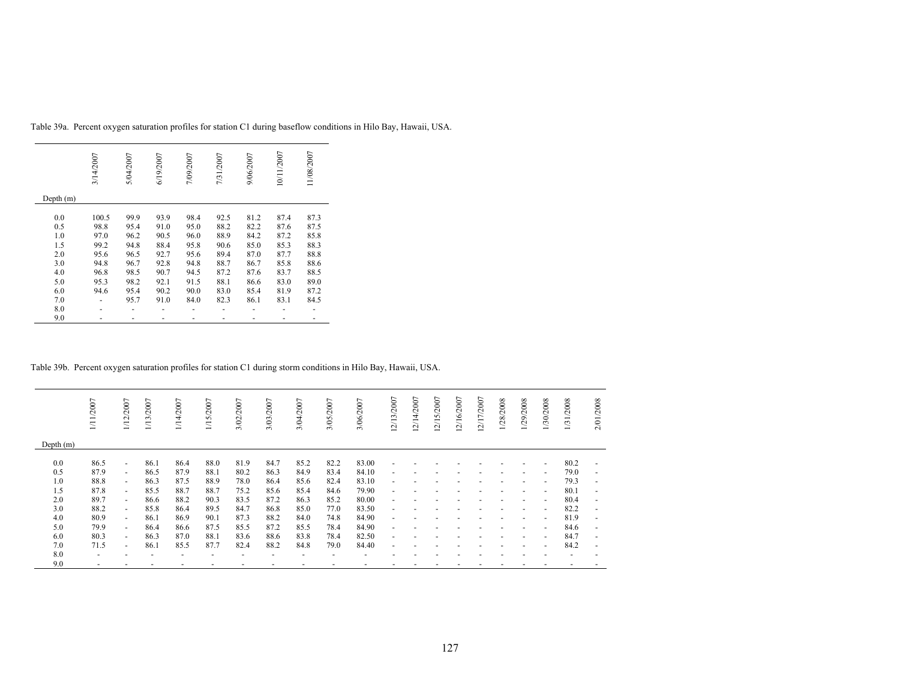|             | 3/14/2007 | 5/04/2007 | 6/19/2007 | 7/09/2007 | 7/31/2007 | 9/06/2007 | 10/11/2007 | 11/08/2007 |
|-------------|-----------|-----------|-----------|-----------|-----------|-----------|------------|------------|
| Depth $(m)$ |           |           |           |           |           |           |            |            |
| 0.0         | 100.5     | 99.9      | 93.9      | 98.4      | 92.5      | 81.2      | 87.4       | 87.3       |
| 0.5         | 98.8      | 95.4      | 91.0      | 95.0      | 88.2      | 82.2      | 87.6       | 87.5       |
| 1.0         | 97.0      | 96.2      | 90.5      | 96.0      | 88.9      | 84.2      | 87.2       | 85.8       |
| 1.5         | 99.2      | 94.8      | 88.4      | 95.8      | 90.6      | 85.0      | 85.3       | 88.3       |
| 2.0         | 95.6      | 96.5      | 92.7      | 95.6      | 89.4      | 87.0      | 87.7       | 88.8       |
| 3.0         | 94.8      | 96.7      | 92.8      | 94.8      | 88.7      | 86.7      | 85.8       | 88.6       |
| 4.0         | 96.8      | 98.5      | 90.7      | 94.5      | 87.2      | 87.6      | 83.7       | 88.5       |
| 5.0         | 95.3      | 98.2      | 92.1      | 91.5      | 88.1      | 86.6      | 83.0       | 89.0       |
| 6.0         | 94.6      | 95.4      | 90.2      | 90.0      | 83.0      | 85.4      | 81.9       | 87.2       |
| 7.0         |           | 95.7      | 91.0      | 84.0      | 82.3      | 86.1      | 83.1       | 84.5       |
| 8.0         |           |           |           |           |           |           |            |            |
| 9.0         |           |           |           |           |           |           |            |            |

Table 39a. Percent oxygen saturation profiles for station C1 during baseflow conditions in Hilo Bay, Hawaii, USA.

### Table 39b. Percent oxygen saturation profiles for station C1 during storm conditions in Hilo Bay, Hawaii, USA.

|             | 1/11/2007                | 1/12/2007 | 1/13/2007 | 1/14/2007                | 1/15/2007                | 3/02/2007                | 3/03/2007 | 3/04/2007 | 3/05/2007 | 3/06/2007 | 12/13/2007 | 12/14/2007 | 12/15/2007 | 12/16/2007 | 12/17/2007 | 1/28/2008 | 1/29/2008                | 1/30/2008                | 1/31/2008 | 2/01/2008                |
|-------------|--------------------------|-----------|-----------|--------------------------|--------------------------|--------------------------|-----------|-----------|-----------|-----------|------------|------------|------------|------------|------------|-----------|--------------------------|--------------------------|-----------|--------------------------|
| Depth $(m)$ |                          |           |           |                          |                          |                          |           |           |           |           |            |            |            |            |            |           |                          |                          |           |                          |
| 0.0         | 86.5                     | ٠         | 86.1      | 86.4                     | 88.0                     | 81.9                     | 84.7      | 85.2      | 82.2      | 83.00     |            |            |            |            |            |           |                          | $\overline{\phantom{a}}$ | 80.2      | $\overline{\phantom{a}}$ |
| 0.5         | 87.9                     | $\sim$    | 86.5      | 87.9                     | 88.1                     | 80.2                     | 86.3      | 84.9      | 83.4      | 84.10     |            |            |            |            |            |           |                          | $\overline{a}$           | 79.0      | $\overline{\phantom{0}}$ |
| 1.0         | 88.8                     | $\sim$    | 86.3      | 87.5                     | 88.9                     | 78.0                     | 86.4      | 85.6      | 82.4      | 83.10     |            |            |            |            |            |           | $\overline{\phantom{a}}$ | $\overline{\phantom{a}}$ | 79.3      | $\overline{\phantom{0}}$ |
| 1.5         | 87.8                     | $\sim$    | 85.5      | 88.7                     | 88.7                     | 75.2                     | 85.6      | 85.4      | 84.6      | 79.90     |            |            |            |            |            |           |                          | $\overline{\phantom{a}}$ | 80.1      | ۰                        |
| 2.0         | 89.7                     | $\sim$    | 86.6      | 88.2                     | 90.3                     | 83.5                     | 87.2      | 86.3      | 85.2      | 80.00     |            |            |            |            |            |           |                          | $\overline{\phantom{a}}$ | 80.4      | ٠                        |
| 3.0         | 88.2                     | $\sim$    | 85.8      | 86.4                     | 89.5                     | 84.7                     | 86.8      | 85.0      | 77.0      | 83.50     |            |            |            |            |            |           |                          | $\overline{\phantom{a}}$ | 82.2      |                          |
| 4.0         | 80.9                     | $\sim$    | 86.1      | 86.9                     | 90.1                     | 87.3                     | 88.2      | 84.0      | 74.8      | 84.90     | ÷          |            |            |            |            |           |                          | $\overline{\phantom{a}}$ | 81.9      | ٠                        |
| 5.0         | 79.9                     | $\sim$    | 86.4      | 86.6                     | 87.5                     | 85.5                     | 87.2      | 85.5      | 78.4      | 84.90     |            |            |            |            |            |           |                          | $\overline{a}$           | 84.6      | $\overline{\phantom{0}}$ |
| 6.0         | 80.3                     | $\sim$    | 86.3      | 87.0                     | 88.1                     | 83.6                     | 88.6      | 83.8      | 78.4      | 82.50     |            |            |            |            |            |           |                          | $\overline{a}$           | 84.7      | ٠                        |
| 7.0         | 71.5                     | ٠         | 86.1      | 85.5                     | 87.7                     | 82.4                     | 88.2      | 84.8      | 79.0      | 84.40     |            |            |            |            |            |           |                          | $\overline{\phantom{a}}$ | 84.2      | ٠                        |
| 8.0         | $\overline{\phantom{a}}$ |           |           | $\overline{\phantom{0}}$ | $\overline{\phantom{0}}$ | $\overline{\phantom{0}}$ |           |           |           |           |            |            |            |            |            |           |                          |                          |           |                          |
| 9.0         | $\overline{\phantom{a}}$ |           |           |                          |                          |                          |           |           |           |           |            |            |            |            |            |           |                          |                          |           |                          |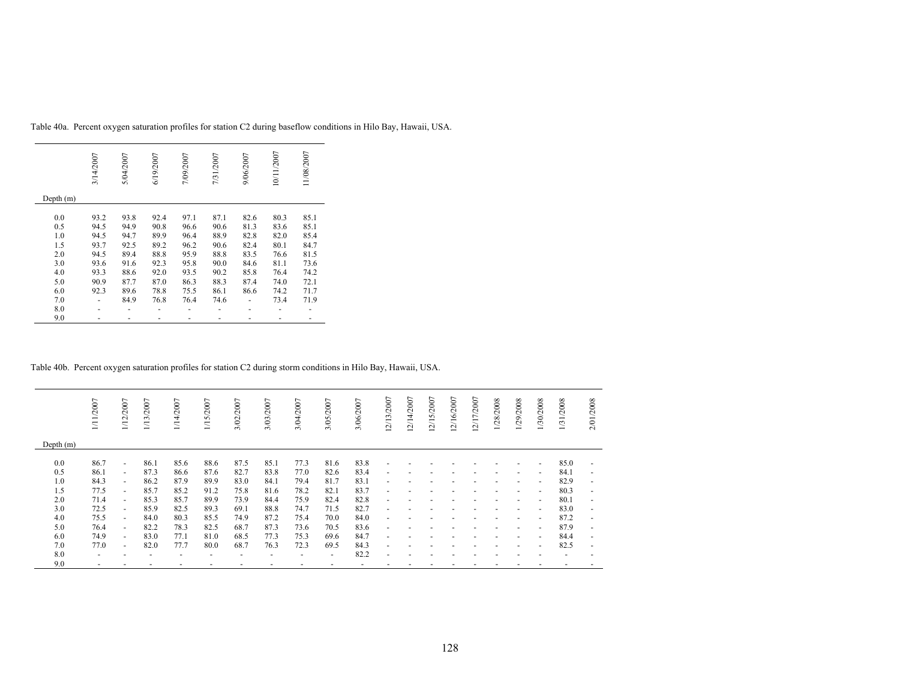|           | 3/14/2007 | 5/04/2007 | 6/19/2007 | 7/09/2007 | 7/31/2007 | 9/06/2007 | 10/11/2007 | 11/08/2007 |
|-----------|-----------|-----------|-----------|-----------|-----------|-----------|------------|------------|
| Depth (m) |           |           |           |           |           |           |            |            |
| 0.0       | 93.2      | 93.8      | 92.4      | 97.1      | 87.1      | 82.6      | 80.3       | 85.1       |
| 0.5       | 94.5      | 94.9      | 90.8      | 96.6      | 90.6      | 81.3      | 83.6       | 85.1       |
| 1.0       | 94.5      | 94.7      | 89.9      | 96.4      | 88.9      | 82.8      | 82.0       | 85.4       |
| 1.5       | 93.7      | 92.5      | 89.2      | 96.2      | 90.6      | 82.4      | 80.1       | 84.7       |
| 2.0       | 94.5      | 89.4      | 88.8      | 95.9      | 88.8      | 83.5      | 76.6       | 81.5       |
| 3.0       | 93.6      | 91.6      | 92.3      | 95.8      | 90.0      | 84.6      | 81.1       | 73.6       |
| 4.0       | 93.3      | 88.6      | 92.0      | 93.5      | 90.2      | 85.8      | 76.4       | 74.2       |
| 5.0       | 90.9      | 87.7      | 87.0      | 86.3      | 88.3      | 87.4      | 74.0       | 72.1       |
| 6.0       | 92.3      | 89.6      | 78.8      | 75.5      | 86.1      | 86.6      | 74.2       | 71.7       |
| 7.0       |           | 84.9      | 76.8      | 76.4      | 74.6      |           | 73.4       | 71.9       |
| 8.0       |           |           |           |           |           |           |            |            |
| 9.0       |           |           |           |           |           |           |            |            |

Table 40a. Percent oxygen saturation profiles for station C2 during baseflow conditions in Hilo Bay, Hawaii, USA.

Table 40b. Percent oxygen saturation profiles for station C2 during storm conditions in Hilo Bay, Hawaii, USA.

|             | 1/11/2007                | 1/12/2007                | 1/13/2007 | 1/14/2007                | 1/15/2007 | 3/02/2007 | 3/03/2007                | 3/04/2007 | 3/05/2007                | 3/06/2007 | 12/13/2007               | 12/14/2007 | 2/15/2007 | 12/16/2007 | 12/17/2007 | 1/28/2008 | 1/29/2008                | 1/30/2008                | 1/31/2008 | /2008<br>2/01.           |
|-------------|--------------------------|--------------------------|-----------|--------------------------|-----------|-----------|--------------------------|-----------|--------------------------|-----------|--------------------------|------------|-----------|------------|------------|-----------|--------------------------|--------------------------|-----------|--------------------------|
| Depth $(m)$ |                          |                          |           |                          |           |           |                          |           |                          |           |                          |            |           |            |            |           |                          |                          |           |                          |
| 0.0         | 86.7                     | $\overline{\phantom{a}}$ | 86.1      | 85.6                     | 88.6      | 87.5      | 85.1                     | 77.3      | 81.6                     | 83.8      |                          |            |           |            |            |           |                          | $\overline{\phantom{0}}$ | 85.0      | $\overline{a}$           |
| 0.5         | 86.1                     | $\overline{\phantom{a}}$ | 87.3      | 86.6                     | 87.6      | 82.7      | 83.8                     | 77.0      | 82.6                     | 83.4      |                          |            |           |            |            |           |                          | $\overline{\phantom{0}}$ | 84.1      | $\overline{\phantom{0}}$ |
| 1.0         | 84.3                     | $\sim$                   | 86.2      | 87.9                     | 89.9      | 83.0      | 84.1                     | 79.4      | 81.7                     | 83.1      |                          |            |           |            |            |           |                          | $\overline{\phantom{0}}$ | 82.9      | $\overline{\phantom{a}}$ |
| 1.5         | 77.5                     | $\overline{\phantom{a}}$ | 85.7      | 85.2                     | 91.2      | 75.8      | 81.6                     | 78.2      | 82.1                     | 83.7      | $\overline{\phantom{a}}$ |            |           |            |            |           | ٠                        | $\overline{\phantom{a}}$ | 80.3      | $\overline{\phantom{a}}$ |
| 2.0         | 71.4                     | $\overline{\phantom{a}}$ | 85.3      | 85.7                     | 89.9      | 73.9      | 84.4                     | 75.9      | 82.4                     | 82.8      | $\overline{\phantom{a}}$ |            |           |            |            |           | $\overline{\phantom{a}}$ | $\overline{\phantom{a}}$ | 80.1      | $\overline{\phantom{a}}$ |
| 3.0         | 72.5                     | $\sim$                   | 85.9      | 82.5                     | 89.3      | 69.1      | 88.8                     | 74.7      | 71.5                     | 82.7      | $\overline{\phantom{a}}$ |            |           |            |            |           |                          | $\overline{\phantom{a}}$ | 83.0      | $\overline{\phantom{a}}$ |
| 4.0         | 75.5                     | $\sim$                   | 84.0      | 80.3                     | 85.5      | 74.9      | 87.2                     | 75.4      | 70.0                     | 84.0      | $\overline{\phantom{a}}$ |            |           |            |            |           | $\overline{\phantom{a}}$ | $\sim$                   | 87.2      | $\overline{\phantom{a}}$ |
| 5.0         | 76.4                     | $\sim$                   | 82.2      | 78.3                     | 82.5      | 68.7      | 87.3                     | 73.6      | 70.5                     | 83.6      | $\overline{\phantom{a}}$ |            |           |            |            |           |                          | $\overline{\phantom{0}}$ | 87.9      | $\overline{\phantom{a}}$ |
| 6.0         | 74.9                     | $\sim$                   | 83.0      | 77.1                     | 81.0      | 68.5      | 77.3                     | 75.3      | 69.6                     | 84.7      | $\overline{\phantom{a}}$ |            |           |            |            |           |                          | $\overline{\phantom{0}}$ | 84.4      | $\overline{\phantom{a}}$ |
| 7.0         | 77.0                     | $\sim$                   | 82.0      | 77.7                     | 80.0      | 68.7      | 76.3                     | 72.3      | 69.5                     | 84.3      | $\overline{\phantom{a}}$ |            |           |            |            |           |                          | $\overline{\phantom{a}}$ | 82.5      | $\overline{\phantom{a}}$ |
| 8.0         | $\overline{\phantom{0}}$ |                          |           | $\overline{\phantom{0}}$ | -         | -         | $\overline{\phantom{0}}$ |           | $\overline{\phantom{0}}$ | 82.2      |                          |            |           |            |            |           |                          |                          |           |                          |
| 9.0         |                          |                          |           |                          |           |           |                          |           |                          |           |                          |            |           |            |            |           |                          |                          |           |                          |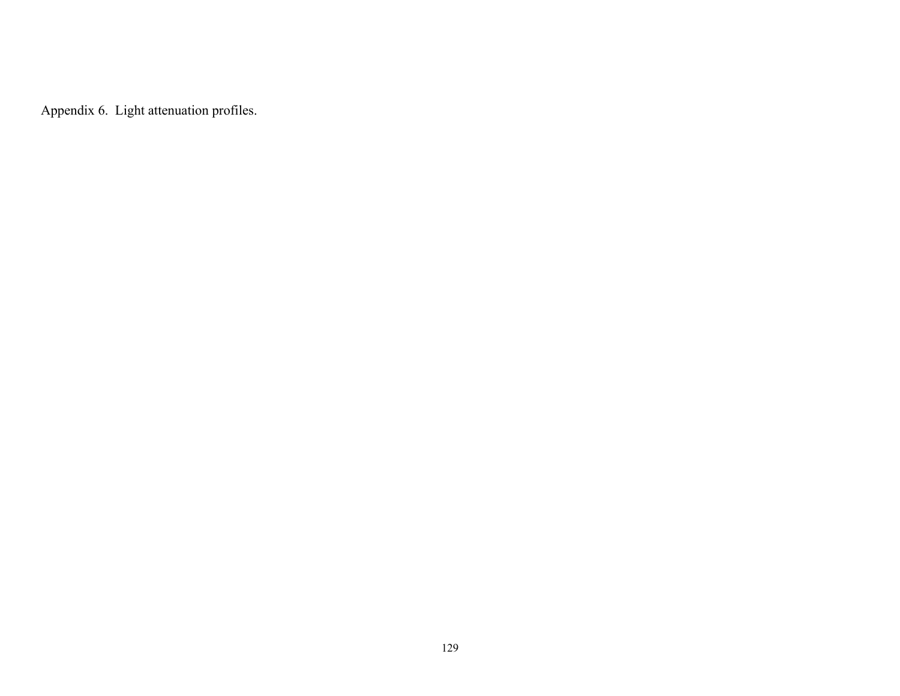Appendix 6. Light attenuation profiles.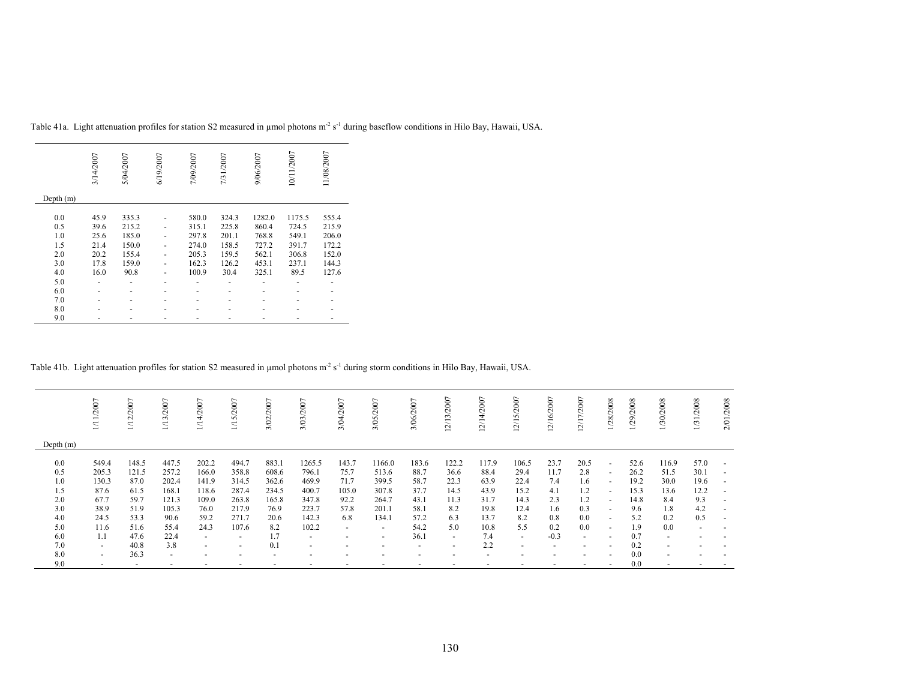|           | 3/14/2007 | 5/04/2007 | 6/19/2007 | 7/09/2007 | 7/31/2007 | 9/06/2007 | 10/11/2007 | 11/08/2007 |
|-----------|-----------|-----------|-----------|-----------|-----------|-----------|------------|------------|
| Depth (m) |           |           |           |           |           |           |            |            |
| 0.0       | 45.9      | 335.3     |           | 580.0     | 324.3     | 1282.0    | 1175.5     | 555.4      |
|           |           |           |           |           |           |           |            |            |
| 0.5       | 39.6      | 215.2     |           | 315.1     | 225.8     | 860.4     | 724.5      | 215.9      |
| 1.0       | 25.6      | 185.0     |           | 297.8     | 201.1     | 768.8     | 549.1      | 206.0      |
| 1.5       | 21.4      | 150.0     |           | 274.0     | 158.5     | 727.2     | 391.7      | 172.2      |
| 2.0       | 20.2      | 155.4     |           | 205.3     | 159.5     | 562.1     | 306.8      | 152.0      |
| 3.0       | 17.8      | 159.0     |           | 162.3     | 126.2     | 453.1     | 237.1      | 144.3      |
| 4.0       | 16.0      | 90.8      |           | 100.9     | 30.4      | 325.1     | 89.5       | 127.6      |
| 5.0       |           |           |           |           |           |           |            |            |
| 6.0       |           |           |           |           |           |           |            |            |
| 7.0       |           |           |           |           |           |           |            |            |
| 8.0       |           |           |           |           |           |           |            |            |
| 9.0       |           |           |           |           |           |           |            |            |

Table 41a. Light attenuation profiles for station S2 measured in µmol photons m<sup>2</sup> s<sup>-1</sup> during baseflow conditions in Hilo Bay, Hawaii, USA.

Table 41b. Light attenuation profiles for station S2 measured in µmol photons m<sup>-2</sup> s<sup>-1</sup> during storm conditions in Hilo Bay, Hawaii, USA.

|             | 1/11/2007 | 2007<br>$\overline{5}$ | /13/2007       | 2007<br>.<br>Д           | 2007<br>/15/2  | 2007<br>$\overline{\mathcal{S}}$<br>∽ | 3/03/2007                | 2007<br>3/04             | 2007<br>3/05             | 3/06/2007                | /13/2007<br>$\mathcal{L}_{\mathcal{L}}$ | 2/14/2007                | $\overline{ }$<br>2/15/200 | /16/2007<br>$\sim$ | 2/17/2007                | 1/28/2008                | 2008<br>$\overline{29}$ | 1/30/2008                | 1/31/2008                | 2/01/2008 |
|-------------|-----------|------------------------|----------------|--------------------------|----------------|---------------------------------------|--------------------------|--------------------------|--------------------------|--------------------------|-----------------------------------------|--------------------------|----------------------------|--------------------|--------------------------|--------------------------|-------------------------|--------------------------|--------------------------|-----------|
| Depth $(m)$ |           |                        |                |                          |                |                                       |                          |                          |                          |                          |                                         |                          |                            |                    |                          |                          |                         |                          |                          |           |
| 0.0         | 549.4     | 148.5                  | 447.5          | 202.2                    | 494.7          | 883.1                                 | 1265.5                   | 143.7                    | 1166.0                   | 183.6                    | 122.2                                   | 117.9                    | 106.5                      | 23.7               | 20.5                     | $\overline{\phantom{a}}$ | 52.6                    | 116.9                    | 57.0                     |           |
| 0.5         | 205.3     | 121.5                  | 257.2          | 166.0                    | 358.8          | 608.6                                 | 796.1                    | 75.7                     | 513.6                    | 88.7                     | 36.6                                    | 88.4                     | 29.4                       | 11.7               | 2.8                      | $\overline{\phantom{a}}$ | 26.2                    | 51.5                     | 30.1                     |           |
| 1.0         | 130.3     | 87.0                   | 202.4          | 141.9                    | 314.5          | 362.6                                 | 469.9                    | 71.7                     | 399.5                    | 58.7                     | 22.3                                    | 63.9                     | 22.4                       | 7.4                | 1.6                      | $\overline{\phantom{a}}$ | 19.2                    | 30.0                     | 19.6                     |           |
| 1.5         | 87.6      | 61.5                   | 168.1          | 118.6                    | 287.4          | 234.5                                 | 400.7                    | 105.0                    | 307.8                    | 37.7                     | 14.5                                    | 43.9                     | 15.2                       | 4.1                | 1.2                      | $\sim$                   | 15.3                    | 13.6                     | 12.2                     |           |
| 2.0         | 67.7      | 59.7                   | 121.3          | 109.0                    | 263.8          | 165.8                                 | 347.8                    | 92.2                     | 264.7                    | 43.1                     | 11.3                                    | 31.7                     | 14.3                       | 2.3                | 1.2                      | $\sim$                   | 14.8                    | 8.4                      | 9.3                      |           |
| 3.0         | 38.9      | 51.9                   | 105.3          | 76.0                     | 217.9          | 76.9                                  | 223.7                    | 57.8                     | 201.1                    | 58.1                     | 8.2                                     | 19.8                     | 12.4                       | 1.6                | 0.3                      | $\overline{\phantom{a}}$ | 9.6                     | 1.8                      | 4.2                      |           |
| 4.0         | 24.5      | 53.3                   | 90.6           | 59.2                     | 271.7          | 20.6                                  | 142.3                    | 6.8                      | 134.1                    | 57.2                     | 6.3                                     | 13.7                     | 8.2                        | 0.8                | 0.0                      | $\overline{\phantom{a}}$ | 5.2                     | 0.2                      | 0.5                      |           |
| 5.0         | 11.6      | 51.6                   | 55.4           | 24.3                     | 107.6          | 8.2                                   | 102.2                    | $\overline{a}$           | $\overline{\phantom{0}}$ | 54.2                     | 5.0                                     | 10.8                     | 5.5                        | 0.2                | 0.0                      | $\overline{\phantom{a}}$ | 1.9                     | 0.0                      | $\overline{\phantom{0}}$ |           |
| 6.0         | 1.1       | 47.6                   | 22.4           | $\sim$                   | $\overline{a}$ | 1.7                                   | $\sim$                   | $\overline{\phantom{a}}$ | $\overline{\phantom{a}}$ | 36.1                     | $\sim$                                  | 7.4                      | $\sim$                     | $-0.3$             | $\overline{\phantom{a}}$ | $\overline{a}$           | 0.7                     | $\overline{\phantom{a}}$ |                          |           |
| 7.0         | $\sim$    | 40.8                   | 3.8            | $\sim$                   | $\overline{a}$ | 0.1                                   | $\overline{a}$           | $\overline{\phantom{0}}$ | $\overline{\phantom{0}}$ | $\overline{\phantom{0}}$ |                                         | 2.2                      | -                          |                    | $\overline{\phantom{a}}$ | $\overline{\phantom{0}}$ | 0.2                     |                          |                          |           |
| 8.0         | $\sim$    | 36.3                   | $\overline{a}$ | $\overline{\phantom{0}}$ |                |                                       | $\overline{\phantom{0}}$ | $\overline{\phantom{a}}$ |                          |                          |                                         | $\overline{\phantom{a}}$ |                            |                    |                          | $\overline{a}$           | 0.0                     |                          |                          |           |
| 9.0         |           |                        |                |                          |                |                                       |                          |                          |                          |                          |                                         |                          |                            |                    |                          |                          | 0.0                     |                          |                          |           |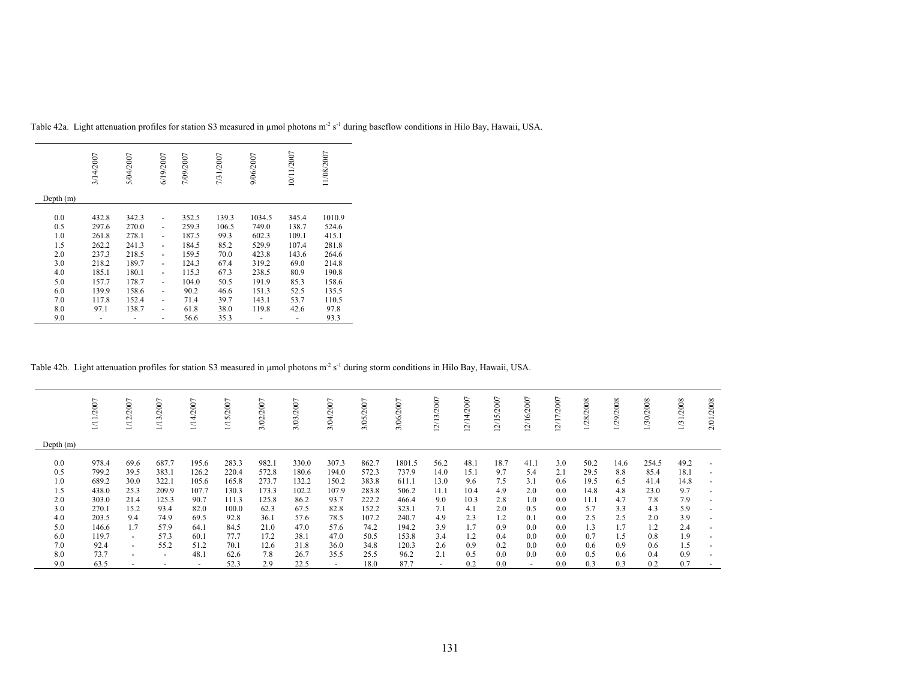|             | 3/14/2007 | 5/04/2007 | 6/19/2007 | 7/09/2007 | 7/31/2007 | 9/06/2007 | 10/11/2007 | 11/08/2007 |
|-------------|-----------|-----------|-----------|-----------|-----------|-----------|------------|------------|
| Depth $(m)$ |           |           |           |           |           |           |            |            |
|             |           |           |           |           |           |           |            |            |
| 0.0         | 432.8     | 342.3     |           | 352.5     | 139.3     | 1034.5    | 345.4      | 1010.9     |
| 0.5         | 297.6     | 270.0     | ٠         | 259.3     | 106.5     | 749.0     | 138.7      | 524.6      |
| 1.0         | 261.8     | 278.1     |           | 187.5     | 99.3      | 602.3     | 109.1      | 415.1      |
| 1.5         | 262.2     | 241.3     |           | 184.5     | 85.2      | 529.9     | 107.4      | 281.8      |
| 2.0         | 237.3     | 218.5     | ٠         | 159.5     | 70.0      | 423.8     | 143.6      | 264.6      |
| 3.0         | 218.2     | 189.7     |           | 124.3     | 67.4      | 319.2     | 69.0       | 214.8      |
| 4.0         | 185.1     | 180.1     | ٠         | 115.3     | 67.3      | 238.5     | 80.9       | 190.8      |
| 5.0         | 157.7     | 178.7     | ٠         | 104.0     | 50.5      | 191.9     | 85.3       | 158.6      |
| 6.0         | 139.9     | 158.6     | ٠         | 90.2      | 46.6      | 151.3     | 52.5       | 135.5      |
| 7.0         | 117.8     | 152.4     |           | 71.4      | 39.7      | 143.1     | 53.7       | 110.5      |
| 8.0         | 97.1      | 138.7     | ٠         | 61.8      | 38.0      | 119.8     | 42.6       | 97.8       |
| 9.0         |           |           | -         | 56.6      | 35.3      |           |            | 93.3       |

Table 42a. Light attenuation profiles for station S3 measured in µmol photons m<sup>2</sup> s<sup>-1</sup> during baseflow conditions in Hilo Bay, Hawaii, USA.

# Table 42b. Light attenuation profiles for station S3 measured in µmol photons m<sup>-2</sup> s<sup>-1</sup> during storm conditions in Hilo Bay, Hawaii, USA.

|             | /2007<br>Ξ. | $\overline{ }$<br>/200<br>$\Xi$ | 1/13/2007                | $\overline{ }$<br>$200^{\circ}$ | 2007<br>n<br>$\overline{\phantom{0}}$ | 2007<br>$\infty$<br>ಗ | 3/03/2007 | 2007<br>3/04 | /2007<br>3/05 | 2007<br>3/06/ | $\overline{ }$<br>$200^\circ$<br>$\tilde{ }$<br>Ξ<br>$\sim$ | /14/2007<br>$\sim$ | L<br>/15/2007<br>$\sim$<br>≕ | $\overline{ }$<br>$200^\circ$<br>$\sqrt{16}$<br>$\sim$ | /17/2007<br>N | /28/2008 | 1/29/2008 | /30/2008 | /2008<br>$\overline{131}$ | 2/01/2008 |
|-------------|-------------|---------------------------------|--------------------------|---------------------------------|---------------------------------------|-----------------------|-----------|--------------|---------------|---------------|-------------------------------------------------------------|--------------------|------------------------------|--------------------------------------------------------|---------------|----------|-----------|----------|---------------------------|-----------|
| Depth $(m)$ |             |                                 |                          |                                 |                                       |                       |           |              |               |               |                                                             |                    |                              |                                                        |               |          |           |          |                           |           |
| 0.0         | 978.4       | 69.6                            | 687.7                    | 195.6                           | 283.3                                 | 982.1                 | 330.0     | 307.3        | 862.7         | 1801.5        | 56.2                                                        | 48.1               | 18.7                         | 41.1                                                   | 3.0           | 50.2     | 14.6      | 254.5    | 49.2                      |           |
| 0.5         | 799.2       | 39.5                            | 383.1                    | 126.2                           | 220.4                                 | 572.8                 | 180.6     | 194.0        | 572.3         | 737.9         | 14.0                                                        | 15.1               | 9.7                          | 5.4                                                    | 2.1           | 29.5     | 8.8       | 85.4     | 18.1                      |           |
| 1.0         | 689.2       | 30.0                            | 322.1                    | 105.6                           | 165.8                                 | 273.7                 | 132.2     | 150.2        | 383.8         | 611.1         | 13.0                                                        | 9.6                | 7.5                          | 3.1                                                    | 0.6           | 19.5     | 6.5       | 41.4     | 14.8                      |           |
| 1.5         | 438.0       | 25.3                            | 209.9                    | 107.7                           | 130.3                                 | 173.3                 | 102.2     | 107.9        | 283.8         | 506.2         | 11.1                                                        | 10.4               | 4.9                          | 2.0                                                    | 0.0           | 14.8     | 4.8       | 23.0     | 9.7                       |           |
| 2.0         | 303.0       | 21.4                            | 125.3                    | 90.7                            | 111.3                                 | 125.8                 | 86.2      | 93.7         | 222.2         | 466.4         | 9.0                                                         | 10.3               | 2.8                          | 1.0                                                    | 0.0           | 11.1     | 4.7       | 7.8      | 7.9                       |           |
| 3.0         | 270.1       | 15.2                            | 93.4                     | 82.0                            | 100.0                                 | 62.3                  | 67.5      | 82.8         | 152.2         | 323.1         | 7.1                                                         | 4.1                | 2.0                          | 0.5                                                    | 0.0           | 5.7      | 3.3       | 4.3      | 5.9                       |           |
| 4.0         | 203.5       | 9.4                             | 74.9                     | 69.5                            | 92.8                                  | 36.1                  | 57.6      | 78.5         | 107.2         | 240.7         | 4.9                                                         | 2.3                | 1.2                          | 0.1                                                    | 0.0           | 2.5      | 2.5       | 2.0      | 3.9                       |           |
| 5.0         | 146.6       | 1.7                             | 57.9                     | 64.1                            | 84.5                                  | 21.0                  | 47.0      | 57.6         | 74.2          | 194.2         | 3.9                                                         | 1.7                | 0.9                          | 0.0                                                    | 0.0           | 1.3      | 1.7       | 1.2      | 2.4                       |           |
| 6.0         | 119.7       | $\sim$                          | 57.3                     | 60.1                            | 77.7                                  | 17.2                  | 38.1      | 47.0         | 50.5          | 153.8         | 3.4                                                         | 1.2                | 0.4                          | 0.0                                                    | 0.0           | 0.7      | 1.5       | 0.8      | 1.9                       |           |
| 7.0         | 92.4        | $\sim$                          | 55.2                     | 51.2                            | 70.1                                  | 12.6                  | 31.8      | 36.0         | 34.8          | 120.3         | 2.6                                                         | 0.9                | 0.2                          | 0.0                                                    | 0.0           | 0.6      | 0.9       | 0.6      | 1.5                       |           |
| 8.0         | 73.7        | $\overline{a}$                  | $\overline{\phantom{a}}$ | 48.1                            | 62.6                                  | 7.8                   | 26.7      | 35.5         | 25.5          | 96.2          | 2.1                                                         | 0.5                | 0.0                          | 0.0                                                    | 0.0           | 0.5      | 0.6       | 0.4      | 0.9                       |           |
| 9.0         | 63.5        |                                 |                          |                                 | 52.3                                  | 2.9                   | 22.5      |              | 18.0          | 87.7          | ٠                                                           | 0.2                | 0.0                          | $\overline{\phantom{a}}$                               | 0.0           | 0.3      | 0.3       | 0.2      | 0.7                       |           |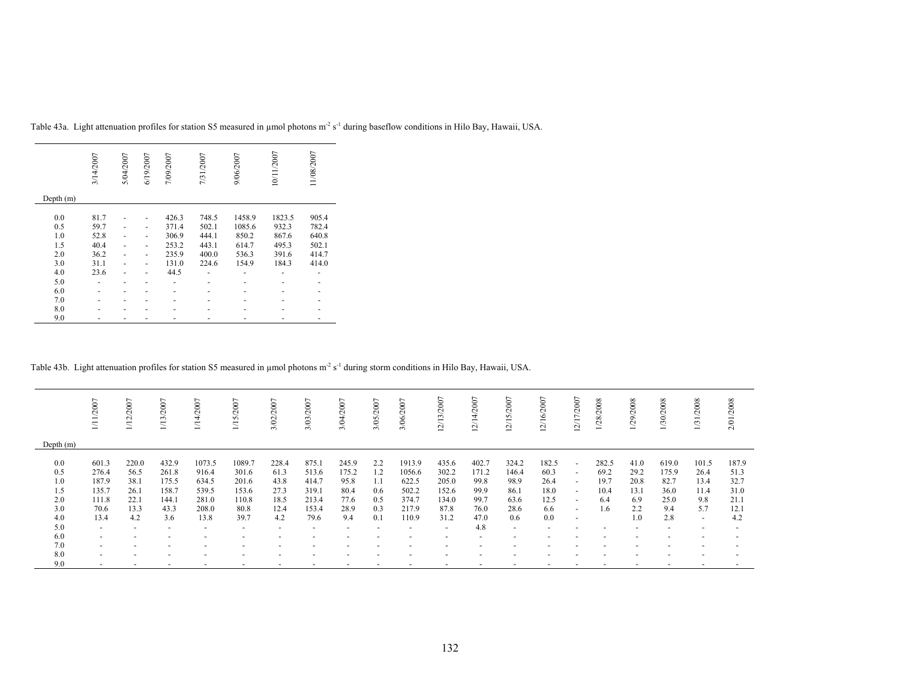|           | 3/14/2007 | 5/04/2007 | 6/19/2007 | 7/09/2007 | 7/31/2007 | 9/06/2007 | 10/11/2007 | 11/08/2007 |
|-----------|-----------|-----------|-----------|-----------|-----------|-----------|------------|------------|
| Depth (m) |           |           |           |           |           |           |            |            |
|           |           |           |           |           |           |           |            |            |
| 0.0       | 81.7      |           |           | 426.3     | 748.5     | 1458.9    | 1823.5     | 905.4      |
| 0.5       | 59.7      |           | ۰         | 371.4     | 502.1     | 1085.6    | 932.3      | 782.4      |
| 1.0       | 52.8      |           | -         | 306.9     | 444.1     | 850.2     | 867.6      | 640.8      |
| 1.5       | 40.4      |           |           | 253.2     | 443.1     | 614.7     | 495.3      | 502.1      |
| 2.0       | 36.2      |           |           | 235.9     | 400.0     | 536.3     | 391.6      | 414.7      |
| 3.0       | 31.1      |           |           | 131.0     | 224.6     | 154.9     | 184.3      | 414.0      |
| 4.0       | 23.6      |           |           | 44.5      |           |           |            |            |
| 5.0       | ٠         |           |           |           |           |           |            |            |
| 6.0       | -         |           |           |           |           |           |            |            |
| 7.0       |           |           |           |           |           |           |            |            |
| 8.0       |           |           |           |           |           |           |            |            |
| 9.0       |           |           |           |           |           |           |            |            |

Table 43a. Light attenuation profiles for station S5 measured in µmol photons m<sup>2</sup> s<sup>-1</sup> during baseflow conditions in Hilo Bay, Hawaii, USA.

# Table 43b. Light attenuation profiles for station S5 measured in µmol photons m<sup>-2</sup> s<sup>-1</sup> during storm conditions in Hilo Bay, Hawaii, USA.

|             | /2007                    | 1/12/2007      | 2007<br>$\approx$<br>$\overline{\phantom{0}}$ | 2007<br>チ<br>$\overline{\phantom{0}}$ | 2007<br>n<br>Ξ           | 2007<br>3/02             | 2007<br>3/03/            | 3/04/2007 | 3/05/2007 | 2007<br>3/06 | 2/13/2007                | 2/14/2007<br>- | 2007<br>2/15 | 6/2007<br>₹<br>$\sim$<br>$\overline{\phantom{0}}$ | 12/17/2007               | 1/28/2008 | 1/29/2008 | 2008<br>$\approx$ | 1/31/2008 | 2/01/2008 |
|-------------|--------------------------|----------------|-----------------------------------------------|---------------------------------------|--------------------------|--------------------------|--------------------------|-----------|-----------|--------------|--------------------------|----------------|--------------|---------------------------------------------------|--------------------------|-----------|-----------|-------------------|-----------|-----------|
| Depth $(m)$ |                          |                |                                               |                                       |                          |                          |                          |           |           |              |                          |                |              |                                                   |                          |           |           |                   |           |           |
| 0.0         | 601.3                    | 220.0          | 432.9                                         | 1073.5                                | 1089.7                   | 228.4                    | 875.1                    | 245.9     | 2.2       | 1913.9       | 435.6                    | 402.7          | 324.2        | 182.5                                             | $\sim$                   | 282.5     | 41.0      | 619.0             | 101.5     | 187.9     |
| 0.5         | 276.4                    | 56.5           | 261.8                                         | 916.4                                 | 301.6                    | 61.3                     | 513.6                    | 175.2     | 1.2       | 1056.6       | 302.2                    | 171.2          | 146.4        | 60.3                                              | $\sim$                   | 69.2      | 29.2      | 175.9             | 26.4      | 51.3      |
| 1.0         | 187.9                    | 38.1           | 175.5                                         | 634.5                                 | 201.6                    | 43.8                     | 414.7                    | 95.8      | 1.1       | 622.5        | 205.0                    | 99.8           | 98.9         | 26.4                                              | $\overline{\phantom{a}}$ | 19.7      | 20.8      | 82.7              | 13.4      | 32.7      |
| 1.5         | 135.7                    | 26.1           | 158.7                                         | 539.5                                 | 153.6                    | 27.3                     | 319.1                    | 80.4      | 0.6       | 502.2        | 152.6                    | 99.9           | 86.1         | 18.0                                              | $\sim$                   | 10.4      | 13.1      | 36.0              | 11.4      | 31.0      |
| 2.0         | 111.8                    | 22.1           | 144.                                          | 281.0                                 | 110.8                    | 18.5                     | 213.4                    | 77.6      | 0.5       | 374.7        | 134.0                    | 99.7           | 63.6         | 12.5                                              | $\overline{\phantom{0}}$ | 6.4       | 6.9       | 25.0              | 9.8       | 21.1      |
| 3.0         | 70.6                     | 13.3           | 43.3                                          | 208.0                                 | 80.8                     | 12.4                     | 153.4                    | 28.9      | 0.3       | 217.9        | 87.8                     | 76.0           | 28.6         | 6.6                                               | $\overline{\phantom{0}}$ | .6        | 2.2       | 9.4               | 5.7       | 12.1      |
| 4.0         | 13.4                     | 4.2            | 3.6                                           | 13.8                                  | 39.7                     | 4.2                      | 79.6                     | 9.4       | 0.1       | 110.9        | 31.2                     | 47.0           | 0.6          | 0.0                                               | $\overline{\phantom{a}}$ |           | 1.0       | 2.8               | $\sim$    | 4.2       |
| 5.0         | $\overline{a}$           | $\overline{a}$ | $\overline{\phantom{0}}$                      | $\overline{\phantom{a}}$              | $\overline{\phantom{a}}$ | $\overline{\phantom{a}}$ | $\overline{\phantom{a}}$ |           |           |              | $\overline{\phantom{a}}$ | 4.8            |              |                                                   |                          |           |           |                   |           |           |
| 6.0         | $\overline{\phantom{0}}$ |                |                                               |                                       |                          |                          |                          |           |           |              |                          |                |              |                                                   |                          |           |           |                   |           |           |
| 7.0         | $\overline{\phantom{0}}$ |                |                                               |                                       |                          |                          |                          |           |           |              |                          |                |              |                                                   |                          |           |           |                   |           |           |
| 8.0         | $\overline{\phantom{0}}$ |                |                                               |                                       |                          |                          |                          |           |           |              |                          |                |              |                                                   |                          |           |           |                   |           |           |
| 9.0         | $\overline{\phantom{0}}$ |                |                                               |                                       |                          |                          |                          |           |           |              |                          |                |              |                                                   |                          |           |           |                   |           |           |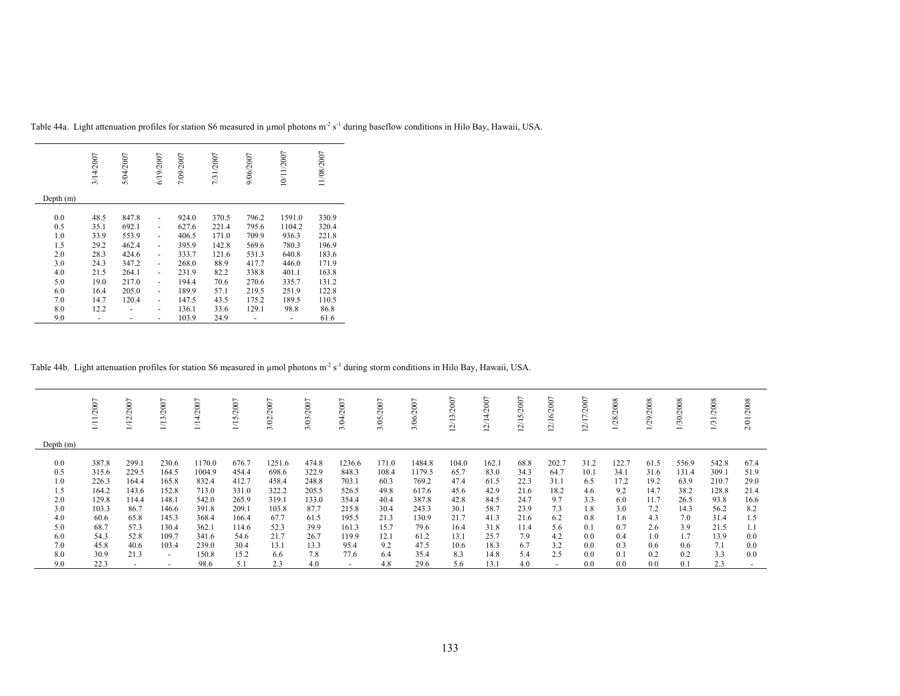|           | 3/14/2007 | 5/04/2007 | 6/19/2007                | 7/09/2007 | 7/31/2007 | 9/06/2007 | 10/11/2007 | 11/08/2007 |
|-----------|-----------|-----------|--------------------------|-----------|-----------|-----------|------------|------------|
| Depth (m) |           |           |                          |           |           |           |            |            |
| 0.0       | 48.5      | 847.8     |                          | 924.0     | 370.5     | 796.2     | 1591.0     | 330.9      |
| 0.5       | 35.1      | 692.1     | ٠                        | 627.6     | 221.4     | 795.6     | 1104.2     | 320.4      |
| 1.0       | 33.9      | 553.9     |                          | 406.5     | 171.0     | 709.9     | 936.3      | 221.8      |
| 1.5       | 29.2      | 462.4     |                          | 395.9     | 142.8     | 569.6     | 780.3      | 196.9      |
| 2.0       | 28.3      | 424.6     | ٠                        | 333.7     | 121.6     | 531.3     | 640.8      | 183.6      |
| 3.0       | 24.3      | 347.2     | $\overline{\phantom{a}}$ | 268.0     | 88.9      | 417.7     | 446.0      | 171.9      |
| 4.0       | 21.5      | 264.1     |                          | 231.9     | 82.2      | 338.8     | 401.1      | 163.8      |
| 5.0       | 19.0      | 217.0     | ٠                        | 194.4     | 70.6      | 270.6     | 335.7      | 131.2      |
| 6.0       | 16.4      | 205.0     | ٠                        | 189.9     | 57.1      | 219.5     | 251.9      | 122.8      |
| 7.0       | 14.7      | 120.4     |                          | 147.5     | 43.5      | 175.2     | 189.5      | 110.5      |
| 8.0       | 12.2      |           |                          | 136.1     | 33.6      | 129.1     | 98.8       | 86.8       |
| 9.0       |           |           | -                        | 103.9     | 24.9      |           |            | 61.6       |

Table 44a. Light attenuation profiles for station S6 measured in µmol photons m<sup>2</sup> s<sup>-1</sup> during baseflow conditions in Hilo Bay, Hawaii, USA.

# Table 44b. Light attenuation profiles for station S6 measured in µmol photons m<sup>-2</sup> s<sup>-1</sup> during storm conditions in Hilo Bay, Hawaii, USA.

|             | /2007 | 2007<br>2)<br>12 | 2007<br>$\sim$ | /2007<br>4<br>Ξ | /15/2007 | 2007<br>3/02 | $/2007$<br>3/03 | 2007<br>3/04             | /2007<br>3/05 | 3/06/2007 | $\overline{ }$<br>/13/200<br>J, | 2007<br>N | /15/2007<br>⊴ | 7002<br>$\frac{6}{2}$<br>Ξ, | '/2007<br>ZГ)<br>⊴ | 28/2008 | 1/29/2008 | 1/30/2008 | /2008<br>$\overline{5}$ | 2/01/2008 |
|-------------|-------|------------------|----------------|-----------------|----------|--------------|-----------------|--------------------------|---------------|-----------|---------------------------------|-----------|---------------|-----------------------------|--------------------|---------|-----------|-----------|-------------------------|-----------|
| Depth $(m)$ |       |                  |                |                 |          |              |                 |                          |               |           |                                 |           |               |                             |                    |         |           |           |                         |           |
| 0.0         | 387.8 | 299.1            | 230.6          | 1170.0          | 676.7    | 1251.6       | 474.8           | 1236.6                   | 171.0         | 1484.8    | 104.0                           | 162.1     | 68.8          | 202.7                       | 31.2               | 122.7   | 61.5      | 556.9     | 542.8                   | 67.4      |
| 0.5         | 315.6 | 229.5            | 164.5          | 1004.9          | 454.4    | 698.6        | 322.9           | 848.3                    | 108.4         | 1179.5    | 65.7                            | 83.0      | 34.3          | 64.7                        | 10.1               | 34.1    | 31.6      | 131.4     | 309.1                   | 51.9      |
| 1.0         | 226.3 | 164.4            | 165.8          | 832.4           | 412.7    | 458.4        | 248.8           | 703.1                    | 60.3          | 769.2     | 47.4                            | 61.5      | 22.3          | 31.1                        | 6.5                | 17.2    | 19.2      | 63.9      | 210.7                   | 29.0      |
| 1.5         | 164.2 | 143.6            | 152.8          | 713.0           | 331.0    | 322.2        | 205.5           | 526.5                    | 49.8          | 617.6     | 45.6                            | 42.9      | 21.6          | 18.2                        | 4.6                | 9.2     | 14.7      | 38.2      | 128.8                   | 21.4      |
| 2.0         | 129.8 | 14.4             | 148.1          | 542.0           | 265.9    | 319.1        | 133.0           | 354.4                    | 40.4          | 387.8     | 42.8                            | 84.5      | 24.7          | 9.7                         | 3.3                | 6.0     | 11.7      | 26.5      | 93.8                    | 16.6      |
| 3.0         | 103.3 | 86.7             | 146.6          | 391.8           | 209.1    | 103.8        | 87.7            | 215.8                    | 30.4          | 243.3     | 30.1                            | 58.7      | 23.9          | 7.3                         | 1.8                | 3.0     | 7.2       | 14.3      | 56.2                    | 8.2       |
| 4.0         | 60.6  | 65.8             | 145.3          | 368.4           | 166.4    | 67.7         | 61.5            | 195.5                    | 21.3          | 130.9     | 21.7                            | 41.3      | 21.6          | 6.2                         | 0.8                | 1.6     | 4.3       | 7.0       | 31.4                    | 1.5       |
| 5.0         | 68.7  | 57.3             | 130.4          | 362.1           | 114.6    | 52.3         | 39.9            | 161.3                    | 15.7          | 79.6      | 16.4                            | 31.8      | 11.4          | 5.6                         | 0.1                | 0.7     | 2.6       | 3.9       | 21.5                    | 1.1       |
| 6.0         | 54.3  | 52.8             | 109.7          | 341.6           | 54.6     | 21.7         | 26.7            | 119.9                    | 12.1          | 61.2      | 13.1                            | 25.7      | 7.9           | 4.2                         | 0.0                | 0.4     | 1.0       | 1.7       | 13.9                    | 0.0       |
| 7.0         | 45.8  | 40.6             | 103.4          | 239.0           | 30.4     | 13.1         | 13.3            | 95.4                     | 9.2           | 47.5      | 10.6                            | 18.3      | 6.7           | 3.2                         | 0.0                | 0.3     | 0.6       | 0.6       | 7.1                     | 0.0       |
| 8.0         | 30.9  | 21.3             | ٠              | 150.8           | 15.2     | 6.6          | 7.8             | 77.6                     | 6.4           | 35.4      | 8.3                             | 14.8      | 5.4           | 2.5                         | 0.0                | 0.1     | 0.2       | 0.2       | 3.3                     | 0.0       |
| 9.0         | 22.3  |                  |                | 98.6            | 5.1      | 2.3          | 4.0             | $\overline{\phantom{0}}$ | 4.8           | 29.6      | 5.6                             | 13.1      | 4.0           |                             | 0.0                | 0.0     | 0.0       | 0.1       | 2.3                     |           |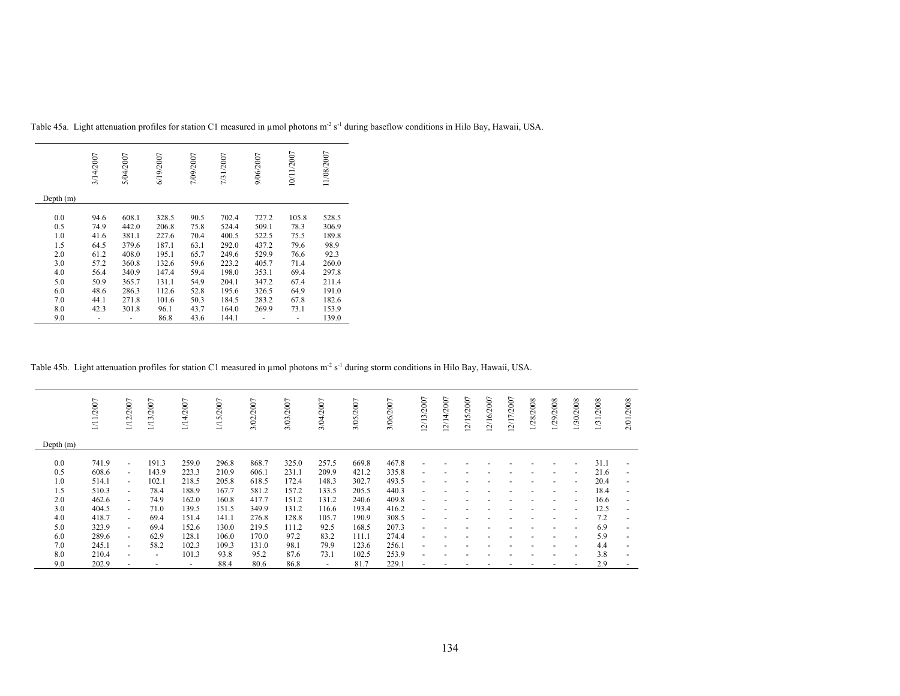|             | 3/14/2007 | 5/04/2007 | 6/19/2007 | 7/09/2007 | 7/31/2007 | 9/06/2007 | 10/11/2007 | 11/08/2007 |
|-------------|-----------|-----------|-----------|-----------|-----------|-----------|------------|------------|
| Depth $(m)$ |           |           |           |           |           |           |            |            |
| 0.0         | 94.6      | 608.1     | 328.5     | 90.5      | 702.4     | 727.2     | 105.8      | 528.5      |
| 0.5         | 74.9      | 442.0     | 206.8     | 75.8      | 524.4     | 509.1     | 78.3       | 306.9      |
| 1.0         | 41.6      | 381.1     | 227.6     | 70.4      | 400.5     | 522.5     | 75.5       | 189.8      |
| 1.5         | 64.5      | 379.6     | 187.1     | 63.1      | 292.0     | 437.2     | 79.6       | 98.9       |
| 2.0         | 61.2      | 408.0     | 195.1     | 65.7      | 249.6     | 529.9     | 76.6       | 92.3       |
| 3.0         | 57.2      | 360.8     | 132.6     | 59.6      | 223.2     | 405.7     | 71.4       | 260.0      |
| 4.0         | 56.4      | 340.9     | 147.4     | 59.4      | 198.0     | 353.1     | 69.4       | 297.8      |
| 5.0         | 50.9      | 365.7     | 131.1     | 54.9      | 204.1     | 347.2     | 67.4       | 211.4      |
| 6.0         | 48.6      | 286.3     | 112.6     | 52.8      | 195.6     | 326.5     | 64.9       | 191.0      |
| 7.0         | 44.1      | 271.8     | 101.6     | 50.3      | 184.5     | 283.2     | 67.8       | 182.6      |
| 8.0         | 42.3      | 301.8     | 96.1      | 43.7      | 164.0     | 269.9     | 73.1       | 153.9      |
| 9.0         |           |           | 86.8      | 43.6      | 144.1     |           |            | 139.0      |

Table 45a. Light attenuation profiles for station C1 measured in µmol photons m<sup>2</sup> s<sup>-1</sup> during baseflow conditions in Hilo Bay, Hawaii, USA.

### Table 45b. Light attenuation profiles for station C1 measured in µmol photons m<sup>2</sup> s<sup>-1</sup> during storm conditions in Hilo Bay, Hawaii, USA.

|             | 1/11/2007 | 1/12/2007                | 1/13/2007                | 4/2007<br>Ŕ              | 1/15/2007 | /2007<br>$\otimes$<br>ಗ | 3/03/2007 | 3/04/2007 | 3/05/2007 | 3/06/2007 | 12/13/2007               | 12/14/2007 | 12/15/2007 | 12/16/2007 | 12/17/2007 | 1/28/2008 | 1/29/2008                | 1/30/2008                | 1/31/2008 | 2/01/2008                |
|-------------|-----------|--------------------------|--------------------------|--------------------------|-----------|-------------------------|-----------|-----------|-----------|-----------|--------------------------|------------|------------|------------|------------|-----------|--------------------------|--------------------------|-----------|--------------------------|
| Depth $(m)$ |           |                          |                          |                          |           |                         |           |           |           |           |                          |            |            |            |            |           |                          |                          |           |                          |
| 0.0         | 741.9     | ٠                        | 191.3                    | 259.0                    | 296.8     | 868.7                   | 325.0     | 257.5     | 669.8     | 467.8     |                          |            |            |            |            |           |                          |                          | 31.1      | $\overline{\phantom{a}}$ |
| 0.5         | 608.6     | $\sim$                   | 143.9                    | 223.3                    | 210.9     | 606.1                   | 231.1     | 209.9     | 421.2     | 335.8     |                          |            |            |            |            |           | $\overline{\phantom{0}}$ | $\overline{a}$           | 21.6      | $\overline{\phantom{a}}$ |
| 1.0         | 514.1     | $\overline{\phantom{0}}$ | 102.1                    | 218.5                    | 205.8     | 618.5                   | 172.4     | 148.3     | 302.7     | 493.5     |                          |            |            |            |            |           |                          | $\overline{\phantom{a}}$ | 20.4      | $\overline{\phantom{a}}$ |
| 1.5         | 510.3     | $\overline{\phantom{0}}$ | 78.4                     | 188.9                    | 167.7     | 581.2                   | 157.2     | 133.5     | 205.5     | 440.3     | $\overline{\phantom{0}}$ |            |            |            |            |           | $\overline{\phantom{0}}$ | $\overline{\phantom{a}}$ | 18.4      | $\overline{\phantom{a}}$ |
| 2.0         | 462.6     | $\sim$                   | 74.9                     | 162.0                    | 160.8     | 417.7                   | 151.2     | 131.2     | 240.6     | 409.8     | $\overline{\phantom{0}}$ |            |            |            |            |           | $\overline{\phantom{0}}$ | $\overline{a}$           | 16.6      | $\blacksquare$           |
| 3.0         | 404.5     | $\overline{\phantom{0}}$ | 71.0                     | 139.5                    | 151.5     | 349.9                   | 131.2     | 116.6     | 193.4     | 416.2     |                          |            |            |            |            |           | $\overline{\phantom{0}}$ | $\overline{\phantom{a}}$ | 12.5      | $\overline{\phantom{a}}$ |
| 4.0         | 418.7     | $\sim$                   | 69.4                     | 151.4                    | 141.1     | 276.8                   | 128.8     | 105.7     | 190.9     | 308.5     | $\overline{\phantom{0}}$ |            |            |            |            |           | $\overline{\phantom{a}}$ | $\overline{\phantom{a}}$ | 7.2       | $\overline{\phantom{a}}$ |
| 5.0         | 323.9     | ٠                        | 69.4                     | 152.6                    | 130.0     | 219.5                   | 111.2     | 92.5      | 168.5     | 207.3     |                          |            |            |            |            |           |                          | $\overline{\phantom{a}}$ | 6.9       | $\overline{\phantom{a}}$ |
| 6.0         | 289.6     | $\sim$                   | 62.9                     | 128.1                    | 106.0     | 170.0                   | 97.2      | 83.2      | 111.1     | 274.4     |                          |            |            |            |            |           | $\overline{\phantom{0}}$ |                          | 5.9       | ٠                        |
| 7.0         | 245.1     | ٠                        | 58.2                     | 102.3                    | 109.3     | 131.0                   | 98.1      | 79.9      | 123.6     | 256.1     | $\overline{\phantom{0}}$ |            |            |            |            |           |                          | $\overline{a}$           | 4.4       | $\overline{\phantom{a}}$ |
| 8.0         | 210.4     | ٠                        | $\overline{\phantom{a}}$ | 101.3                    | 93.8      | 95.2                    | 87.6      | 73.1      | 102.5     | 253.9     |                          |            |            |            |            |           |                          |                          | 3.8       | $\overline{\phantom{a}}$ |
| 9.0         | 202.9     |                          |                          | $\overline{\phantom{a}}$ | 88.4      | 80.6                    | 86.8      | $\sim$    | 81.7      | 229.1     |                          |            |            |            |            |           |                          |                          | 2.9       | ٠                        |